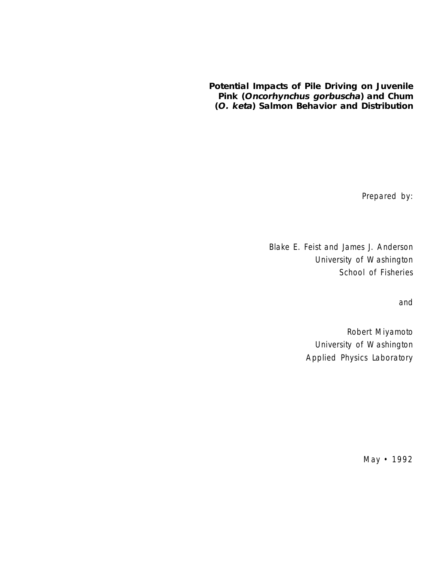# **Potential Impacts of Pile Driving on Juvenile Pink (Oncorhynchus gorbuscha) and Chum (O. keta) Salmon Behavior and Distribution**

Prepared by:

Blake E. Feist and James J. Anderson University of Washington School of Fisheries

and

Robert Miyamoto University of Washington Applied Physics Laboratory

May • 1992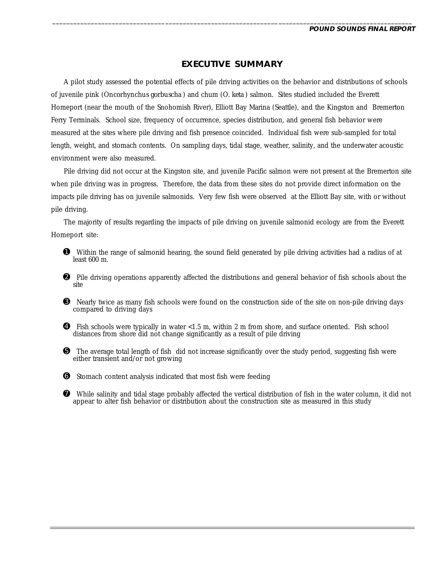# **EXECUTIVE SUMMARY**

\_\_\_\_\_\_\_\_\_\_\_\_\_\_\_\_\_\_\_\_\_\_\_\_\_\_\_\_\_\_\_\_\_\_\_\_\_\_\_\_\_\_\_\_\_\_\_\_\_\_\_\_\_\_\_\_\_\_\_\_\_\_\_\_\_\_\_\_\_\_\_\_\_\_\_\_\_\_\_\_\_\_\_\_\_\_\_\_\_\_\_\_\_\_\_\_\_\_\_\_\_\_

A pilot study assessed the potential effects of pile driving activities on the behavior and distributions of schools of juvenile pink (*Oncorhynchus gorbuscha*) and chum (*O. keta*) salmon. Sites studied included the Everett Homeport (near the mouth of the Snohomish River), Elliott Bay Marina (Seattle), and the Kingston and Bremerton Ferry Terminals. School size, frequency of occurrence, species distribution, and general fish behavior were measured at the sites where pile driving and fish presence coincided. Individual fish were sub-sampled for total length, weight, and stomach contents. On sampling days, tidal stage, weather, salinity, and the underwater acoustic environment were also measured.

Pile driving did not occur at the Kingston site, and juvenile Pacific salmon were not present at the Bremerton site when pile driving was in progress. Therefore, the data from these sites do not provide direct information on the impacts pile driving has on juvenile salmonids. Very few fish were observed at the Elliott Bay site, with or without pile driving.

The majority of results regarding the impacts of pile driving on juvenile salmonid ecology are from the Everett Homeport site:

- ➊ Within the range of salmonid hearing, the sound field generated by pile driving activities had a radius of at least 600 m.
- ➋ Pile driving operations apparently affected the distributions and general behavior of fish schools about the site
- ➌ Nearly twice as many fish schools were found on the construction side of the site on non-pile driving days compared to driving days
- ➍ Fish schools were typically in water <1.5 m, within 2 m from shore, and surface oriented. Fish school distances from shore did not change significantly as a result of pile driving
- ➎ The average total length of fish did not increase significantly over the study period, suggesting fish were either transient and/or not growing
- ➏ Stomach content analysis indicated that most fish were feeding
- ➐ While salinity and tidal stage probably affected the vertical distribution of fish in the water column, it did not appear to alter fish behavior or distribution about the construction site as measured in this study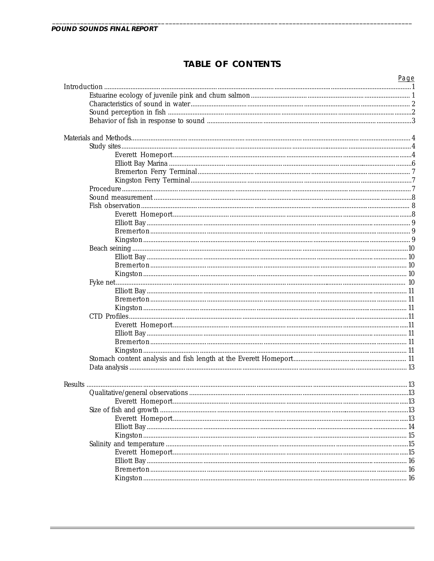# **TABLE OF CONTENTS**

| Page |
|------|
|      |
|      |
|      |
|      |
|      |
|      |
|      |
|      |
|      |
|      |
|      |
|      |
|      |
|      |
|      |
|      |
|      |
|      |
|      |
|      |
|      |
|      |
|      |
|      |
|      |
|      |
|      |
|      |
|      |
|      |
|      |
|      |
|      |
|      |
|      |
|      |
|      |
|      |
|      |
|      |
|      |
|      |
|      |
|      |
|      |
|      |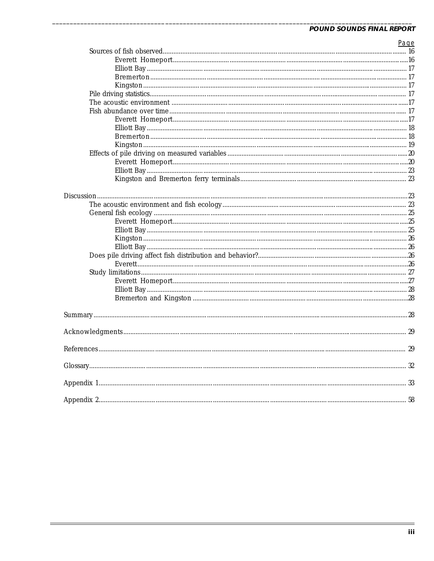| Page |
|------|
|      |
|      |
|      |
|      |
|      |
|      |
|      |
|      |
|      |
|      |
|      |
|      |
|      |
|      |
|      |
|      |
|      |
|      |
|      |
|      |
|      |
|      |
|      |
|      |
|      |
|      |
|      |
|      |
|      |
|      |
|      |
|      |
|      |
|      |
|      |
|      |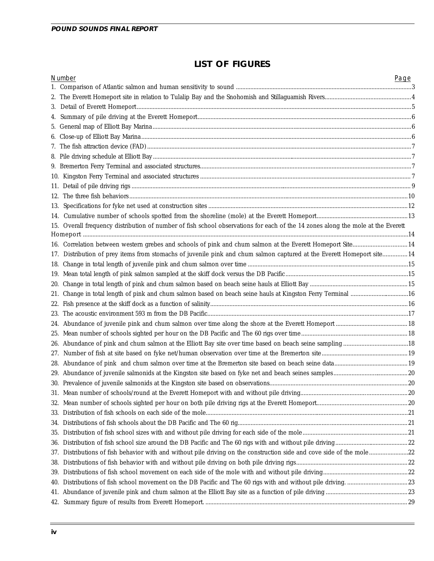$\overline{a}$ 

# **LIST OF FIGURES**

| Number                                                                                                                          | Page |
|---------------------------------------------------------------------------------------------------------------------------------|------|
|                                                                                                                                 |      |
|                                                                                                                                 |      |
|                                                                                                                                 |      |
|                                                                                                                                 |      |
|                                                                                                                                 |      |
|                                                                                                                                 |      |
|                                                                                                                                 |      |
|                                                                                                                                 |      |
|                                                                                                                                 |      |
|                                                                                                                                 |      |
|                                                                                                                                 |      |
|                                                                                                                                 |      |
|                                                                                                                                 |      |
|                                                                                                                                 |      |
| 15. Overall frequency distribution of number of fish school observations for each of the 14 zones along the mole at the Everett |      |
|                                                                                                                                 |      |
| 14. Correlation between western grebes and schools of pink and chum salmon at the Everett Homeport Site 14                      |      |
| 17. Distribution of prey items from stomachs of juvenile pink and chum salmon captured at the Everett Homeport site14           |      |
|                                                                                                                                 |      |
|                                                                                                                                 |      |
|                                                                                                                                 |      |
|                                                                                                                                 |      |
|                                                                                                                                 |      |
|                                                                                                                                 |      |
|                                                                                                                                 |      |
|                                                                                                                                 |      |
|                                                                                                                                 |      |
|                                                                                                                                 |      |
|                                                                                                                                 |      |
|                                                                                                                                 |      |
|                                                                                                                                 |      |
|                                                                                                                                 |      |
|                                                                                                                                 |      |
|                                                                                                                                 |      |
|                                                                                                                                 |      |
|                                                                                                                                 |      |
|                                                                                                                                 |      |
| 37. Distributions of fish behavior with and without pile driving on the construction side and cove side of the mole22           |      |
|                                                                                                                                 |      |
|                                                                                                                                 |      |
|                                                                                                                                 |      |
|                                                                                                                                 |      |
|                                                                                                                                 |      |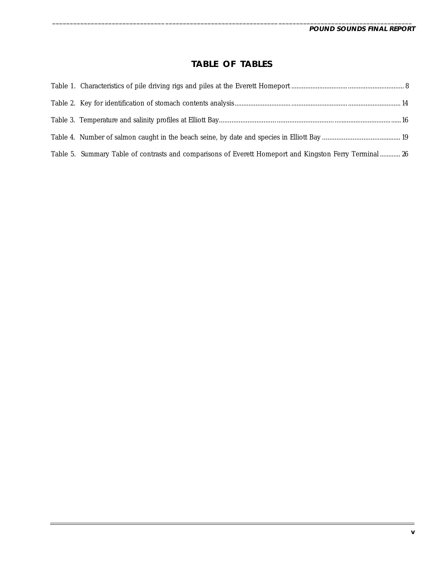# **TABLE OF TABLES**

\_\_\_\_\_\_\_\_\_\_\_\_\_\_\_\_\_\_\_\_\_\_\_\_\_\_\_\_\_\_\_\_\_\_\_\_\_\_\_\_\_\_\_\_\_\_\_\_\_\_\_\_\_\_\_\_\_\_\_\_\_\_\_\_\_\_\_\_\_\_\_\_\_\_\_\_\_\_\_\_\_\_\_\_\_\_\_\_\_\_\_\_\_\_\_\_\_\_\_\_\_\_

| Table 5. Summary Table of contrasts and comparisons of Everett Homeport and Kingston Ferry Terminal 26 |  |
|--------------------------------------------------------------------------------------------------------|--|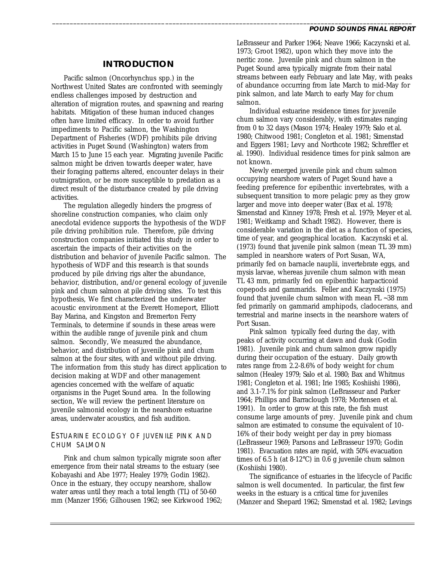### **INTRODUCTION**

Pacific salmon (*Oncorhynchus* spp.) in the Northwest United States are confronted with seemingly endless challenges imposed by destruction and alteration of migration routes, and spawning and rearing habitats. Mitigation of these human induced changes often have limited efficacy. In order to avoid further impediments to Pacific salmon, the Washington Department of Fisheries (WDF) prohibits pile driving activities in Puget Sound (Washington) waters from March 15 to June 15 each year. Migrating juvenile Pacific salmon might be driven towards deeper water, have their foraging patterns altered, encounter delays in their outmigration, or be more susceptible to predation as a direct result of the disturbance created by pile driving activities.

The regulation allegedly hinders the progress of shoreline construction companies, who claim only anecdotal evidence supports the hypothesis of the WDF pile driving prohibition rule. Therefore, pile driving construction companies initiated this study in order to ascertain the impacts of their activities on the distribution and behavior of juvenile Pacific salmon. The hypothesis of WDF and this research is that sounds produced by pile driving rigs alter the abundance, behavior, distribution, and/or general ecology of juvenile pink and chum salmon at pile driving sites. To test this hypothesis, We first characterized the underwater acoustic environment at the Everett Homeport, Elliott Bay Marina, and Kingston and Bremerton Ferry Terminals, to determine if sounds in these areas were within the audible range of juvenile pink and chum salmon. Secondly, We measured the abundance, behavior, and distribution of juvenile pink and chum salmon at the four sites, with and without pile driving. The information from this study has direct application to decision making at WDF and other management agencies concerned with the welfare of aquatic organisms in the Puget Sound area. In the following section, We will review the pertinent literature on juvenile salmonid ecology in the nearshore estuarine areas, underwater acoustics, and fish audition.

### ESTUARINE ECOLOGY OF JUVENILE PINK AND CHUM SALMON

Pink and chum salmon typically migrate soon after emergence from their natal streams to the estuary (see Kobayashi and Abe 1977; Healey 1979; Godin 1982). Once in the estuary, they occupy nearshore, shallow water areas until they reach a total length (TL) of 50-60 mm (Manzer 1956; Gilhousen 1962; see Kirkwood 1962; LeBrasseur and Parker 1964; Neave 1966; Kaczynski et al. 1973; Groot 1982), upon which they move into the neritic zone. Juvenile pink and chum salmon in the Puget Sound area typically migrate from their natal streams between early February and late May, with peaks of abundance occurring from late March to mid-May for pink salmon, and late March to early May for chum salmon.

\_\_\_\_\_\_\_\_\_\_\_\_\_\_\_\_\_\_\_\_\_\_\_\_\_\_\_\_\_\_\_\_\_\_\_\_\_\_\_\_\_\_\_\_\_\_\_\_\_\_\_\_\_\_\_\_\_\_\_\_\_\_\_\_\_\_\_\_\_\_\_\_\_\_\_\_\_\_\_\_\_\_\_\_\_\_\_\_\_\_\_\_\_\_\_\_\_\_\_\_\_\_

Individual estuarine residence times for juvenile chum salmon vary considerably, with estimates ranging from 0 to 32 days (Mason 1974; Healey 1979; Salo et al. 1980; Chitwood 1981; Congleton et al. 1981; Simenstad and Eggers 1981; Levy and Northcote 1982; Schreffler et al. 1990). Individual residence times for pink salmon are not known.

Newly emerged juvenile pink and chum salmon occupying nearshore waters of Puget Sound have a feeding preference for epibenthic invertebrates, with a subsequent transition to more pelagic prey as they grow larger and move into deeper water (Bax et al. 1978; Simenstad and Kinney 1978; Fresh et al. 1979; Meyer et al. 1981; Weitkamp and Schadt 1982). However, there is considerable variation in the diet as a function of species, time of year, and geographical location. Kaczynski et al. (1973) found that juvenile pink salmon (mean TL 39 mm) sampled in nearshore waters of Port Susan, WA, primarily fed on barnacle nauplii, invertebrate eggs, and mysis larvae, whereas juvenile chum salmon with mean TL 43 mm, primarily fed on epibenthic harpacticoid copepods and gammarids. Feller and Kaczynski (1975) found that juvenile chum salmon with mean FL ~38 mm fed primarily on gammarid amphipods, cladocerans, and terrestrial and marine insects in the nearshore waters of Port Susan.

Pink salmon typically feed during the day, with peaks of activity occurring at dawn and dusk (Godin 1981). Juvenile pink and chum salmon grow rapidly during their occupation of the estuary. Daily growth rates range from 2.2-8.6% of body weight for chum salmon (Healey 1979; Salo et al. 1980; Bax and Whitmus 1981; Congleton et al. 1981; Irie 1985; Koshiishi 1986), and 3.1-7.1% for pink salmon (LeBrasseur and Parker 1964; Phillips and Barraclough 1978; Mortensen et al. 1991). In order to grow at this rate, the fish must consume large amounts of prey. Juvenile pink and chum salmon are estimated to consume the equivalent of 10- 16% of their body weight per day in prey biomass (LeBrasseur 1969; Parsons and LeBrasseur 1970; Godin 1981). Evacuation rates are rapid, with 50% evacuation times of 6.5 h (at 8-12°C) in 0.6 g juvenile chum salmon (Koshiishi 1980).

The significance of estuaries in the lifecycle of Pacific salmon is well documented. In particular, the first few weeks in the estuary is a critical time for juveniles (Manzer and Shepard 1962; Simenstad et al. 1982; Levings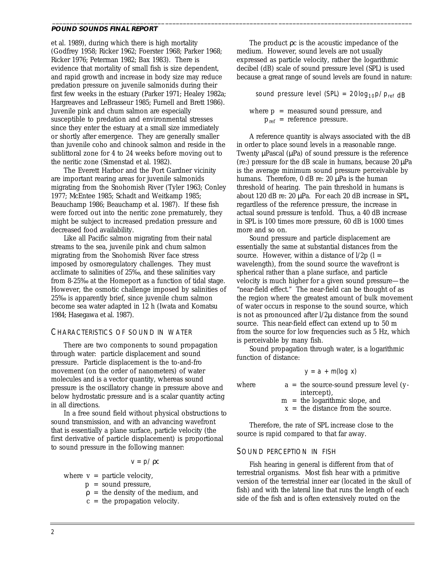et al. 1989), during which there is high mortality (Godfrey 1958; Ricker 1962; Foerster 1968; Parker 1968; Ricker 1976; Peterman 1982; Bax 1983). There is evidence that mortality of small fish is size dependent, and rapid growth and increase in body size may reduce predation pressure on juvenile salmonids during their first few weeks in the estuary (Parker 1971; Healey 1982a; Hargreaves and LeBrasseur 1985; Furnell and Brett 1986). Juvenile pink and chum salmon are especially susceptible to predation and environmental stresses since they enter the estuary at a small size immediately or shortly after emergence. They are generally smaller than juvenile coho and chinook salmon and reside in the sublittoral zone for 4 to 24 weeks before moving out to the neritic zone (Simenstad et al. 1982).

The Everett Harbor and the Port Gardner vicinity are important rearing areas for juvenile salmonids migrating from the Snohomish River (Tyler 1963; Conley 1977; McEntee 1985; Schadt and Weitkamp 1985; Beauchamp 1986; Beauchamp et al. 1987). If these fish were forced out into the neritic zone prematurely, they might be subject to increased predation pressure and decreased food availability.

Like all Pacific salmon migrating from their natal streams to the sea, juvenile pink and chum salmon migrating from the Snohomish River face stress imposed by osmoregulatory challenges. They must acclimate to salinities of 25‰, and these salinities vary from 8-25‰ at the Homeport as a function of tidal stage. However, the osmotic challenge imposed by salinities of 25‰ is apparently brief, since juvenile chum salmon become sea water adapted in 12 h (Iwata and Komatsu 1984; Hasegawa et al. 1987).

### CHARACTERISTICS OF SOUND IN WATER

There are two components to sound propagation through water: particle displacement and sound pressure. Particle displacement is the to-and-fro movement (on the order of nanometers) of water molecules and is a vector quantity, whereas sound pressure is the oscillatory change in pressure above and below hydrostatic pressure and is a scalar quantity acting in all directions.

In a free sound field without physical obstructions to sound transmission, and with an advancing wavefront that is essentially a plane surface, particle velocity (the first derivative of particle displacement) is proportional to sound pressure in the following manner:

 $v = p / \rho c$ 

where  $v =$  particle velocity,

- p = sound pressure,
- $\rho$  = the density of the medium, and
- $c =$  the propagation velocity.

The product ρc is the acoustic impedance of the medium. However, sound levels are not usually expressed as particle velocity, rather the logarithmic decibel (dB) scale of sound pressure level (SPL) is used because a great range of sound levels are found in nature:

\_\_\_\_\_\_\_\_\_\_\_\_\_\_\_\_\_\_\_\_\_\_\_\_\_\_\_\_\_\_\_\_\_\_\_\_\_\_\_\_\_\_\_\_\_\_\_\_\_\_\_\_\_\_\_\_\_\_\_\_\_\_\_\_\_\_\_\_\_\_\_\_\_\_\_\_\_\_\_\_\_\_\_\_\_\_\_\_\_\_\_\_\_\_\_\_\_\_\_\_\_\_

sound pressure level (SPL) =  $20log_{10}p/p_{ref}$  dB

where  $p =$  measured sound pressure, and  $p_{ref}$  = reference pressure.

A reference quantity is always associated with the dB in order to place sound levels in a reasonable range. Twenty µPascal (µPa) of sound pressure is the reference (re:) pressure for the dB scale in humans, because 20 µPa is the average minimum sound pressure perceivable by humans. Therefore, 0 dB re: 20 µPa is the human threshold of hearing. The pain threshold in humans is about 120 dB re: 20 µPa. For each 20 dB increase in SPL, regardless of the reference pressure, the increase in actual sound pressure is tenfold. Thus, a 40 dB increase in SPL is 100 times more pressure, 60 dB is 1000 times more and so on.

Sound pressure and particle displacement are essentially the same at substantial distances from the source. However, within a distance of  $1/2p$  ( $l =$ wavelength), from the sound source the wavefront is spherical rather than a plane surface, and particle velocity is much higher for a given sound pressure—the "near-field effect." The near-field can be thought of as the region where the greatest amount of bulk movement of water occurs in response to the sound source, which is not as pronounced after l/2µ distance from the sound source. This near-field effect can extend up to 50 m from the source for low frequencies such as 5 Hz, which is perceivable by many fish.

Sound propagation through water, is a logarithmic function of distance:

$$
y = a + m(\log x)
$$

where  $a =$  the source-sound pressure level (yintercept),

m = the logarithmic slope, and

 $x =$  the distance from the source.

Therefore, the rate of SPL increase close to the source is rapid compared to that far away.

#### SOUND PERCEPTION IN FISH

Fish hearing in general is different from that of terrestrial organisms. Most fish hear with a primitive version of the terrestrial inner ear (located in the skull of fish) and with the lateral line that runs the length of each side of the fish and is often extensively routed on the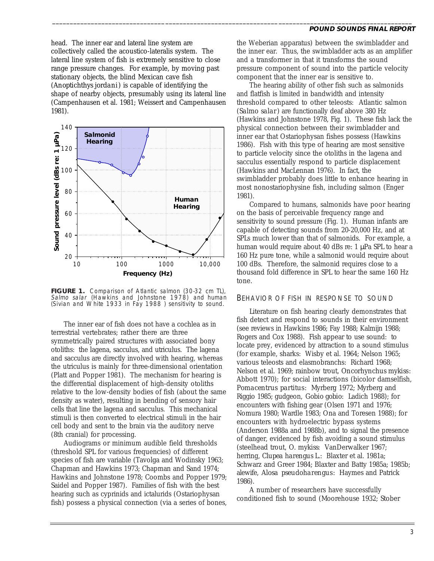head. The inner ear and lateral line system are collectively called the acoustico-lateralis system. The lateral line system of fish is extremely sensitive to close range pressure changes. For example, by moving past stationary objects, the blind Mexican cave fish (*Anoptichthys jordani*) is capable of identifying the shape of nearby objects, presumably using its lateral line (Campenhausen et al. 1981; Weissert and Campenhausen 1981).



**FIGURE 1.** Comparison of Atlantic salmon (30-32 cm TL), Salmo salar (Hawkins and Johnstone 1978) and human (Sivian and White 1933 in Fay 1988 ) sensitivity to sound.

The inner ear of fish does not have a cochlea as in terrestrial vertebrates; rather there are three symmetrically paired structures with associated bony otoliths: the lagena, sacculus, and utriculus. The lagena and sacculus are directly involved with hearing, whereas the utriculus is mainly for three-dimensional orientation (Platt and Popper 1981). The mechanism for hearing is the differential displacement of high-density otoliths relative to the low-density bodies of fish (about the same density as water), resulting in bending of sensory hair cells that line the lagena and sacculus. This mechanical stimuli is then converted to electrical stimuli in the hair cell body and sent to the brain via the auditory nerve (8th cranial) for processing.

Audiograms or minimum audible field thresholds (threshold SPL for various frequencies) of different species of fish are variable (Tavolga and Wodinsky 1963; Chapman and Hawkins 1973; Chapman and Sand 1974; Hawkins and Johnstone 1978; Coombs and Popper 1979; Saidel and Popper 1987). Families of fish with the best hearing such as cyprinids and ictalurids (Ostariophysan fish) possess a physical connection (via a series of bones,

#### **POUND SOUNDS FINAL REPORT**

the Weberian apparatus) between the swimbladder and the inner ear. Thus, the swimbladder acts as an amplifier and a transformer in that it transforms the sound pressure component of sound into the particle velocity component that the inner ear is sensitive to.

\_\_\_\_\_\_\_\_\_\_\_\_\_\_\_\_\_\_\_\_\_\_\_\_\_\_\_\_\_\_\_\_\_\_\_\_\_\_\_\_\_\_\_\_\_\_\_\_\_\_\_\_\_\_\_\_\_\_\_\_\_\_\_\_\_\_\_\_\_\_\_\_\_\_\_\_\_\_\_\_\_\_\_\_\_\_\_\_\_\_\_\_\_\_\_\_\_\_\_\_\_\_

The hearing ability of other fish such as salmonids and flatfish is limited in bandwidth and intensity threshold compared to other teleosts: Atlantic salmon (*Salmo salar*) are functionally deaf above 380 Hz (Hawkins and Johnstone 1978, Fig. 1). These fish lack the physical connection between their swimbladder and inner ear that Ostariophysan fishes possess (Hawkins 1986). Fish with this type of hearing are most sensitive to particle velocity since the otoliths in the lagena and sacculus essentially respond to particle displacement (Hawkins and MacLennan 1976). In fact, the swimbladder probably does little to enhance hearing in most nonostariophysine fish, including salmon (Enger 1981).

Compared to humans, salmonids have poor hearing on the basis of perceivable frequency range and sensitivity to sound pressure (Fig. 1). Human infants are capable of detecting sounds from 20-20,000 Hz, and at SPLs much lower than that of salmonids. For example, a human would require about 40 dBs re: 1 uPa SPL to hear a 160 Hz pure tone, while a salmonid would require about 100 dBs. Therefore, the salmonid requires close to a thousand fold difference in SPL to hear the same 160 Hz tone.

#### BEHAVIOR OF FISH IN RESPONSE TO SOUND

Literature on fish hearing clearly demonstrates that fish detect and respond to sounds in their environment (see reviews in Hawkins 1986; Fay 1988; Kalmijn 1988; Rogers and Cox 1988). Fish appear to use sound: to locate prey, evidenced by attraction to a sound stimulus (for example, sharks: Wisby et al. 1964; Nelson 1965; various teleosts and elasmobranchs: Richard 1968; Nelson et al. 1969; rainbow trout, *Oncorhynchus mykiss*: Abbott 1970); for social interactions (bicolor damselfish, *Pomacentrus partitus*: Myrberg 1972; Myrberg and Riggio 1985; gudgeon, *Gobio gobio*: Ladich 1988); for encounters with fishing gear (Olsen 1971 and 1976; Nomura 1980; Wardle 1983; Ona and Toresen 1988); for encounters with hydroelectric bypass systems (Anderson 1988a and 1988b), and to signal the presence of danger, evidenced by fish avoiding a sound stimulus (steelhead trout, *O. mykiss*: VanDerwalker 1967; herring, *Clupea harengus* L.: Blaxter et al. 1981a; Schwarz and Greer 1984; Blaxter and Batty 1985a; 1985b; alewife, *Alosa pseudoharengus*: Haymes and Patrick 1986).

A number of researchers have successfully conditioned fish to sound (Moorehouse 1932; Stober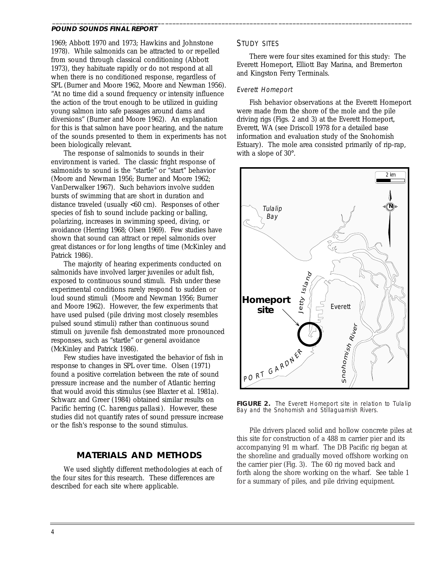1969; Abbott 1970 and 1973; Hawkins and Johnstone 1978). While salmonids can be attracted to or repelled from sound through classical conditioning (Abbott 1973), they habituate rapidly or do not respond at all when there is no conditioned response, regardless of SPL (Burner and Moore 1962, Moore and Newman 1956). "At no time did a sound frequency or intensity influence the action of the trout enough to be utilized in guiding young salmon into safe passages around dams and diversions" (Burner and Moore 1962). An explanation for this is that salmon have poor hearing, and the nature of the sounds presented to them in experiments has not been biologically relevant.

The response of salmonids to sounds in their environment is varied. The classic fright response of salmonids to sound is the "startle" or "start" behavior (Moore and Newman 1956; Burner and Moore 1962; VanDerwalker 1967). Such behaviors involve sudden bursts of swimming that are short in duration and distance traveled (usually <60 cm). Responses of other species of fish to sound include packing or balling, polarizing, increases in swimming speed, diving, or avoidance (Herring 1968; Olsen 1969). Few studies have shown that sound can attract or repel salmonids over great distances or for long lengths of time (McKinley and Patrick 1986).

The majority of hearing experiments conducted on salmonids have involved larger juveniles or adult fish, exposed to continuous sound stimuli. Fish under these experimental conditions rarely respond to sudden or loud sound stimuli (Moore and Newman 1956; Burner and Moore 1962). However, the few experiments that have used pulsed (pile driving most closely resembles pulsed sound stimuli) rather than continuous sound stimuli on juvenile fish demonstrated more pronounced responses, such as "startle" or general avoidance (McKinley and Patrick 1986).

Few studies have investigated the behavior of fish in response to changes in SPL over time. Olsen (1971) found a positive correlation between the rate of sound pressure increase and the number of Atlantic herring that would avoid this stimulus (see Blaxter et al. 1981a). Schwarz and Greer (1984) obtained similar results on Pacific herring (*C. harengus pallasi*). However, these studies did not quantify rates of sound pressure increase or the fish's response to the sound stimulus.

# **MATERIALS AND METHODS**

We used slightly different methodologies at each of the four sites for this research. These differences are described for each site where applicable.

### STUDY SITES

\_\_\_\_\_\_\_\_\_\_\_\_\_\_\_\_\_\_\_\_\_\_\_\_\_\_\_\_\_\_\_\_\_\_\_\_\_\_\_\_\_\_\_\_\_\_\_\_\_\_\_\_\_\_\_\_\_\_\_\_\_\_\_\_\_\_\_\_\_\_\_\_\_\_\_\_\_\_\_\_\_\_\_\_\_\_\_\_\_\_\_\_\_\_\_\_\_\_\_\_\_\_

There were four sites examined for this study: The Everett Homeport, Elliott Bay Marina, and Bremerton and Kingston Ferry Terminals.

#### Everett Homeport

Fish behavior observations at the Everett Homeport were made from the shore of the mole and the pile driving rigs (Figs. 2 and 3) at the Everett Homeport, Everett, WA (see Driscoll 1978 for a detailed base information and evaluation study of the Snohomish Estuary). The mole area consisted primarily of rip-rap, with a slope of 30°.



**FIGURE 2.** The Everett Homeport site in relation to Tulalip Bay and the Snohomish and Stillaguamish Rivers.

Pile drivers placed solid and hollow concrete piles at this site for construction of a 488 m carrier pier and its accompanying 91 m wharf. The DB Pacific rig began at the shoreline and gradually moved offshore working on the carrier pier (Fig. 3). The 60 rig moved back and forth along the shore working on the wharf. See table 1 for a summary of piles, and pile driving equipment.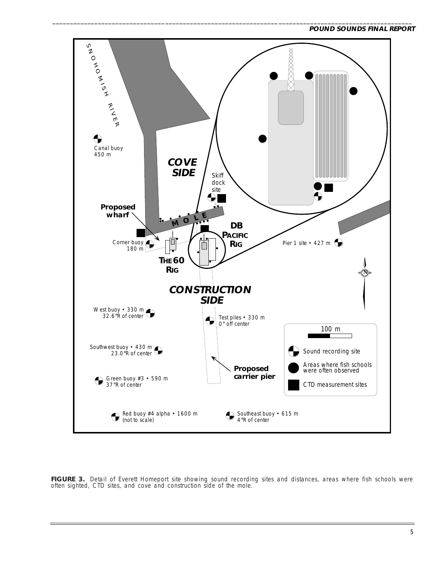

\_\_\_\_\_\_\_\_\_\_\_\_\_\_\_\_\_\_\_\_\_\_\_\_\_\_\_\_\_\_\_\_\_\_\_\_\_\_\_\_\_\_\_\_\_\_\_\_\_\_\_\_\_\_\_\_\_\_\_\_\_\_\_\_\_\_\_\_\_\_\_\_\_\_\_\_\_\_\_\_\_\_\_\_\_\_\_\_\_\_\_\_\_\_\_\_\_\_\_\_\_\_

FIGURE 3. Detail of Everett Homeport site showing sound recording sites and distances, areas where fish schools were often sighted, CTD sites, and cove and construction side of the mole.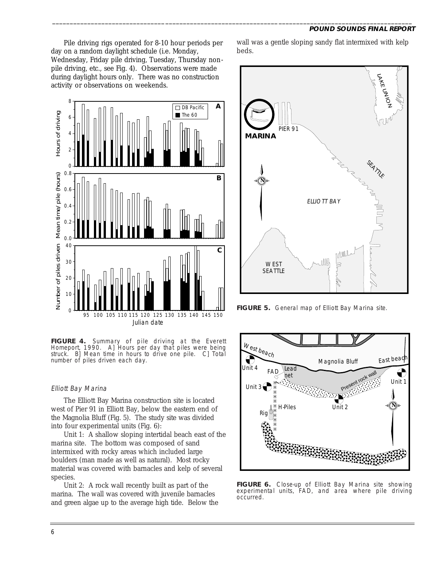Pile driving rigs operated for 8-10 hour periods per day on a random daylight schedule (i.e. Monday, Wednesday, Friday pile driving, Tuesday, Thursday nonpile driving, etc., see Fig. 4). Observations were made during daylight hours only. There was no construction activity or observations on weekends.



**FIGURE 4.** Summary of pile driving at the Everett Homeport, 1990. A] Hours per day that piles were being struck. B] Mean time in hours to drive one pile. C] Total number of piles driven each day.

#### Elliott Bay Marina

The Elliott Bay Marina construction site is located west of Pier 91 in Elliott Bay, below the eastern end of the Magnolia Bluff (Fig. 5). The study site was divided into four experimental units (Fig. 6):

Unit 1: A shallow sloping intertidal beach east of the marina site. The bottom was composed of sand intermixed with rocky areas which included large boulders (man made as well as natural). Most rocky material was covered with barnacles and kelp of several species.

Unit 2: A rock wall recently built as part of the marina. The wall was covered with juvenile barnacles and green algae up to the average high tide. Below the wall was a gentle sloping sandy flat intermixed with kelp beds.

\_\_\_\_\_\_\_\_\_\_\_\_\_\_\_\_\_\_\_\_\_\_\_\_\_\_\_\_\_\_\_\_\_\_\_\_\_\_\_\_\_\_\_\_\_\_\_\_\_\_\_\_\_\_\_\_\_\_\_\_\_\_\_\_\_\_\_\_\_\_\_\_\_\_\_\_\_\_\_\_\_\_\_\_\_\_\_\_\_\_\_\_\_\_\_\_\_\_\_\_\_\_



**FIGURE 5.** General map of Elliott Bay Marina site.



**FIGURE 6.** Close-up of Elliott Bay Marina site showing experimental units, FAD, and area where pile driving occurred.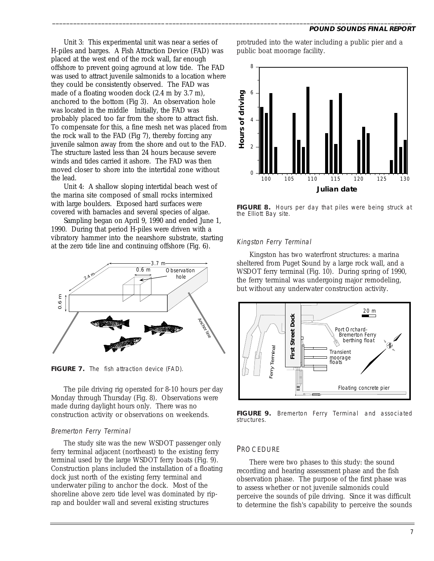Unit 3: This experimental unit was near a series of H-piles and barges. A Fish Attraction Device (FAD) was placed at the west end of the rock wall, far enough offshore to prevent going aground at low tide. The FAD was used to attract juvenile salmonids to a location where they could be consistently observed. The FAD was made of a floating wooden dock (2.4 m by 3.7 m), anchored to the bottom (Fig 3). An observation hole was located in the middle Initially, the FAD was probably placed too far from the shore to attract fish. To compensate for this, a fine mesh net was placed from the rock wall to the FAD (Fig 7), thereby forcing any juvenile salmon away from the shore and out to the FAD. The structure lasted less than 24 hours because severe winds and tides carried it ashore. The FAD was then moved closer to shore into the intertidal zone without the lead.

Unit 4: A shallow sloping intertidal beach west of the marina site composed of small rocks intermixed with large boulders. Exposed hard surfaces were covered with barnacles and several species of algae.

Sampling began on April 9, 1990 and ended June 1, 1990. During that period H-piles were driven with a vibratory hammer into the nearshore substrate, starting at the zero tide line and continuing offshore (Fig. 6).



**FIGURE 7.** The fish attraction device (FAD).

The pile driving rig operated for 8-10 hours per day Monday through Thursday (Fig. 8). Observations were made during daylight hours only. There was no construction activity or observations on weekends.

### Bremerton Ferry Terminal

The study site was the new WSDOT passenger only ferry terminal adjacent (northeast) to the existing ferry terminal used by the large WSDOT ferry boats (Fig. 9). Construction plans included the installation of a floating dock just north of the existing ferry terminal and underwater piling to anchor the dock. Most of the shoreline above zero tide level was dominated by riprap and boulder wall and several existing structures

protruded into the water including a public pier and a public boat moorage facility.



**FIGURE 8.** Hours per day that piles were being struck at the Elliott Bay site.

### Kingston Ferry Terminal

\_\_\_\_\_\_\_\_\_\_\_\_\_\_\_\_\_\_\_\_\_\_\_\_\_\_\_\_\_\_\_\_\_\_\_\_\_\_\_\_\_\_\_\_\_\_\_\_\_\_\_\_\_\_\_\_\_\_\_\_\_\_\_\_\_\_\_\_\_\_\_\_\_\_\_\_\_\_\_\_\_\_\_\_\_\_\_\_\_\_\_\_\_\_\_\_\_\_\_\_\_\_

Kingston has two waterfront structures: a marina sheltered from Puget Sound by a large rock wall, and a WSDOT ferry terminal (Fig. 10). During spring of 1990, the ferry terminal was undergoing major remodeling, but without any underwater construction activity.



**FIGURE 9.** Bremerton Ferry Terminal and associated structures.

### **PROCEDURE**

There were two phases to this study: the sound recording and hearing assessment phase and the fish observation phase. The purpose of the first phase was to assess whether or not juvenile salmonids could perceive the sounds of pile driving. Since it was difficult to determine the fish's capability to perceive the sounds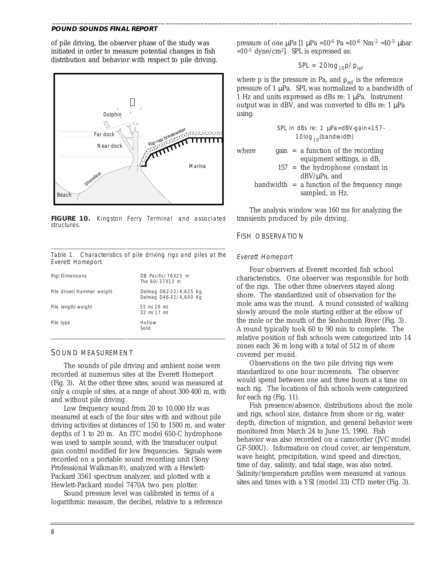of pile driving, the observer phase of the study was initiated in order to measure potential changes in fish distribution and behavior with respect to pile driving.



**FIGURE 10.** Kingston Ferry Terminal and associated structures.

Table 1. Characteristics of pile driving rigs and piles at the Everett Homeport.

| Rig/Dimensions            | DB Pacific/76X25 m<br>The 60/37X13 m             |
|---------------------------|--------------------------------------------------|
| Pile driver/Hammer weight | Delmag D62-22/6,625 Kg<br>Delmag D46-32/4,600 Kg |
| Pile length/weight        | 55 m/26 mt<br>$32 \text{ m}/17 \text{ m}$        |
| Pile type                 | Hollow<br>Solid                                  |

#### SOUND MEASUREMENT

The sounds of pile driving and ambient noise were recorded at numerous sites at the Everett Homeport (Fig. 3). At the other three sites, sound was measured at only a couple of sites, at a range of about 300-400 m, with and without pile driving

Low frequency sound from 20 to 10,000 Hz was measured at each of the four sites with and without pile driving activities at distances of 150 to 1500 m, and water depths of 1 to 20 m. An ITC model 650-C hydrophone was used to sample sound, with the transducer output gain control modified for low frequencies. Signals were recorded on a portable sound recording unit (Sony Professional Walkman®), analyzed with a Hewlett-Packard 3561 spectrum analyzer, and plotted with a Hewlett-Packard model 7470A two pen plotter.

Sound pressure level was calibrated in terms of a logarithmic measure, the decibel, relative to a reference pressure of one  $\mu$ Pa  $[1 \mu$ Pa =10<sup>-6</sup> Pa =10<sup>-6</sup> Nm<sup>-2</sup> =10<sup>-5</sup>  $\mu$ bar  $=10^{-5}$  dyne/cm<sup>2</sup>. SPL is expressed as:

$$
SPL = 20\log_{10} p / p_{ref}
$$

where  $p$  is the pressure in Pa, and  $p_{ref}$  is the reference pressure of 1 µPa. SPL was normalized to a bandwidth of 1 Hz and units expressed as dBs re: 1 µPa. Instrument output was in dBV, and was converted to dBs re:  $1 \mu Pa$ using:

|  |  | SPL in dBs re: 1 μPa=dBV gain+157 |
|--|--|-----------------------------------|
|  |  | 10log $_{10}$ (bandwidth)         |

| where |  | $gain = a$ function of the recording            |
|-------|--|-------------------------------------------------|
|       |  | equipment settings, in dB,                      |
|       |  | $157$ = the hydrophone constant in              |
|       |  | $dBV/\mu Pa$ , and                              |
|       |  | $bandwidth = a function of the frequency range$ |
|       |  | sampled, in Hz.                                 |

The analysis window was 160 ms for analyzing the transients produced by pile driving.

### FISH OBSERVATION

#### Everett Homeport

\_\_\_\_\_\_\_\_\_\_\_\_\_\_\_\_\_\_\_\_\_\_\_\_\_\_\_\_\_\_\_\_\_\_\_\_\_\_\_\_\_\_\_\_\_\_\_\_\_\_\_\_\_\_\_\_\_\_\_\_\_\_\_\_\_\_\_\_\_\_\_\_\_\_\_\_\_\_\_\_\_\_\_\_\_\_\_\_\_\_\_\_\_\_\_\_\_\_\_\_\_\_

Four observers at Everett recorded fish school characteristics. One observer was responsible for both of the rigs. The other three observers stayed along shore. The standardized unit of observation for the mole area was the round. A round consisted of walking slowly around the mole starting either at the elbow of the mole or the mouth of the Snohomish River (Fig. 3). A round typically took 60 to 90 min to complete. The relative position of fish schools were categorized into 14 zones each 36 m long with a total of 512 m of shore covered per round.

Observations on the two pile driving rigs were standardized to one hour increments. The observer would spend between one and three hours at a time on each rig. The locations of fish schools were categorized for each rig (Fig. 11).

Fish presence/absence, distributions about the mole and rigs, school size, distance from shore or rig, water depth, direction of migration, and general behavior were monitored from March 24 to June 15, 1990. Fish behavior was also recorded on a camcorder (JVC model GF-500U). Information on cloud cover, air temperature, wave height, precipitation, wind speed and direction, time of day, salinity, and tidal stage, was also noted. Salinity/temperature profiles were measured at various sites and times with a YSI (model 33) CTD meter (Fig. 3).

 $\overline{a}$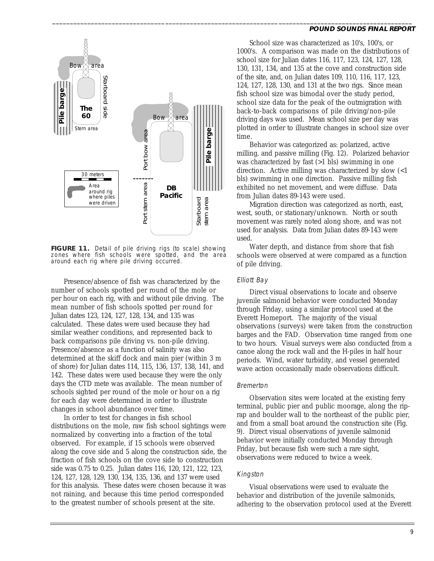

**FIGURE 11.** Detail of pile driving rigs (to scale) showing zones where fish schools were spotted, and the area around each rig where pile driving occurred.

Presence/absence of fish was characterized by the number of schools spotted per round of the mole or per hour on each rig, with and without pile driving. The mean number of fish schools spotted per round for Julian dates 123, 124, 127, 128, 134, and 135 was calculated. These dates were used because they had similar weather conditions, and represented back to back comparisons pile driving vs. non-pile driving. Presence/absence as a function of salinity was also determined at the skiff dock and main pier (within 3 m of shore) for Julian dates 114, 115, 136, 137, 138, 141, and 142. These dates were used because they were the only days the CTD mete was available. The mean number of schools sighted per round of the mole or hour on a rig for each day were determined in order to illustrate changes in school abundance over time.

In order to test for changes in fish school distributions on the mole, raw fish school sightings were normalized by converting into a fraction of the total observed. For example, if 15 schools were observed along the cove side and 5 along the construction side, the fraction of fish schools on the cove side to construction side was 0.75 to 0.25. Julian dates 116, 120, 121, 122, 123, 124, 127, 128, 129, 130, 134, 135, 136, and 137 were used for this analysis. These dates were chosen because it was not raining, and because this time period corresponded to the greatest number of schools present at the site.

#### **POUND SOUNDS FINAL REPORT**

School size was characterized as 10's, 100's, or 1000's. A comparison was made on the distributions of school size for Julian dates 116, 117, 123, 124, 127, 128, 130, 131, 134, and 135 at the cove and construction side of the site, and, on Julian dates 109, 110, 116, 117, 123, 124, 127, 128, 130, and 131 at the two rigs. Since mean fish school size was bimodal over the study period, school size data for the peak of the outmigration with back-to-back comparisons of pile driving/non-pile driving days was used. Mean school size per day was plotted in order to illustrate changes in school size over time.

Behavior was categorized as: polarized, active milling, and passive milling (Fig. 12). Polarized behavior was characterized by fast (>1 bls) swimming in one direction. Active milling was characterized by slow (<1 bls) swimming in one direction. Passive milling fish exhibited no net movement, and were diffuse. Data from Julian dates 89-143 were used.

Migration direction was categorized as north, east, west, south, or stationary/unknown. North or south movement was rarely noted along shore, and was not used for analysis. Data from Julian dates 89-143 were used.

Water depth, and distance from shore that fish schools were observed at were compared as a function of pile driving.

#### Elliott Bay

\_\_\_\_\_\_\_\_\_\_\_\_\_\_\_\_\_\_\_\_\_\_\_\_\_\_\_\_\_\_\_\_\_\_\_\_\_\_\_\_\_\_\_\_\_\_\_\_\_\_\_\_\_\_\_\_\_\_\_\_\_\_\_\_\_\_\_\_\_\_\_\_\_\_\_\_\_\_\_\_\_\_\_\_\_\_\_\_\_\_\_\_\_\_\_\_\_\_\_\_\_\_

Direct visual observations to locate and observe juvenile salmonid behavior were conducted Monday through Friday, using a similar protocol used at the Everett Homeport. The majority of the visual observations (surveys) were taken from the construction barges and the FAD. Observation time ranged from one to two hours. Visual surveys were also conducted from a canoe along the rock wall and the H-piles in half hour periods. Wind, water turbidity, and vessel generated wave action occasionally made observations difficult.

#### Bremerton

Observation sites were located at the existing ferry terminal, public pier and public moorage, along the riprap and boulder wall to the northeast of the public pier, and from a small boat around the construction site (Fig. 9). Direct visual observations of juvenile salmonid behavior were initially conducted Monday through Friday, but because fish were such a rare sight, observations were reduced to twice a week.

#### Kingston

Visual observations were used to evaluate the behavior and distribution of the juvenile salmonids, adhering to the observation protocol used at the Everett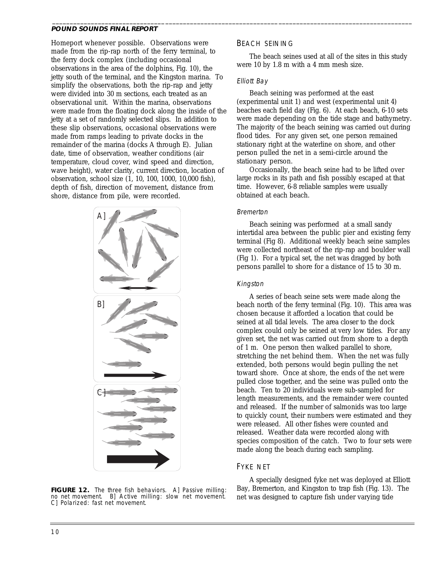Homeport whenever possible. Observations were made from the rip-rap north of the ferry terminal, to the ferry dock complex (including occasional observations in the area of the dolphins, Fig. 10), the jetty south of the terminal, and the Kingston marina. To simplify the observations, both the rip-rap and jetty were divided into 30 m sections, each treated as an observational unit. Within the marina, observations were made from the floating dock along the inside of the jetty at a set of randomly selected slips. In addition to these slip observations, occasional observations were made from ramps leading to private docks in the remainder of the marina (docks A through E). Julian date, time of observation, weather conditions (air temperature, cloud cover, wind speed and direction, wave height), water clarity, current direction, location of observation, school size (1, 10, 100, 1000, 10,000 fish), depth of fish, direction of movement, distance from shore, distance from pile, were recorded.



#### **FIGURE 12.** The three fish behaviors. A] Passive milling: no net movement. B] Active milling: slow net movement. C] Polarized: fast net movement.

### BEACH SEINING

The beach seines used at all of the sites in this study were 10 by 1.8 m with a 4 mm mesh size.

### Elliott Bay

\_\_\_\_\_\_\_\_\_\_\_\_\_\_\_\_\_\_\_\_\_\_\_\_\_\_\_\_\_\_\_\_\_\_\_\_\_\_\_\_\_\_\_\_\_\_\_\_\_\_\_\_\_\_\_\_\_\_\_\_\_\_\_\_\_\_\_\_\_\_\_\_\_\_\_\_\_\_\_\_\_\_\_\_\_\_\_\_\_\_\_\_\_\_\_\_\_\_\_\_\_\_

Beach seining was performed at the east (experimental unit 1) and west (experimental unit 4) beaches each field day (Fig. 6). At each beach, 6-10 sets were made depending on the tide stage and bathymetry. The majority of the beach seining was carried out during flood tides. For any given set, one person remained stationary right at the waterline on shore, and other person pulled the net in a semi-circle around the stationary person.

Occasionally, the beach seine had to be lifted over large rocks in its path and fish possibly escaped at that time. However, 6-8 reliable samples were usually obtained at each beach.

### Bremerton

Beach seining was performed at a small sandy intertidal area between the public pier and existing ferry terminal (Fig 8). Additional weekly beach seine samples were collected northeast of the rip-rap and boulder wall (Fig 1). For a typical set, the net was dragged by both persons parallel to shore for a distance of 15 to 30 m.

### Kingston

A series of beach seine sets were made along the beach north of the ferry terminal (Fig. 10). This area was chosen because it afforded a location that could be seined at all tidal levels. The area closer to the dock complex could only be seined at very low tides. For any given set, the net was carried out from shore to a depth of 1 m. One person then walked parallel to shore, stretching the net behind them. When the net was fully extended, both persons would begin pulling the net toward shore. Once at shore, the ends of the net were pulled close together, and the seine was pulled onto the beach. Ten to 20 individuals were sub-sampled for length measurements, and the remainder were counted and released. If the number of salmonids was too large to quickly count, their numbers were estimated and they were released. All other fishes were counted and released. Weather data were recorded along with species composition of the catch. Two to four sets were made along the beach during each sampling.

### FYKE NET

A specially designed fyke net was deployed at Elliott Bay, Bremerton, and Kingston to trap fish (Fig. 13). The net was designed to capture fish under varying tide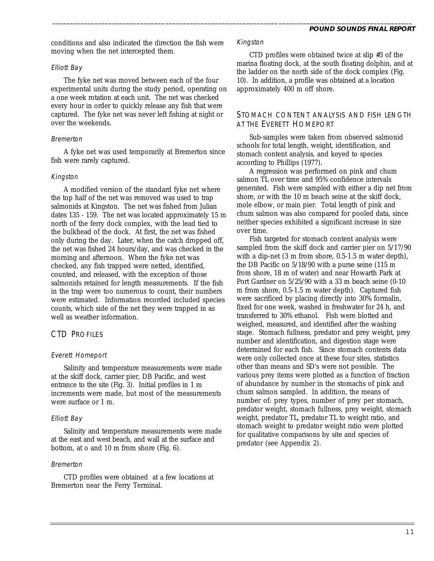conditions and also indicated the direction the fish were moving when the net intercepted them.

### Elliott Bay

The fyke net was moved between each of the four experimental units during the study period, operating on a one week rotation at each unit. The net was checked every hour in order to quickly release any fish that were captured. The fyke net was never left fishing at night or over the weekends.

### Bremerton

A fyke net was used temporarily at Bremerton since fish were rarely captured.

### Kingston

A modified version of the standard fyke net where the top half of the net was removed was used to trap salmonids at Kingston. The net was fished from Julian dates 135 - 159. The net was located approximately 15 m north of the ferry dock complex, with the lead tied to the bulkhead of the dock. At first, the net was fished only during the day. Later, when the catch dropped off, the net was fished 24 hours/day, and was checked in the morning and afternoon. When the fyke net was checked, any fish trapped were netted, identified, counted, and released, with the exception of those salmonids retained for length measurements. If the fish in the trap were too numerous to count, their numbers were estimated. Information recorded included species counts, which side of the net they were trapped in as well as weather information.

# CTD PROFILES

### Everett Homeport

Salinity and temperature measurements were made at the skiff dock, carrier pier, DB Pacific, and west entrance to the site (Fig.  $3$ ). Initial profiles in 1 m increments were made, but most of the measurements were surface or 1 m.

### Elliott Bay

Salinity and temperature measurements were made at the east and west beach, and wall at the surface and bottom, at o and 10 m from shore (Fig. 6).

### Bremerton

CTD profiles were obtained at a few locations at Bremerton near the Ferry Terminal.

### Kingston

\_\_\_\_\_\_\_\_\_\_\_\_\_\_\_\_\_\_\_\_\_\_\_\_\_\_\_\_\_\_\_\_\_\_\_\_\_\_\_\_\_\_\_\_\_\_\_\_\_\_\_\_\_\_\_\_\_\_\_\_\_\_\_\_\_\_\_\_\_\_\_\_\_\_\_\_\_\_\_\_\_\_\_\_\_\_\_\_\_\_\_\_\_\_\_\_\_\_\_\_\_\_

CTD profiles were obtained twice at slip #3 of the marina floating dock, at the south floating dolphin, and at the ladder on the north side of the dock complex (Fig. 10). In addition, a profile was obtained at a location approximately 400 m off shore.

### STOMACH CONTENT ANALYSIS AND FISH LENGTH AT THE EVERETT HOMEPORT

Sub-samples were taken from observed salmonid schools for total length, weight, identification, and stomach content analysis, and keyed to species according to Phillips (1977).

A regression was performed on pink and chum salmon TL over time and 95% confidence intervals generated. Fish were sampled with either a dip net from shore, or with the 10 m beach seine at the skiff dock, mole elbow, or main pier. Total length of pink and chum salmon was also compared for pooled data, since neither species exhibited a significant increase in size over time.

Fish targeted for stomach content analysis were sampled from the skiff dock and carrier pier on 5/17/90 with a dip-net (3 m from shore, 0.5-1.5 m water depth), the DB Pacific on 5/18/90 with a purse seine (115 m from shore, 18 m of water) and near Howarth Park at Port Gardner on 5/25/90 with a 33 m beach seine (0-10 m from shore, 0.5-1.5 m water depth). Captured fish were sacrificed by placing directly into 30% formalin, fixed for one week, washed in freshwater for 24 h, and transferred to 30% ethanol. Fish were blotted and weighed, measured, and identified after the washing stage. Stomach fullness, predator and prey weight, prey number and identification, and digestion stage were determined for each fish. Since stomach contents data were only collected once at these four sites, statistics other than means and SD's were not possible. The various prey items were plotted as a function of fraction of abundance by number in the stomachs of pink and chum salmon sampled. In addition, the means of number of: prey types, number of prey per stomach, predator weight, stomach fullness, prey weight, stomach weight, predator TL, predator TL to weight ratio, and stomach weight to predator weight ratio were plotted for qualitative comparisons by site and species of predator (see Appendix 2).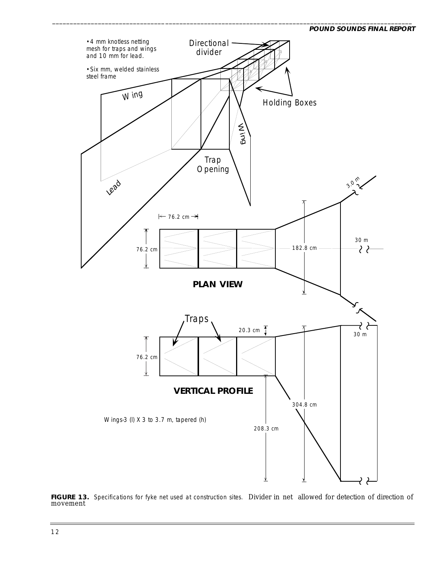

\_\_\_\_\_\_\_\_\_\_\_\_\_\_\_\_\_\_\_\_\_\_\_\_\_\_\_\_\_\_\_\_\_\_\_\_\_\_\_\_\_\_\_\_\_\_\_\_\_\_\_\_\_\_\_\_\_\_\_\_\_\_\_\_\_\_\_\_\_\_\_\_\_\_\_\_\_\_\_\_\_\_\_\_\_\_\_\_\_\_\_\_\_\_\_\_\_\_\_\_\_\_

FIGURE 13. Specifications for fyke net used at construction sites. Divider in net allowed for detection of direction of movement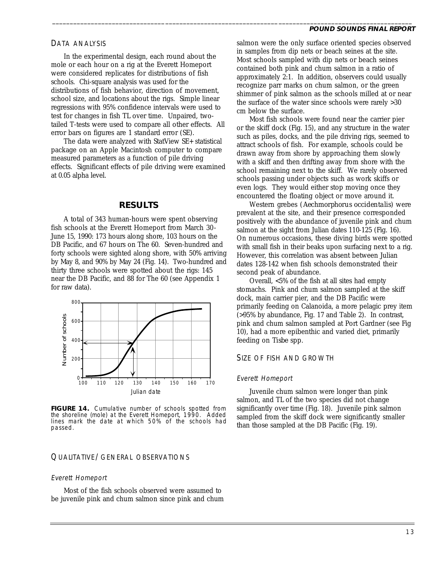### DATA ANALYSIS

In the experimental design, each round about the mole or each hour on a rig at the Everett Homeport were considered replicates for distributions of fish schools. Chi-square analysis was used for the distributions of fish behavior, direction of movement, school size, and locations about the rigs. Simple linear regressions with 95% confidence intervals were used to test for changes in fish TL over time. Unpaired, twotailed T-tests were used to compare all other effects. All error bars on figures are 1 standard error (SE).

The data were analyzed with StatView SE+ statistical package on an Apple Macintosh computer to compare measured parameters as a function of pile driving effects. Significant effects of pile driving were examined at 0.05 alpha level.

### **RESULTS**

A total of 343 human-hours were spent observing fish schools at the Everett Homeport from March 30- June 15, 1990: 173 hours along shore, 103 hours on the DB Pacific, and 67 hours on The 60. Seven-hundred and forty schools were sighted along shore, with 50% arriving by May 8, and 90% by May 24 (Fig. 14). Two-hundred and thirty three schools were spotted about the rigs: 145 near the DB Pacific, and 88 for The 60 (see Appendix 1 for raw data).



**FIGURE 14.** Cumulative number of schools spotted from the shoreline (mole) at the Everett Homeport, 1990. Added lines mark the date at which 50% of the schools had passed.

### QUALITATIVE/GENERAL OBSERVATIONS

#### Everett Homeport

Most of the fish schools observed were assumed to be juvenile pink and chum salmon since pink and chum salmon were the only surface oriented species observed in samples from dip nets or beach seines at the site. Most schools sampled with dip nets or beach seines contained both pink and chum salmon in a ratio of approximately 2:1. In addition, observers could usually recognize parr marks on chum salmon, or the green shimmer of pink salmon as the schools milled at or near the surface of the water since schools were rarely >30 cm below the surface.

\_\_\_\_\_\_\_\_\_\_\_\_\_\_\_\_\_\_\_\_\_\_\_\_\_\_\_\_\_\_\_\_\_\_\_\_\_\_\_\_\_\_\_\_\_\_\_\_\_\_\_\_\_\_\_\_\_\_\_\_\_\_\_\_\_\_\_\_\_\_\_\_\_\_\_\_\_\_\_\_\_\_\_\_\_\_\_\_\_\_\_\_\_\_\_\_\_\_\_\_\_\_

Most fish schools were found near the carrier pier or the skiff dock (Fig. 15), and any structure in the water such as piles, docks, and the pile driving rigs, seemed to attract schools of fish. For example, schools could be drawn away from shore by approaching them slowly with a skiff and then drifting away from shore with the school remaining next to the skiff. We rarely observed schools passing under objects such as work skiffs or even logs. They would either stop moving once they encountered the floating object or move around it.

Western grebes (*Aechmorphorus occidentalis*) were prevalent at the site, and their presence corresponded positively with the abundance of juvenile pink and chum salmon at the sight from Julian dates 110-125 (Fig. 16). On numerous occasions, these diving birds were spotted with small fish in their beaks upon surfacing next to a rig. However, this correlation was absent between Julian dates 128-142 when fish schools demonstrated their second peak of abundance.

Overall, <5% of the fish at all sites had empty stomachs. Pink and chum salmon sampled at the skiff dock, main carrier pier, and the DB Pacific were primarily feeding on Calanoida, a more pelagic prey item (>95% by abundance, Fig. 17 and Table 2). In contrast, pink and chum salmon sampled at Port Gardner (see Fig 10), had a more epibenthic and varied diet, primarily feeding on *Tisbe* spp.

### SIZE OF FISH AND GROWTH

#### Everett Homeport

Juvenile chum salmon were longer than pink salmon, and TL of the two species did not change significantly over time (Fig. 18). Juvenile pink salmon sampled from the skiff dock were significantly smaller than those sampled at the DB Pacific (Fig. 19).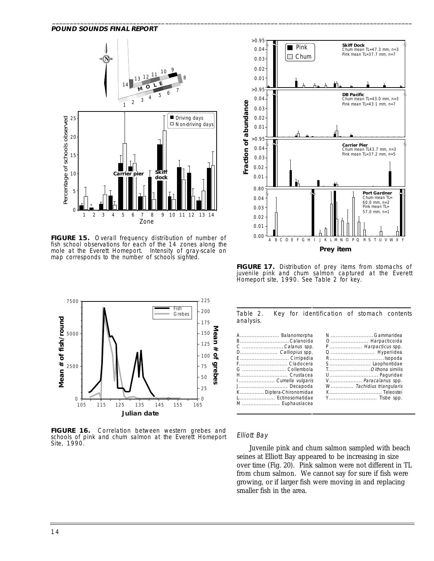

**FIGURE 15.** Overall frequency distribution of number of fish school observations for each of the 14 zones along the mole at the Everett Homeport. Intensity of gray-scale on map corresponds to the number of schools sighted.



**FIGURE 16.** Correlation between western grebes and schools of pink and chum salmon at the Everett Homeport Site, 1990.



**FIGURE 17.** Distribution of prey items from stomachs of juvenile pink and chum salmon captured at the Everett Homeport site, 1990. See Table 2 for key.

Table 2. Key for identification of stomach contents analysis.

| A Balanomorpha         | N  Gammaridea            |
|------------------------|--------------------------|
| B Calanoida            |                          |
| C Calanus spp.         | P Harpacticus spp.       |
| D Calliopius spp.      |                          |
| E  Cirripedia          |                          |
| F Cladocera            |                          |
| G  Collembola          | TOithona similis         |
| H Crustacea            |                          |
| I Cumella vulgaris     | V Paracalanus spp.       |
| J Decapoda             | W Tachidius triangularis |
| K Diptera-Chironomidae |                          |
| L Ectinosomatidae      |                          |
| M Euphausiacea         |                          |
|                        |                          |
|                        |                          |

#### Elliott Bay

 $\overline{a}$ 

Juvenile pink and chum salmon sampled with beach seines at Elliott Bay appeared to be increasing in size over time (Fig. 20). Pink salmon were not different in TL from chum salmon. We cannot say for sure if fish were growing, or if larger fish were moving in and replacing smaller fish in the area.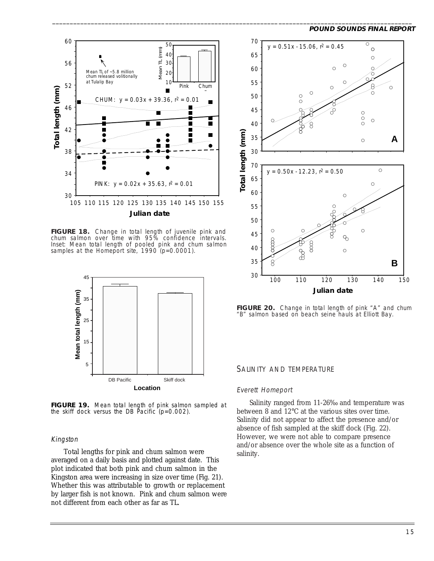

**FIGURE 18.** Change in total length of juvenile pink and chum salmon over time with 95% confidence intervals. Inset: Mean total length of pooled pink and chum salmon samples at the Homeport site,  $1990 (p=0.0001)$ .



**FIGURE 19.** Mean total length of pink salmon sampled at the skiff dock versus the DB Pacific  $(p=0.002)$ .

#### Kingston

Total lengths for pink and chum salmon were averaged on a daily basis and plotted against date. This plot indicated that both pink and chum salmon in the Kingston area were increasing in size over time (Fig. 21). Whether this was attributable to growth or replacement by larger fish is not known. Pink and chum salmon were not different from each other as far as TL.



FIGURE 20. Change in total length of pink "A" and chum "B" salmon based on beach seine hauls at Elliott Bay.

#### SALINITY AND TEMPERATURE

#### Everett Homeport

\_\_\_\_\_\_\_\_\_\_\_\_\_\_\_\_\_\_\_\_\_\_\_\_\_\_\_\_\_\_\_\_\_\_\_\_\_\_\_\_\_\_\_\_\_\_\_\_\_\_\_\_\_\_\_\_\_\_\_\_\_\_\_\_\_\_\_\_\_\_\_\_\_\_\_\_\_\_\_\_\_\_\_\_\_\_\_\_\_\_\_\_\_\_\_\_\_\_\_\_\_\_

Salinity ranged from 11-26‰ and temperature was between 8 and 12°C at the various sites over time. Salinity did not appear to affect the presence and/or absence of fish sampled at the skiff dock (Fig. 22). However, we were not able to compare presence and/or absence over the whole site as a function of salinity.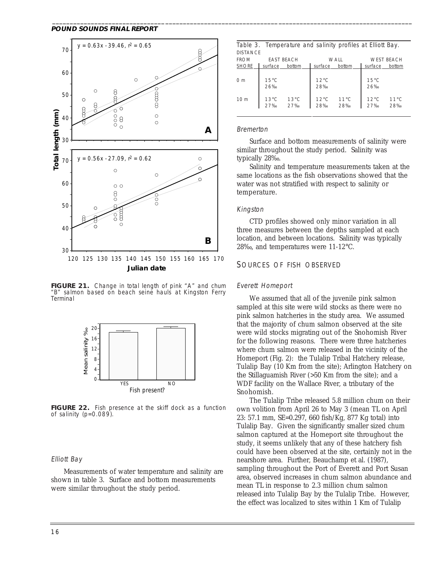

**FIGURE 21.** Change in total length of pink "A" and chum "B" salmon based on beach seine hauls at Kingston Ferry Terminal



**FIGURE 22.** Fish presence at the skiff dock as a function of salinity (p=0.089).

### Elliott Bay

Measurements of water temperature and salinity are shown in table 3. Surface and bottom measurements were similar throughout the study period.

|                 |                | Table 3. Temperature and salinity profiles at Elliott Bay. |                |                |                |                   |
|-----------------|----------------|------------------------------------------------------------|----------------|----------------|----------------|-------------------|
| <b>DISTANCE</b> |                |                                                            |                |                |                |                   |
| <b>FROM</b>     |                | <b>FAST BEACH</b>                                          |                | WALL           |                | <b>WEST BEACH</b> |
| <b>SHORE</b>    | surface        | bottom                                                     | surface        | bottom         | surface        | bottom            |
|                 |                |                                                            |                |                |                |                   |
| 0 <sub>m</sub>  | $15^{\circ}$ C |                                                            | $12^{\circ}$ C |                | $15^{\circ}$ C |                   |
|                 | 26%            |                                                            | 28%            |                | 26%            |                   |
|                 |                |                                                            |                |                |                |                   |
| 10 <sub>m</sub> | $13^{\circ}$ C | $13^{\circ}$ C<br>27‰                                      | $12^{\circ}$ C | $11^{\circ}$ C | $12^{\circ}$ C | $11^{\circ}$ C    |
|                 | 27%            |                                                            | 28%            | 28‰            | 27%            | 28%               |
|                 |                |                                                            |                |                |                |                   |

#### Bremerton

\_\_\_\_\_\_\_\_\_\_\_\_\_\_\_\_\_\_\_\_\_\_\_\_\_\_\_\_\_\_\_\_\_\_\_\_\_\_\_\_\_\_\_\_\_\_\_\_\_\_\_\_\_\_\_\_\_\_\_\_\_\_\_\_\_\_\_\_\_\_\_\_\_\_\_\_\_\_\_\_\_\_\_\_\_\_\_\_\_\_\_\_\_\_\_\_\_\_\_\_\_\_

Surface and bottom measurements of salinity were similar throughout the study period. Salinity was typically 28‰.

Salinity and temperature measurements taken at the same locations as the fish observations showed that the water was not stratified with respect to salinity or temperature.

#### Kingston

CTD profiles showed only minor variation in all three measures between the depths sampled at each location, and between locations. Salinity was typically 28‰, and temperatures were 11-12°C.

### SOURCES OF FISH OBSERVED

#### Everett Homeport

We assumed that all of the juvenile pink salmon sampled at this site were wild stocks as there were no pink salmon hatcheries in the study area. We assumed that the majority of chum salmon observed at the site were wild stocks migrating out of the Snohomish River for the following reasons. There were three hatcheries where chum salmon were released in the vicinity of the Homeport (Fig. 2): the Tulalip Tribal Hatchery release, Tulalip Bay (10 Km from the site); Arlington Hatchery on the Stillaguamish River (>50 Km from the site); and a WDF facility on the Wallace River, a tributary of the Snohomish.

The Tulalip Tribe released 5.8 million chum on their own volition from April 26 to May 3 (mean TL on April 23: 57.1 mm, SE=0.297, 660 fish/Kg, 877 Kg total) into Tulalip Bay. Given the significantly smaller sized chum salmon captured at the Homeport site throughout the study, it seems unlikely that any of these hatchery fish could have been observed at the site, certainly not in the nearshore area. Further, Beauchamp et al. (1987), sampling throughout the Port of Everett and Port Susan area, observed increases in chum salmon abundance and mean TL in response to 2.3 million chum salmon released into Tulalip Bay by the Tulalip Tribe. However, the effect was localized to sites within 1 Km of Tulalip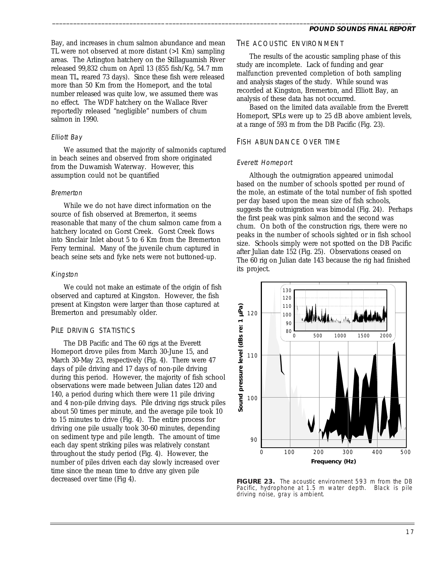Bay, and increases in chum salmon abundance and mean TL were not observed at more distant (>1 Km) sampling areas. The Arlington hatchery on the Stillaguamish River released 99,832 chum on April 13 (855 fish/Kg, 54.7 mm mean TL, reared 73 days). Since these fish were released more than 50 Km from the Homeport, and the total number released was quite low, we assumed there was no effect. The WDF hatchery on the Wallace River reportedly released "negligible" numbers of chum salmon in 1990.

### Elliott Bay

We assumed that the majority of salmonids captured in beach seines and observed from shore originated from the Duwamish Waterway. However, this assumption could not be quantified

### Bremerton

While we do not have direct information on the source of fish observed at Bremerton, it seems reasonable that many of the chum salmon came from a hatchery located on Gorst Creek. Gorst Creek flows into Sinclair Inlet about 5 to 6 Km from the Bremerton Ferry terminal. Many of the juvenile chum captured in beach seine sets and fyke nets were not buttoned-up.

# Kingston

We could not make an estimate of the origin of fish observed and captured at Kingston. However, the fish present at Kingston were larger than those captured at Bremerton and presumably older.

# PILE DRIVING STATISTICS

The DB Pacific and The 60 rigs at the Everett Homeport drove piles from March 30-June 15, and March 30-May 23, respectively (Fig. 4). There were 47 days of pile driving and 17 days of non-pile driving during this period. However, the majority of fish school observations were made between Julian dates 120 and 140, a period during which there were 11 pile driving and 4 non-pile driving days. Pile driving rigs struck piles about 50 times per minute, and the average pile took 10 to 15 minutes to drive (Fig. 4). The entire process for driving one pile usually took 30-60 minutes, depending on sediment type and pile length. The amount of time each day spent striking piles was relatively constant throughout the study period (Fig. 4). However, the number of piles driven each day slowly increased over time since the mean time to drive any given pile decreased over time (Fig 4).

# THE ACOUSTIC ENVIRONMENT

The results of the acoustic sampling phase of this study are incomplete. Lack of funding and gear malfunction prevented completion of both sampling and analysis stages of the study. While sound was recorded at Kingston, Bremerton, and Elliott Bay, an analysis of these data has not occurred.

Based on the limited data available from the Everett Homeport, SPLs were up to 25 dB above ambient levels, at a range of 593 m from the DB Pacific (Fig. 23).

# FISH ABUNDANCE OVER TIME

# Everett Homeport

\_\_\_\_\_\_\_\_\_\_\_\_\_\_\_\_\_\_\_\_\_\_\_\_\_\_\_\_\_\_\_\_\_\_\_\_\_\_\_\_\_\_\_\_\_\_\_\_\_\_\_\_\_\_\_\_\_\_\_\_\_\_\_\_\_\_\_\_\_\_\_\_\_\_\_\_\_\_\_\_\_\_\_\_\_\_\_\_\_\_\_\_\_\_\_\_\_\_\_\_\_\_

Although the outmigration appeared unimodal based on the number of schools spotted per round of the mole, an estimate of the total number of fish spotted per day based upon the mean size of fish schools, suggests the outmigration was bimodal (Fig. 24). Perhaps the first peak was pink salmon and the second was chum. On both of the construction rigs, there were no peaks in the number of schools sighted or in fish school size. Schools simply were not spotted on the DB Pacific after Julian date 152 (Fig. 25). Observations ceased on The 60 rig on Julian date 143 because the rig had finished its project.



**FIGURE 23.** The acoustic environment 593 m from the DB Pacific, hydrophone at 1.5 m water depth. Black is pile driving noise, gray is ambient.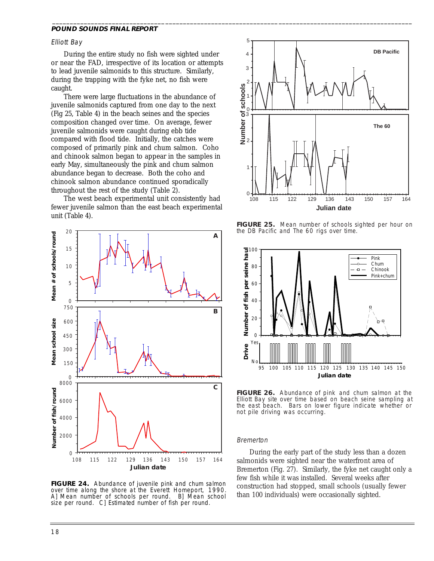#### Elliott Bay

During the entire study no fish were sighted under or near the FAD, irrespective of its location or attempts to lead juvenile salmonids to this structure. Similarly, during the trapping with the fyke net, no fish were caught.

There were large fluctuations in the abundance of juvenile salmonids captured from one day to the next (Fig 25, Table 4) in the beach seines and the species composition changed over time. On average, fewer juvenile salmonids were caught during ebb tide compared with flood tide. Initially, the catches were composed of primarily pink and chum salmon. Coho and chinook salmon began to appear in the samples in early May, simultaneously the pink and chum salmon abundance began to decrease. Both the coho and chinook salmon abundance continued sporadically throughout the rest of the study (Table 2).

The west beach experimental unit consistently had fewer juvenile salmon than the east beach experimental unit (Table 4).



**FIGURE 24.** Abundance of juvenile pink and chum salmon over time along the shore at the Everett Homeport, 1990. A] Mean number of schools per round. B] Mean school size per round. C] Estimated number of fish per round.



**FIGURE 25.** Mean number of schools sighted per hour on the DB Pacific and The 60 rigs over time.



**FIGURE 26.** Abundance of pink and chum salmon at the Elliott Bay site over time based on beach seine sampling at the east beach. Bars on lower figure indicate whether or not pile driving was occurring.

#### Bremerton

\_\_\_\_\_\_\_\_\_\_\_\_\_\_\_\_\_\_\_\_\_\_\_\_\_\_\_\_\_\_\_\_\_\_\_\_\_\_\_\_\_\_\_\_\_\_\_\_\_\_\_\_\_\_\_\_\_\_\_\_\_\_\_\_\_\_\_\_\_\_\_\_\_\_\_\_\_\_\_\_\_\_\_\_\_\_\_\_\_\_\_\_\_\_\_\_\_\_\_\_\_\_

During the early part of the study less than a dozen salmonids were sighted near the waterfront area of Bremerton (Fig. 27). Similarly, the fyke net caught only a few fish while it was installed. Several weeks after construction had stopped, small schools (usually fewer than 100 individuals) were occasionally sighted.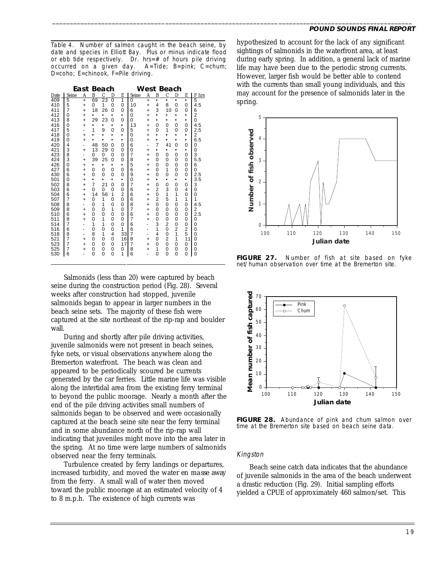$\overline{a}$ Table 4. Number of salmon caught in the beach seine, by date and species in Elliott Bay. Plus or minus indicate flood or ebb tide respectively. Dr. hrs=# of hours pile driving occurred on a given day. A=Tide; B=pink; C=chum; D=coho; E=chinook, F=Pile driving.

|            |                         |                              | East Beach          |               |          |                     |                |                              |                     | West Beach    |                |           |                |
|------------|-------------------------|------------------------------|---------------------|---------------|----------|---------------------|----------------|------------------------------|---------------------|---------------|----------------|-----------|----------------|
| Date       | Seine                   | A                            | B                   | $\mathcal{C}$ | D        | E                   | Seine          | A                            | B                   | $\mathcal{C}$ | D              | E         | F hrs          |
| 409        | 5                       | $\ddot{}$                    | 69                  | 23            | $\Omega$ | 1                   | 0              | $\ddot{}$                    | ٠                   | ٠             |                | ٠         | 5              |
| 410        | 5                       | $\ddot{}$                    | 0                   | 1             | 0        | 0                   | 10             | $\ddot{}$                    | $\overline{4}$      | 8             | 0              | 0         | 4.5            |
| 411        | 7                       | $\ddot{}$                    | 18                  | 26            | $\Omega$ | 0                   | 6              | $\ddot{}$                    | 3                   | 10            | $\Omega$       | 0         | 6              |
| 412        | $\Omega$                | $\ddot{}$                    |                     |               |          | ٠                   | $\Omega$       | $\ddot{}$                    | ٠                   | ٠             |                | ٠         | $\overline{2}$ |
| 413        | 8                       | +                            | 29                  | 23            | $\Omega$ | $\Omega$            | $\Omega$       | $\ddot{}$                    | ٠                   | ٠             | ۰              | $\bullet$ | $\overline{0}$ |
| 416        | $\Omega$                | $\ddot{}$                    |                     |               |          | ٠                   | 13             | $\ddot{}$                    | $\mathbf 0$         | 0             | 0              | 0         | 4.5            |
| 417        | 5                       | -                            | 1                   | 9             | 0        | 0                   | 5              | $\ddot{}$                    | $\mathbf 0$         | 1             | 0              | 0         | 2.5            |
| 418        | $\Omega$                | $\ddot{}$                    |                     | ٠             | ٠        | ٠                   | $\Omega$       | $\ddot{}$                    | ٠                   | $\bullet$     | ٠              | $\bullet$ | 2              |
| 419        | $\Omega$                | $\ddot{}$                    |                     | ٠             | ٠        | ٠                   | $\Omega$       | $\ddot{}$                    | ٠                   | ٠             | ٠              | $\bullet$ | 6.5            |
| 420        | $\overline{\mathbf{4}}$ | ٠                            | 48                  | 50            | $\Omega$ | 0                   | 6              | ٠                            | 7                   | 41            | 0              | 0         | 0              |
| 421        | 3                       | $\ddot{}$                    | 13                  | 29            | 0        | 0                   | 0              | $\ddot{}$                    | ٠                   | ٠             | ٠              | ۰         | 0              |
| 423        | 8                       | ٠                            | 0                   | 0             | 0        | $\Omega$            | 7              | $\ddot{}$                    | $\mathbf 0$         | 0             | 0              | 0         | 3              |
| 424        | 3                       | $\ddot{}$                    | 39                  | 25            | $\Omega$ | 0                   | 8              | $\ddot{}$                    | 0                   | 0             | 0              | 0         | 5.5            |
| 426        | $\Omega$                | $\ddot{}$                    | ٠                   | ۰             | ٠        | ٠                   | 5              | $\ddot{}$                    | 0                   | $\Omega$      | 0              | 0         | 6              |
| 427        | 6                       | $\ddot{}$                    | $\Omega$            | 0             | 0        | 0                   | 6              | $\ddot{}$                    | 0                   | 1             | 0              | 0         | $\Omega$       |
| 430        | 6                       | $\ddot{}$                    | 0                   | 0             | 0        | 0                   | 9              | $\ddot{}$                    | $\mathbf 0$         | 0             | 0              | 0         | 2.5            |
| 501        | 0                       | $\ddot{}$                    | ٠<br>$\overline{7}$ | ۰             | ٠        | ٠                   | 0<br>7         | $\ddot{}$                    | ٠                   | ٠             | ٠              | ٠         | 3.5            |
| 502        | 8                       | $\ddot{}$                    |                     | 21            | 0        | 0                   |                | $\ddot{}$                    | $\mathbf 0$         | 0             | 0              | 0         | 3              |
| 503        | 6                       | $\ddot{}$                    | $\Omega$            | 0             | 0        | 0                   | 6              | $\ddot{}$                    | $\overline{2}$      | 3             | 0              | 4         | 0              |
| 504<br>507 | 6<br>7                  | $\ddot{}$                    | 14<br>0             | 56<br>1       | 1<br>0   | $\overline{2}$<br>0 | 6<br>6         | $\ddot{}$                    | 0<br>$\overline{2}$ | 1<br>5        | 1<br>1         | 0<br>1    | 0<br>1         |
| 508        | 8                       | $\ddot{}$                    | 0                   | 1             | $\Omega$ | 0                   | 8              | $\ddot{}$                    | $\overline{0}$      | $\Omega$      | $\Omega$       | $\Omega$  | 4.5            |
|            | 8                       | ٠                            | 0                   |               | 1        | 0                   | 7              | $\ddot{}$                    | 0                   |               |                |           |                |
| 509<br>510 | 6                       | $\ddot{}$<br>$\ddot{}$       | $\Omega$            | 0<br>0        | 0        | 0                   | 6              | $\ddot{}$<br>$\ddot{}$       | 0                   | 0<br>0        | 0<br>0         | 0<br>0    | 2<br>2.5       |
| 511        | 8                       | $\ddot{}$                    | 0                   | 1             | $\Omega$ | 0                   | 7              | $\ddot{}$                    | $\mathbf 0$         | 0             | 0              | 0         | 0              |
| 514        | 7                       | ٠                            | 1                   | 1             | 0        | 0                   | 6              | $\overline{\phantom{a}}$     | 3                   | 2             | 0              | 0         | $\Omega$       |
| 516        | 6                       | $\qquad \qquad \blacksquare$ | 0                   | 0             | $\Omega$ | 1                   | 6              | $\qquad \qquad \blacksquare$ | 1                   | $\Omega$      | $\overline{2}$ | 2         | $\Omega$       |
| 518        | 8                       | ۰                            | 8                   | 1             | 4        | 33                  | $\overline{7}$ | $\qquad \qquad \blacksquare$ | $\overline{4}$      | $\Omega$      | 1              | 5         | $\Omega$       |
| 521        | $\overline{7}$          | +                            | 0                   | 0             | 0        | 16                  | 8              | +                            | $\mathbf 0$         | 2             | 1              | 11        | 0              |
| 523        | 7                       | $\ddot{}$                    | $\Omega$            | 0             | $\Omega$ | 17                  | 7              | $\ddot{}$                    | $\mathbf 0$         | 0             | 0              | 0         | 0              |
| 525        | 7                       | $\ddot{}$                    | 0                   | $\Omega$      | 0        | 0                   | 8              | $\ddot{}$                    | 1                   | $\Omega$      | 0              | 0         | 0              |
| 530        | 6                       | ٠                            | 0                   | $\Omega$      | 0        | 1                   | 6              | $\overline{\phantom{a}}$     | $\mathbf 0$         | $\Omega$      | $\Omega$       | 0         | $\overline{0}$ |
|            |                         |                              |                     |               |          |                     |                |                              |                     |               |                |           |                |

Salmonids (less than 20) were captured by beach seine during the construction period (Fig. 28). Several weeks after construction had stopped, juvenile salmonids began to appear in larger numbers in the beach seine sets. The majority of these fish were captured at the site northeast of the rip-rap and boulder wall.

During and shortly after pile driving activities, juvenile salmonids were not present in beach seines, fyke nets, or visual observations anywhere along the Bremerton waterfront. The beach was clean and appeared to be periodically scoured be currents generated by the car ferries. Little marine life was visible along the intertidal area from the existing ferry terminal to beyond the public moorage. Nearly a month after the end of the pile driving activities small numbers of salmonids began to be observed and were occasionally captured at the beach seine site near the ferry terminal and in some abundance north of the rip-rap wall indicating that juveniles might move into the area later in the spring. At no time were large numbers of salmonids observed near the ferry terminals.

Turbulence created by ferry landings or departures, increased turbidity, and moved the water *en masse* away from the ferry. A small wall of water then moved toward the public moorage at an estimated velocity of 4 to 8 m.p.h. The existence of high currents was

hypothesized to account for the lack of any significant sightings of salmonids in the waterfront area, at least during early spring. In addition, a general lack of marine life may have been due to the periodic strong currents. However, larger fish would be better able to contend with the currents than small young individuals, and this may account for the presence of salmonids later in the spring.

\_\_\_\_\_\_\_\_\_\_\_\_\_\_\_\_\_\_\_\_\_\_\_\_\_\_\_\_\_\_\_\_\_\_\_\_\_\_\_\_\_\_\_\_\_\_\_\_\_\_\_\_\_\_\_\_\_\_\_\_\_\_\_\_\_\_\_\_\_\_\_\_\_\_\_\_\_\_\_\_\_\_\_\_\_\_\_\_\_\_\_\_\_\_\_\_\_\_\_\_\_\_



**FIGURE 27.** Number of fish at site based on fyke net/human observation over time at the Bremerton site.



**FIGURE 28.** Abundance of pink and chum salmon over time at the Bremerton site based on beach seine data.

### Kingston

Beach seine catch data indicates that the abundance of juvenile salmonids in the area of the beach underwent a drastic reduction (Fig. 29). Initial sampling efforts yielded a CPUE of approximately 460 salmon/set. This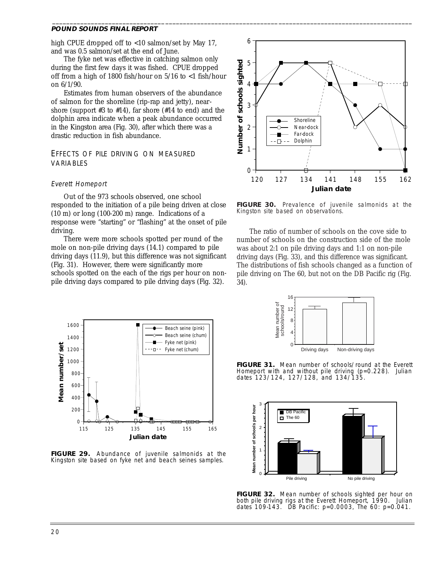high CPUE dropped off to <10 salmon/set by May 17, and was 0.5 salmon/set at the end of June.

\_\_\_\_\_\_\_\_\_\_\_\_\_\_\_\_\_\_\_\_\_\_\_\_\_\_\_\_\_\_\_\_\_\_\_\_\_\_\_\_\_\_\_\_\_\_\_\_\_\_\_\_\_\_\_\_\_\_\_\_\_\_\_\_\_\_\_\_\_\_\_\_\_\_\_\_\_\_\_\_\_\_\_\_\_\_\_\_\_\_\_\_\_\_\_\_\_\_\_\_\_\_

The fyke net was effective in catching salmon only during the first few days it was fished. CPUE dropped off from a high of 1800 fish/hour on  $5/16$  to  $\lt 1$  fish/hour on 6/1/90.

Estimates from human observers of the abundance of salmon for the shoreline (rip-rap and jetty), nearshore (support  $#3$  to  $#14$ ), far shore ( $#14$  to end) and the dolphin area indicate when a peak abundance occurred in the Kingston area (Fig. 30), after which there was a drastic reduction in fish abundance.

## EFFECTS OF PILE DRIVING ON MEASURED VARIABLES

### Everett Homeport

Out of the 973 schools observed, one school responded to the initiation of a pile being driven at close (10 m) or long (100-200 m) range. Indications of a response were "starting" or "flashing" at the onset of pile driving.

There were more schools spotted per round of the mole on non-pile driving days (14.1) compared to pile driving days (11.9), but this difference was not significant (Fig. 31). However, there were significantly more schools spotted on the each of the rigs per hour on nonpile driving days compared to pile driving days (Fig. 32).



**FIGURE 30.** Prevalence of juvenile salmonids at the Kingston site based on observations.

The ratio of number of schools on the cove side to number of schools on the construction side of the mole was about 2:1 on pile driving days and 1:1 on non-pile driving days (Fig. 33), and this difference was significant. The distributions of fish schools changed as a function of pile driving on The 60, but not on the DB Pacific rig (Fig. 34).



**FIGURE 29.** Abundance of juvenile salmonids at the Kingston site based on fyke net and beach seines samples.



**FIGURE 31.** Mean number of schools/round at the Everett Homeport with and without pile driving (p=0.228). Julian dates 123/124, 127/128, and 134/135.



**FIGURE 32.** Mean number of schools sighted per hour on both pile driving rigs at the Everett Homeport, 1990. Julian dates 109-143. DB Pacific: p=0.0003, The 60: p=0.041.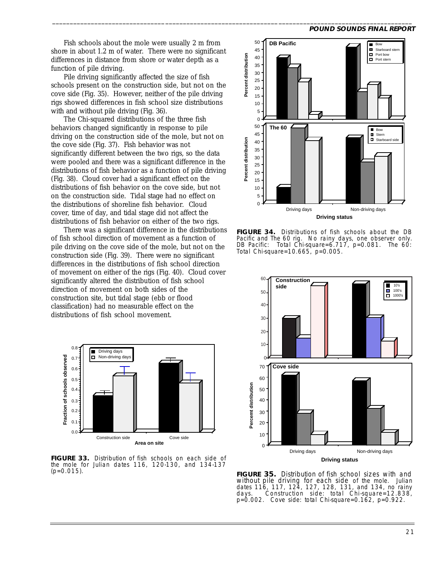Fish schools about the mole were usually 2 m from shore in about 1.2 m of water. There were no significant differences in distance from shore or water depth as a function of pile driving.

\_\_\_\_\_\_\_\_\_\_\_\_\_\_\_\_\_\_\_\_\_\_\_\_\_\_\_\_\_\_\_\_\_\_\_\_\_\_\_\_\_\_\_\_\_\_\_\_\_\_\_\_\_\_\_\_\_\_\_\_\_\_\_\_\_\_\_\_\_\_\_\_\_\_\_\_\_\_\_\_\_\_\_\_\_\_\_\_\_\_\_\_\_\_\_\_\_\_\_\_\_\_

Pile driving significantly affected the size of fish schools present on the construction side, but not on the cove side (Fig. 35). However, neither of the pile driving rigs showed differences in fish school size distributions with and without pile driving (Fig. 36).

The Chi-squared distributions of the three fish behaviors changed significantly in response to pile driving on the construction side of the mole, but not on the cove side (Fig. 37). Fish behavior was not significantly different between the two rigs, so the data were pooled and there was a significant difference in the distributions of fish behavior as a function of pile driving (Fig. 38). Cloud cover had a significant effect on the distributions of fish behavior on the cove side, but not on the construction side. Tidal stage had no effect on the distributions of shoreline fish behavior. Cloud cover, time of day, and tidal stage did not affect the distributions of fish behavior on either of the two rigs.

There was a significant difference in the distributions of fish school direction of movement as a function of pile driving on the cove side of the mole, but not on the construction side (Fig. 39). There were no significant differences in the distributions of fish school direction of movement on either of the rigs (Fig. 40). Cloud cover significantly altered the distribution of fish school direction of movement on both sides of the construction site, but tidal stage (ebb or flood classification) had no measurable effect on the distributions of fish school movement.



**FIGURE 33.** Distribution of fish schools on each side of the mole for Julian dates 116, 120-130, and 134-137  $(p=0.015)$ .



**FIGURE 34.** Distributions of fish schools about the DB Pacific and The 60 rig. No rainy days, one observer only.<br>DB Pacific: Total Chi-square=6.717, p=0.081. The 60: Total Chi-square=6.717, p=0.081. The 60: Total Chi-square=10.665, p=0.005.



**FIGURE 35.** Distribution of fish school sizes with and without pile driving for each side of the mole. Julian dates 116, 117, 124, 127, 128, 131, and 134, no rainy Construction side: total Chi-square= $12.838$ , p=0.002. Cove side: total Chi-square=0.162, p=0.922.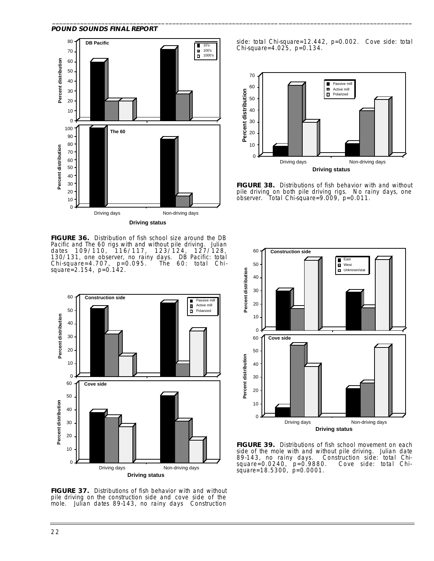

**FIGURE 36.** Distribution of fish school size around the DB Pacific and The 60 rigs with and without pile driving. Julian dates 109/110, 116/117, 123/124, 127/128, 130/131, one observer, no rainy days. DB Pacific: total Chi-square=4.707, p=0.095. The 60: total Chisquare=2.154, p=0.142.



**FIGURE 37.** Distributions of fish behavior with and without pile driving on the construction side and cove side of the mole. Julian dates 89-143, no rainy days Construction

side: total Chi-square=12.442, p=0.002. Cove side: total Chi-square=4.025, p=0.134.

\_\_\_\_\_\_\_\_\_\_\_\_\_\_\_\_\_\_\_\_\_\_\_\_\_\_\_\_\_\_\_\_\_\_\_\_\_\_\_\_\_\_\_\_\_\_\_\_\_\_\_\_\_\_\_\_\_\_\_\_\_\_\_\_\_\_\_\_\_\_\_\_\_\_\_\_\_\_\_\_\_\_\_\_\_\_\_\_\_\_\_\_\_\_\_\_\_\_\_\_\_\_



**FIGURE 38.** Distributions of fish behavior with and without pile driving on both pile driving rigs. No rainy days, one observer. Total Chi-square=9.009, p=0.011.



**FIGURE 39.** Distributions of fish school movement on each side of the mole with and without pile driving. Julian date 89-143, no rainy days. Construction side: total Chi-Construction side: total Chi-<br>0. Cove side: total Chisquare=0.0240, p=0.9880. Cove side: total Chisquare=18.5300, p=0.0001.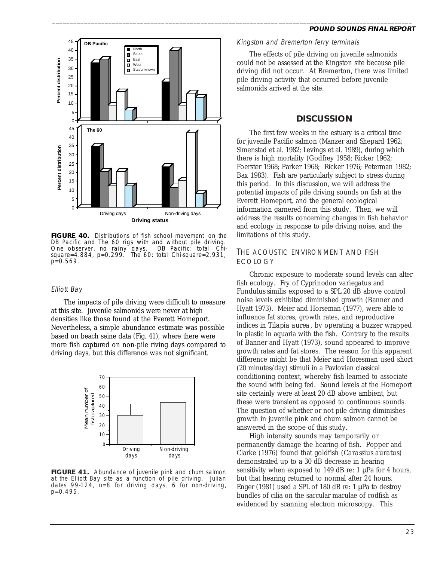

**FIGURE 40.** Distributions of fish school movement on the DB Pacific and The 60 rigs with and without pile driving.<br>One observer, no rainy days. DB Pacific: total Chi-One observer, no rainy days. square=4.884, p=0.299. The 60: total Chi-square=2.931, p=0.569.

#### Elliott Bay

The impacts of pile driving were difficult to measure at this site. Juvenile salmonids were never at high densities like those found at the Everett Homeport. Nevertheless, a simple abundance estimate was possible based on beach seine data (Fig. 41), where there were more fish captured on non-pile riving days compared to driving days, but this difference was not significant.



**FIGURE 41.** Abundance of juvenile pink and chum salmon at the Elliott Bay site as a function of pile driving. Julian dates 99-124, n=8 for driving days, 6 for non-driving, p=0.495.

#### **POUND SOUNDS FINAL REPORT**

Kingston and Bremerton ferry terminals

\_\_\_\_\_\_\_\_\_\_\_\_\_\_\_\_\_\_\_\_\_\_\_\_\_\_\_\_\_\_\_\_\_\_\_\_\_\_\_\_\_\_\_\_\_\_\_\_\_\_\_\_\_\_\_\_\_\_\_\_\_\_\_\_\_\_\_\_\_\_\_\_\_\_\_\_\_\_\_\_\_\_\_\_\_\_\_\_\_\_\_\_\_\_\_\_\_\_\_\_\_\_

The effects of pile driving on juvenile salmonids could not be assessed at the Kingston site because pile driving did not occur. At Bremerton, there was limited pile driving activity that occurred before juvenile salmonids arrived at the site.

### **DISCUSSION**

The first few weeks in the estuary is a critical time for juvenile Pacific salmon (Manzer and Shepard 1962; Simenstad et al. 1982; Levings et al. 1989), during which there is high mortality (Godfrey 1958; Ricker 1962; Foerster 1968; Parker 1968; Ricker 1976; Peterman 1982; Bax 1983). Fish are particularly subject to stress during this period. In this discussion, we will address the potential impacts of pile driving sounds on fish at the Everett Homeport, and the general ecological information garnered from this study. Then, we will address the results concerning changes in fish behavior and ecology in response to pile driving noise, and the limitations of this study.

### THE ACOUSTIC ENVIRONMENT AND FISH ECOLOGY

Chronic exposure to moderate sound levels can alter fish ecology. Fry of *Cyprinodon variegatus* and *Fundulus similis* exposed to a SPL 20 dB above control noise levels exhibited diminished growth (Banner and Hyatt 1973). Meier and Horseman (1977), were able to influence fat stores, growth rates, and reproductive indices in *Tilapia aurea*, by operating a buzzer wrapped in plastic in aquaria with the fish. Contrary to the results of Banner and Hyatt (1973), sound appeared to improve growth rates and fat stores. The reason for this apparent difference might be that Meier and Horesman used short (20 minutes/day) stimuli in a Pavlovian classical conditioning context, whereby fish learned to associate the sound with being fed. Sound levels at the Homeport site certainly were at least 20 dB above ambient, but these were transient as opposed to continuous sounds. The question of whether or not pile driving diminishes growth in juvenile pink and chum salmon cannot be answered in the scope of this study.

High intensity sounds may temporarily or permanently damage the hearing of fish. Popper and Clarke (1976) found that goldfish (*Carassius auratus*) demonstrated up to a 30 dB decrease in hearing sensitivity when exposed to 149 dB re:  $1 \mu Pa$  for 4 hours, but that hearing returned to normal after 24 hours. Enger (1981) used a SPL of 180 dB re: 1 µPa to destroy bundles of cilia on the saccular maculae of codfish as evidenced by scanning electron microscopy. This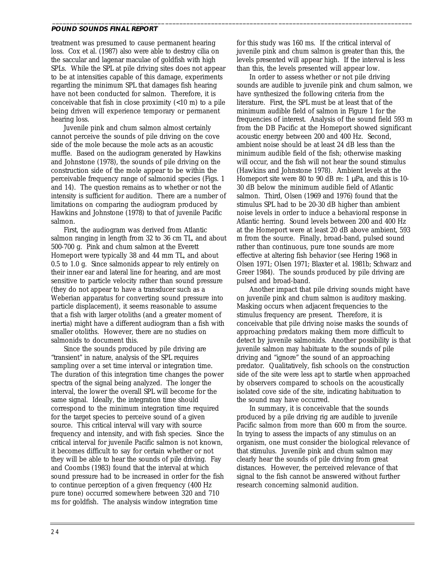treatment was presumed to cause permanent hearing loss. Cox et al. (1987) also were able to destroy cilia on the saccular and lagenar maculae of goldfish with high SPLs. While the SPL at pile driving sites does not appear to be at intensities capable of this damage, experiments regarding the minimum SPL that damages fish hearing have not been conducted for salmon. Therefore, it is conceivable that fish in close proximity (<10 m) to a pile being driven will experience temporary or permanent hearing loss.

Juvenile pink and chum salmon almost certainly cannot perceive the sounds of pile driving on the cove side of the mole because the mole acts as an acoustic muffle. Based on the audiogram generated by Hawkins and Johnstone (1978), the sounds of pile driving on the construction side of the mole appear to be within the perceivable frequency range of salmonid species (Figs. 1 and 14). The question remains as to whether or not the intensity is sufficient for audition. There are a number of limitations on comparing the audiogram produced by Hawkins and Johnstone (1978) to that of juvenile Pacific salmon.

First, the audiogram was derived from Atlantic salmon ranging in length from 32 to 36 cm TL, and about 500-700 g. Pink and chum salmon at the Everett Homeport were typically 38 and 44 mm TL, and about 0.5 to 1.0 g. Since salmonids appear to rely entirely on their inner ear and lateral line for hearing, and are most sensitive to particle velocity rather than sound pressure (they do not appear to have a transducer such as a Weberian apparatus for converting sound pressure into particle displacement), it seems reasonable to assume that a fish with larger otoliths (and a greater moment of inertia) might have a different audiogram than a fish with smaller otoliths. However, there are no studies on salmonids to document this.

Since the sounds produced by pile driving are "transient" in nature, analysis of the SPL requires sampling over a set time interval or integration time. The duration of this integration time changes the power spectra of the signal being analyzed. The longer the interval, the lower the overall SPL will become for the same signal. Ideally, the integration time should correspond to the minimum integration time required for the target species to perceive sound of a given source. This critical interval will vary with source frequency and intensity, and with fish species. Since the critical interval for juvenile Pacific salmon is not known, it becomes difficult to say for certain whether or not they will be able to hear the sounds of pile driving. Fay and Coombs (1983) found that the interval at which sound pressure had to be increased in order for the fish to continue perception of a given frequency (400 Hz pure tone) occurred somewhere between 320 and 710 ms for goldfish. The analysis window integration time

for this study was 160 ms. If the critical interval of juvenile pink and chum salmon is greater than this, the levels presented will appear high. If the interval is less than this, the levels presented will appear low.

\_\_\_\_\_\_\_\_\_\_\_\_\_\_\_\_\_\_\_\_\_\_\_\_\_\_\_\_\_\_\_\_\_\_\_\_\_\_\_\_\_\_\_\_\_\_\_\_\_\_\_\_\_\_\_\_\_\_\_\_\_\_\_\_\_\_\_\_\_\_\_\_\_\_\_\_\_\_\_\_\_\_\_\_\_\_\_\_\_\_\_\_\_\_\_\_\_\_\_\_\_\_

In order to assess whether or not pile driving sounds are audible to juvenile pink and chum salmon, we have synthesized the following criteria from the literature. First, the SPL must be at least that of the minimum audible field of salmon in Figure 1 for the frequencies of interest. Analysis of the sound field 593 m from the DB Pacific at the Homeport showed significant acoustic energy between 200 and 400 Hz. Second, ambient noise should be at least 24 dB less than the minimum audible field of the fish; otherwise masking will occur, and the fish will not hear the sound stimulus (Hawkins and Johnstone 1978). Ambient levels at the Homeport site were 80 to 90 dB re: 1  $\mu$ Pa, and this is 10-30 dB below the minimum audible field of Atlantic salmon. Third, Olsen (1969 and 1976) found that the stimulus SPL had to be 20-30 dB higher than ambient noise levels in order to induce a behavioral response in Atlantic herring. Sound levels between 200 and 400 Hz at the Homeport were at least 20 dB above ambient, 593 m from the source. Finally, broad-band, pulsed sound rather than continuous, pure tone sounds are more effective at altering fish behavior (see Hering 1968 in Olsen 1971; Olsen 1971; Blaxter et al. 1981b; Schwarz and Greer 1984). The sounds produced by pile driving are pulsed and broad-band.

Another impact that pile driving sounds might have on juvenile pink and chum salmon is auditory masking. Masking occurs when adjacent frequencies to the stimulus frequency are present. Therefore, it is conceivable that pile driving noise masks the sounds of approaching predators making them more difficult to detect by juvenile salmonids. Another possibility is that juvenile salmon may habituate to the sounds of pile driving and "ignore" the sound of an approaching predator. Qualitatively, fish schools on the construction side of the site were less apt to startle when approached by observers compared to schools on the acoustically isolated cove side of the site, indicating habituation to the sound may have occurred.

In summary, it is conceivable that the sounds produced by a pile driving rig are audible to juvenile Pacific salmon from more than 600 m from the source. In trying to assess the impacts of any stimulus on an organism, one must consider the biological relevance of that stimulus. Juvenile pink and chum salmon may clearly hear the sounds of pile driving from great distances. However, the perceived relevance of that signal to the fish cannot be answered without further research concerning salmonid audition.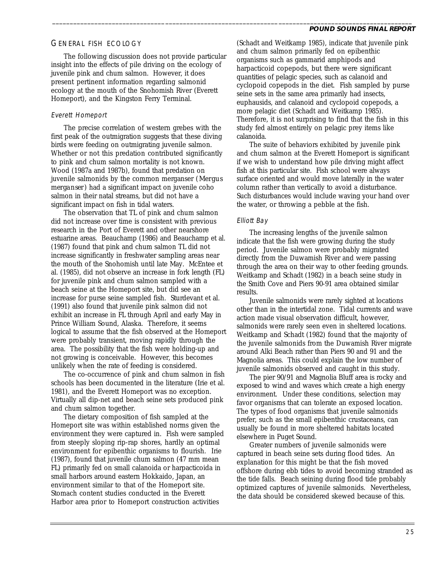## GENERAL FISH ECOLOGY

The following discussion does not provide particular insight into the effects of pile driving on the ecology of juvenile pink and chum salmon. However, it does present pertinent information regarding salmonid ecology at the mouth of the Snohomish River (Everett Homeport), and the Kingston Ferry Terminal.

### Everett Homeport

The precise correlation of western grebes with the first peak of the outmigration suggests that these diving birds were feeding on outmigrating juvenile salmon. Whether or not this predation contributed significantly to pink and chum salmon mortality is not known. Wood (1987a and 1987b), found that predation on juvenile salmonids by the common merganser (*Mergus merganser*) had a significant impact on juvenile coho salmon in their natal streams, but did not have a significant impact on fish in tidal waters.

The observation that TL of pink and chum salmon did not increase over time is consistent with previous research in the Port of Everett and other nearshore estuarine areas. Beauchamp (1986) and Beauchamp et al. (1987) found that pink and chum salmon TL did not increase significantly in freshwater sampling areas near the mouth of the Snohomish until late May. McEntee et al. (1985), did not observe an increase in fork length (FL) for juvenile pink and chum salmon sampled with a beach seine at the Homeport site, but did see an increase for purse seine sampled fish. Sturdevant et al. (1991) also found that juvenile pink salmon did not exhibit an increase in FL through April and early May in Prince William Sound, Alaska. Therefore, it seems logical to assume that the fish observed at the Homeport were probably transient, moving rapidly through the area. The possibility that the fish were holding-up and not growing is conceivable. However, this becomes unlikely when the rate of feeding is considered.

The co-occurrence of pink and chum salmon in fish schools has been documented in the literature (Irie et al. 1981), and the Everett Homeport was no exception. Virtually all dip-net and beach seine sets produced pink and chum salmon together.

The dietary composition of fish sampled at the Homeport site was within established norms given the environment they were captured in. Fish were sampled from steeply sloping rip-rap shores, hardly an optimal environment for epibenthic organisms to flourish. Irie (1987), found that juvenile chum salmon (47 mm mean FL) primarily fed on small calanoida or harpacticoida in small harbors around eastern Hokkaido, Japan, an environment similar to that of the Homeport site. Stomach content studies conducted in the Everett Harbor area prior to Homeport construction activities

(Schadt and Weitkamp 1985), indicate that juvenile pink and chum salmon primarily fed on epibenthic organisms such as gammarid amphipods and harpacticoid copepods, but there were significant quantities of pelagic species, such as calanoid and cyclopoid copepods in the diet. Fish sampled by purse seine sets in the same area primarily had insects, euphausids, and calanoid and cyclopoid copepods, a more pelagic diet (Schadt and Weitkamp 1985). Therefore, it is not surprising to find that the fish in this study fed almost entirely on pelagic prey items like calanoida.

The suite of behaviors exhibited by juvenile pink and chum salmon at the Everett Homeport is significant if we wish to understand how pile driving might affect fish at this particular site. Fish school were always surface oriented and would move laterally in the water column rather than vertically to avoid a disturbance. Such disturbances would include waving your hand over the water, or throwing a pebble at the fish.

# Elliott Bay

\_\_\_\_\_\_\_\_\_\_\_\_\_\_\_\_\_\_\_\_\_\_\_\_\_\_\_\_\_\_\_\_\_\_\_\_\_\_\_\_\_\_\_\_\_\_\_\_\_\_\_\_\_\_\_\_\_\_\_\_\_\_\_\_\_\_\_\_\_\_\_\_\_\_\_\_\_\_\_\_\_\_\_\_\_\_\_\_\_\_\_\_\_\_\_\_\_\_\_\_\_\_

The increasing lengths of the juvenile salmon indicate that the fish were growing during the study period. Juvenile salmon were probably migrated directly from the Duwamish River and were passing through the area on their way to other feeding grounds. Weitkamp and Schadt (1982) in a beach seine study in the Smith Cove and Piers 90-91 area obtained similar results.

Juvenile salmonids were rarely sighted at locations other than in the intertidal zone. Tidal currents and wave action made visual observation difficult, however, salmonids were rarely seen even in sheltered locations. Weitkamp and Schadt (1982) found that the majority of the juvenile salmonids from the Duwamish River migrate around Alki Beach rather than Piers 90 and 91 and the Magnolia areas. This could explain the low number of juvenile salmonids observed and caught in this study.

The pier 90/91 and Magnolia Bluff area is rocky and exposed to wind and waves which create a high energy environment. Under these conditions, selection may favor organisms that can tolerate an exposed location. The types of food organisms that juvenile salmonids prefer, such as the small epibenthic crustaceans, can usually be found in more sheltered habitats located elsewhere in Puget Sound.

Greater numbers of juvenile salmonids were captured in beach seine sets during flood tides. An explanation for this might be that the fish moved offshore during ebb tides to avoid becoming stranded as the tide falls. Beach seining during flood tide probably optimized captures of juvenile salmonids. Nevertheless, the data should be considered skewed because of this.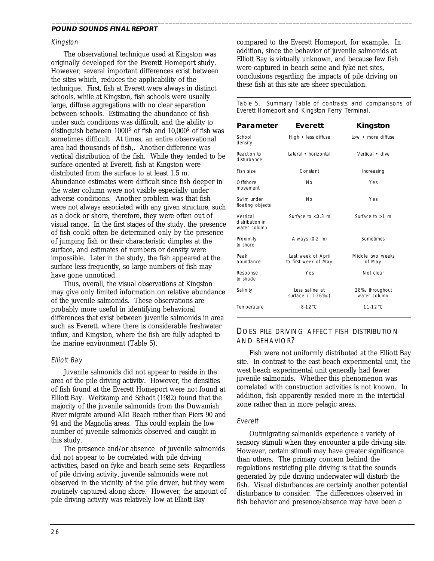#### Kingston

The observational technique used at Kingston was originally developed for the Everett Homeport study. However, several important differences exist between the sites which, reduces the applicability of the technique. First, fish at Everett were always in distinct schools, while at Kingston, fish schools were usually large, diffuse aggregations with no clear separation between schools. Estimating the abundance of fish under such conditions was difficult, and the ability to distinguish between  $1000<sup>s</sup>$  of fish and  $10,000<sup>s</sup>$  of fish was sometimes difficult. At times, an entire observational area had thousands of fish,. Another difference was vertical distribution of the fish. While they tended to be surface oriented at Everett, fish at Kingston were distributed from the surface to at least 1.5 m. Abundance estimates were difficult since fish deeper in the water column were not visible especially under adverse conditions. Another problem was that fish were not always associated with any given structure, such as a dock or shore, therefore, they were often out of visual range. In the first stages of the study, the presence of fish could often be determined only by the presence of jumping fish or their characteristic dimples at the surface, and estimates of numbers or density were impossible. Later in the study, the fish appeared at the surface less frequently, so large numbers of fish may have gone unnoticed.

Thus, overall, the visual observations at Kingston may give only limited information on relative abundance of the juvenile salmonids. These observations are probably more useful in identifying behavioral differences that exist between juvenile salmonids in area such as Everett, where there is considerable freshwater influx, and Kingston, where the fish are fully adapted to the marine environment (Table 5).

### Elliott Bay

Juvenile salmonids did not appear to reside in the area of the pile driving activity. However, the densities of fish found at the Everett Homeport were not found at Elliott Bay. Weitkamp and Schadt (1982) found that the majority of the juvenile salmonids from the Duwamish River migrate around Alki Beach rather than Piers 90 and 91 and the Magnolia areas. This could explain the low number of juvenile salmonids observed and caught in this study.

The presence and/or absence of juvenile salmonids did not appear to be correlated with pile driving activities, based on fyke and beach seine sets Regardless of pile driving activity, juvenile salmonids were not observed in the vicinity of the pile driver, but they were routinely captured along shore. However, the amount of pile driving activity was relatively low at Elliott Bay

compared to the Everett Homeport, for example. In addition, since the behavior of juvenile salmonids at Elliott Bay is virtually unknown, and because few fish were captured in beach seine and fyke net sites, conclusions regarding the impacts of pile driving on these fish at this site are sheer speculation.

\_\_\_\_\_\_\_\_\_\_\_\_\_\_\_\_\_\_\_\_\_\_\_\_\_\_\_\_\_\_\_\_\_\_\_\_\_\_\_\_\_\_\_\_\_\_\_\_\_\_\_\_\_\_\_\_\_\_\_\_\_\_\_\_\_\_\_\_\_\_\_\_\_\_\_\_\_\_\_\_\_\_\_\_\_\_\_\_\_\_\_\_\_\_\_\_\_\_\_\_\_\_

 $\overline{a}$ 

Table 5. Summary Table of contrasts and comparisons of Everett Homeport and Kingston Ferry Terminal.

| Parameter                                   | Everett                                    | Kingston                       |
|---------------------------------------------|--------------------------------------------|--------------------------------|
| School<br>density                           | High • less diffuse                        | Low • more diffuse             |
| Reaction to<br>disturbance                  | Lateral • horizontal                       | Vertical • dive                |
| Fish size                                   | Constant                                   | Increasing                     |
| Offshore<br>movement                        | <b>No</b>                                  | Yes                            |
| Swim under<br>floating objects              | No                                         | Yes                            |
| Vertical<br>distribution in<br>water column | Surface to $< 0.3$ m                       | Surface to $>1$ m              |
| Proximity<br>to shore                       | Always (0-2 m)                             | Sometimes                      |
| Peak<br>abundance                           | Last week of April<br>to first week of May | Middle two weeks<br>of May     |
| Response<br>to shade                        | Yes                                        | Not clear                      |
| Salinity                                    | Less saline at<br>surface (11-26‰)         | 28‰ throughout<br>water column |
| Temperature                                 | $8.12^{\circ}$ C                           | $11.12^{\circ}$ C              |

# DOES PILE DRIVING AFFECT FISH DISTRIBUTION AND BEHAVIOR?

Fish were not uniformly distributed at the Elliott Bay site. In contrast to the east beach experimental unit, the west beach experimental unit generally had fewer juvenile salmonids. Whether this phenomenon was correlated with construction activities is not known. In addition, fish apparently resided more in the intertidal zone rather than in more pelagic areas.

### Everett

Outmigrating salmonids experience a variety of sensory stimuli when they encounter a pile driving site. However, certain stimuli may have greater significance than others. The primary concern behind the regulations restricting pile driving is that the sounds generated by pile driving underwater will disturb the fish. Visual disturbances are certainly another potential disturbance to consider. The differences observed in fish behavior and presence/absence may have been a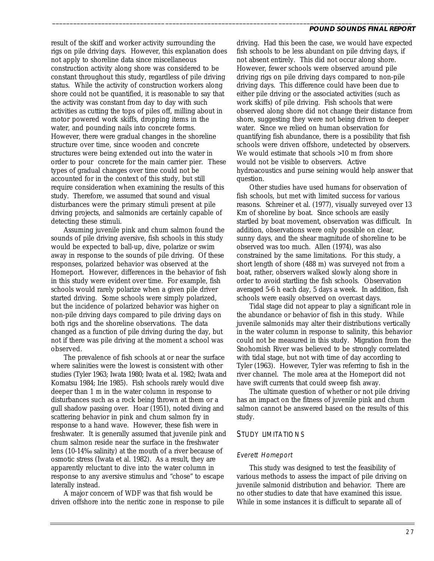result of the skiff and worker activity surrounding the rigs on pile driving days. However, this explanation does not apply to shoreline data since miscellaneous construction activity along shore was considered to be constant throughout this study, regardless of pile driving status. While the activity of construction workers along shore could not be quantified, it is reasonable to say that the activity was constant from day to day with such activities as cutting the tops of piles off, milling about in motor powered work skiffs, dropping items in the water, and pounding nails into concrete forms. However, there were gradual changes in the shoreline structure over time, since wooden and concrete structures were being extended out into the water in order to pour concrete for the main carrier pier. These types of gradual changes over time could not be accounted for in the context of this study, but still require consideration when examining the results of this study. Therefore, we assumed that sound and visual disturbances were the primary stimuli present at pile driving projects, and salmonids are certainly capable of detecting these stimuli.

Assuming juvenile pink and chum salmon found the sounds of pile driving aversive, fish schools in this study would be expected to ball-up, dive, polarize or swim away in response to the sounds of pile driving. Of these responses, polarized behavior was observed at the Homeport. However, differences in the behavior of fish in this study were evident over time. For example, fish schools would rarely polarize when a given pile driver started driving. Some schools were simply polarized, but the incidence of polarized behavior was higher on non-pile driving days compared to pile driving days on both rigs and the shoreline observations. The data changed as a function of pile driving during the day, but not if there was pile driving at the moment a school was observed.

The prevalence of fish schools at or near the surface where salinities were the lowest is consistent with other studies (Tyler 1963; Iwata 1980; Iwata et al. 1982; Iwata and Komatsu 1984; Irie 1985). Fish schools rarely would dive deeper than 1 m in the water column in response to disturbances such as a rock being thrown at them or a gull shadow passing over. Hoar (1951), noted diving and scattering behavior in pink and chum salmon fry in response to a hand wave. However, these fish were in freshwater. It is generally assumed that juvenile pink and chum salmon reside near the surface in the freshwater lens (10-14‰ salinity) at the mouth of a river because of osmotic stress (Iwata et al. 1982). As a result, they are apparently reluctant to dive into the water column in response to any aversive stimulus and "chose" to escape laterally instead.

A major concern of WDF was that fish would be driven offshore into the neritic zone in response to pile

driving. Had this been the case, we would have expected fish schools to be less abundant on pile driving days, if not absent entirely. This did not occur along shore. However, fewer schools were observed around pile driving rigs on pile driving days compared to non-pile driving days. This difference could have been due to either pile driving or the associated activities (such as work skiffs) of pile driving. Fish schools that were observed along shore did not change their distance from shore, suggesting they were not being driven to deeper water. Since we relied on human observation for quantifying fish abundance, there is a possibility that fish schools were driven offshore, undetected by observers. We would estimate that schools >10 m from shore would not be visible to observers. Active hydroacoustics and purse seining would help answer that question.

\_\_\_\_\_\_\_\_\_\_\_\_\_\_\_\_\_\_\_\_\_\_\_\_\_\_\_\_\_\_\_\_\_\_\_\_\_\_\_\_\_\_\_\_\_\_\_\_\_\_\_\_\_\_\_\_\_\_\_\_\_\_\_\_\_\_\_\_\_\_\_\_\_\_\_\_\_\_\_\_\_\_\_\_\_\_\_\_\_\_\_\_\_\_\_\_\_\_\_\_\_\_

Other studies have used humans for observation of fish schools, but met with limited success for various reasons. Schreiner et al. (1977), visually surveyed over 13 Km of shoreline by boat. Since schools are easily startled by boat movement, observation was difficult. In addition, observations were only possible on clear, sunny days, and the shear magnitude of shoreline to be observed was too much. Allen (1974), was also constrained by the same limitations. For this study, a short length of shore (488 m) was surveyed not from a boat, rather, observers walked slowly along shore in order to avoid startling the fish schools. Observation averaged 5-6 h each day, 5 days a week. In addition, fish schools were easily observed on overcast days.

Tidal stage did not appear to play a significant role in the abundance or behavior of fish in this study. While juvenile salmonids may alter their distributions vertically in the water column in response to salinity, this behavior could not be measured in this study. Migration from the Snohomish River was believed to be strongly correlated with tidal stage, but not with time of day according to Tyler (1963). However, Tyler was referring to fish in the river channel. The mole area at the Homeport did not have swift currents that could sweep fish away.

The ultimate question of whether or not pile driving has an impact on the fitness of juvenile pink and chum salmon cannot be answered based on the results of this study.

### STUDY LIMITATIONS

### Everett Homeport

This study was designed to test the feasibility of various methods to assess the impact of pile driving on juvenile salmonid distribution and behavior. There are no other studies to date that have examined this issue. While in some instances it is difficult to separate all of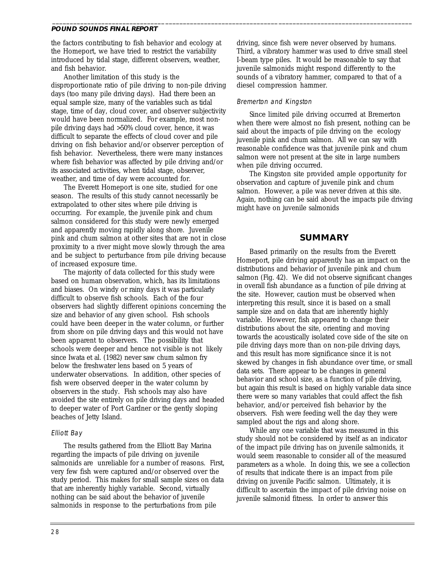the factors contributing to fish behavior and ecology at the Homeport, we have tried to restrict the variability introduced by tidal stage, different observers, weather, and fish behavior.

Another limitation of this study is the disproportionate ratio of pile driving to non-pile driving days (too many pile driving days). Had there been an equal sample size, many of the variables such as tidal stage, time of day, cloud cover, and observer subjectivity would have been normalized. For example, most nonpile driving days had >50% cloud cover, hence, it was difficult to separate the effects of cloud cover and pile driving on fish behavior and/or observer perception of fish behavior. Nevertheless, there were many instances where fish behavior was affected by pile driving and/or its associated activities, when tidal stage, observer, weather, and time of day were accounted for.

The Everett Homeport is one site, studied for one season. The results of this study cannot necessarily be extrapolated to other sites where pile driving is occurring. For example, the juvenile pink and chum salmon considered for this study were newly emerged and apparently moving rapidly along shore. Juvenile pink and chum salmon at other sites that are not in close proximity to a river might move slowly through the area and be subject to perturbance from pile driving because of increased exposure time.

The majority of data collected for this study were based on human observation, which, has its limitations and biases. On windy or rainy days it was particularly difficult to observe fish schools. Each of the four observers had slightly different opinions concerning the size and behavior of any given school. Fish schools could have been deeper in the water column, or further from shore on pile driving days and this would not have been apparent to observers. The possibility that schools were deeper and hence not visible is not likely since Iwata et al. (1982) never saw chum salmon fry below the freshwater lens based on 5 years of underwater observations. In addition, other species of fish were observed deeper in the water column by observers in the study. Fish schools may also have avoided the site entirely on pile driving days and headed to deeper water of Port Gardner or the gently sloping beaches of Jetty Island.

### Elliott Bay

The results gathered from the Elliott Bay Marina regarding the impacts of pile driving on juvenile salmonids are unreliable for a number of reasons. First, very few fish were captured and/or observed over the study period. This makes for small sample sizes on data that are inherently highly variable. Second, virtually nothing can be said about the behavior of juvenile salmonids in response to the perturbations from pile

driving, since fish were never observed by humans. Third, a vibratory hammer was used to drive small steel I-beam type piles. It would be reasonable to say that juvenile salmonids might respond differently to the sounds of a vibratory hammer, compared to that of a diesel compression hammer.

### Bremerton and Kingston

\_\_\_\_\_\_\_\_\_\_\_\_\_\_\_\_\_\_\_\_\_\_\_\_\_\_\_\_\_\_\_\_\_\_\_\_\_\_\_\_\_\_\_\_\_\_\_\_\_\_\_\_\_\_\_\_\_\_\_\_\_\_\_\_\_\_\_\_\_\_\_\_\_\_\_\_\_\_\_\_\_\_\_\_\_\_\_\_\_\_\_\_\_\_\_\_\_\_\_\_\_\_

Since limited pile driving occurred at Bremerton when there were almost no fish present, nothing can be said about the impacts of pile driving on the ecology juvenile pink and chum salmon. All we can say with reasonable confidence was that juvenile pink and chum salmon were not present at the site in large numbers when pile driving occurred.

The Kingston site provided ample opportunity for observation and capture of juvenile pink and chum salmon. However, a pile was never driven at this site. Again, nothing can be said about the impacts pile driving might have on juvenile salmonids

## **SUMMARY**

Based primarily on the results from the Everett Homeport, pile driving apparently has an impact on the distributions and behavior of juvenile pink and chum salmon (Fig. 42). We did not observe significant changes in overall fish abundance as a function of pile driving at the site. However, caution must be observed when interpreting this result, since it is based on a small sample size and on data that are inherently highly variable. However, fish appeared to change their distributions about the site, orienting and moving towards the acoustically isolated cove side of the site on pile driving days more than on non-pile driving days, and this result has more significance since it is not skewed by changes in fish abundance over time, or small data sets. There appear to be changes in general behavior and school size, as a function of pile driving, but again this result is based on highly variable data since there were so many variables that could affect the fish behavior, and/or perceived fish behavior by the observers. Fish were feeding well the day they were sampled about the rigs and along shore.

While any one variable that was measured in this study should not be considered by itself as an indicator of the impact pile driving has on juvenile salmonids, it would seem reasonable to consider all of the measured parameters as a whole. In doing this, we see a collection of results that indicate there is an impact from pile driving on juvenile Pacific salmon. Ultimately, it is difficult to ascertain the impact of pile driving noise on juvenile salmonid fitness. In order to answer this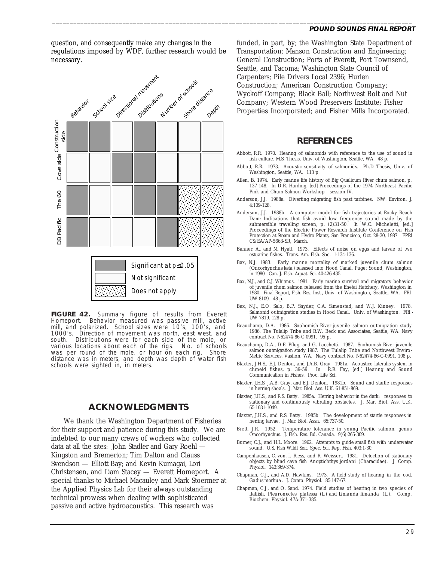question, and consequently make any changes in the regulations imposed by WDF, further research would be necessary.

\_\_\_\_\_\_\_\_\_\_\_\_\_\_\_\_\_\_\_\_\_\_\_\_\_\_\_\_\_\_\_\_\_\_\_\_\_\_\_\_\_\_\_\_\_\_\_\_\_\_\_\_\_\_\_\_\_\_\_\_\_\_\_\_\_\_\_\_\_\_\_\_\_\_\_\_\_\_\_\_\_\_\_\_\_\_\_\_\_\_\_\_\_\_\_\_\_\_\_\_\_\_



**FIGURE 42.** Summary figure of results from Everett Homeport. Behavior measured was passive mill, active mill, and polarized. School sizes were 10's, 100's, and 1000's. Direction of movement was north, east west, and Direction of movement was north, east west, and south. Distributions were for each side of the mole, or various locations about each of the rigs. No. of schools was per round of the mole, or hour on each rig. Shore distance was in meters, and depth was depth of water fish schools were sighted in, in meters.

# **ACKNOWLEDGMENTS**

We thank the Washington Department of Fisheries for their support and patience during this study. We are indebted to our many crews of workers who collected data at all the sites: John Stadler and Gary Roehl — Kingston and Bremerton; Tim Dalton and Clauss Svendson — Elliott Bay; and Kevin Kumagai, Lori Christensen, and Liam Stacey — Everett Homeport. A special thanks to Michael Macauley and Mark Stoermer at the Applied Physics Lab for their always outstanding technical prowess when dealing with sophisticated passive and active hydroacoustics. This research was

funded, in part, by; the Washington State Department of Transportation; Manson Construction and Engineering; General Construction; Ports of Everett, Port Townsend, Seattle, and Tacoma; Washington State Council of Carpenters; Pile Drivers Local 2396; Hurlen Construction; American Construction Company; Wyckoff Company; Black Ball; Northwest Bolt and Nut Company; Western Wood Preservers Institute; Fisher Properties Incorporated; and Fisher Mills Incorporated.

### **REFERENCES**

- Abbott, R.R. 1970. Hearing of salmonids with reference to the use of sound in fish culture. M.S. Thesis, Univ. of Washington, Seattle, WA. 48 p.
- Abbott, R.R. 1973. Acoustic sensitivity of salmonids. Ph.D Thesis, Univ. of Washington, Seattle, WA. 113 p.
- Allen, B. 1974. Early marine life history of Big Qualicum River chum salmon, p. 137-148. In D.R. Harding, [ed] Proceedings of the 1974 Northeast Pacific Pink and Chum Salmon Workshop - session IV.
- Anderson, J.J. 1988a. Diverting migrating fish past turbines. NW. Environ. J. 4:109-128.
- Anderson, J.J. 1988b. A computer model for fish trajectories at Rocky Reach Dam: Indications that fish avoid low frequency sound made by the submersible traveling screen, p.  $(2)31-50$ . *h* W.C. Micheletti, [ed.] submersible traveling screen, p. (2)31-50. Proceedings of the Electric Power Research Institute Conference on Fish Protection at Steam and Hydro Plants, San Francisco, Oct. 28-30, 1987. EPRI CS/EA/AP-5663-SR, March.
- Banner, A., and M. Hyatt. 1973. Effects of noise on eggs and larvae of two estuarine fishes. Trans. Am. Fish. Soc. 1:134-136.
- Bax, N.J. 1983. Early marine mortality of marked juvenile chum salmon (*Oncorhynchus keta*) released into Hood Canal, Puget Sound, Washington, in 1980. Can. J. Fish. Aquat. Sci. 40:426-435.
- Bax, N.J., and C.J. Whitmus. 1981. Early marine survival and migratory behavior of juvenile chum salmon released from the Enetai Hatchery, Washington in 1980. Final Report, Fish. Res. Inst., Univ. of Washington, Seattle, WA. FRI-UW-8109. 48 p.
- Bax, N.J., E.O. Salo, B.P. Snyder, C.A. Simenstad, and W.J. Kinney. 1978. Salmonid outmigration studies in Hood Canal. Univ. of Washington. FRI - UW-7819. 128 p.
- Beauchamp, D.A. 1986. Snohomish River juvenile salmon outmigration study 1986. The Tulalip Tribe and R.W. Beck and Associates, Seattle, WA. Navy contract No. N62474-86-C-0991. 95 p.
- Beauchamp, D.A., D.E. Pflug, and G. Lucchetti. 1987. Snohomish River juvenile salmon outmigration study 1987. The Tulalip Tribe and Northwest Enviro-Metric Services, Vashon, WA. Navy contract No. N62474-86-C-0991. 108 p.
- Blaxter, J.H.S., E.J. Denton, and J.A.B. Gray. 1981a. Acoustico-lateralis system in clupeid fishes, p. 39-59. *In* R.R. Fay, [ed.] Hearing and Sound Communication in Fishes. Proc. Life Sci.
- Blaxter, J.H.S, J.A.B. Gray, and E.J. Denton. 1981b. Sound and startle responses in herring shoals. J. Mar. Biol. Ass. U.K. 61:851-869.
- Blaxter, J.H.S., and R.S. Batty. 1985a. Herring behavior in the dark: responses to stationary and continuously vibrating obstacles. J. Mar. Biol. Ass. U.K. 65:1031-1049.
- Blaxter, J.H.S., and R.S. Batty. 1985b. The development of startle responses in herring larvae. J. Mar. Biol. Assn. 65:737-50.
- Brett, J.R. 1952. Temperature tolerance in young Pacific salmon, genus Oncorhynchus. J. Fish. Res. Bd. Canada. 9(6):265-309.
- Burner, C.J., and H.L. Moore. 1962. Attempts to guide small fish with underwater sound. U.S. Fish Wildl Ser., Spec. Sci. Rep. Fish. 403:1-30.
- Campenhausen, C. von, I. Riess, and R. Weissert. 1981. Detection of stationary objects by blind cave fish *Anoptichthys jordani* (Characidae). J. Comp. Physiol. 143:369-374.
- Chapman, C.J., and A.D. Hawkins. 1973. A field study of hearing in the cod, *Gadus morhua* . J. Comp. Physiol. 85:147-67.
- Chapman, C.J., and O. Sand. 1974. Field studies of hearing in two species of flatfish, *Pleuronectes platessa* (L.) and *Limanda limanda* (L.). Comp. Biochem. Physiol. 47A:371-385.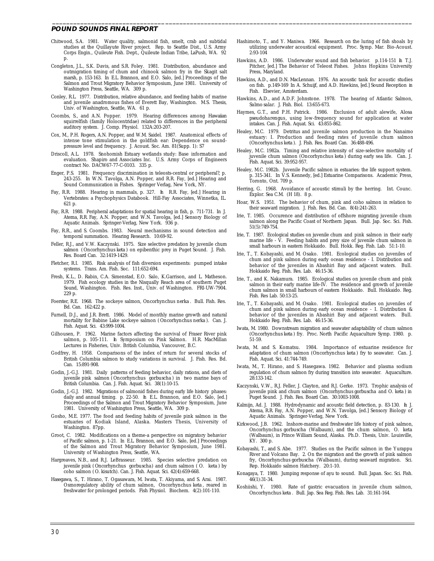- Chitwood, S.A. 1981. Water quality, salmonid fish, smelt, crab and subtidal studies at the Quillayute River project. Rep. to Seattle Dist., U.S. Army Corps Engin., Quileute Fish. Dept., Quileute Indian Tribe, LaPush, WA. 92 p.
- Congleton, J.L., S.K. Davis, and S.R. Foley. 1981. Distribution, abundance and outmigration timing of chum and chinook salmon fry in the Skagit salt marsh, p. 153-163. *In* E.L. Brannon, and E.O. Salo, [ed.] Proceedings of the Salmon and Trout Migratory Behavior Symposium, June 1981. University of Washington Press, Seattle, WA. 309 p.
- Conley, R.L. 1977. Distribution, relative abundance, and feeding habits of marine and juvenile anadromous fishes of Everett Bay, Washington. M.S. Thesis, Univ. of Washington, Seattle, WA. 61 p.
- Coombs, S., and A.N. Popper. 1979. Hearing differences among Hawaiian squirrelfish (family Holocentridae) related to differences in the peripheral auditory system. J. Comp. Physiol. 132A:203-207.
- Cox, M., P.H. Rogers, A.N. Popper, and W.M. Saidel. 1987. Anatomical effects of intense tone stimulation in the goldfish ear: Dependence on soundpressure level and frequency. J. Acoust. Soc. Am. 81(Supp. 1): S7
- Driscoll, A.L. 1978. Snohomish Estuary wetlands study: Base information and evaluation. Shapiro and Associates Inc. U.S. Army Corps of Engineers contract No. DACW67-77-C-0103. 335 p.
- Enger, P.S. 1981. Frequency discrimination in teleosts-central or peripheral?, p. 243-255. *In* W.N. Tavolga, A.N. Popper, and R.R. Fay, [ed.] Hearing and Sound Communication in Fishes. Springer Verlag, New York, NY.
- Fay, R.R. 1988. Hearing in mammals, p. 327. *In* R.R. Fay, [ed.] Hearing in Vertebrates: a Psychophysics Databook. Hill-Fay Associates, Winnetka, IL. 621 p.
- Fay, R.R. 1988. Peripheral adaptations for spatial hearing in fish, p. 711-731. *In* J. Atema, R.R. Fay, A.N. Popper, and W.N. Tavolga, [ed.] Sensory Biology of Aquatic Animals. Springer-Verlag, New York. 936 p.
- Fay, R.R., and S. Coombs. 1983. Neural mechanisms in sound detection and temporal summation. Hearing Research. 10:69-92.
- Feller, R.J., and V.W. Kaczynski. 1975. Size selective predation by juvenile chum salmon (*Oncorhynchus keta*) on epibenthic prey in Puget Sound. J. Fish. Res. Board Can. 32:1419-1429.
- Fletcher, R.I. 1985. Risk analysis of fish diversion experiments: pumped intake systems. Trans. Am. Fish. Soc. 111:652-694.
- Fresh, K.L., D. Rabin, C.A. Simenstad, E.O. Salo, K.Garrison, and L. Matheson. 1979. Fish ecology studies in the Nisqually Reach area of southern Puget Sound, Washington. Fish. Res. Inst., Univ. of Washington. FRI-UW-7904. 229 p.
- Foerster, R.E. 1968. The sockeye salmon, *Oncorhynchus nerka*. Bull. Fish. Res. Bd. Can. 162:422 p.
- Furnell, D.J., and J.R. Brett. 1986. Model of monthly marine growth and natural mortality for Babine Lake sockeye salmon (*Oncorhynchus nerka*). Can. J. Fish. Aquat. Sci. 43:999-1004.
- Gilhousen, P. 1962. Marine factors affecting the survival of Fraser River pink salmon, p. 105-111. *In* Symposium on Pink Salmon. H.R. MacMillan Lectures in Fisheries, Univ. British Columbia, Vancouver, B.C.
- Godfrey, H. 1958. Comparisons of the index of return for several stocks of British Columbia salmon to study variations in survival. J. Fish. Res. Bd. Can. 15:891-908.
- Godin, J.-G.J. 1981. Daily patterns of feeding behavior, daily rations, and diets of juvenile pink salmon (*Oncorhynchus gorbuscha* ) in two marine bays of British Columbia. Can. J. Fish. Aquat. Sci. 38(1):10-15.
- Godin, J.-G.J. 1982. Migrations of salmonid fishes during early life history phases: daily and annual timing. p. 22-50. *In* E.L. Brannon, and E.O. Salo, [ed.] Proceedings of the Salmon and Trout Migratory Behavior Symposium, June 1981. University of Washington Press, Seattle, WA. 309 p.
- Gosho, M.E. 1977. The food and feeding habits of juvenile pink salmon in the estuaries of Kodiak Island, Alaska. Masters Thesis, University of Washington. 87pp.
- Groot, C. 1982. Modifications on a theme-a perspective on migratory behavior of Pacific salmon, p. 1-21. *In* E.L. Brannon, and E.O. Salo, [ed.] Proceedings of the Salmon and Trout Migratory Behavior Symposium, June 1981. University of Washington Press, Seattle, WA.
- Hargreaves, N.B., and R.J. LeBrasseur. 1985. Species selective predation on juvenile pink (*Oncorhynchus gorbuscha*) and chum salmon ( *O. keta* ) by coho salmon (*O. kisutch*). Can. J. Fish. Aquat. Sci. 42(4):659-668.
- Hasegawa, S., T. Hirano, T. Ogasawara, M. Iwata, T. Akiyama, and S. Arai. 1987. Osmoregulatory ability of chum salmon, *Oncorhynchus keta*, reared in freshwater for prolonged periods. Fish Physiol. Biochem. 4(2):101-110.

Hashimoto, T., and Y. Maniwa. 1966. Research on the luring of fish shoals by utilizing underwater acoustical equipment. Proc. Symp. Mar. Bio-Acoust. 2:93-104

\_\_\_\_\_\_\_\_\_\_\_\_\_\_\_\_\_\_\_\_\_\_\_\_\_\_\_\_\_\_\_\_\_\_\_\_\_\_\_\_\_\_\_\_\_\_\_\_\_\_\_\_\_\_\_\_\_\_\_\_\_\_\_\_\_\_\_\_\_\_\_\_\_\_\_\_\_\_\_\_\_\_\_\_\_\_\_\_\_\_\_\_\_\_\_\_\_\_\_\_\_\_

- Hawkins, A.D. 1986. Underwater sound and fish behavior. p.114-151 *h* T.J. Pitcher, [ed.] The Behavior of Teleost Fishes. Johns Hopkins University Press, Maryland.
- Hawkins, A.D., and D.N. MacLennan. 1976. An acoustic tank for acoustic studies on fish. p.149-169 *In* A. Schuijf, and A.D. Hawkins, [ed.] Sound Reception in Fish. Elsevier, Amsterdam.
- Hawkins, A.D., and A.D.F. Johnstone. 1978. The hearing of Atlantic Salmon, *Salmo salar*. J. Fish. Biol. 13:655-673.
- Haymes, G.T., and P.H. Patrick. 1986. Exclusion of adult alewife, *Alosa pseudoharengus*, using low-frequency sound for application at water intakes. Can. J. Fish. Aquat. Sci. 43:855-862.
- Healey, M.C. 1979. Detritus and juvenile salmon production in the Nanaimo estuary: I. Production and feeding rates of juvenile chum salmon (*Oncorhynchus keta*). J. Fish. Res. Board Can. 36:488-496.
- Healey, M.C. 1982a. Timing and relative intensity of size-selective mortality of juvenile chum salmon (*Oncorhynchus keta*) during early sea life. Can. J. Fish. Aquat. Sci. 39:952-957.
- Healey, M.C. 1982b. Juvenile Pacific salmon in estuaries: the life support system. p. 315-341. *In* V.S. Kennedy, [ed.] Estuarine Comparisons. Academic Press, Toronto, Ont. 709 p.
- Herring, G. 1968. Avoidance of acoustic stimuli by the herring. Int. Counc. Explor. Sea C.M. (H 18). 8 p.
- Hoar, W.S. 1951. The behavior of chum, pink and coho salmon in relation to their seaward migration. J. Fish. Res. Bd. Can. 8(4):241-263.
- Irie, T. 1985. Occurence and distribution of offshore migrating juvenile chum salmon along the Pacific Coast of Northern Japan. Bull. Jap. Soc. Sci. Fish. 51(5):749-754.
- Irie, T. 1987. Ecological studies on juvenile chum and pink salmon in their early marine life - V. Feeding habits and prey size of juvenile chum salmon in small harbours in eastern Hokkaido. Bull. Hokk. Reg. Fish. Lab. 51:1-10.
- Irie, T., T. Kobayashi, and M. Osako. 1981. Ecological studies on juveniles of chum and pink salmon during early ocean residence - I. Distribution and behavior of the juveniles in Abashiri Bay and adjacent waters. Bull. Hokkaido Reg. Fish. Res. Lab. 46:15-36.
- Irie, T., and K. Nakamura. 1985. Ecological studies on juvenile chum and pink salmon in their early marine life-IV. The residence and growth of juvenile chum salmon in small harbours of eastern Hokkaido. Bull. Hokkaido. Reg. Fish. Res Lab. 50:13-25.
- Irie, T., T. Kobayashi, and M. Osako. 1981. Ecological studies on juveniles of chum and pink salmon during early ocean residence - I. Distribution & behavior of the juveniles in Abashiri Bay and adjacent waters. Bull. Hokkaido Reg. Fish. Res. Lab. 46:15-36.
- Iwata, M. 1980. Downstream migration and seawater adaptability of chum salmon (*Oncorhynchus keta*) fry. Proc. North Pacific Aquaculture Symp. 1980. p. 51-59.
- Iwata, M. and S. Komatsu. 1984. Importance of estuarine residence for adaptation of chum salmon (*Oncorhynchus keta*) fry to seawater. Can. J. Fish. Aquat. Sci. 41:744-749.
- Iwata, M., T. Hirano, and S. Hasegawa. 1982. Behavior and plasma sodium regulation of chum salmon fry during transition into seawater. Aquaculture. 28:133-142.
- Kaczynski, V.W., R.J. Feller, J. Clayton, and R.J. Gerke. 1973. Trophic analysis of juvenile pink and chum salmon (*Oncorhynchus gorbuscha* and *O. keta* ) in Puget Sound. J. Fish. Res. Board Can. 30:1003-1008.
- Kalmijn, Ad. J. 1988. Hydrodynamic and acoustic field detection, p. 83-130. *In* J. Atema, R.R. Fay, A.N. Popper, and W.N. Tavolga, [ed.] Sensory Biology of Aquatic Animals. Springer-Verlag, New York.
- Kirkwood, J.B. 1962. Inshore-marine and freshwater life history of pink salmon, *Oncorhynchus gorbuscha* (Walbaum), and the chum salmon, *O. keta* (Walbaum), in Prince William Sound, Alaska. Ph.D. Thesis, Univ. Louisville, KY. 300 p.
- Kobayashi, T., and S. Abe. 1977. Studies on the Pacific salmon in the Yurappu River and Volcano Bay. 2. On the migration and the growth of pink salmon fry, *Oncorhynchus gorbuscha* (Walbaum), during seaward migration. Sci. Rep. Hokkaido salmon Hatchery. 20:1-10.
- Konagaya, T. 1980. Jumping response of ayu to sound. Bull. Japan. Soc. Sci. Fish.  $46(1):31-34.$
- Koshiishi, Y. 1980. Rate of gastric evacuation in juvenile chum salmon, *Oncorhynchus keta*. Bull. Jap. Sea Reg. Fish. Res. Lab. 31:161-164.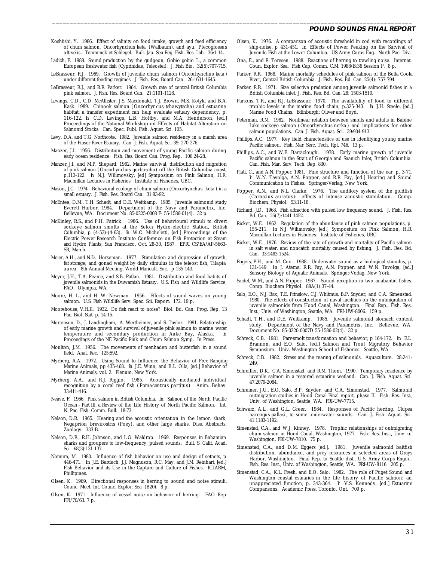Koshiishi, Y. 1986. Effect of salinity on food intake, growth and feed efficiency of chum salmon, *Oncorhynchus keta* (Walbaum), and ayu, *Plecoglossus altivelis*. Temminck et Schlegel. Bull. Jap. Sea Reg. Fish. Res. Lab. 36:1-14.

\_\_\_\_\_\_\_\_\_\_\_\_\_\_\_\_\_\_\_\_\_\_\_\_\_\_\_\_\_\_\_\_\_\_\_\_\_\_\_\_\_\_\_\_\_\_\_\_\_\_\_\_\_\_\_\_\_\_\_\_\_\_\_\_\_\_\_\_\_\_\_\_\_\_\_\_\_\_\_\_\_\_\_\_\_\_\_\_\_\_\_\_\_\_\_\_\_\_\_\_\_\_

- Ladich, F. 1988. Sound production by the gudgeon, *Gobio gobio* L., a common European freshwater fish (Cyprinidae, Teleostei). J. Fish Bio. 32(5):707-715.
- LeBrasseur, R.J. 1969. Growth of juvenile chum salmon (*Oncorhynchus keta*) under different feeding regimes. J. Fish. Res. Board Can. 26:1631-1645.
- LeBrasseur, R.J., and R.R. Parker. 1964. Growth rate of central British Columbia pink salmon. J. Fish. Res. Board Can. 21:1101-1128.
- Levings, C.D., C.D. McAllister, J.S. Macdonald, T.J. Brown, M.S. Kotyk, and B.A. Kask. 1989. Chinook salmon (*Oncorhyncus tshawytscha*) and estuarine habitat: a transfer experiment can help evaluate estuary dependency, p. 116-122. *In* C.D. Levings, L.B. Holtby, and M.A. Henderson, [ed.] Proceedings of the National Workshop on Effects of Habitat Alteration on Salmonid Stocks. Can. Spec. Publ. Fish. Aquat. Sci. 105.
- Levy, D.A. and T.G. Northcote. 1982. Juvenile salmon residency in a marsh area of the Fraser River Estuary. Can. J. Fish. Aquat. Sci. 39: 270-276.
- Manzer, J.I. 1956. Distribution and movement of young Pacific salmon during early ocean residence. Fish. Res. Board Can. Prog. Rep. 106:24-28.
- Manzer, J.I., and M.P. Shepard. 1962. Marine survival, distribution and migration of pink salmon ( *Oncorhynchus gorbuscha*) off the British Columbia coast, p.113-122. *In* N.J. Wilimovsky, [ed] Symposium on Pink Salmon, H.R. Macmillan Lectures in Fisheries. Institute of Fisheries, UBC.
- Mason, J.C. 1974. Behavioral ecology of chum salmon (*Oncorhynchus keta*) in a small estuary. J. Fish. Res. Board Can. 31:83-92.
- McEntee, D.M., T.H. Schadt, and D.E. Weitkamp. 1985. Juvenile salmonid study Everett Harbor, 1984. Department of the Navy and Parametrix, Inc. Bellevue, WA. Document No. 85-0225-0008 F- 55-1586-01(4). 32 p.
- McKinley, R.S., and P.H. Patrick. 1986. Use of behavioural stimuli to divert sockeye salmon smolts at the Seton Hydro-electric Station, British Columbia, p (4-53)-(4-63). *In* W.C. Micheletti, [ed.] Proceedings of the Electric Power Research Institute Conference on Fish Protection at Steam and Hydro Plants, San Francisco, Oct. 28-30, 1987. EPRI CS/EA/AP-5663- SR, March.
- Meier, A.H., and N.D. Horseman. 1977. Stimulation and depression of growth, fat storage, and gonad weight by daily stimulus in the teleost fish, *Tilapia aurea*. 8th Annual Meeting, World Maricult. Soc. p 135-143.
- Meyer, J.H., T.A. Pearce, and S.B. Patlan. 1981. Distribution and food habits of juvenile salmonids in the Duwamish Estuary. U.S. Fish and Wildlife Service, FAO. Olympia, WA.
- Moore, H. L., and H. W. Newman. 1956. Effects of sound waves on young salmon. U.S. Fish Wildlife Serv. Spec. Sci. Report: 172. 19 p.
- Moorehouse, V.H.K. 1932. Do fish react to noise? Biol. Bd. Can. Prog. Rep. 13 Pac. Biol. Stat. p. 14-15.
- Mortensen, D., J. Landingham, A. Wertheimer, and S. Taylor. 1991. Relationship of early marine growth and survival of juvenile pink salmon to marine water temperature and secondary production in Auke Bay, Alaska. *In* Proceedings of the NE Pacific Pink and Chum Salmon Symp. In Press.
- Moulton, J.M. 1956. The movements of menhaden and butterfish in a sound field. Anat. Rec. 125:592.
- Myrberg, A.A. 1972. Using Sound to Influence the Behavior of Free-Ranging Marine Animals, pp 435-468. *In* J.E. Winn, and B.L. Olla, [ed.] Behavior of Marine Animals, vol. 2. Plenum, New York.
- Myrberg, A.A., and R.J. Riggio. 1985. Acoustically mediated individual recognition by a coral reef fish ( *Pomacentrus partitus*). Anim. Behav. 33:411-416.
- Neave, F. 1966. Pink salmon in British Columbia. *In* Salmon of the North Pacific Ocean - Part III, a Review of the Life History of North Pacific Salmon. Int. N. Pac. Fish. Comm. Bull. 18:73.
- Nelson, D.R. 1965. Hearing and the acoustic orientation in the lemon shark, *Negaprion brevirostris* (Poey), and other large sharks. Diss. Abstracts. Zoology. 333-B.
- Nelson, D.R., R.H. Johnson, and L.G. Waldrop. 1969. Responses in Bahamian sharks and groupers to low-frequency, pulsed sounds. Bull. S. Calif. Acad. Sci. 68(3):131-137.
- Nomura, M. 1980. Influence of fish behavior on use and design of setnets, p. 446-471. *In* J.E. Bardach, J.J. Magnuson, R.C. May, and J.M. Reinhart, [ed.] Fish Behavior and its Use in the Capture and Culture of Fishes. ICLARM, Phillipines.
- Olsen, K. 1969. Directional responses in herring to sound and noise stimuli. Counc. Meet. Int. Counc. Explor. Sea (B20). 8 p.
- Olsen, K. 1971. Influence of vessel noise on behavior of herring. FAO Rep FFI/70/63. 7 p.
- Olsen, K. 1976. A comparison of acoustic threshold in cod with recordings of ship-noise, p 431-451. *In* Effects of Power Peaking on the Survival of Juvenile Fish at the Lower Columbia. US Army Corps Eng. North Pac. Div.
- Ona, E., and R. Toresen. 1988. Reactions of herring to trawling noise. Internat. Coun. Explor. Sea. Fish Cap. Comm. C.M. 1988/B:36 Session P. 8 p.
- Parker, R.R. 1968. Marine mortality schedules of pink salmon of the Bella Coola River, Central British Columbia. J. Fish. Res. Bd. Can. 25(4): 757-794.
- Parker, R.R. 1971. Size selective predation among juvenile salmonid fishes in a British Columbia inlet. J. Fish. Res. Bd. Can. 28: 1503-1510.
- Parsons, T.R., and R.J. LeBrasseur. 1970. The availability of food to different trophic levels in the marine food chain, p.325-343. *In* J.H. Steele, [ed.] Marine Food Chains. Edinburgh: Oliver and Boyd.
- Peterman, R.M. 1982. Nonlinear relation between smolts and adults in Babine Lake sockeye salmon (*Oncorhynchus nerka*) and implications for other salmon populations. Can. J. Fish. Aquat. Sci. 39:904-913.
- Phillips, A.C. 1977. Key field characteristics of use in identifying young marine Pacific salmon. Fish. Mar. Serc. Tech. Rpt. 746. 13 p.
- Phillips, A.C., and W.E. Barraclough. 1978. Early marine growth of juvenile Pacific salmon in the Strait of Georgia and Saanich Inlet, British Columbia. Can. Fish. Mar. Serv. Tech. Rep. 830.
- Platt, C., and A.N. Popper. 1981. Fine structure and function of the ear, p. 3-71. *In* W.N. Tavolga, A.N. Popper, and R.R. Fay, [ed.] Hearing and Sound Communication in Fishes. Springer-Verlag, New York.
- Popper, A.N., and N.L. Clarke. 1976. The auditory system of the goldfish (*Carassius auratus*): effects of intense acoustic stimulation. Comp. Biochem. Physiol. 53:11-18.
- Richard, J.D. 1968. Fish attraction with pulsed low frequency sound. J. Fish. Res. Bd. Can. 25(7):1441-1452.
- Ricker, W.E. 1962. Regulation of the abundance of pink salmon populations, p. 155-211. *In* N.J. Wilimovsky, [ed.] Symposium on Pink Salmon, H.R. Macmillan Lectures in Fisheries. Institute of Fisheries, UBC.
- Ricker, W.E. 1976. Review of the rate of growth and mortality of Pacific salmon in salt water, and noncatch mortality caused by fishing. J. Fish. Res. Bd. Can. 33:1483-1524.
- Rogers, P.H., and M. Cox. 1988. Underwater sound as a biological stimulus, p. 131-149. *In* J. Atema, R.R. Fay, A.N. Popper, and W.N. Tavolga, [ed.] Sensory Biology of Aquatic Animals. Springer-Verlag, New York.
- Saidel, W.M., and A.N. Popper. 1987. Sound reception in two anabantid fishes. Comp. Biochem Physiol. 88A(1):37-44.
- Salo, E.O., N.J. Bax, T.E. Prinslow, C.J. Whitmus, B.P. Snyder, and C.A. Simenstad. 1980. The effects of construction of naval facilities on the outmigration of juvenile salmonids from Hood Canal, Washington. Final Rep., Fish. Res. Inst., Univ. of Washington, Seattle, WA. FRI-UW-8006. 159 p.
- Schadt, T.H., and D.E. Weitkamp. 1985. Juvenile salmonid stomach content study. Department of the Navy and Parametrix, Inc. Bellevue, WA. Document No. 85-0220-0007D 55-1586-02(4). 32 p.
- Schreck, C.B. 1981. Parr-smolt transformation and behavior, p 164-172. *In* E.L. Brannon, and E.O. Salo, [ed.] Salmon and Trout Migratory Behavior Symposium. Univ. Washington School of Fisheries. Seattle, WA.
- Schreck, C.B. 1982. Stress and the rearing of salmonids. Aquaculture. 28:241- 249.
- Schreffler, D.K., C.A. Simenstad, and R.M. Thom. 1990. Temporary residence by juvenile salmon in a restored estuarine wetland. Can. J. Fish. Aquat. Sci. 47:2079-2084.
- Schreiner, J.U., E.O. Salo, B.P. Snyder, and C.A. Simenstad. 1977. Salmonid outmigration studies in Hood Canal-Final report, phase II. Fish. Res. Inst., Univ. of Washington, Seattle, WA. FRI-UW-7715.
- Schwarz, A.L., and G.L. Greer. 1984. Responses of Pacific herring, *Clupea harengus pallasi*, to some underwater sounds. Can. J. Fish. Aquat. Sci. 41:1183-1192.
- Simenstad, C.A., and W.J. Kinney. 1978. Trophic relationships of outmigrating chum salmon in Hood Canal, Washington, 1977. Fish. Res. Inst., Univ. of Washington, FRI-UW-7810. 75 p.
- Simenstad, C.A., and D.M. Eggers [ed.]. 1981. Juvenile salmonid baitfish distribution, abundance, and prey resources in selected areas of Grays Harbor, Washington. Final Rep. to Seattle dist., U.S. Army Corps Engin., Fish. Res. Inst., Univ. of Washington, Seattle, WA. FRI-UW-8116. 205 p.
- Simenstad, C.A., K.L. Fresh, and E.O. Salo. 1982. The role of Puget Sound and Washington coastal estuaries in the life history of Pacific salmon: an unappreciated function, p. 343-364. *In* V.S. Kennedy, [ed.] Estuarine Comparisons. Academic Press, Toronto, Ont. 709 p.

#### **POUND SOUNDS FINAL REPORT**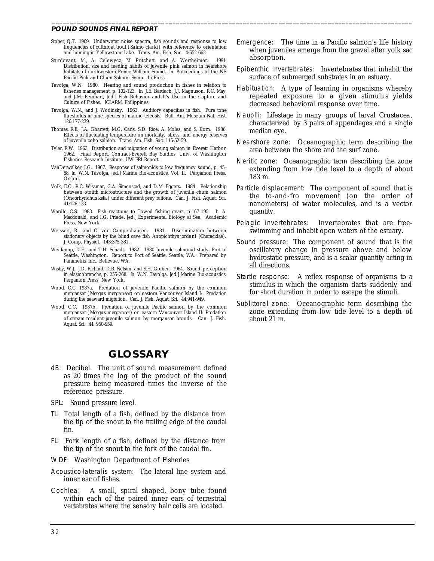- Stober, Q.T. 1969. Underwater noise spectra, fish sounds and response to low frequencies of cutthroat trout ( *Salmo clarki*) with reference to orientation and homing in Yellowstone Lake. Trans. Am. Fish. Soc. 4:652-663
- Sturdevant, M., A. Celewycz, M. Pritchett, and A. Wertheimer. 1991. Distribution, size and feeding habits of juvenile pink salmon in nearshore habitats of northwestern Prince William Sound. *In* Proceedings of the NE Pacific Pink and Chum Salmon Symp. In Press.
- Tavolga, W.N. 1980. Hearing and sound production in fishes in relation to fisheries management, p. 102-123. *In* J.E. Bardach, J.J. Magnuson, R.C. May, and J.M. Reinhart, [ed.] Fish Behavior and It's Use in the Capture and Culture of Fishes. ICLARM, Philippines.
- Tavolga, W.N., and J. Wodinsky. 1963. Auditory capacities in fish. Pure tone thresholds in nine species of marine teleosts. Bull. Am. Museum Nat. Hist. 126:177-239.
- Thomas, R.E., J.A. Gharrett, M.G. Carls, S.D. Rice, A. Moles, and S. Korn. 1986. Effects of fluctuating temperature on mortality, stress, and energy reserves of juvenile coho salmon. Trans. Am. Fish. Soc. 115:52-59.
- Tyler, R.W. 1963. Distribution and migration of young salmon in Everett Harbor, 1962. Final Report, Contract-Everett Bay Studies, Univ. of Washington Fisheries Research Institute, UW-FRI Report.
- VanDerwalker, J.G. 1967. Response of salmonids to low frequency sound, p. 45- 58. *In* W.N. Tavolga, [ed.] Marine Bio-acoustics, Vol. II. Pergamon Press, Oxford.
- Volk, E.C., R.C. Wissmar, C.A. Simenstad, and D.M. Eggers. 1984. Relationship between otolith microstructure and the growth of juvenile chum salmon (*Oncorhynchus keta*) under different prey rations. Can. J. Fish. Aquat. Sci. 41:126-133.
- Wardle, C.S. 1983. Fish reactions to Towed fishing gears, p.167-195. *In* A. Macdonald, and I.G. Priede, [ed.] Experimental Biology at Sea. Academic Press, New York.
- Weissert, R., and C. von Campenhausen. 1981. Discrimination between stationary objects by the blind cave fish *Anopichthys jordani* (Characidae). J. Comp. Physiol. 143:375-381.
- Weitkamp, D.E., and T.H. Schadt. 1982. 1980 Juvenile salmonid study, Port of Seattle, Washington. Report to Port of Seattle, Seattle, WA. Prepared by Parametrix Inc., Bellevue, WA.
- Wisby, W.J., J.D. Richard, D.R. Nelson, and S.H. Gruber. 1964. Sound perception in elasmobranchs, p. 255-268. *In* W.N. Tavolga, [ed.] Marine Bio-acoustics. Pergamon Press, New York.
- Wood, C.C. 1987a. Predation of juvenile Pacific salmon by the common merganser (*Mergus merganser*) on eastern Vancouver Island I: Predation during the seaward migration. Can. J. Fish. Aquat. Sci. 44:941-949.
- Wood, C.C. 1987b. Predation of juvenile Pacific salmon by the common merganser (*Mergus merganser*) on eastern Vancouver Island II: Predation of stream-resident juvenile salmon by merganser broods. Can. J. Fish. Aquat. Sci. 44: 950-959.

# **GLOSSARY**

- dB: Decibel. The unit of sound measurement defined as 20 times the log of the product of the sound pressure being measured times the inverse of the reference pressure.
- SPL: Sound pressure level.
- TL: Total length of a fish, defined by the distance from the tip of the snout to the trailing edge of the caudal fin.
- FL: Fork length of a fish, defined by the distance from the tip of the snout to the fork of the caudal fin.
- WDF: Washington Department of Fisheries
- Acoustico-lateralis system: The lateral line system and inner ear of fishes.
- Cochlea: A small, spiral shaped, bony tube found within each of the paired inner ears of terrestrial vertebrates where the sensory hair cells are located.

Emergence: The time in a Pacific salmon's life history when juveniles emerge from the gravel after yolk sac absorption.

\_\_\_\_\_\_\_\_\_\_\_\_\_\_\_\_\_\_\_\_\_\_\_\_\_\_\_\_\_\_\_\_\_\_\_\_\_\_\_\_\_\_\_\_\_\_\_\_\_\_\_\_\_\_\_\_\_\_\_\_\_\_\_\_\_\_\_\_\_\_\_\_\_\_\_\_\_\_\_\_\_\_\_\_\_\_\_\_\_\_\_\_\_\_\_\_\_\_\_\_\_\_

- Epibenthic invertebrates: Invertebrates that inhabit the surface of submerged substrates in an estuary.
- Habituation: A type of learning in organisms whereby repeated exposure to a given stimulus yields decreased behavioral response over time.
- Nauplii: Lifestage in many groups of larval *Crustacea*, characterized by 3 pairs of appendages and a single median eye.
- Nearshore zone: Oceanographic term describing the area between the shore and the surf zone.
- Neritic zone: Oceanographic term describing the zone extending from low tide level to a depth of about 183 m.
- Particle displacement: The component of sound that is the to-and-fro movement (on the order of nanometers) of water molecules, and is a vector quantity.
- Pelagic invertebrates: Invertebrates that are freeswimming and inhabit open waters of the estuary.
- Sound pressure: The component of sound that is the oscillatory change in pressure above and below hydrostatic pressure, and is a scalar quantity acting in all directions.
- Startle response: A reflex response of organisms to a stimulus in which the organism darts suddenly and for short duration in order to escape the stimuli.
- Sublittoral zone: Oceanographic term describing the zone extending from low tide level to a depth of about 21 m.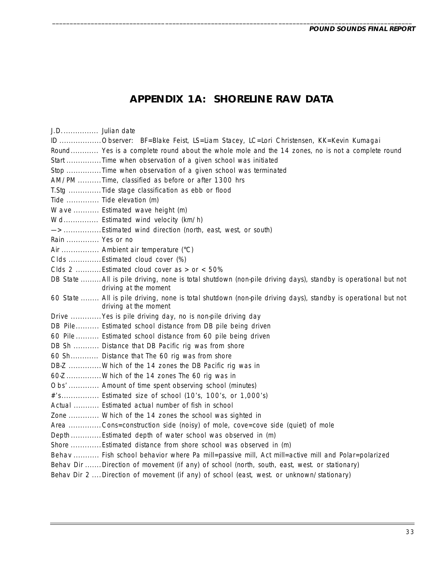# **APPENDIX 1A: SHORELINE RAW DATA**

\_\_\_\_\_\_\_\_\_\_\_\_\_\_\_\_\_\_\_\_\_\_\_\_\_\_\_\_\_\_\_\_\_\_\_\_\_\_\_\_\_\_\_\_\_\_\_\_\_\_\_\_\_\_\_\_\_\_\_\_\_\_\_\_\_\_\_\_\_\_\_\_\_\_\_\_\_\_\_\_\_\_\_\_\_\_\_\_\_\_\_\_\_\_\_\_\_\_\_\_\_\_

J.D. Julian date ............... ID .................. Observer: BF=Blake Feist, LS=Liam Stacey, LC=Lori Christensen, KK=Kevin Kumagai Round ............ Yes is a complete round about the whole mole and the 14 zones, no is not a complete round Start .................Time when observation of a given school was initiated Stop .................Time when observation of a given school was terminated AM/PM ..........Time, classified as before or after 1300 hrs. T.Stg ................Tide stage classification as ebb or flood Tide Tide elevation (m) .............. Wave ........... Estimated wave height (m) Wd................ Estimated wind velocity (km/h) —> ................ Estimated wind direction (north, east, west, or south) Rain ............... Yes or no Air ................ Ambient air temperature (°C) Clds ..............Estimated cloud cover (%) Clds 2 ........... Estimated cloud cover as > or < 50% DB State ......... All is pile driving, none is total shutdown (non-pile driving days), standby is operational but not driving at the moment 60 State ........ All is pile driving, none is total shutdown (non-pile driving days), standby is operational but not driving at the moment Drive ............. Yes is pile driving day, no is non-pile driving day DB Pile.......... Estimated school distance from DB pile being driven 60 Pile .......... Estimated school distance from 60 pile being driven DB Sh ........... Distance that DB Pacific rig was from shore 60 Sh............ Distance that The 60 rig was from shore DB-Z .............. Which of the 14 zones the DB Pacific rig was in  $60-Z$  ................ Which of the 14 zones The 60 rig was in Obs' ............. Amount of time spent observing school (minutes) #'s................ Estimated size of school (10's, 100's, or 1,000's) Actual ........... Estimated actual number of fish in school Zone ............. Which of the 14 zones the school was sighted in Area ..............Cons=construction side (noisy) of mole, cove=cove side (quiet) of mole Depth ............. Estimated depth of water school was observed in (m) Shore .............Estimated distance from shore school was observed in (m) Behav ........... Fish school behavior where Pa mill=passive mill, Act mill=active mill and Polar=polarized Behav Dir ....... Direction of movement (if any) of school (north, south, east, west. or stationary) Behav Dir 2 .... Direction of movement (if any) of school (east, west. or unknown/stationary)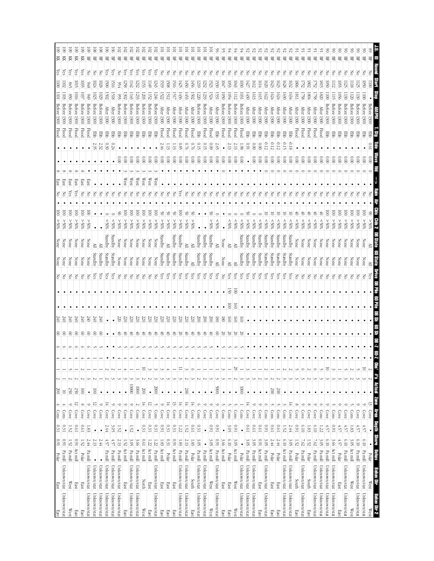| East         | East                   | Polar                               | $1600$      | $0.31\,$    | Cons | A.            | $\frac{200}{200}$       |                  |   |                |                    |    |                    | 의   | None    |         | %65              | ē                |    | East               |                      |           | Flood         | <b>Before</b><br>1300                         | $\frac{101}{2}$  | $\overline{001}$  | χes | Ř | 9  |
|--------------|------------------------|-------------------------------------|-------------|-------------|------|---------------|-------------------------|------------------|---|----------------|--------------------|----|--------------------|-----|---------|---------|------------------|------------------|----|--------------------|----------------------|-----------|---------------|-----------------------------------------------|------------------|-------------------|-----|---|----|
| Unknown/stat | Unknown/stat           | Pa mill                             | 160         | 0.31        | Cons | ∸             | $\overline{a}$          |                  |   | ଃ∣ଞ            | $rac{240}{240}$    |    |                    | Ιš  | None    | None    | %05 <            | ē                |    | 13RF               |                      |           | <b>Flood</b>  | Before<br>1300                                | 103              | $\overline{102}$  | es, | Ř | S  |
| West         | $\mathbb{W}\text{est}$ | Act $\frac{\text{min}}{\text{Pam}}$ | 1.52        | 1.52        | Cove | $\circ$       | $\frac{250}{20}$        |                  |   | 8              | 240                |    |                    | 공   | None    | None    | %05 <            | ē                |    | នឌ                 |                      |           | <b>Flood</b>  | Betore<br>1300                                |                  | 945               | λës | 頁 | 3  |
| East         | East                   |                                     | 160         | 10'0        | Cove | 12            | 250                     |                  |   | 8              | 240                |    |                    | 공   | None    |         | %05 <            | $\overline{8}$   |    | <b>East</b><br>χes |                      |           | Flood         | Betore<br>1300                                | ioi              | ior               | χes | 頁 | 3  |
| East         | East                   | Polar                               | 1.52        | 19'0        | Cove | $\infty$      | $\overline{\mathsf{S}}$ |                  |   | 18             | 340                |    |                    | 공   | None    | None    | %05 <            | ē                |    | East               |                      |           | <b>Flood</b>  | <b>Before</b><br>1300                         | 103              | 1035              | es, | 頁 |    |
| Unknown/stat | Unknown/stat           | $\mathbf{P} \mathbf{a}$ mill        | 2.44        | 1.83        | Cove | $\circ$       | $\bullet$               |                  |   | $\otimes$      | 340                |    |                    | š   | None    | None    | %05<             | ē                |    | äst                |                      | $\bullet$ | Flood         | <b>Before</b><br><b>1300</b>                  |                  | 8#6               | 공   | 景 |    |
| Unknown/stat | Unknown/stat           |                                     | 2.13        | $\bullet$   | Cove | π             | $\bar{\mathbb{S}}$      |                  |   | $\circledcirc$ | 240                |    |                    | ČS  | Standby | ≧       |                  |                  |    |                    |                      | 235       | 臣             | <b>Before</b><br>1300                         | 1025             | 1024              | š   | 景 | 80 |
| Unknown/stat | Unknown/stat           | $\bullet$                           | 2.44        | $\bullet$   | Cove | $\circ$       | $\bullet$               |                  |   | $^{\circ}$     | 240                |    |                    | χes | Standby | ≧       | ٠                |                  | F  |                    |                      | 2.32      | 蛋             | Before 1300                                   | 1029             | 1028              | š   | 岊 | 80 |
| Unknown/stat | Unknown/stat           | Pa mill                             | 4.57        | 2.44        | Cove | Ħ             | $\bullet$               |                  |   |                | $\bullet$          |    |                    | ζës | Standby | Standby | &805             |                  | š  |                    |                      | 030       | 臣             | <b>After</b><br>1300                          | 15021            | 1500              | λës | 岊 |    |
| Unknown/stat | Unknown/stat           | Pa mill                             | 4.57        | 3.OS        | Cove | $\circ$       | $\bullet$               | ىن               |   | $\bullet$      | $\bullet$          |    |                    | χes | Standby | Standby | 80%              |                  | š  |                    |                      | 0.24      | 턯             | <b>After</b><br>1300                          | 1518             | <b>SIG</b>        | çs  | 몊 |    |
| Unknown/stat | Unknown/stat           | Pa mill                             | 2.13        | 25          | Cove | $\circ$       | $\bullet$               |                  |   | €              | 220                |    |                    | Š   | None    | None    | %05 <            | S                | Z  |                    | 000                  |           | 军             | Before<br>1300                                | 95               | 56                | 공   | 岊 |    |
| East         | East                   | Act mill                            | 1.52        | $\bullet$   | Cove | $\circ$       | $\bullet$               |                  |   | €              | 220                |    |                    | š   | None    | None    | $% 0<$           | $\overline{\Xi}$ | F  | West               | $0.00$               |           | 军             | <b>Before</b><br>1300                         | <b>1302</b>      | <b>1258</b>       | çs  | 岊 |    |
| Unknown/stat | Unknown/stat           | Pa mill                             | 3.OS        | 1.52        | Cove | $\circ$       | 00001                   |                  |   | き              | 220                |    |                    | 공   | None    | None    | %05 <            | ē                | Z  | West               | 0.00                 |           | 军             | Before 1300                                   | ΙHЭ              | $\overline{142}$  | ζes | 呂 |    |
| Unknown/stat | Unknown/stat           | Pa mill                             | 3.66        | $\bullet$   | Cons | 2             | 10001                   | ىت               |   | €              | 220                |    |                    | F   | None    | None    | %05 <            | $\bar{\rm s}$    | 중  | West               | 000                  |           | 뿡             | Before 1300                                   | 1233             | 1232              | ζes | 먺 |    |
| West         | North                  | Act mill                            | <b>D.61</b> | 0.31        | Cove | $\frac{1}{4}$ | 200                     | 5                |   | €              | 220                |    |                    | 중   | None    | None    | $\$0\frac{2}{5}$ | ē                |    | West               | $\frac{0.00}{2}$     |           | 턯             | Before 1300                                   | 1203             | 153               | çs  | 岊 |    |
| East         | East                   | Act mill                            | 1.22        | 0.31        | Cove | ನ             | $\bullet$               |                  |   | ざ              | 220                |    |                    | F   | None    | None    | %05 <            | ē                |    | West               | $\frac{0.00}{2}$     |           | 턯             | Before<br>1300                                | LI52             | 651               | ίes | 먺 |    |
| Unknown/stat | Unknown/stat           | Pa mill                             | 1.22        | 0.31        | Cons | J             | 0007                    |                  |   | ざ              | 52                 |    |                    | 공   | None    | None    | \$05<            | ē                |    | West               | 0.00                 |           | 罗             | Before<br>1300                                | 1246             | 1243              | (es | 먺 |    |
| East         | East                   | Act mill                            | 1.83        | 160         | Cove | $\circ$       | $\bullet$               |                  |   | €              | 220                |    |                    | Υes | Standby | Standby | %05<             | ž                |    |                    | 0.00                 | 44        | Flood         | <b>After</b><br>1300                          | <b>522</b>       | 1519              | 종   | 몊 |    |
| East         | East                   | Polar                               | 0.31        | 0.31        | Cove | 14            | ٠                       |                  |   | €              | T                  |    |                    | çs  | Standby | ≧       | %05 <            | ర                |    |                    | 000                  | ä         | Hood          | <b>After</b><br>1300                          | 1512             | <b>1508</b>       | 중   | 岊 |    |
| East         | East                   | Act mill                            | 1600        | 0.31        | Cove | $\frac{1}{2}$ | $\bullet$               |                  |   | ₿              | $\overline{520}$   |    |                    | χes | Standby | Standby | %05<             |                  |    |                    | $\frac{1}{2}$        | Ξ3        | Flood         | After<br>1300                                 | IŚU              | 1516              | 중   | 묚 |    |
| Unknown/stat | Unknown/stat           | Pa mill                             | 1.83        | 1.22        | Cove | $\frac{1}{4}$ | $\bullet$               | Ξ<br>ىر          |   | 8              | 22                 |    |                    | çs  | Standby | Standby | \$0%<            | ē                | çs |                    | 000                  | 0.85      | Flood         | <b>After</b><br>1300                          | 1436             | $\frac{1}{2}$     | 공   | 몊 |    |
| Unknown/stat | Unknown/stat           | Pa mill                             | 2.13        | 1.52        | Cove | 보             | 200                     |                  |   | ₿              | T                  |    |                    | ίes | Standby | ≧       | $\$0\frac{2}{5}$ | క                | Z  |                    | $\approx 0$          | 0.76      | Flood         | <b>After</b><br><b>1300</b>                   | 1453             | $\frac{1}{20}$    | F   | 몊 |    |
| East         | South                  | Polar                               | 1.83        | <b>D.61</b> | Cove | Ħ             | $\bullet$               |                  |   | €              | 220                |    |                    | Yes | ≧       |         | %05<             | క                |    |                    | $\frac{0.00}{\pi}$   |           | Flood         | <b>After</b><br>1300                          | 502              | 1456              | š   | 岊 |    |
| Unknown/stat | Unknown/stat           | Pa mill                             | 3.05        | 0.31        | Cons | $\circ$       | $\bullet$               |                  |   | €              | $\approx$          |    |                    | Υes | Standby | Standby |                  |                  | š  |                    | 000                  | 0.15      | 쭏             | Before<br>1300                                | 1220             | 1219              | F   | 岊 |    |
| Unknown/stat | Unknown/stat           | Pa mill                             | $\bullet$   | $\bullet$   | Cove | $\circ$       | $\bullet$               | $\sim$           |   | €              | 200                |    |                    | Yes | Standby | Standby |                  |                  | 중  |                    | $\frac{0.00}{\pi}$   | 0.15      | <b>Flood</b>  | Before<br>1300                                | 1233             | $\frac{232}{2}$   | 종   | 岊 |    |
| West         | West                   | Act mill                            | 3.05        | 160         | Cove | $\circ$       | $\bullet$               | Ĉ                |   | お              | 200                |    |                    | Yes | Standby | Standby | %05 <            | š                | δ  |                    | 000                  | 60.0      | Hood          | After<br>1300                                 | 1524             | 1523              | š   | 岊 |    |
| Unknown/stat | Unknown/stat           | Pa mill                             | 160         | 160         | Cove | $\circ$       | 0009                    | ىر               |   | $^{\circ}$     | $\overline{8}$     |    |                    | Уes | ≧       | ≧       | \$05             |                  | š  |                    | 000                  | 2.65      | 臣             | <b>After</b><br>1300                          | 1531             | 1530              | F   | 岊 |    |
| East         | East                   | Act mill                            | 3.66        | $\bullet$   | Cons | Ĵ             | $\bullet$               |                  |   | 20             | $\overline{8}$     |    | $\bullet$          | š   | None    | None    | $\bullet$        |                  | š  |                    | 000                  |           | Flood         | <b>Before</b><br>1300                         | $\overline{050}$ | 1047              | š   | 岊 |    |
| East         | East                   | Polar                               | 6.10        | 3.05        | Cons |               | $\bullet$               |                  |   | ४              | $\overline{60}$    | g  | 13                 | χes | ≧       | ≧       | %05              |                  | š  |                    | $0.00$               | 2.13      | <b>Flood</b>  | Before<br>1300                                | 1054             | 1053              | š   | 岊 |    |
| West         | West                   | Act mill                            | ن<br>چ      | 160         | Cons |               | $\bullet$               | 29               |   | 20             | $\overline{5}$     | 5g | $\overline{\rm s}$ | ζes | ≧       | ≧       | \$05             |                  | š  |                    | 000                  | 2.13      | Flood         | Before 1300                                   | ZЩ               | $\frac{1043}{2}$  | š   | 呂 |    |
| Unknown/stat | Unknown/stat           | Polar                               | $\bullet$   | $\bullet$   | Cons |               | 10001                   | Ō.               |   | 72             | $\overline{\circ}$ |    |                    | χes | Standby | Standby | &805             |                  | š  |                    | 000                  | 1.98      | <b>Flood</b>  | Before 1300                                   | 1031             | $\frac{1030}{20}$ | 중   | 景 | ≆  |
| Unknown/stat | Unknown/stat           | Pa mill                             | 3.05        | 100         | Cove | 董             | $\bullet$               |                  |   |                |                    |    |                    | ζëς | Standby | Standby | %05 <            |                  |    |                    |                      | 160       | 罩             | After 1300                                    | 1430             | $\overline{1427}$ | š   | 景 |    |
| Unknown/stat | Unknown/stat           | Pa mill                             | 3.OS        | 100         | Cove | ∽             | $\bullet$               |                  |   | $\bullet$      | ٠                  |    |                    | уes | Standby | Standby | \$80%            |                  |    |                    | $\widetilde{\infty}$ | 000       | 몋             | <b>After</b><br><b>1300</b>                   | 1613             | [612              | S   | 몊 |    |
| East         | East                   | Act mill                            | 160         | 19'0        | Cove | $\circ$       | $\bullet$               |                  |   | $\bullet$      | ٠                  |    |                    | Yes | Standby | Standby | %05              |                  | F  |                    | 000                  | 0.00      | 문             | After<br>1300                                 | 1615             | 1614              | 중   | 몊 |    |
| Unknown/stat | Unknown/stat           | $\mathbf{Pa}$ mill                  | 3.05        | 160         | Cons | Ó             | $\bullet$               |                  |   | $\bullet$      |                    |    |                    | χes | Standby | Standby | \$80%            |                  | 3  |                    | 000                  | -0.12     |               | <b>After</b><br>1300                          | 1622             | $\overline{020}$  | š   | 묚 |    |
| East         | East                   | Polar                               | 2.44        | <b>D.61</b> | Cons |               | 200                     |                  |   | $\bullet$      |                    |    |                    | çs  | Standby | Standby | \$80%            | 5                |    |                    | 000                  | $-0.12$   | 물             | After<br><b>1300</b>                          | 1624             | 1623              | 중   | 岊 |    |
| East         | East                   | Polar                               | 2.44        | <b>D.61</b> | Cons |               | 200                     |                  |   | $\bullet$      |                    |    |                    | çs  | Standby | Standby | &805             | ਫ                |    |                    | $\frac{0.00}{2}$     | $-0.12$   | 뿡             | $\operatorname{\mathsf{M}\acute{e}t}$<br>1300 | 1624             | $\overline{1623}$ | š   | 景 |    |
| Unknown/stat | Unknown/stat           | Act mill                            | 010         | 1.52        | Cons |               | $\bullet$               |                  |   | $\bullet$      |                    |    |                    | çs  | Standby | Standby | \$05             | 5                | Z  |                    | 000                  | 4.15      | 罗             | <b>After</b><br><b>1300</b>                   | 1630             | 1628              | š   | 呂 |    |
| Unknown/stat | Unknown/stat           | Pa mill                             | 3.05        | 2.44        | Cove | ᆍ             | $\bullet$               |                  |   | ٠              |                    |    |                    | çs  | Standby | Standby | &805             |                  |    |                    | $\approx 0$          | $-0.18$   | 품             | After<br><b>1300</b>                          | 1634             | $\overline{1632}$ | š   | 먺 |    |
| East         | South                  | Polar                               | 1.52        | 160         | Cove | 8             | $\bullet$               |                  |   |                |                    |    |                    | 공   | None    | None    | %05              | ਠੇ               |    |                    | 0.00                 |           | <b>bool</b> : | <b>After</b><br>1300                          | $\overline{181}$ | 9081              | 공   | 岊 |    |
| Unknown/stat | Unknown/stat           | Pa mill                             | 7.62        | 6.10        | Cove | $\circ$       | $\bullet$               | Ö                |   | $\bullet$      |                    |    |                    | 중   | None    | None    | 80%              | お                | 중  |                    | 000                  |           | Flood         | <b>After</b><br>1300                          | 1758             | $\overline{172}$  | š   | 묚 |    |
| East         | South                  | Polar                               | 1.52        | 1.83        | Cove | $\infty$      | $\bullet$               |                  |   | $\bullet$      |                    |    |                    | 공   | None    | None    | 80%              | さ                | Z  |                    | $\frac{0}{2}$        |           | <b>Flood</b>  | <b>Atter</b><br><b>1300</b>                   | 1804             | <b>1802</b>       | 종   | 묚 |    |
| Unknown/stat | Unknown/stat           | Pa mill                             | 7.62        | 6.10        | Cove | $\circ$       | $\bullet$               | O                |   | $\bullet$      |                    |    |                    | 공   | None    | None    | $^{805}$         | 40               |    |                    | $\frac{1}{2}$        |           | Flood         | <b>After</b><br>1300                          | 178              | $\mathbb{Z}_2$    | 중   | 몊 |    |
| Unknown/stat | Unknown/stat           | Pa mill                             | 3.05        | 1.22        | Cons | $\circ$       | $\bullet$               | J<br>ىن          |   | $\bullet$      |                    |    |                    | 공   | None    | None    | $^{805}$         | 4                | Z  |                    | $\frac{1}{2}$        |           | Flood         | After $1300$                                  | 0781             | 1812              | 공   | 兕 |    |
| Unknown/stat | Unknown/stat           | Pa mill                             | 010         | 4.57        | Cove | $\circ$       | ٠                       | $\Xi$            |   | ٠              |                    |    |                    | 공   | None    | None    | \$05<            | ē                |    |                    | $\frac{1}{2}$        |           | 罗             | Before<br>1300                                | $\overline{5}$   | $\overline{050}$  | Z   | 묚 |    |
| Unknown/stat | Unknown/stat           | Act mill                            | 3.66        | 160         | Cons |               | $\bullet$               |                  |   |                |                    |    |                    | š   | None    | None    | %05<             | $\overline{8}$   | శ  |                    | $\overline{0}0$      |           | 蛋             | Before<br>1300                                |                  | LI12              | š   | 묚 |    |
| East         | <b>East</b>            | Polar                               | 4.57        | 4.57        | Cove |               |                         |                  |   |                |                    |    |                    | š   | None    | None    | %05 <            | ē                |    |                    | $\frac{0}{2}$        |           | 몋             | Before<br>1300                                | 056              | 5g                | F   | 몊 |    |
| Unknown/stat | Unknown/stat           | Pa mill                             | 6.10        | 4.57        | Cove | ७             | $\bullet$               |                  |   |                |                    |    |                    | ξ   | None    | None    | %05 <            | ē                |    |                    | $\tilde{\rm s}$      |           | 품             | detore<br>1300                                | II30             | $\overline{125}$  | ξ   | 몪 |    |
| West         | West                   | Act mill                            | 3.05        | 1.83        | Cons |               |                         |                  |   |                |                    |    |                    |     | None    |         | %05 <            | S                |    |                    | öΰ                   |           | 품             | Betore<br>1300                                | 120              | $\frac{118}{2}$   | F   | 岊 |    |
| Unknown/stat | Unknown/stat           | Pa mill                             | 010         | 4.57        | Cove | c             |                         |                  |   |                |                    |    |                    |     |         |         | ‰<br>*           | 8                |    |                    |                      |           |               | 1300                                          |                  | 125               |     | 몊 |    |
| Unknown/stat | Unknown/stat           | Pa mill                             | 6.10        | 4.57        | Cove | $\circ$       | $\bullet$               | 5                |   |                |                    |    |                    |     | None    |         | $*065$           |                  |    |                    |                      |           |               | Before<br>1300                                |                  | $\overline{0.90}$ | š   | 岊 |    |
| West         | West                   | Polar                               |             |             | Cove | 5             | ٠                       | N<br>$\sim$      |   |                |                    |    |                    |     |         |         |                  |                  |    |                    |                      |           |               | 1300                                          |                  | $\overline{5}$    |     | 몊 |    |
| Dir 2        |                        |                                     | F           | ÌШ          | шж   | Zanne,        | <b>AGAIRE</b>           | $\frac{475}{25}$ | Ę |                |                    |    |                    |     |         |         |                  |                  |    |                    |                      |           |               |                                               |                  |                   |     |   |    |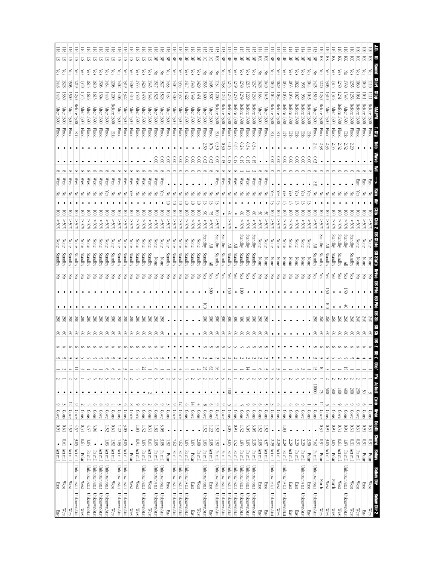| $\mathbb{W}\text{est}$<br>East<br>West<br>East  |              |                              |                         |                         |                                                   |                         |                 |                |           |                                   |   |                      |        |                    |      |         |                  |                         |     |              |                            |       |                 | <b>After</b>                          |                            |                          |            |                         |  |
|-------------------------------------------------|--------------|------------------------------|-------------------------|-------------------------|---------------------------------------------------|-------------------------|-----------------|----------------|-----------|-----------------------------------|---|----------------------|--------|--------------------|------|---------|------------------|-------------------------|-----|--------------|----------------------------|-------|-----------------|---------------------------------------|----------------------------|--------------------------|------------|-------------------------|--|
|                                                 |              | Act mill                     | $\bullet$               | 160                     | $\circ$<br>ĉ<br>Cove<br>Cons                      | $\bullet$               |                 |                | ଆ         | 280                               |   |                      | š      | Standby            |      |         | %65              | S                       |     | West         |                            |       | Flood           | 1300                                  | $\frac{6}{1}$              | $\frac{1}{448}$          | χes        |                         |  |
| $\mathbb{W}\text{est}$<br>West                  |              | Act mill<br>Act mill         | [0.61]                  | <b>D.61</b>             | 5<br>Cove                                         | $\bullet$               |                 | 4              |           | 280<br>$\tilde{8}$<br>S           |   |                      | 공<br>공 | Standby<br>Standby |      |         | %05 <<br>%05<    | ē<br>ē                  |     | West<br>West |                            |       | Flood<br>Flood  | After<br>After<br><b>1300</b><br>1300 | 1509<br>1330               | $\overline{328}$<br>Š05  | çs<br>es,  | ᠳ                       |  |
| Unknown/stat                                    | Unknown/stat | Act mill                     | 3.05<br>$\bullet$       | 1.52                    | Cove                                              | $\bullet$<br>$\bullet$  |                 | Ξ              |           | $\frac{8}{6}$<br>8                |   |                      |        | Standby            |      |         | %05 <            | ē                       |     | West         |                            |       | PB <sub>D</sub> | 1300                                  | 1230<br>Betore             | 6171                     | çs         | 5                       |  |
| West<br>West                                    |              | Polar                        | 0.61                    | 4.57<br>0.31            | $\circ$<br>Cons                                   | $\bullet$               |                 |                |           | $\approx$<br>S                    |   |                      | š      | Standby            |      |         | %05<             | ē                       |     | Wesl         |                            |       | <b>Flood</b>    | After<br>1300                         | 1343                       | 1340                     | (es        | ವ                       |  |
| Unknown/stat                                    | Unknown/stat | $\mathbf{P} \mathbf{a}$ mill | 3.05                    | 457                     | Cons                                              | $\bullet$               |                 |                |           | $\frac{8}{2}$<br>S                |   |                      | 공      | Standby            |      |         | %05<             | ē                       |     | West         |                            |       | Flood           | <b>After</b><br>1300                  | 1616                       | l615                     | çs         | 57                      |  |
| Unknown/stat                                    | Unknown/stat | $\mathbf{P} \mathbf{a}$ mill |                         | 3.96                    | $\circ$<br>Cons                                   | $\bullet$               |                 |                |           | $\approx$<br>S                    |   |                      | 중      | Standby            |      |         | $\$005$ <        | $\overline{\mathsf{S}}$ |     | West         |                            |       | <b>Flood</b>    | <b>After</b><br><b>1300</b>           |                            | 1610<br>1613             | (es        | 5                       |  |
| Unknown/stat                                    | Unknown/stat | Act mill                     |                         | $\bullet$               | $\infty$<br>Cove                                  | $\bullet$               |                 |                |           | 280<br>S                          |   |                      | 공      | Standby            |      |         | %05 <            | $\overline{\Xi}$        |     | West         |                            |       | <b>Flood</b>    | <b>After</b><br><b>1300</b>           |                            | 503<br>1504              | es,        | 57                      |  |
| Unknown/stat                                    | Unknown/stat | Act mill                     | 1.83                    | 1.52                    | ७<br>Cove                                         | $\bullet$               |                 | G              |           | 87<br>S                           |   |                      | 공      | Standby            |      |         | \$0%<            | $\overline{5}$          |     | West         |                            |       | Flood           | <b>After</b><br>1300                  | 1440                       | 1434                     | ζëς        | SI.                     |  |
| West<br>West                                    |              | Act mill                     | 1.52                    | <b>D.61</b>             | $\frac{\text{Con}}{\text{Con}}$                   | $\bullet$               |                 | Ó              |           | $\frac{8}{2}$<br>8                |   |                      | F      | Standby            | None |         | \$0%<            | ē                       |     | West         |                            |       | <b>EDD</b>      | Before 1300                           | 1209                       | 1203                     | çs         | 57                      |  |
| Unknown/stat                                    | Unknown/stat | Act mill                     | 1.83                    | 1.22                    | ى<br>Cons                                         | $\bullet$               |                 |                |           | 87<br>S                           |   |                      | 공      | Standby            |      |         | $\$0\frac{2}{5}$ | ē                       |     | West         |                            |       | <b>Flood</b>    | <b>After</b><br><b>1300</b>           | $-1000$                    | (402                     | (es        | 5                       |  |
| Unknown/stat                                    | Unknown/stat | Act mill                     | 3.05                    | 3.05                    | $\circ$<br>Cons                                   | $\bullet$               |                 |                |           | 87<br>S                           |   |                      | 공      | Standby            |      |         | %05 <            | ē                       |     | West         |                            |       | Flood           | <b>After</b><br>1300                  | 1322                       | 1319                     | (es        | 5                       |  |
| West<br>West                                    |              | Polar                        | $\bullet$               | $\bullet$               | $\infty$<br>Cove                                  | $\bullet$               |                 |                |           | 280<br>S                          |   |                      | 중      | Standby            |      |         | %05 <            | $\overline{5}$          |     | West         |                            |       | <b>Flood</b>    | <b>After</b><br><b>1300</b>           | 1410                       | $\frac{1}{60}$           | ζes        | 5                       |  |
| West<br>West                                    |              | Act mill                     | 1600                    | 1.83                    | $\circ$<br>Cove                                   | $\bullet$               |                 | J              |           | $^{58}$<br>S                      |   |                      | 중      | Standby            |      |         | %05<             | $\overline{5}$          |     | West         |                            |       | <b>Flood</b>    | After<br>1300                         |                            | 1535<br>1540             | ζes        | S                       |  |
| Unknown/stat                                    | Unknown/stat | Pa mill                      | 3.OS                    | 1.52                    | $\circ$<br>Cons                                   | $\bullet$               | ى               | 22             |           | 280<br>S                          |   |                      | 중      | Standby            |      |         | %05<             | ē                       |     | West         |                            |       | <b>Flood</b>    | After<br>1300                         | 1450                       | $\frac{1428}{2}$         | (es        | ᡦ                       |  |
| West<br>West                                    |              | Act mill                     | <b>D.61</b>             | 0.31                    | N<br>Cons                                         | $\sim$                  |                 |                |           | 280<br>S                          |   |                      | 중      | Standby            |      |         | %05 <            | ē                       |     | West         |                            |       | Flood           | After<br>1300                         | 1346                       | 1345                     | es,        | 5                       |  |
| Unknown/stat                                    | Unknown/stat | $\mathbf{P} \mathbf{a}$ mill | 3.05                    | $1.83\,$                | ⊝<br>Cons                                         | $\bullet$               |                 | $^{\circ}$     |           | 280<br>8                          |   |                      | 공      | None               |      |         | %05 <            | ē                       |     | West         | $\frac{0.00}{\pi}$         |       | <b>Flood</b>    | <b>After</b><br><b>1300</b>           |                            | 1525                     | 중<br>ГŠ17  | 묚                       |  |
| Unknown/stat                                    | Unknown/stat | $\rm Pa\,m\rm{ll}$           | 3.05                    | 3.05                    | $\circ$<br>Cove                                   | $\bullet$               |                 |                |           | 280<br>8                          |   |                      | 중      | None               | None |         | %05<             | ē                       |     | West         | 000                        |       | <b>Flood</b>    | After<br>1300                         | 1528                       | 1527                     | 중          | 묚                       |  |
| East<br>East                                    |              | Polar                        | 1.52                    | $\bullet$               | ىپ<br>Cons                                        | $\bullet$               |                 |                |           |                                   |   |                      | 공      | Standby            | None |         | $$0\%$           | $\overline{\mathsf{S}}$ |     |              | $\approx 0$                |       | <b>Flood</b>    | <b>After</b><br>0021                  | 1434                       | 433                      | çs         | 몊                       |  |
| Unknown/stat                                    | Unknown/stat | Pa mill                      | 7.62                    | $\bullet$               | $\circ$<br>Cove                                   | $\bullet$               |                 |                |           | $\bullet$                         |   |                      | 중      | Standby            |      |         | %05 <            | $\overline{\mathsf{S}}$ |     |              | $\frac{1}{2}$              |       | <b>Flood</b>    | After<br>1300                         | 1409                       | #04                      | çs         | 몊                       |  |
| Unknown/stat                                    | Unknown/stat | Pa mill                      | 7.62                    | $\bullet$               | $\overline{5}$<br>Cove                            | $\bullet$               | Ō,              |                | $\bullet$ | $\bullet$                         |   |                      | 공      | Standby            | None |         | %05 <            | $\overline{8}$          | Z   |              | $\approx 0$                |       | Flood           | <b>After</b><br>1300                  | 1357                       | 1353                     | χes        | 먺                       |  |
| Unknown/stat                                    | Unknown/stat | Pa mill                      | 3.<br>OS                |                         | $\circ$<br>Cons                                   | $\bullet$               |                 |                | ٠         | ٠                                 |   |                      | ξ      | Standby            |      |         | %05 <            | ē                       |     |              | $\frac{0.00}{2}$           |       | <b>Flood</b>    | After<br>1300                         | 1422                       | Ē                        | Čes        | 屶                       |  |
| East<br>East                                    |              | Polar                        | 3.05                    | $\bullet$               | ᆍ<br>Cove                                         | $\bullet$               |                 |                |           |                                   |   |                      | 공      | Standby            | None |         | $%05$ <          | ē                       |     |              | $\frac{0}{2}$              |       | Flood           | Atter<br>1300                         | 1349                       | 1348                     | (es        | 岊                       |  |
| West<br>West                                    |              | Pa mill                      | $2.80\,$                | ٠                       | Cons                                              | ٠                       |                 |                |           |                                   |   |                      | 공      | Standby            | None |         | %05 <            | ē                       |     |              | 000                        |       | Flood           | After<br><b>1300</b>                  |                            | $\overline{50}$<br>1431  | es,        | 岊                       |  |
| Unknown/stat                                    | Unknown/stat | Pa mill                      | 1.83                    | 1.52                    | $\infty$<br>Cove                                  | $\bullet$               | N               | 52             |           | $\frac{300}{2}$<br>8              | 3 | $\bullet$            | Çes    | Standby            |      | Standby | %65              | S                       |     |              | 80.                        | 2.59  | <b>Flood</b>    | After $1300$                          |                            | <u>1551</u><br>1600      | 중          | 5                       |  |
| East<br>East                                    |              | Act mill                     | 3.05                    | 1.22                    | Ó<br>Cons                                         | $\bullet$               |                 | $\mathbb{C}^2$ |           | $\approx$<br>$^{\circ}$           |   | $\approx$            | çs     | ≧                  | ≧    |         | %05 <            |                         |     |              | 600                        | 0.76  | Flood           | After<br><b>1300</b>                  |                            | $\overline{5}$<br>150    | F          | 5                       |  |
| Unknown/stat                                    | Unknown/stat | Pa mill                      | 1.52                    | 25                      | $\circ$<br>Cove                                   | $\bullet$               |                 | 26             |           | š<br>8                            |   |                      | çs     | Standby            |      | Standby | %05 <            | S                       |     | West         | $\frac{0.0}{2}$            | 930   | 쭏               | 1300                                  | $\overline{000}$<br>Before | 1134                     | F          | 頁                       |  |
| Unknown/stat                                    | Unknown/stat | Pa mill                      | $\bullet$               | $\bullet$               | $\circ$<br>Cove                                   | $\bullet$               |                 |                |           | $\breve{\mathbf{g}}$<br>$\otimes$ |   | $\bullet$            | çs     | Standby            |      | Standby |                  |                         |     | West         | 0.15                       | 030   | <b>Flood</b>    | 1300                                  | 1240<br><b>Before</b>      | 1238                     | çs         | 岊                       |  |
| Unknown/stat                                    | Unknown/stat | $\mathbf{P} \mathbf{a}$ mill | 3.05                    | 3.05                    | J<br>Cons                                         | $\overline{\mathrm{g}}$ |                 |                |           | š<br>S                            |   | T                    | es.    | Standby            |      |         | %05 <            | 8                       |     | West         | 0.15                       | 4.15  | Flood           | 1300                                  | 0740<br><b>Before</b>      | 1245                     | es.        | 묚                       |  |
| Unknown/stat                                    | Unknown/stat | $\mathbf{Pa}$ mill           | 1.52                    | 160                     | Cons                                              | $\bullet$               |                 |                |           | š<br>S                            |   | $\bullet$            | çs     | Standby            |      |         |                  |                         |     | West         | 0.15                       | -0.34 | Flood           | Before 1300                           | 1250                       | 647                      | (es        | 岊                       |  |
| Unknown/stat                                    | Unknown/stat | Pa mill                      | 1.83                    | 1.52                    | Cons                                              | $\bullet$               | N               |                |           | $\approx$<br>S                    |   | $\overline{\otimes}$ | уes    | Standby            |      | Standby | %05<             | g                       |     | West         | O. 15                      | 10.24 | <b>Flood</b>    | Before 1300                           | 1239                       | 1238                     | ćs         | 뫂                       |  |
| Unknown/stat                                    | Unknown/stat | Pa mill                      | 3.05                    | 3.05                    | ७<br>Cove                                         | $\bullet$               | Ō.              | 도              |           | $\frac{8}{2}$<br>8                |   |                      | ζes    | Standby            |      | Standby | %05 <            | S                       |     | West         | 0.15                       | 434   | Flood           | Before 1300                           | 1229                       | 512                      | es,        | 景                       |  |
| Unknown/stat                                    | Unknown/stat | Pa mill                      | 33                      | 3.OS                    | Ó<br>Cons                                         | $\bullet$               |                 |                |           | $\approx$<br>$\otimes$            |   |                      | ζes    | Standby            |      | Standby | \$055            | S                       |     | West         | 0.15                       | ₽\$   | Flood           | 1300                                  | 238<br><b>Before</b>       |                          | (es<br>33. | 몪                       |  |
| East<br>East                                    |              | Act mill                     | 3.05                    | 1.52                    | Ó<br>Cons                                         | $\bullet$               |                 |                |           | 280<br>$^{\circ}$                 |   |                      | 공      | None               | None |         | %05<             |                         |     | West         |                            |       | <b>Flood</b>    | <b>After</b><br>1300                  |                            | 8791<br>163 <sup>2</sup> | 공          | 頁                       |  |
| <b>East</b><br>East                             |              | Act mill                     | 457                     | 1.52                    | Cons                                              | $\bullet$               |                 |                |           | 280<br>$\otimes$                  |   |                      | š      | None               | None |         | %05 <            |                         |     | West         |                            |       | <b>Flood</b>    | After $1300$                          | 1645                       | <b>S40</b>               | 공          | 頁                       |  |
| Unknown/stat                                    | Unknown/stat | Act mill                     | 2.29                    | $\bullet$               | ىب<br>Cons                                        | $\bullet$               |                 |                | $\bullet$ |                                   |   |                      | 공      | None               | None |         | %05 <            | $\overline{\mathsf{S}}$ |     |              | 000                        |       | Ę               | Before 1300                           | 1042                       | 1040                     | (es        | 뫂                       |  |
| $\mathbb{W}\text{est}$<br>West                  |              | Act mill                     | 2.29                    | $\bullet$               | $\circ$<br>Cons                                   | $\bullet$               |                 |                | $\bullet$ |                                   |   |                      | 공      | None               | None |         | %05 <            | $\overline{\mathsf{S}}$ |     |              | 0.00                       |       | <b>Ebb</b>      | Before 1300                           | 1032                       | 1029                     | çs         | 呂                       |  |
| Unknown/stat                                    | Unknown/stat | Pa mill                      | 2.29                    | 1.83                    | J<br>$\frac{1}{2}$                                | $\bullet$               |                 |                | $\bullet$ | $\bullet$                         |   |                      | F      | None               | None |         | %05<             | $\overline{\mathsf{S}}$ | χes |              | $\widetilde{\mathrm{0}}$   |       | 턯               | 1300                                  | 1036<br><b>Before</b>      | l03                      | çs         | 몊                       |  |
| East<br>East                                    |              | Act mill                     | 2.29                    | $\bullet$               | Ò<br>Cons                                         | $\bullet$               |                 |                | $\bullet$ | ٠                                 |   |                      | 공      | None               | None |         | \$055            | ē                       |     |              | $\frac{0.00}{2}$           |       | 军               | 1300                                  | Before                     | l03<br>1034              | Čes        | 먺                       |  |
| East<br>East                                    |              | $\rm Pa\,mill$               | 2.29                    |                         | Cons                                              | $\bullet$               |                 |                |           |                                   |   |                      | 공      | None               | None |         | %05 <            | ē                       |     |              | 000                        |       | 军               | 1300                                  | Betore                     | $\overline{c}$<br>S      | cs,        | 묚                       |  |
| Unknown/stat                                    | Unknown/stat | Pa mill                      | 2.29                    |                         | Cove                                              | ٠                       |                 |                |           |                                   |   |                      | 공      | None               | None |         | %05 <            | ē                       |     |              | 000                        |       | 军               | 1300                                  | 956<br>Before              | 95                       | (es        | 묚                       |  |
| East<br>East                                    |              | Polar                        | 3.50                    | $\bullet$               | Cons                                              | $\bullet$               |                 |                |           |                                   |   |                      | 중      | None               | None |         | %05 <            | ē                       |     |              | $\overset{\circ}{\approx}$ |       | 품               | 1300                                  | 1045<br>Betore             | 1044                     | çs         | 먺                       |  |
| Unknown/stat                                    | Unknown/stat | Pa mill                      | 7.62                    |                         | Cons                                              | 10000                   |                 | 允              |           | S<br>8                            |   |                      | ନ୍ମ    | standby            | ≧    |         | $30\%$           | ē                       |     |              | 803                        | 2.44  | pool            | Atter<br>1300                         | I510                       | 1425                     | 중          | 몊                       |  |
| North<br>West                                   |              | Polar                        | 160                     | 0.31                    | 독<br>Cove                                         | R                       |                 | 5              |           | š<br>$^{\circ}$                   |   |                      | (es    | Standby            |      | Standby | %05 <            | ē                       |     |              |                            | 2.38  | <b>Flood</b>    | 1300                                  | 1230<br>Before             | 220                      | (es        | 줒                       |  |
| West<br>West                                    |              | Act mill                     | 3.05                    | 160                     | Cons                                              | 005                     |                 |                |           | TØ<br>$\otimes$                   |   | T                    | çs     | Standby            |      |         | $\$0\frac{2}{5}$ | ē                       |     |              |                            | يى    |                 | After<br><b>1300</b>                  | $\overline{310}$           | 305                      | ନ୍ମ        | 젖                       |  |
| North<br>West                                   |              | Polar                        | 3.05                    | 160                     | Cons                                              | $\frac{300}{2}$         |                 |                |           | š<br>S                            |   |                      | ଟି     | Standby            |      | Standby | %05 <            | ē                       | 중   |              |                            | 2.35  | Flood           | After<br>1300                         | 1316                       |                          | Ğ,         | 頁                       |  |
| $\mathbb{W}\text{est}$<br>West                  |              | Act mill                     | 0.61                    | 0.31                    | Cove                                              | $\frac{100}{1}$         |                 |                |           | 560<br>S                          |   |                      | çs     | Standby            |      | Standby | $\$0\frac{2}{5}$ | ē                       |     |              |                            | 232   | <b>Flood</b>    | 1300                                  | Before                     | 250<br>125.              | (es        | Ř                       |  |
| Unknown/stat                                    | Unknown/stat | Pa mill                      | 1.83                    | 160                     | Cons                                              | 600                     |                 | 5              |           | 200<br>S                          | ₿ | S                    | çs     | ≧                  |      | Standby | $^{*05}$         | ē                       |     |              |                            | 232   | PB <sub>D</sub> | <b>After</b><br><b>1300</b>           | 1345                       | $\frac{330}{20}$         | Z          | 頁                       |  |
| West<br>West                                    |              | Act mill                     | 0.31                    | 0.31                    | $\circ$<br>Cove                                   | 200                     |                 |                |           | 260<br>8                          |   |                      | (es    | Standby            |      | Standby | %05 <            | ē                       |     |              |                            | 2.29  | Flood           | 1300                                  | 1250<br>Before             | 52                       | çs         | 頁                       |  |
| West<br>West                                    |              | Pa mill                      | 160                     | 0.31                    | ∘<br>Cove                                         | 250                     |                 |                |           | Ĕ                                 |   |                      |        |                    |      |         |                  |                         |     |              |                            |       |                 |                                       |                            |                          |            |                         |  |
| East<br>East                                    |              | Polar                        | $1600$                  | 160                     | $\circ$<br>Cons                                   | $\lesssim$              |                 |                |           | き<br>8                            |   |                      |        | None               | None |         | $^{805}$         | S                       |     |              |                            |       | Flood           | 1300                                  |                            | ā                        | es.        | 頁                       |  |
| $\mathbb{W}\textup{est}$<br>Behav Dir 2<br>West | Behav Dir    | Bahav<br>Polar               | <b>STIOTE</b><br>$1600$ | <u>Depotion</u><br>0.31 | SCIUD.<br>$\frac{\text{Cons}}{\text{Cons}}$<br>R. | $\tilde{\phantom{a}}$   | Obs' #'s Actual |                | Ę<br>5    | ¥<br>340<br>S                     |   |                      |        |                    |      |         | %05<             | ē                       |     | <b>EaSt</b>  |                            |       | Flood           |                                       |                            |                          | ζes        | $\overline{\mathbb{R}}$ |  |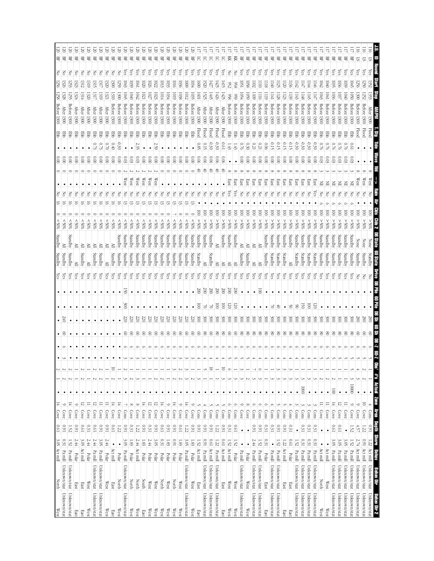| ≧<br>χes<br>χē<br>χes<br>ζë<br>ζë<br>χes<br>χes<br>čS<br>χes<br>ζës<br>čS<br>ζë<br>λë<br>χes<br>ă<br>χes<br>λë<br>χes<br>čS<br>ζë<br>χes<br>ζë<br>ξŝ<br>ξŚ<br>ζë<br>χes<br>ζës<br>χë<br>λes<br>ζëς<br>χes<br>çs<br>çs<br>çs<br>çs<br>çs<br>çs<br>Ğ<br>çs<br>çs<br>çs<br>గ్లె<br>çs<br>Ğ.<br>(es<br>(es<br>ଟି<br>200<br>$200\,$<br>$200\,$<br>$200\,$<br>$200\,$<br>200<br>$\overline{00}$<br>$\overline{6}$<br>$\overline{5}$<br>$\bullet$<br>$\bullet$<br>$\bullet$<br>$\bullet$<br>$\bullet$<br>$\bullet$<br>$\bullet$<br>$\bullet$<br>$\bullet$<br>$\bullet$<br>$\bullet$<br>$\bullet$<br>$\bullet$<br>$\bullet$<br>$\bullet$<br>SO<br>ā<br>120<br>75<br>ē<br>g<br>g<br>50<br>50<br>里<br>7<br>7<br>7<br>き<br>ട്<br>$\frac{300}{2}$<br>$\frac{1}{200}$<br>300<br>300<br>$\frac{300}{2}$<br>220<br>220<br>220<br>220<br>220<br>220<br>$\frac{300}{2}$<br>$\approx$<br>$\frac{1}{200}$<br>$\approx$<br>$\frac{1}{200}$<br>š<br>$\frac{1}{200}$<br>$\frac{300}{200}$<br>$\approx$<br>$\frac{8}{2}$<br>$\approx$<br>$\approx$<br>$\approx$<br>$\frac{8}{2}$<br>$\frac{300}{2}$<br>$\approx$<br>$\approx$<br>$\approx$<br>$\approx$<br>$\frac{300}{2}$<br>š<br>22<br>220<br>220<br>220<br>0ZZ<br>$\approx$<br>ΟZ<br>$\otimes$<br>$^{\circ}$<br>$\otimes$<br>8<br>8<br>$^{\circ}$<br>8<br>$^{\circ}$<br>8<br>8<br>8<br>S<br>8<br>g<br>8<br>8<br>8<br>g<br>8<br>8<br>8<br>8<br>g<br>g<br>8<br>8<br>8<br>8<br>$\infty$<br>g<br>S<br>g<br>8<br>g<br>8<br>8<br>8<br>8<br>8<br>$\bullet$<br>$\bullet$<br>$\bullet$<br>5<br>28<br>$\Xi$<br>Μ<br>O<br>10000<br>1000<br>$\frac{100}{2}$<br>$\bullet$<br>$\bullet$<br>$\bullet$<br>$\bullet$<br>$\bullet$<br>$\bullet$<br>$\bullet$<br>$\bullet$<br>$\bullet$<br>$\bullet$<br>$\bullet$<br>$\bullet$<br>$\bullet$<br>$\bullet$<br>$\bullet$<br>$\bullet$<br>$\bullet$<br>$\bullet$<br>$\bullet$<br>$\bullet$<br>$\bullet$<br>$\bullet$<br>$\bullet$<br>$\bullet$<br>$\bullet$<br>$\bullet$<br>٠<br>$\bullet$<br>$\bullet$<br>$\bullet$<br>٠<br>$\bullet$<br>٠<br>$\bullet$<br>$\bullet$<br>$\bullet$<br>$\bullet$<br>$\bullet$<br>$\bullet$<br>٠<br>$\bullet$<br>٠<br>$\bullet$<br>$\bullet$<br>$\bullet$<br>14<br>$\frac{14}{1}$<br>12<br>$\frac{14}{14}$<br>Ξ<br>$\frac{1}{4}$<br>$\equiv$<br>⊨<br>$\equiv$<br>보<br>$\frac{1}{4}$<br>ನ<br>$\frac{14}{14}$<br>ನ<br>5<br>12<br>董<br>$\infty$<br>$^{\circ}$<br>$\circ$<br>$\circ$<br>$\circ$<br>$\circ$<br>$\circ$<br>$\circ$<br>S<br>$\circ$<br>$\circ$<br>$\circ$<br>$^{\circ}$<br>$\circ$<br>$\circ$<br>ىن<br>$\circ$<br>ى<br>Cons<br>Cons<br>Cons<br>Cons<br>Cove<br>Cove<br>Cove<br>Cons<br>Cons<br>Cons<br>Cove<br>Cove<br>$\frac{\text{Cons}}{\text{cons}}$<br>$\frac{\text{Cons}}{\text{cons}}$<br>Cons<br>Cove<br>Cove<br>Cove<br>Cove<br>Cove<br>Cove<br>Cove<br>Cove<br>Cons<br>Cons<br>Cons<br>Cons<br>Cons<br>Cons<br>Cove<br>Cove<br>Cove<br>Cove<br>Cove<br>Cove<br>Cove<br>Cove<br>Cove<br>Cove<br>Cons<br>Cove<br>Cove<br>Cove<br>Cove<br>Cons<br>Cons<br>Cove<br>Cove<br>19'0<br>160<br>0.31<br>160<br>$0.31\,$<br>160<br>1970<br>160<br>160<br>19'0<br>160<br>160<br>160<br>160<br>160<br>0.31<br>19.0<br>$16.0$<br>0.31<br>0.31<br>160<br>1600<br>0.31<br>0.31<br>0.31<br>0.31<br>19'0<br><b>D.61</b><br>1.52<br>0.91<br><b>0.61</b><br>0.31<br><b>D.61</b><br>160<br>160<br>1.22<br>1.22<br>160<br>1.52<br>4.57<br>1.22<br>1.22<br>$\bullet$<br>$\bullet$<br>$\bullet$<br>$\bullet$<br>$\bullet$<br>$\bullet$<br>0.31<br>0.31<br>$10.61\,$<br>2.44<br>0.31<br>0.31<br>0.31<br>3.<br>S<br>0.91<br>2.44<br>2.44<br>2.44<br>3.OS<br>3.05<br>2.44<br>$2.44$<br>3.05<br>$1600$<br>160<br>[9.0]<br><b>D.61</b><br>0.31<br>3.<br>S<br>3.05<br>1.52<br>3.05<br>2.44<br>1.83<br>3.05<br>1.52<br>1.22<br>1.52<br>1.52<br>1.52<br>2.74<br>1.83<br>1.83<br>$1.83\,$<br>1.83<br>1.52<br>1.22<br>1.52<br>1.52<br>$\bullet$<br>$\bullet$<br>$\bullet$<br>$\bullet$<br>$\bullet$<br>$\bullet$<br>٠<br>Act mill<br>Act mill<br>Act mill<br>Act mill<br>Act mill<br>Act mill<br>Act mill<br>Act mill<br>Act mill<br>Act mill<br>Act mill<br>Act mill<br>Pa mill<br>Pa mill<br>Pa mill<br>Pa mill<br>Pa mill<br>Pa mill<br>Pa mill<br>Pa mill<br>Pa mill<br>Pa mill<br>Pa mill<br>Pa mill<br>$\rm Pa\,m\rm{ll}$<br>Pa mill<br>Pa mill<br>Pa mill<br>Pa mill<br>Pa mill<br>Pa mill<br>Pa mill<br>Pa mill<br>Polar<br>Polar<br>Polar<br>Polar<br>Polar<br>Polar<br>Polar<br>Polar<br>Polar<br>Polar<br>Polar<br>Polar<br>Polar<br>Polar<br>Polar<br>Polar<br>Polar<br>Unknown/stat<br>Unknown/stat<br>Unknown/stat<br>Unknown/stat<br>Unknown/stat<br>Unknown/stat<br>Unknown/stat<br>Unknown/stat<br>Unknown/stat<br>Unknown/stat<br>Unknown/stat<br>Unknown/stat<br>Unknown/stat<br>Unknown/stat<br>Unknown/stat<br>Unknown/stat<br>Unknown/stat<br>Unknown/stat<br>Unknown/stat<br>Unknown/stat<br>Unknown/stat<br>Unknown/stat<br>Unknown/stat<br>Unknown/stat<br>South<br><b>North</b><br><b>North</b><br>North<br>North<br><b>North</b><br>North<br>$\mathbb{W}\text{est}$<br>$\mathbb{W}\text{est}$<br>$\mathbb{W}\text{est}$<br>$\mathbb{W}\text{est}$<br>West<br>West<br>$\mathbb{W}\text{est}$<br>West<br>West<br>West<br>West<br>East<br>East<br>East<br>East<br>East<br>East<br>East<br>East<br>Unknown/stat<br>Unknown/stat<br>Unknown/stat<br>Unknown/stat<br>Unknown/stat<br>Unknown/stat<br>Unknown/stat<br>Unknown/stat<br>Unknown/stat<br>Unknown/stat<br>Unknown/stat<br>Unknown/stat<br>Unknown/stat<br>Unknown/stat<br>Unknown/stat<br>Unknown/stat<br>Unknown/stat<br>Unknown/stat<br>Unknown/stat<br>Unknown/stat<br>Unknown/stat<br>Unknown/stat<br>Unknown/stat<br>Unknown/stat | $\bullet$<br>$\frac{14}{1}$<br>Cove<br><b>D.61</b><br>3.05 Act mill | $\frac{340}{5}$ | Standby<br>$\frac{1}{\sqrt{5}}$ | %<br><b>Standby</b>                         |              |                                             | Betore<br>1300                   | $\leq$<br>256<br>1258                                         |         |
|--------------------------------------------------------------------------------------------------------------------------------------------------------------------------------------------------------------------------------------------------------------------------------------------------------------------------------------------------------------------------------------------------------------------------------------------------------------------------------------------------------------------------------------------------------------------------------------------------------------------------------------------------------------------------------------------------------------------------------------------------------------------------------------------------------------------------------------------------------------------------------------------------------------------------------------------------------------------------------------------------------------------------------------------------------------------------------------------------------------------------------------------------------------------------------------------------------------------------------------------------------------------------------------------------------------------------------------------------------------------------------------------------------------------------------------------------------------------------------------------------------------------------------------------------------------------------------------------------------------------------------------------------------------------------------------------------------------------------------------------------------------------------------------------------------------------------------------------------------------------------------------------------------------------------------------------------------------------------------------------------------------------------------------------------------------------------------------------------------------------------------------------------------------------------------------------------------------------------------------------------------------------------------------------------------------------------------------------------------------------------------------------------------------------------------------------------------------------------------------------------------------------------------------------------------------------------------------------------------------------------------------------------------------------------------------------------------------------------------------------------------------------------------------------------------------------------------------------------------------------------------------------------------------------------------------------------------------------------------------------------------------------------------------------------------------------------------------------------------------------------------------------------------------------------------------------------------------------------------------------------------------------------------------------------------------------------------------------------------------------------------------------------------------------------------------------------------------------------------------------------------------------------------------------------------------------------------------------------------------------------------------------------------------------------------------------------------------------------------------------------------------------------------------------------------------------------------------------------------------------------------------------------------------------------------------------------------------------------------------------------------------------------------------------------------------------------------------------------------------------------------------------------------------------------------------------------------------------------------------------------------------------------------------------------------------------------------------------------------------------------------------------------------------------------------------------------------------------------------------------------------------------------------------------------------------------------------------------------------------------------------------------------------------------------------------------------------------------------------------------------------------------------------------------------------------------------------------------------------------------------------------------------------------------------------------------------------------------------------------------------------------------------------------------------------------------------------------------------------------------------------------------------------------------------------------------------------------------------------------------------------------------------------------------------------------------------------------------------------------------------------------------------------------------------------------------------------------------------------------------------------------------------------------------------------------------------------------------|---------------------------------------------------------------------|-----------------|---------------------------------|---------------------------------------------|--------------|---------------------------------------------|----------------------------------|---------------------------------------------------------------|---------|
|                                                                                                                                                                                                                                                                                                                                                                                                                                                                                                                                                                                                                                                                                                                                                                                                                                                                                                                                                                                                                                                                                                                                                                                                                                                                                                                                                                                                                                                                                                                                                                                                                                                                                                                                                                                                                                                                                                                                                                                                                                                                                                                                                                                                                                                                                                                                                                                                                                                                                                                                                                                                                                                                                                                                                                                                                                                                                                                                                                                                                                                                                                                                                                                                                                                                                                                                                                                                                                                                                                                                                                                                                                                                                                                                                                                                                                                                                                                                                                                                                                                                                                                                                                                                                                                                                                                                                                                                                                                                                                                                                                                                                                                                                                                                                                                                                                                                                                                                                                                                                                                                                                                                                                                                                                                                                                                                                                                                                                                                                                                                                                                            | Z<br>$\circ$<br>Cove<br>160                                         | $^{\circ}$      | Standby                         | \$80%<br>≧                                  |              | $\frac{1}{2}$                               | <b>Atter</b><br>1300             | F<br>1326<br>1328                                             | 50<br>岊 |
|                                                                                                                                                                                                                                                                                                                                                                                                                                                                                                                                                                                                                                                                                                                                                                                                                                                                                                                                                                                                                                                                                                                                                                                                                                                                                                                                                                                                                                                                                                                                                                                                                                                                                                                                                                                                                                                                                                                                                                                                                                                                                                                                                                                                                                                                                                                                                                                                                                                                                                                                                                                                                                                                                                                                                                                                                                                                                                                                                                                                                                                                                                                                                                                                                                                                                                                                                                                                                                                                                                                                                                                                                                                                                                                                                                                                                                                                                                                                                                                                                                                                                                                                                                                                                                                                                                                                                                                                                                                                                                                                                                                                                                                                                                                                                                                                                                                                                                                                                                                                                                                                                                                                                                                                                                                                                                                                                                                                                                                                                                                                                                                            |                                                                     |                 | Standby                         | \$05<br>Standby                             |              | $\widetilde{\rm s}$                         | Before<br>1300<br>물              | š<br>253<br>125                                               | 岊       |
|                                                                                                                                                                                                                                                                                                                                                                                                                                                                                                                                                                                                                                                                                                                                                                                                                                                                                                                                                                                                                                                                                                                                                                                                                                                                                                                                                                                                                                                                                                                                                                                                                                                                                                                                                                                                                                                                                                                                                                                                                                                                                                                                                                                                                                                                                                                                                                                                                                                                                                                                                                                                                                                                                                                                                                                                                                                                                                                                                                                                                                                                                                                                                                                                                                                                                                                                                                                                                                                                                                                                                                                                                                                                                                                                                                                                                                                                                                                                                                                                                                                                                                                                                                                                                                                                                                                                                                                                                                                                                                                                                                                                                                                                                                                                                                                                                                                                                                                                                                                                                                                                                                                                                                                                                                                                                                                                                                                                                                                                                                                                                                                            |                                                                     |                 | ≧                               | $\frac{80}{5}$<br>≧                         |              | $\tilde{8}$                                 | <b>After</b><br>1300             | 공<br>323<br>132                                               | 岊       |
|                                                                                                                                                                                                                                                                                                                                                                                                                                                                                                                                                                                                                                                                                                                                                                                                                                                                                                                                                                                                                                                                                                                                                                                                                                                                                                                                                                                                                                                                                                                                                                                                                                                                                                                                                                                                                                                                                                                                                                                                                                                                                                                                                                                                                                                                                                                                                                                                                                                                                                                                                                                                                                                                                                                                                                                                                                                                                                                                                                                                                                                                                                                                                                                                                                                                                                                                                                                                                                                                                                                                                                                                                                                                                                                                                                                                                                                                                                                                                                                                                                                                                                                                                                                                                                                                                                                                                                                                                                                                                                                                                                                                                                                                                                                                                                                                                                                                                                                                                                                                                                                                                                                                                                                                                                                                                                                                                                                                                                                                                                                                                                                            |                                                                     |                 | Standby                         | \$05<br>≧                                   |              | 0.00                                        | <b>After</b><br><b>1300</b>      | 1312<br>1314                                                  | 岊       |
|                                                                                                                                                                                                                                                                                                                                                                                                                                                                                                                                                                                                                                                                                                                                                                                                                                                                                                                                                                                                                                                                                                                                                                                                                                                                                                                                                                                                                                                                                                                                                                                                                                                                                                                                                                                                                                                                                                                                                                                                                                                                                                                                                                                                                                                                                                                                                                                                                                                                                                                                                                                                                                                                                                                                                                                                                                                                                                                                                                                                                                                                                                                                                                                                                                                                                                                                                                                                                                                                                                                                                                                                                                                                                                                                                                                                                                                                                                                                                                                                                                                                                                                                                                                                                                                                                                                                                                                                                                                                                                                                                                                                                                                                                                                                                                                                                                                                                                                                                                                                                                                                                                                                                                                                                                                                                                                                                                                                                                                                                                                                                                                            |                                                                     |                 | È                               | &805<br>≧                                   |              |                                             | After<br>1300<br>蛋               | S<br>1319<br>1320                                             | 呂       |
|                                                                                                                                                                                                                                                                                                                                                                                                                                                                                                                                                                                                                                                                                                                                                                                                                                                                                                                                                                                                                                                                                                                                                                                                                                                                                                                                                                                                                                                                                                                                                                                                                                                                                                                                                                                                                                                                                                                                                                                                                                                                                                                                                                                                                                                                                                                                                                                                                                                                                                                                                                                                                                                                                                                                                                                                                                                                                                                                                                                                                                                                                                                                                                                                                                                                                                                                                                                                                                                                                                                                                                                                                                                                                                                                                                                                                                                                                                                                                                                                                                                                                                                                                                                                                                                                                                                                                                                                                                                                                                                                                                                                                                                                                                                                                                                                                                                                                                                                                                                                                                                                                                                                                                                                                                                                                                                                                                                                                                                                                                                                                                                            |                                                                     |                 | Standby                         | &80%<br>≧                                   | F            | 0.00                                        | After 1300                       | F<br>1315<br>1317                                             | 몊       |
|                                                                                                                                                                                                                                                                                                                                                                                                                                                                                                                                                                                                                                                                                                                                                                                                                                                                                                                                                                                                                                                                                                                                                                                                                                                                                                                                                                                                                                                                                                                                                                                                                                                                                                                                                                                                                                                                                                                                                                                                                                                                                                                                                                                                                                                                                                                                                                                                                                                                                                                                                                                                                                                                                                                                                                                                                                                                                                                                                                                                                                                                                                                                                                                                                                                                                                                                                                                                                                                                                                                                                                                                                                                                                                                                                                                                                                                                                                                                                                                                                                                                                                                                                                                                                                                                                                                                                                                                                                                                                                                                                                                                                                                                                                                                                                                                                                                                                                                                                                                                                                                                                                                                                                                                                                                                                                                                                                                                                                                                                                                                                                                            |                                                                     |                 | Standby                         | &805<br>≧                                   |              | 0.73<br>0.00                                | <b>After</b><br>1300<br>븅        | 317<br>1319                                                   | 몊       |
|                                                                                                                                                                                                                                                                                                                                                                                                                                                                                                                                                                                                                                                                                                                                                                                                                                                                                                                                                                                                                                                                                                                                                                                                                                                                                                                                                                                                                                                                                                                                                                                                                                                                                                                                                                                                                                                                                                                                                                                                                                                                                                                                                                                                                                                                                                                                                                                                                                                                                                                                                                                                                                                                                                                                                                                                                                                                                                                                                                                                                                                                                                                                                                                                                                                                                                                                                                                                                                                                                                                                                                                                                                                                                                                                                                                                                                                                                                                                                                                                                                                                                                                                                                                                                                                                                                                                                                                                                                                                                                                                                                                                                                                                                                                                                                                                                                                                                                                                                                                                                                                                                                                                                                                                                                                                                                                                                                                                                                                                                                                                                                                            |                                                                     |                 | ≧                               | \$80%<br>≧                                  |              | $0\degree 0$<br>000                         | <b>After</b><br>1300             | 중<br>1320<br>1321                                             | 몊       |
|                                                                                                                                                                                                                                                                                                                                                                                                                                                                                                                                                                                                                                                                                                                                                                                                                                                                                                                                                                                                                                                                                                                                                                                                                                                                                                                                                                                                                                                                                                                                                                                                                                                                                                                                                                                                                                                                                                                                                                                                                                                                                                                                                                                                                                                                                                                                                                                                                                                                                                                                                                                                                                                                                                                                                                                                                                                                                                                                                                                                                                                                                                                                                                                                                                                                                                                                                                                                                                                                                                                                                                                                                                                                                                                                                                                                                                                                                                                                                                                                                                                                                                                                                                                                                                                                                                                                                                                                                                                                                                                                                                                                                                                                                                                                                                                                                                                                                                                                                                                                                                                                                                                                                                                                                                                                                                                                                                                                                                                                                                                                                                                            |                                                                     |                 | Standby                         | %05<br>≧                                    |              | $0 + 0$<br>0.00                             | Before<br>1300                   | 공<br>$\frac{1}{200}$<br>1310                                  | 呂       |
|                                                                                                                                                                                                                                                                                                                                                                                                                                                                                                                                                                                                                                                                                                                                                                                                                                                                                                                                                                                                                                                                                                                                                                                                                                                                                                                                                                                                                                                                                                                                                                                                                                                                                                                                                                                                                                                                                                                                                                                                                                                                                                                                                                                                                                                                                                                                                                                                                                                                                                                                                                                                                                                                                                                                                                                                                                                                                                                                                                                                                                                                                                                                                                                                                                                                                                                                                                                                                                                                                                                                                                                                                                                                                                                                                                                                                                                                                                                                                                                                                                                                                                                                                                                                                                                                                                                                                                                                                                                                                                                                                                                                                                                                                                                                                                                                                                                                                                                                                                                                                                                                                                                                                                                                                                                                                                                                                                                                                                                                                                                                                                                            |                                                                     |                 | Standby                         | \$80%<br>Standby                            |              | 0.30<br>0.00                                | Before<br>1300                   | 259<br>300                                                    | 몊       |
|                                                                                                                                                                                                                                                                                                                                                                                                                                                                                                                                                                                                                                                                                                                                                                                                                                                                                                                                                                                                                                                                                                                                                                                                                                                                                                                                                                                                                                                                                                                                                                                                                                                                                                                                                                                                                                                                                                                                                                                                                                                                                                                                                                                                                                                                                                                                                                                                                                                                                                                                                                                                                                                                                                                                                                                                                                                                                                                                                                                                                                                                                                                                                                                                                                                                                                                                                                                                                                                                                                                                                                                                                                                                                                                                                                                                                                                                                                                                                                                                                                                                                                                                                                                                                                                                                                                                                                                                                                                                                                                                                                                                                                                                                                                                                                                                                                                                                                                                                                                                                                                                                                                                                                                                                                                                                                                                                                                                                                                                                                                                                                                            |                                                                     |                 | Standby                         | &805<br>Standby                             | West         | 0.03                                        | Before<br>1300<br>풍              | es,<br>1043<br>1045                                           | 몊       |
|                                                                                                                                                                                                                                                                                                                                                                                                                                                                                                                                                                                                                                                                                                                                                                                                                                                                                                                                                                                                                                                                                                                                                                                                                                                                                                                                                                                                                                                                                                                                                                                                                                                                                                                                                                                                                                                                                                                                                                                                                                                                                                                                                                                                                                                                                                                                                                                                                                                                                                                                                                                                                                                                                                                                                                                                                                                                                                                                                                                                                                                                                                                                                                                                                                                                                                                                                                                                                                                                                                                                                                                                                                                                                                                                                                                                                                                                                                                                                                                                                                                                                                                                                                                                                                                                                                                                                                                                                                                                                                                                                                                                                                                                                                                                                                                                                                                                                                                                                                                                                                                                                                                                                                                                                                                                                                                                                                                                                                                                                                                                                                                            |                                                                     |                 | Standby                         | &805<br>Standby                             | West         | 80.0                                        | Before 1300<br>蛋                 | çs<br>1039<br>$0+01$                                          | 몊       |
|                                                                                                                                                                                                                                                                                                                                                                                                                                                                                                                                                                                                                                                                                                                                                                                                                                                                                                                                                                                                                                                                                                                                                                                                                                                                                                                                                                                                                                                                                                                                                                                                                                                                                                                                                                                                                                                                                                                                                                                                                                                                                                                                                                                                                                                                                                                                                                                                                                                                                                                                                                                                                                                                                                                                                                                                                                                                                                                                                                                                                                                                                                                                                                                                                                                                                                                                                                                                                                                                                                                                                                                                                                                                                                                                                                                                                                                                                                                                                                                                                                                                                                                                                                                                                                                                                                                                                                                                                                                                                                                                                                                                                                                                                                                                                                                                                                                                                                                                                                                                                                                                                                                                                                                                                                                                                                                                                                                                                                                                                                                                                                                            |                                                                     |                 | Standby                         | 805<br>Standby                              | West         | 0.03                                        | Before<br>1300<br>뭉              | es,<br>LP41<br>1042                                           | 몊       |
|                                                                                                                                                                                                                                                                                                                                                                                                                                                                                                                                                                                                                                                                                                                                                                                                                                                                                                                                                                                                                                                                                                                                                                                                                                                                                                                                                                                                                                                                                                                                                                                                                                                                                                                                                                                                                                                                                                                                                                                                                                                                                                                                                                                                                                                                                                                                                                                                                                                                                                                                                                                                                                                                                                                                                                                                                                                                                                                                                                                                                                                                                                                                                                                                                                                                                                                                                                                                                                                                                                                                                                                                                                                                                                                                                                                                                                                                                                                                                                                                                                                                                                                                                                                                                                                                                                                                                                                                                                                                                                                                                                                                                                                                                                                                                                                                                                                                                                                                                                                                                                                                                                                                                                                                                                                                                                                                                                                                                                                                                                                                                                                            |                                                                     |                 | Standby                         | \$05<br>Standby                             | West         | $\frac{0.0}{\sqrt{2}}$                      | Before<br>1300                   | (es<br>$0\overline{z}0$<br>$\overline{1001}$                  | 몊       |
|                                                                                                                                                                                                                                                                                                                                                                                                                                                                                                                                                                                                                                                                                                                                                                                                                                                                                                                                                                                                                                                                                                                                                                                                                                                                                                                                                                                                                                                                                                                                                                                                                                                                                                                                                                                                                                                                                                                                                                                                                                                                                                                                                                                                                                                                                                                                                                                                                                                                                                                                                                                                                                                                                                                                                                                                                                                                                                                                                                                                                                                                                                                                                                                                                                                                                                                                                                                                                                                                                                                                                                                                                                                                                                                                                                                                                                                                                                                                                                                                                                                                                                                                                                                                                                                                                                                                                                                                                                                                                                                                                                                                                                                                                                                                                                                                                                                                                                                                                                                                                                                                                                                                                                                                                                                                                                                                                                                                                                                                                                                                                                                            |                                                                     |                 | Standby                         | $^{*06}$<br>Standby                         | West         | $\overline{0}0$                             | Before<br>1300                   | (es<br>970<br>S                                               | 몊       |
|                                                                                                                                                                                                                                                                                                                                                                                                                                                                                                                                                                                                                                                                                                                                                                                                                                                                                                                                                                                                                                                                                                                                                                                                                                                                                                                                                                                                                                                                                                                                                                                                                                                                                                                                                                                                                                                                                                                                                                                                                                                                                                                                                                                                                                                                                                                                                                                                                                                                                                                                                                                                                                                                                                                                                                                                                                                                                                                                                                                                                                                                                                                                                                                                                                                                                                                                                                                                                                                                                                                                                                                                                                                                                                                                                                                                                                                                                                                                                                                                                                                                                                                                                                                                                                                                                                                                                                                                                                                                                                                                                                                                                                                                                                                                                                                                                                                                                                                                                                                                                                                                                                                                                                                                                                                                                                                                                                                                                                                                                                                                                                                            |                                                                     |                 | Standby                         | \$80<br>Standby                             | West         | 2.59<br>000                                 | Before<br>1300                   | (es<br>$\overline{0}22$<br>1023                               | 몊       |
|                                                                                                                                                                                                                                                                                                                                                                                                                                                                                                                                                                                                                                                                                                                                                                                                                                                                                                                                                                                                                                                                                                                                                                                                                                                                                                                                                                                                                                                                                                                                                                                                                                                                                                                                                                                                                                                                                                                                                                                                                                                                                                                                                                                                                                                                                                                                                                                                                                                                                                                                                                                                                                                                                                                                                                                                                                                                                                                                                                                                                                                                                                                                                                                                                                                                                                                                                                                                                                                                                                                                                                                                                                                                                                                                                                                                                                                                                                                                                                                                                                                                                                                                                                                                                                                                                                                                                                                                                                                                                                                                                                                                                                                                                                                                                                                                                                                                                                                                                                                                                                                                                                                                                                                                                                                                                                                                                                                                                                                                                                                                                                                            |                                                                     |                 | Standby                         | \$80<br>Standby                             |              | $_{00}^{\circ}$                             | Before<br>1300                   | (es<br>lo13<br>1014                                           | 먺       |
|                                                                                                                                                                                                                                                                                                                                                                                                                                                                                                                                                                                                                                                                                                                                                                                                                                                                                                                                                                                                                                                                                                                                                                                                                                                                                                                                                                                                                                                                                                                                                                                                                                                                                                                                                                                                                                                                                                                                                                                                                                                                                                                                                                                                                                                                                                                                                                                                                                                                                                                                                                                                                                                                                                                                                                                                                                                                                                                                                                                                                                                                                                                                                                                                                                                                                                                                                                                                                                                                                                                                                                                                                                                                                                                                                                                                                                                                                                                                                                                                                                                                                                                                                                                                                                                                                                                                                                                                                                                                                                                                                                                                                                                                                                                                                                                                                                                                                                                                                                                                                                                                                                                                                                                                                                                                                                                                                                                                                                                                                                                                                                                            |                                                                     |                 | Standby                         | $^{805}$<br>Standby                         |              | $\frac{0.0}{\sqrt{2}}$                      | detore<br>1300<br>품              | čs<br>LG3<br>1034                                             | 몊       |
|                                                                                                                                                                                                                                                                                                                                                                                                                                                                                                                                                                                                                                                                                                                                                                                                                                                                                                                                                                                                                                                                                                                                                                                                                                                                                                                                                                                                                                                                                                                                                                                                                                                                                                                                                                                                                                                                                                                                                                                                                                                                                                                                                                                                                                                                                                                                                                                                                                                                                                                                                                                                                                                                                                                                                                                                                                                                                                                                                                                                                                                                                                                                                                                                                                                                                                                                                                                                                                                                                                                                                                                                                                                                                                                                                                                                                                                                                                                                                                                                                                                                                                                                                                                                                                                                                                                                                                                                                                                                                                                                                                                                                                                                                                                                                                                                                                                                                                                                                                                                                                                                                                                                                                                                                                                                                                                                                                                                                                                                                                                                                                                            |                                                                     |                 | Standby                         | $^{805}$<br>Standby                         |              | $\frac{0}{2}$                               | Before 1300<br>품                 | ίes<br>$\frac{1016}{2}$<br>6101                               | 몊       |
|                                                                                                                                                                                                                                                                                                                                                                                                                                                                                                                                                                                                                                                                                                                                                                                                                                                                                                                                                                                                                                                                                                                                                                                                                                                                                                                                                                                                                                                                                                                                                                                                                                                                                                                                                                                                                                                                                                                                                                                                                                                                                                                                                                                                                                                                                                                                                                                                                                                                                                                                                                                                                                                                                                                                                                                                                                                                                                                                                                                                                                                                                                                                                                                                                                                                                                                                                                                                                                                                                                                                                                                                                                                                                                                                                                                                                                                                                                                                                                                                                                                                                                                                                                                                                                                                                                                                                                                                                                                                                                                                                                                                                                                                                                                                                                                                                                                                                                                                                                                                                                                                                                                                                                                                                                                                                                                                                                                                                                                                                                                                                                                            |                                                                     |                 | Standby                         | $^{805}$<br>Standby                         |              | $\frac{0}{2}$                               | Before<br>1300                   | (es<br>$\overline{56}$                                        | 묚       |
|                                                                                                                                                                                                                                                                                                                                                                                                                                                                                                                                                                                                                                                                                                                                                                                                                                                                                                                                                                                                                                                                                                                                                                                                                                                                                                                                                                                                                                                                                                                                                                                                                                                                                                                                                                                                                                                                                                                                                                                                                                                                                                                                                                                                                                                                                                                                                                                                                                                                                                                                                                                                                                                                                                                                                                                                                                                                                                                                                                                                                                                                                                                                                                                                                                                                                                                                                                                                                                                                                                                                                                                                                                                                                                                                                                                                                                                                                                                                                                                                                                                                                                                                                                                                                                                                                                                                                                                                                                                                                                                                                                                                                                                                                                                                                                                                                                                                                                                                                                                                                                                                                                                                                                                                                                                                                                                                                                                                                                                                                                                                                                                            |                                                                     |                 | Standby                         | \$80%<br>Standby                            |              | $\frac{0}{8}$                               | Before<br>00 <sup>2</sup><br>문   | (es<br>$\overline{600}$<br>1012                               | 묚       |
|                                                                                                                                                                                                                                                                                                                                                                                                                                                                                                                                                                                                                                                                                                                                                                                                                                                                                                                                                                                                                                                                                                                                                                                                                                                                                                                                                                                                                                                                                                                                                                                                                                                                                                                                                                                                                                                                                                                                                                                                                                                                                                                                                                                                                                                                                                                                                                                                                                                                                                                                                                                                                                                                                                                                                                                                                                                                                                                                                                                                                                                                                                                                                                                                                                                                                                                                                                                                                                                                                                                                                                                                                                                                                                                                                                                                                                                                                                                                                                                                                                                                                                                                                                                                                                                                                                                                                                                                                                                                                                                                                                                                                                                                                                                                                                                                                                                                                                                                                                                                                                                                                                                                                                                                                                                                                                                                                                                                                                                                                                                                                                                            |                                                                     |                 | Standby                         | $\frac{80}{5}$<br>Standby                   |              | $\frac{0.00}{2}$                            | <b>Before</b><br>1300<br>품       | es.<br>1034<br>1035                                           | 몊       |
|                                                                                                                                                                                                                                                                                                                                                                                                                                                                                                                                                                                                                                                                                                                                                                                                                                                                                                                                                                                                                                                                                                                                                                                                                                                                                                                                                                                                                                                                                                                                                                                                                                                                                                                                                                                                                                                                                                                                                                                                                                                                                                                                                                                                                                                                                                                                                                                                                                                                                                                                                                                                                                                                                                                                                                                                                                                                                                                                                                                                                                                                                                                                                                                                                                                                                                                                                                                                                                                                                                                                                                                                                                                                                                                                                                                                                                                                                                                                                                                                                                                                                                                                                                                                                                                                                                                                                                                                                                                                                                                                                                                                                                                                                                                                                                                                                                                                                                                                                                                                                                                                                                                                                                                                                                                                                                                                                                                                                                                                                                                                                                                            |                                                                     |                 | Standby                         | ē<br>%05 <<br>Standby                       | ŧ<br>δ       | 0.85<br>0.06                                | Afer 1300<br>Flood               | çs<br>$\overline{000}$<br>1091                                | ភ       |
|                                                                                                                                                                                                                                                                                                                                                                                                                                                                                                                                                                                                                                                                                                                                                                                                                                                                                                                                                                                                                                                                                                                                                                                                                                                                                                                                                                                                                                                                                                                                                                                                                                                                                                                                                                                                                                                                                                                                                                                                                                                                                                                                                                                                                                                                                                                                                                                                                                                                                                                                                                                                                                                                                                                                                                                                                                                                                                                                                                                                                                                                                                                                                                                                                                                                                                                                                                                                                                                                                                                                                                                                                                                                                                                                                                                                                                                                                                                                                                                                                                                                                                                                                                                                                                                                                                                                                                                                                                                                                                                                                                                                                                                                                                                                                                                                                                                                                                                                                                                                                                                                                                                                                                                                                                                                                                                                                                                                                                                                                                                                                                                            |                                                                     |                 | ≧                               | S<br>%05 <<br>Standby                       | さ            | STO.<br>0.06                                | After 1300<br>Flood              | (es<br>520<br>1525                                            | 5       |
|                                                                                                                                                                                                                                                                                                                                                                                                                                                                                                                                                                                                                                                                                                                                                                                                                                                                                                                                                                                                                                                                                                                                                                                                                                                                                                                                                                                                                                                                                                                                                                                                                                                                                                                                                                                                                                                                                                                                                                                                                                                                                                                                                                                                                                                                                                                                                                                                                                                                                                                                                                                                                                                                                                                                                                                                                                                                                                                                                                                                                                                                                                                                                                                                                                                                                                                                                                                                                                                                                                                                                                                                                                                                                                                                                                                                                                                                                                                                                                                                                                                                                                                                                                                                                                                                                                                                                                                                                                                                                                                                                                                                                                                                                                                                                                                                                                                                                                                                                                                                                                                                                                                                                                                                                                                                                                                                                                                                                                                                                                                                                                                            |                                                                     |                 | Standby                         | ē<br>%05 <<br>Standby                       | さ            | 930<br>$\frac{0.00}{2}$                     | After<br>1300<br>Flood           | es,<br>427<br>14f)                                            | 5       |
|                                                                                                                                                                                                                                                                                                                                                                                                                                                                                                                                                                                                                                                                                                                                                                                                                                                                                                                                                                                                                                                                                                                                                                                                                                                                                                                                                                                                                                                                                                                                                                                                                                                                                                                                                                                                                                                                                                                                                                                                                                                                                                                                                                                                                                                                                                                                                                                                                                                                                                                                                                                                                                                                                                                                                                                                                                                                                                                                                                                                                                                                                                                                                                                                                                                                                                                                                                                                                                                                                                                                                                                                                                                                                                                                                                                                                                                                                                                                                                                                                                                                                                                                                                                                                                                                                                                                                                                                                                                                                                                                                                                                                                                                                                                                                                                                                                                                                                                                                                                                                                                                                                                                                                                                                                                                                                                                                                                                                                                                                                                                                                                            |                                                                     |                 | ≧                               | ē<br>%65 <<br>≧                             | さ            | 9.30<br>0.06                                | After<br>1300<br><b>Flood</b>    | ζes<br>(425)<br>1426                                          | 5       |
|                                                                                                                                                                                                                                                                                                                                                                                                                                                                                                                                                                                                                                                                                                                                                                                                                                                                                                                                                                                                                                                                                                                                                                                                                                                                                                                                                                                                                                                                                                                                                                                                                                                                                                                                                                                                                                                                                                                                                                                                                                                                                                                                                                                                                                                                                                                                                                                                                                                                                                                                                                                                                                                                                                                                                                                                                                                                                                                                                                                                                                                                                                                                                                                                                                                                                                                                                                                                                                                                                                                                                                                                                                                                                                                                                                                                                                                                                                                                                                                                                                                                                                                                                                                                                                                                                                                                                                                                                                                                                                                                                                                                                                                                                                                                                                                                                                                                                                                                                                                                                                                                                                                                                                                                                                                                                                                                                                                                                                                                                                                                                                                            |                                                                     |                 | ≧                               | ē<br>%05 <<br>Standby                       | Ë            | <b>10.0</b><br>0.06                         | <b>After</b><br>1300<br>Flood    | čs<br>4IP<br>1425                                             | 5       |
|                                                                                                                                                                                                                                                                                                                                                                                                                                                                                                                                                                                                                                                                                                                                                                                                                                                                                                                                                                                                                                                                                                                                                                                                                                                                                                                                                                                                                                                                                                                                                                                                                                                                                                                                                                                                                                                                                                                                                                                                                                                                                                                                                                                                                                                                                                                                                                                                                                                                                                                                                                                                                                                                                                                                                                                                                                                                                                                                                                                                                                                                                                                                                                                                                                                                                                                                                                                                                                                                                                                                                                                                                                                                                                                                                                                                                                                                                                                                                                                                                                                                                                                                                                                                                                                                                                                                                                                                                                                                                                                                                                                                                                                                                                                                                                                                                                                                                                                                                                                                                                                                                                                                                                                                                                                                                                                                                                                                                                                                                                                                                                                            |                                                                     |                 |                                 | $\overline{\Xi}$<br>%05 <<br>Standby        | <b>East</b>  | 1.43                                        | <b>Before</b><br>1300<br>军       | 종<br>952                                                      | Ř       |
|                                                                                                                                                                                                                                                                                                                                                                                                                                                                                                                                                                                                                                                                                                                                                                                                                                                                                                                                                                                                                                                                                                                                                                                                                                                                                                                                                                                                                                                                                                                                                                                                                                                                                                                                                                                                                                                                                                                                                                                                                                                                                                                                                                                                                                                                                                                                                                                                                                                                                                                                                                                                                                                                                                                                                                                                                                                                                                                                                                                                                                                                                                                                                                                                                                                                                                                                                                                                                                                                                                                                                                                                                                                                                                                                                                                                                                                                                                                                                                                                                                                                                                                                                                                                                                                                                                                                                                                                                                                                                                                                                                                                                                                                                                                                                                                                                                                                                                                                                                                                                                                                                                                                                                                                                                                                                                                                                                                                                                                                                                                                                                                            |                                                                     |                 |                                 | $\bar{\rm s}$<br>%05 <<br>Standby           | East         | 143                                         | Before 1300<br>품                 | š<br>958<br>650                                               | 頁       |
|                                                                                                                                                                                                                                                                                                                                                                                                                                                                                                                                                                                                                                                                                                                                                                                                                                                                                                                                                                                                                                                                                                                                                                                                                                                                                                                                                                                                                                                                                                                                                                                                                                                                                                                                                                                                                                                                                                                                                                                                                                                                                                                                                                                                                                                                                                                                                                                                                                                                                                                                                                                                                                                                                                                                                                                                                                                                                                                                                                                                                                                                                                                                                                                                                                                                                                                                                                                                                                                                                                                                                                                                                                                                                                                                                                                                                                                                                                                                                                                                                                                                                                                                                                                                                                                                                                                                                                                                                                                                                                                                                                                                                                                                                                                                                                                                                                                                                                                                                                                                                                                                                                                                                                                                                                                                                                                                                                                                                                                                                                                                                                                            |                                                                     |                 | Standby                         | $\overline{\odot}$<br>%05 <<br>≧            | East         | 0.76<br>$\frac{8}{10}$                      | Betore<br>00 <sup>2</sup><br>몋   | çs<br>los1<br>1054                                            | 岊       |
|                                                                                                                                                                                                                                                                                                                                                                                                                                                                                                                                                                                                                                                                                                                                                                                                                                                                                                                                                                                                                                                                                                                                                                                                                                                                                                                                                                                                                                                                                                                                                                                                                                                                                                                                                                                                                                                                                                                                                                                                                                                                                                                                                                                                                                                                                                                                                                                                                                                                                                                                                                                                                                                                                                                                                                                                                                                                                                                                                                                                                                                                                                                                                                                                                                                                                                                                                                                                                                                                                                                                                                                                                                                                                                                                                                                                                                                                                                                                                                                                                                                                                                                                                                                                                                                                                                                                                                                                                                                                                                                                                                                                                                                                                                                                                                                                                                                                                                                                                                                                                                                                                                                                                                                                                                                                                                                                                                                                                                                                                                                                                                                            |                                                                     |                 | Standby                         | ē<br>ē<br>%05 <<br>%05<<br>≧<br>≧           | East<br>East | 0.30<br>170<br>$\approx 0$<br>$\frac{0}{8}$ | Before<br>Before<br>1300<br>1300 | çs<br>es.<br>$\overline{1058}$<br>102<br>59<br>$\overline{5}$ | 몊<br>岊  |
|                                                                                                                                                                                                                                                                                                                                                                                                                                                                                                                                                                                                                                                                                                                                                                                                                                                                                                                                                                                                                                                                                                                                                                                                                                                                                                                                                                                                                                                                                                                                                                                                                                                                                                                                                                                                                                                                                                                                                                                                                                                                                                                                                                                                                                                                                                                                                                                                                                                                                                                                                                                                                                                                                                                                                                                                                                                                                                                                                                                                                                                                                                                                                                                                                                                                                                                                                                                                                                                                                                                                                                                                                                                                                                                                                                                                                                                                                                                                                                                                                                                                                                                                                                                                                                                                                                                                                                                                                                                                                                                                                                                                                                                                                                                                                                                                                                                                                                                                                                                                                                                                                                                                                                                                                                                                                                                                                                                                                                                                                                                                                                                            |                                                                     |                 |                                 | $\overline{\mathsf{S}}$<br>%05 <            | East         | 0.21                                        | <b>Before</b><br>1300            | es,<br>$\Xi$<br>ЦI                                            | 몊       |
|                                                                                                                                                                                                                                                                                                                                                                                                                                                                                                                                                                                                                                                                                                                                                                                                                                                                                                                                                                                                                                                                                                                                                                                                                                                                                                                                                                                                                                                                                                                                                                                                                                                                                                                                                                                                                                                                                                                                                                                                                                                                                                                                                                                                                                                                                                                                                                                                                                                                                                                                                                                                                                                                                                                                                                                                                                                                                                                                                                                                                                                                                                                                                                                                                                                                                                                                                                                                                                                                                                                                                                                                                                                                                                                                                                                                                                                                                                                                                                                                                                                                                                                                                                                                                                                                                                                                                                                                                                                                                                                                                                                                                                                                                                                                                                                                                                                                                                                                                                                                                                                                                                                                                                                                                                                                                                                                                                                                                                                                                                                                                                                            |                                                                     |                 | Standby                         | ē<br>%05 <<br>Standby                       | Ŀаst         | 0.06<br>$\frac{0.00}{2}$                    | Before 1300                      | es,<br>$\frac{118}{2}$<br>1119                                | 몪       |
|                                                                                                                                                                                                                                                                                                                                                                                                                                                                                                                                                                                                                                                                                                                                                                                                                                                                                                                                                                                                                                                                                                                                                                                                                                                                                                                                                                                                                                                                                                                                                                                                                                                                                                                                                                                                                                                                                                                                                                                                                                                                                                                                                                                                                                                                                                                                                                                                                                                                                                                                                                                                                                                                                                                                                                                                                                                                                                                                                                                                                                                                                                                                                                                                                                                                                                                                                                                                                                                                                                                                                                                                                                                                                                                                                                                                                                                                                                                                                                                                                                                                                                                                                                                                                                                                                                                                                                                                                                                                                                                                                                                                                                                                                                                                                                                                                                                                                                                                                                                                                                                                                                                                                                                                                                                                                                                                                                                                                                                                                                                                                                                            |                                                                     |                 | Standby                         | $\overline{\mathsf{S}}$<br>\$055<br>Standby | <b>East</b>  | 9.15<br>0.00                                | Before<br>1300                   | çs<br>$\overline{5}$<br>1141                                  | 岊       |
|                                                                                                                                                                                                                                                                                                                                                                                                                                                                                                                                                                                                                                                                                                                                                                                                                                                                                                                                                                                                                                                                                                                                                                                                                                                                                                                                                                                                                                                                                                                                                                                                                                                                                                                                                                                                                                                                                                                                                                                                                                                                                                                                                                                                                                                                                                                                                                                                                                                                                                                                                                                                                                                                                                                                                                                                                                                                                                                                                                                                                                                                                                                                                                                                                                                                                                                                                                                                                                                                                                                                                                                                                                                                                                                                                                                                                                                                                                                                                                                                                                                                                                                                                                                                                                                                                                                                                                                                                                                                                                                                                                                                                                                                                                                                                                                                                                                                                                                                                                                                                                                                                                                                                                                                                                                                                                                                                                                                                                                                                                                                                                                            |                                                                     |                 | Standby                         | ē<br>\$0%<<br>Standby                       | East         | 9.15<br>0.00                                | Before<br>1300                   | es,<br>125<br>1128                                            | 몊       |
|                                                                                                                                                                                                                                                                                                                                                                                                                                                                                                                                                                                                                                                                                                                                                                                                                                                                                                                                                                                                                                                                                                                                                                                                                                                                                                                                                                                                                                                                                                                                                                                                                                                                                                                                                                                                                                                                                                                                                                                                                                                                                                                                                                                                                                                                                                                                                                                                                                                                                                                                                                                                                                                                                                                                                                                                                                                                                                                                                                                                                                                                                                                                                                                                                                                                                                                                                                                                                                                                                                                                                                                                                                                                                                                                                                                                                                                                                                                                                                                                                                                                                                                                                                                                                                                                                                                                                                                                                                                                                                                                                                                                                                                                                                                                                                                                                                                                                                                                                                                                                                                                                                                                                                                                                                                                                                                                                                                                                                                                                                                                                                                            |                                                                     |                 | Standby                         | S<br>%05<<br>Standby                        | East         | 4.15<br>000                                 | <b>Before</b><br>1300            | es.<br>$\overline{120}$<br>$\overline{123}$                   | 몊       |
|                                                                                                                                                                                                                                                                                                                                                                                                                                                                                                                                                                                                                                                                                                                                                                                                                                                                                                                                                                                                                                                                                                                                                                                                                                                                                                                                                                                                                                                                                                                                                                                                                                                                                                                                                                                                                                                                                                                                                                                                                                                                                                                                                                                                                                                                                                                                                                                                                                                                                                                                                                                                                                                                                                                                                                                                                                                                                                                                                                                                                                                                                                                                                                                                                                                                                                                                                                                                                                                                                                                                                                                                                                                                                                                                                                                                                                                                                                                                                                                                                                                                                                                                                                                                                                                                                                                                                                                                                                                                                                                                                                                                                                                                                                                                                                                                                                                                                                                                                                                                                                                                                                                                                                                                                                                                                                                                                                                                                                                                                                                                                                                            |                                                                     |                 | ≧                               | ē<br>%05 <<br>Standby                       | East         | -0.15<br>0.00                               | Before<br>1300                   | (es<br>36<br>1139                                             | 몊       |
|                                                                                                                                                                                                                                                                                                                                                                                                                                                                                                                                                                                                                                                                                                                                                                                                                                                                                                                                                                                                                                                                                                                                                                                                                                                                                                                                                                                                                                                                                                                                                                                                                                                                                                                                                                                                                                                                                                                                                                                                                                                                                                                                                                                                                                                                                                                                                                                                                                                                                                                                                                                                                                                                                                                                                                                                                                                                                                                                                                                                                                                                                                                                                                                                                                                                                                                                                                                                                                                                                                                                                                                                                                                                                                                                                                                                                                                                                                                                                                                                                                                                                                                                                                                                                                                                                                                                                                                                                                                                                                                                                                                                                                                                                                                                                                                                                                                                                                                                                                                                                                                                                                                                                                                                                                                                                                                                                                                                                                                                                                                                                                                            |                                                                     |                 | Standby                         | ē<br>%05 <<br>Standby                       | East         | -0.30<br>000                                | Before<br>1300                   | (es<br>142<br>$\frac{1143}{2}$                                | 몊       |
|                                                                                                                                                                                                                                                                                                                                                                                                                                                                                                                                                                                                                                                                                                                                                                                                                                                                                                                                                                                                                                                                                                                                                                                                                                                                                                                                                                                                                                                                                                                                                                                                                                                                                                                                                                                                                                                                                                                                                                                                                                                                                                                                                                                                                                                                                                                                                                                                                                                                                                                                                                                                                                                                                                                                                                                                                                                                                                                                                                                                                                                                                                                                                                                                                                                                                                                                                                                                                                                                                                                                                                                                                                                                                                                                                                                                                                                                                                                                                                                                                                                                                                                                                                                                                                                                                                                                                                                                                                                                                                                                                                                                                                                                                                                                                                                                                                                                                                                                                                                                                                                                                                                                                                                                                                                                                                                                                                                                                                                                                                                                                                                            |                                                                     |                 | Standby                         | $\bar{\rm s}$<br>$30\%$<br>Standby          | <b>RES</b>   | 9.30<br>$\approx 0$                         | Before<br>1300                   | (es<br>Ξ<br>1148                                              | 먺       |
|                                                                                                                                                                                                                                                                                                                                                                                                                                                                                                                                                                                                                                                                                                                                                                                                                                                                                                                                                                                                                                                                                                                                                                                                                                                                                                                                                                                                                                                                                                                                                                                                                                                                                                                                                                                                                                                                                                                                                                                                                                                                                                                                                                                                                                                                                                                                                                                                                                                                                                                                                                                                                                                                                                                                                                                                                                                                                                                                                                                                                                                                                                                                                                                                                                                                                                                                                                                                                                                                                                                                                                                                                                                                                                                                                                                                                                                                                                                                                                                                                                                                                                                                                                                                                                                                                                                                                                                                                                                                                                                                                                                                                                                                                                                                                                                                                                                                                                                                                                                                                                                                                                                                                                                                                                                                                                                                                                                                                                                                                                                                                                                            |                                                                     |                 | Standby                         | ē<br>%05 <<br>Standby                       | <b>Last</b>  | -9.30<br>0.00                               | Before<br>1300                   | çs<br>$\frac{144}{1}$<br>1145                                 | 몊       |
|                                                                                                                                                                                                                                                                                                                                                                                                                                                                                                                                                                                                                                                                                                                                                                                                                                                                                                                                                                                                                                                                                                                                                                                                                                                                                                                                                                                                                                                                                                                                                                                                                                                                                                                                                                                                                                                                                                                                                                                                                                                                                                                                                                                                                                                                                                                                                                                                                                                                                                                                                                                                                                                                                                                                                                                                                                                                                                                                                                                                                                                                                                                                                                                                                                                                                                                                                                                                                                                                                                                                                                                                                                                                                                                                                                                                                                                                                                                                                                                                                                                                                                                                                                                                                                                                                                                                                                                                                                                                                                                                                                                                                                                                                                                                                                                                                                                                                                                                                                                                                                                                                                                                                                                                                                                                                                                                                                                                                                                                                                                                                                                            |                                                                     |                 | Standby                         | ē<br>%05 <<br>Standby                       | <b>East</b>  | ė.<br>S<br>$\approx 0$                      | Before<br>1300                   | (es<br>140<br>1147                                            | 몊       |
|                                                                                                                                                                                                                                                                                                                                                                                                                                                                                                                                                                                                                                                                                                                                                                                                                                                                                                                                                                                                                                                                                                                                                                                                                                                                                                                                                                                                                                                                                                                                                                                                                                                                                                                                                                                                                                                                                                                                                                                                                                                                                                                                                                                                                                                                                                                                                                                                                                                                                                                                                                                                                                                                                                                                                                                                                                                                                                                                                                                                                                                                                                                                                                                                                                                                                                                                                                                                                                                                                                                                                                                                                                                                                                                                                                                                                                                                                                                                                                                                                                                                                                                                                                                                                                                                                                                                                                                                                                                                                                                                                                                                                                                                                                                                                                                                                                                                                                                                                                                                                                                                                                                                                                                                                                                                                                                                                                                                                                                                                                                                                                                            |                                                                     |                 | Standby                         | S<br>\$05<<br>Standby                       |              | 0.03                                        | <b>Before</b><br>1300            | çs<br>1042<br>1043                                            | 몊       |
|                                                                                                                                                                                                                                                                                                                                                                                                                                                                                                                                                                                                                                                                                                                                                                                                                                                                                                                                                                                                                                                                                                                                                                                                                                                                                                                                                                                                                                                                                                                                                                                                                                                                                                                                                                                                                                                                                                                                                                                                                                                                                                                                                                                                                                                                                                                                                                                                                                                                                                                                                                                                                                                                                                                                                                                                                                                                                                                                                                                                                                                                                                                                                                                                                                                                                                                                                                                                                                                                                                                                                                                                                                                                                                                                                                                                                                                                                                                                                                                                                                                                                                                                                                                                                                                                                                                                                                                                                                                                                                                                                                                                                                                                                                                                                                                                                                                                                                                                                                                                                                                                                                                                                                                                                                                                                                                                                                                                                                                                                                                                                                                            |                                                                     |                 | Standby                         | S<br>%65<br>Standby                         |              | 0.03                                        | Before<br>1300                   | Čes<br>0#01<br>Ū4.                                            | 몊       |
|                                                                                                                                                                                                                                                                                                                                                                                                                                                                                                                                                                                                                                                                                                                                                                                                                                                                                                                                                                                                                                                                                                                                                                                                                                                                                                                                                                                                                                                                                                                                                                                                                                                                                                                                                                                                                                                                                                                                                                                                                                                                                                                                                                                                                                                                                                                                                                                                                                                                                                                                                                                                                                                                                                                                                                                                                                                                                                                                                                                                                                                                                                                                                                                                                                                                                                                                                                                                                                                                                                                                                                                                                                                                                                                                                                                                                                                                                                                                                                                                                                                                                                                                                                                                                                                                                                                                                                                                                                                                                                                                                                                                                                                                                                                                                                                                                                                                                                                                                                                                                                                                                                                                                                                                                                                                                                                                                                                                                                                                                                                                                                                            |                                                                     |                 | Standby                         | ē<br>%05 <<br>Standby                       |              | 6.03                                        | Before<br>1300                   | (es<br>55<br>1036                                             | 먺       |
|                                                                                                                                                                                                                                                                                                                                                                                                                                                                                                                                                                                                                                                                                                                                                                                                                                                                                                                                                                                                                                                                                                                                                                                                                                                                                                                                                                                                                                                                                                                                                                                                                                                                                                                                                                                                                                                                                                                                                                                                                                                                                                                                                                                                                                                                                                                                                                                                                                                                                                                                                                                                                                                                                                                                                                                                                                                                                                                                                                                                                                                                                                                                                                                                                                                                                                                                                                                                                                                                                                                                                                                                                                                                                                                                                                                                                                                                                                                                                                                                                                                                                                                                                                                                                                                                                                                                                                                                                                                                                                                                                                                                                                                                                                                                                                                                                                                                                                                                                                                                                                                                                                                                                                                                                                                                                                                                                                                                                                                                                                                                                                                            |                                                                     |                 | Standby                         | S<br>%05 <<br>Standby                       |              | $^{0.76}$<br>8                              | Before<br>1300                   | (es<br>030<br>ΙG2                                             | 몊       |
|                                                                                                                                                                                                                                                                                                                                                                                                                                                                                                                                                                                                                                                                                                                                                                                                                                                                                                                                                                                                                                                                                                                                                                                                                                                                                                                                                                                                                                                                                                                                                                                                                                                                                                                                                                                                                                                                                                                                                                                                                                                                                                                                                                                                                                                                                                                                                                                                                                                                                                                                                                                                                                                                                                                                                                                                                                                                                                                                                                                                                                                                                                                                                                                                                                                                                                                                                                                                                                                                                                                                                                                                                                                                                                                                                                                                                                                                                                                                                                                                                                                                                                                                                                                                                                                                                                                                                                                                                                                                                                                                                                                                                                                                                                                                                                                                                                                                                                                                                                                                                                                                                                                                                                                                                                                                                                                                                                                                                                                                                                                                                                                            |                                                                     |                 | Standby                         | ē<br>%05 <<br>Standby                       |              | 0.76<br>0.03                                | Betore<br>1300<br>품              | (es<br>1039<br>0#01                                           | 몊       |
|                                                                                                                                                                                                                                                                                                                                                                                                                                                                                                                                                                                                                                                                                                                                                                                                                                                                                                                                                                                                                                                                                                                                                                                                                                                                                                                                                                                                                                                                                                                                                                                                                                                                                                                                                                                                                                                                                                                                                                                                                                                                                                                                                                                                                                                                                                                                                                                                                                                                                                                                                                                                                                                                                                                                                                                                                                                                                                                                                                                                                                                                                                                                                                                                                                                                                                                                                                                                                                                                                                                                                                                                                                                                                                                                                                                                                                                                                                                                                                                                                                                                                                                                                                                                                                                                                                                                                                                                                                                                                                                                                                                                                                                                                                                                                                                                                                                                                                                                                                                                                                                                                                                                                                                                                                                                                                                                                                                                                                                                                                                                                                                            |                                                                     |                 | Standby                         | 8<br>%05 <<br>Standby                       |              | [90<br>ā                                    | Before<br>1300                   | (es<br>O45<br>50                                              | 묚       |
|                                                                                                                                                                                                                                                                                                                                                                                                                                                                                                                                                                                                                                                                                                                                                                                                                                                                                                                                                                                                                                                                                                                                                                                                                                                                                                                                                                                                                                                                                                                                                                                                                                                                                                                                                                                                                                                                                                                                                                                                                                                                                                                                                                                                                                                                                                                                                                                                                                                                                                                                                                                                                                                                                                                                                                                                                                                                                                                                                                                                                                                                                                                                                                                                                                                                                                                                                                                                                                                                                                                                                                                                                                                                                                                                                                                                                                                                                                                                                                                                                                                                                                                                                                                                                                                                                                                                                                                                                                                                                                                                                                                                                                                                                                                                                                                                                                                                                                                                                                                                                                                                                                                                                                                                                                                                                                                                                                                                                                                                                                                                                                                            |                                                                     |                 | tandby                          | $*05<$                                      |              |                                             |                                  |                                                               | 57      |
|                                                                                                                                                                                                                                                                                                                                                                                                                                                                                                                                                                                                                                                                                                                                                                                                                                                                                                                                                                                                                                                                                                                                                                                                                                                                                                                                                                                                                                                                                                                                                                                                                                                                                                                                                                                                                                                                                                                                                                                                                                                                                                                                                                                                                                                                                                                                                                                                                                                                                                                                                                                                                                                                                                                                                                                                                                                                                                                                                                                                                                                                                                                                                                                                                                                                                                                                                                                                                                                                                                                                                                                                                                                                                                                                                                                                                                                                                                                                                                                                                                                                                                                                                                                                                                                                                                                                                                                                                                                                                                                                                                                                                                                                                                                                                                                                                                                                                                                                                                                                                                                                                                                                                                                                                                                                                                                                                                                                                                                                                                                                                                                            | $\bullet$<br><u>등</u><br>Cove<br>1.22                               | $\approx$<br>S  | Standby                         | $^{805}$                                    | West         |                                             | Before<br>1300<br>Flood          |                                                               | S.      |
| Ľ,<br>š<br>es<br>Sa<br>S<br>DB-7<br>20-Z<br>Obs' #'s Actual<br>$\bullet$<br>Zome<br>$\frac{1}{\text{Cous}}$<br><b>E</b><br>Depth<br>16'0<br><b>Shore</b><br>1.22<br>Act mill<br><b>Behav</b><br>Unknown/stat<br><b>Behav Dir</b><br>Unknown/stat                                                                                                                                                                                                                                                                                                                                                                                                                                                                                                                                                                                                                                                                                                                                                                                                                                                                                                                                                                                                                                                                                                                                                                                                                                                                                                                                                                                                                                                                                                                                                                                                                                                                                                                                                                                                                                                                                                                                                                                                                                                                                                                                                                                                                                                                                                                                                                                                                                                                                                                                                                                                                                                                                                                                                                                                                                                                                                                                                                                                                                                                                                                                                                                                                                                                                                                                                                                                                                                                                                                                                                                                                                                                                                                                                                                                                                                                                                                                                                                                                                                                                                                                                                                                                                                                                                                                                                                                                                                                                                                                                                                                                                                                                                                                                                                                                                                                                                                                                                                                                                                                                                                                                                                                                                                                                                                                           |                                                                     |                 | <i>standby</i>                  |                                             |              |                                             | <b>Itter</b><br>1300<br>Flood    |                                                               | Е<br>£Σ |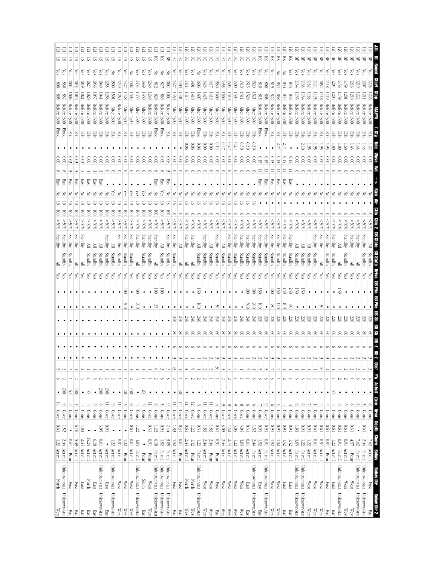| West                | <b>North</b>           | $1.22$ Act mill |                | 19'0                      | Cove                                             | $\frac{14}{1}$  | $\bullet$          | E               | S          |   |             |           |               |                      | $\frac{\text{Yes}}{\text{Yes}}$ |         | Standby |         | <u>s</u><br>80%  |                         | 공    | 1set        |                            |                          | <b>Flood</b> | 1300        | Betore          | 508               | $\frac{8}{2}$             | Υes        | 의         |  |
|---------------------|------------------------|-----------------|----------------|---------------------------|--------------------------------------------------|-----------------|--------------------|-----------------|------------|---|-------------|-----------|---------------|----------------------|---------------------------------|---------|---------|---------|------------------|-------------------------|------|-------------|----------------------------|--------------------------|--------------|-------------|-----------------|-------------------|---------------------------|------------|-----------|--|
| Unknown/stat        | Unknown/stat           | 2. 44 Act mill  |                | 1.52                      | Cove                                             | $\circ$         | $\infty$           | N               | $\sim$     |   | $\bullet$   | ٠         |               |                      |                                 | Standby | Standby |         | %65              | $\overline{\mathsf{S}}$ |      | rast        | $\frac{1}{2}$              |                          | <b>Flood</b> |             | Before 1300     | 832               | 0930                      | ίes        | Ε<br>51   |  |
| East                | East                   | Polar           | <b>D.61</b>    | ٠                         | Cons                                             |                 | $\circ$            |                 |            |   |             |           |               |                      | Çes                             | Standby | Standby |         | $20\%$           | S                       |      | 3SE         | 8                          |                          | <b>Ebb</b>   | 1300        | Betore          | 500l              | 604                       | çs         | 121<br>ᢑ  |  |
| East                | East                   | Act mill        | 5.49           | 0.10                      | Cons                                             |                 | $\hat{\mathbb{S}}$ |                 |            |   |             |           |               |                      | Уes                             | ≧       | Standby |         | %05 <            | ē                       |      | នេះ         | 600                        |                          | 품            | 1300        | Betore          | $\overline{1010}$ | lors                      | Çes        | E<br>5    |  |
| East                | East                   | Act mill        | 2.44           | S.                        | Cons                                             |                 | $\bullet$          |                 |            |   | $\bullet$   |           |               |                      | χes                             | ≧       | Standby |         | %05 <            | ē                       |      | East        | 0.03                       |                          | 臣            | 1300        | <b>Before</b>   | 102               | 6101                      | çs         | 57        |  |
| East                | North                  | Act mill        | 15.24          | $\bullet$                 | Cons                                             |                 | $50\,$             |                 |            |   |             |           |               |                      | χes                             | Standby | ≧       |         | %05 <            | ē                       |      | East        | 0.00                       |                          | 쭏            | 1300        | Before          | 1028              | S.                        | es,        | 5         |  |
| East                | East                   | Act mill        | 6.10           | $\bullet$                 | Cons                                             |                 | $\bullet$          |                 |            |   | $\bullet$   |           |               |                      | χes                             | Standby | ≧       |         | %05 <            | $\overline{0}$          |      | East        | 000                        |                          | 军            | 1300        | Before          | $103^{\circ}$     | 1036                      | (es        | 2         |  |
| Unknown/stat        | Unknown/stat           | Act mill        | <b>D.61</b>    | 3.OS                      | Cons                                             | Ó               | 200                |                 |            |   | $\bullet$   |           |               |                      | λës                             | Standby | ≧       |         | %05 <            | $\overline{\mathsf{S}}$ |      | <b>East</b> | $\frac{0}{2}$              |                          | 军            |             | Before 1300     | IMI               | $\overline{0}$            | çs         | 21<br>S.  |  |
| East                | East                   | Act mill        | $\bullet$      | 160                       | Cove                                             | $\equiv$        | 200                |                 |            |   | $\bullet$   |           |               |                      | çs                              | Standby | Standby |         | %05 <            | ē                       |      |             | 000                        |                          | 罗            | 1300        | Before          | 1256              | 1255                      | çs         | SI.       |  |
| Unknown/stat        | Unknown/stat           | Act mill        | 1.22           | $\bullet$                 | Cove                                             | $\circ$         | $\bullet$          |                 |            |   | $\bullet$   |           |               |                      | çs                              | Standby | ≧       |         | $\$0\frac{2}{5}$ | ē                       |      |             | $\frac{0}{2}$              |                          | 军            | 1300        | <b>After</b>    | 1501              | 500                       | 공          | 5         |  |
| West                | $\mathbb{W}\text{est}$ | Act mill        | $1600$         | $\bullet$                 | Cove                                             |                 | $\bullet$          |                 |            |   | $\bullet$   |           | $\bullet$     | $\bullet$            | χes                             | Standby |         | Standby | %05<             | ē                       |      |             | $\frac{8}{2}$              |                          | 몋            |             | Before 1300     | 1250              | 1249                      | <b>Čes</b> | 57        |  |
| West                | West                   | Polar           | 1.22           | $\bullet$                 | Cons                                             |                 | $\overline{50}$    |                 |            |   | $\bullet$   | ٠         | 8             | $\frac{1}{2}$        | çs                              | Standby | Standby |         | \$0%<            | $\overline{0}$          | స్ట్ |             | 000                        |                          | 军            | 1300        | After           | 1428              | 1427                      | es,        | S.        |  |
| West                | West                   | Act mill        | <b>D.61</b>    | 190                       | Cove                                             | ∘               | $\overline{50}$    |                 |            |   | $\bullet$   |           | $\bullet$     | $\bullet$            | çs                              | Standby | Standby |         | $20\%$           | $\overline{\Xi}$        | çs   |             | $_{\odot}^{\circ}$         |                          | 军            | 1300        | <b>After</b>    | 1503              | <b>1502</b>               | š          | S.        |  |
| Unknown/stat        | Unknown/stat           | Pamil           | 3.OS           | $\frac{2}{3}$             | Cons                                             |                 | $\bullet$          |                 |            |   | $\bullet$   | $\bullet$ | $\approx$     | $\approx$            | λës                             | È       | Standby |         | %05<             | $\overline{\mathsf{S}}$ | χes  |             | $\frac{0.00}{2}$           |                          | Ę            | 1300        | <b>After</b>    | 1435              | $\frac{1434}{1}$          | уes        | 21<br>SI. |  |
| East                | South                  | Polar           | $\bullet$      | $\bullet$                 | Cons                                             |                 | $\infty$           |                 |            |   | $\bullet$   | ٠         |               | $\bullet$            | χes                             | Standby | Standby |         | \$0%<            | $\overline{\mathsf{S}}$ | çs   |             | $\frac{1}{2}$              |                          | 턯            | <b>1300</b> | <b>Atter</b>    | 1450              | $\overline{64}$           | çs         | 21<br>51  |  |
| West                | West                   | Polar           | 160            | 0.31                      | Cove                                             |                 | $\bullet$          |                 |            |   | $\bullet$   | ٠         | ٠             | $\bullet$            | çs                              | Standby | Standby |         | \$055            | S                       |      |             | $\frac{0.00}{2}$           |                          | 军            | 1300        | Before          | 249               | 1248                      | (es        | 57        |  |
| Unknown/stat        | Unknown/stat           | Pa mill         | 6.10           | 1.22                      | Cons                                             | $\circ$         | $\bullet$          |                 | $\infty$   |   | ٠           |           | ೫             | $\overline{\odot}$   | χes                             | ≥       | Standby |         | %05 <            | ē                       |      | <b>East</b> | 0.00                       |                          | Flood        | 1300        | <b>Before</b>   | 078               | 812                       | 종          | 즛         |  |
| Unknown/stat        | Unknown/stat           | Pa mill         | $1.52\,$       | 160                       | Cons                                             |                 | $\bullet$          |                 |            |   | $\bullet$   |           |               | $\overline{\otimes}$ | Υes                             | Standby | ≧       |         | %05 <            | $\overline{\mathsf{S}}$ | çs   | East        | $\frac{0.00}{\pi}$         |                          | Flood        |             | Before 1300     | 830               | LZ8                       | 중          | 頁         |  |
| Unknown/stat        | Unknown/stat           | Pa mill         | 3.<br>OS       | 2.44                      | Cove                                             | $\circ$         | $\bullet$          |                 | $\sim$     |   | $\bullet$   |           |               |                      | χes                             | Standby | Standby |         | $250\%$          | ē                       | Z    | នេះ         | $\approx 0$                |                          | 뿡            |             | Before 1300     | $\overline{5}$    | $\overline{\rm s}$        | 중          | 먺         |  |
| East                | East                   | Act mill        | 1.52           | $1.83\,$                  | Cove                                             | Ξ               | $\bullet$          |                 | 23         |   | $\otimes$   | 240       |               |                      | χes                             | Standby | Standby |         | \$05             |                         |      |             | $\frac{0.00}{2}$           |                          | 军            | 1300        | <b>After</b>    | 1450              | $\sqrt{27}$               | ίes        | 5         |  |
| East                | East                   | Polar           | <b>D.61</b>    | 0.31                      | Cove                                             | $\frac{1}{4}$   | $\frac{8}{20}$     |                 |            |   | $8^{\circ}$ | 240       |               |                      | χes                             | ≧       | ≧       |         | $^{805}$         |                         |      |             | $\approx 0$                |                          | 품            | 1300        | After           | 1001              | $\overline{\overline{6}}$ | çs         | గ్        |  |
| West                | North                  | Act mill        | 2.44           | <b>D.61</b>               | Cove                                             | $\equiv$        | $\bullet$          |                 |            |   | $\infty$    | 240       |               |                      | Yes                             | ≧       |         | Standby | %05              |                         | Z    |             | 0.00                       | 0.00                     | 臣            | 1300        | <b>After</b>    | 1415              | IЩ                        | ίes        | ਨ         |  |
| West                | North                  | Polar           | 1.52           | 1.22                      | Cove                                             | ನ               | ٠                  |                 |            |   | g           | 240       |               |                      | χes                             | ≧       | Standby |         | $$80$ \$         |                         |      |             | 000                        | 90.0                     | 쭏            | 1300        | After           | 1410              | ГФI                       | es.        | 5         |  |
| Unknown/stat        | Unknown/stat           | Pa mill         | 1.22           | 0.31                      | Cons                                             |                 | $\bullet$          |                 |            |   | g           | 240       | g             | 50                   | Υes                             | Standby | ≧       |         | \$80%            |                         | Z    |             | 0.00                       | 90.0                     | Flood        | <b>1300</b> | After           | 1607              | 1600                      | š          | 5         |  |
| West                | West                   | Act mill        | 2.44           | 1.83                      | Cove                                             | $\equiv$        | $\bullet$          |                 |            |   | g           | 240       |               |                      | Yes                             | Standby | Standby |         | 80%              |                         | Z    |             | $\overset{\circ}{\rm s}$   | 000                      | 쭏            |             | After $1300$    | 1425              | 1423                      | λës        | 5         |  |
| West                | $\mathbb{W}\text{est}$ | Polar           | 2.44           | 1.83                      | Cove                                             | Ξ               | $\bullet$          |                 | N          |   | g           | 240       |               |                      | λës                             | Standby | ≧       |         | $^{805}$         |                         | δ    |             | 600                        | 000                      | 품            | <b>1300</b> | <b>After</b>    | 1419              | 141)                      | çs         | ਨ         |  |
| East                | East                   | Polar           | 160            | <b>190</b>                | Cons                                             |                 | $\bullet$          |                 | SO         |   | $^{\circ}$  | 240       | క             |                      | χes                             | Standby | Standby |         | 80%              |                         |      |             | $\frac{0.00}{2}$           | -0.12                    | 罗            | 1300        | <b>After</b>    | $\overline{000}$  | 1530                      | ζes        | ਨ         |  |
| West                | $\mathbb{W}\text{est}$ | Act mill        | 2.44           | 3.05                      | Cove                                             | $\circ$         | $\bullet$          |                 |            |   | 8           | Q40       |               |                      | Уes                             | Standby |         |         | %05              |                         | š    |             | $\frac{0}{2}$              | $-0.27$                  |              |             | $\frac{1}{200}$ | 1500              | 1455                      | ζes        | 5         |  |
| West                | West                   | Act mill        | 2.74           | $1.52\,$                  | Cove                                             | $\infty$        | $\bullet$          |                 |            |   | 8           | 240       |               |                      | çs                              | Standby | Standby |         | 80%              |                         | š    |             | $\frac{0}{2}$              | $-0.27$                  | 쭏            | 1300        | <b>After</b>    | 1510              | 505                       | es,        |           |  |
| West                | $\mathbb{W}\text{est}$ | Act mill        | 1.22           | 3.05                      | Cove                                             | $\circ$         | $\bullet$          |                 |            |   | 8           | 240       |               |                      | ζes                             | Standby | Standby |         | $^{805}$         |                         | š    |             | $_{\odot}^{\circ}$         | $-0.27$                  | 문            |             | After 1300      | 1505              | $\overline{500}$          | ζes        | 5         |  |
| West                | $\mathbb{W}\text{est}$ | Act mill        | 3.05           | 3.OS                      | Cove                                             | $\infty$        | $\bullet$          |                 |            |   | $\otimes$   | 0#7       |               |                      | χes                             | Standby | Standby |         | \$80%            |                         | δ    |             | 000                        | -0.30                    | 臣            | <b>1300</b> | <b>After</b>    | ISII              | 1510                      | χes        | 5         |  |
| East                | <b>East</b>            | Act mill        | [9.0]          | 0.31                      | Cons                                             | $\circ$         | $\bullet$          |                 |            |   | $\otimes$   | 0#7       | $\approx$     | $\overline{0}$       | çs                              | Standby | Standby |         | $^{805}$         |                         | Z    |             | $\frac{0}{2}$              | $-0.30$                  | 턯            |             | After $1300$    | 1520              | 1515                      | ζëς        | 5         |  |
| Unknown/stat        | Unknown/stat           | Pa mill         | 2.44           | 1.52                      | Cons                                             | O               | $\bullet$          |                 |            |   | $\infty$    | 340       | $\frac{8}{3}$ | $\overline{\odot}$   | Čes                             | Standby | Standby |         | \$05             |                         |      |             | $\frac{0.00}{2}$           | 9.30                     | 턯            | 1300        | $\rm{Mter}$     | 1521              | 520                       | ζes        | 5         |  |
| East                | East                   | Act mill        | 1.52           | 160                       | Cons                                             |                 | $\bullet$          |                 |            |   | 8           | 220       | g             | T                    | χes                             | Standby |         | Standby | %05              |                         |      | East        | 0.15                       |                          | Flood        |             | Before 1300     | 618               | 018                       | ίes        | 頁         |  |
| Unknown/stat        | Unknown/stat           | Pa mill         | 160            | 160                       | Cove                                             |                 | $\bullet$          |                 |            |   | 8           | 220       |               | $\bullet$            | ζes                             | Standby | Standby |         | $^{805}$         |                         | Z    | <b>Last</b> | 0.15                       |                          | Flood        |             | Before 1300     | 508               | $\frac{8}{2}$             | ζes        | 頁         |  |
| West                | West                   | Act mill        | 1.52           | 160                       | Cons                                             | Ò               | $\bullet$          |                 |            |   | S           | 220       | 8             | 200                  | ξŝ                              | Standby | Standby |         | \$80%            |                         |      | East        | 0.15                       |                          | 뿡            |             | Before 1300     | <b>822</b>        | S1S                       | çs         | 頁         |  |
| West                | West                   | Act mill        | 1.52           | 160                       | <b>Coms</b>                                      |                 | $\bullet$          |                 |            |   | 8           | 22        | 75            | 50                   | ζëς                             | Standby | Standby |         | $^{805}$         |                         |      | <b>Last</b> | G.15                       | 2.74                     | 罗            |             | Before 1300     | 898               | SS I                      | 공          | 젖         |  |
| East                | East                   | Act mill        | 1.52           | 160                       | $\frac{\text{Con}}{\text{Con}}$                  |                 | $\bullet$          |                 |            |   | $\otimes$   | 220       | ē             | 50                   | χes                             | Standby | Standby |         | 805              |                         |      | East        | 0.15                       |                          | 턯            | 1300        | Before          |                   | $+8$                      | 공          | 頁         |  |
| East                | East                   | Act mill        | 1.52           | 1600                      | Cons                                             |                 | $\bullet$          |                 |            |   | $^{\circ}$  | 52        | g             | 250                  | çs                              | Standby | Standby |         | %05              |                         | T    | East        | 0.15                       |                          | 军            |             | Before 1300     | 9#6               | 945                       | (es        | 줒         |  |
| Unknown/stat        | Unknown/stat           | $\rm Pa\,m\,ll$ | 3.05           | 1.83                      | Cons                                             |                 | $\bullet$          |                 |            |   | 8           | 220       |               | 5                    | çs                              | Standby | ≧       |         | $$80$ \$         |                         | š    |             | 0.00                       |                          | 뫃            | 1300        | Before          | 52                | 134                       | es.        | 몊         |  |
| Unknown/stat        | Unknown/stat           | Pa mill         | 1.22           | 160                       | Cons                                             |                 | $\bullet$          |                 |            |   | 8           | ë         |               | 2                    | çs                              | Standby | ≧       |         | $^{805}$         |                         | 3    |             | $\frac{0.00}{2}$           | 2.10                     | 풍            | 1300        | Before          | Ι₿4               | Ξ                         | Čes        | 묚         |  |
| West                | West                   | Act mill        | 1.22           | 160                       | Cons                                             |                 | $\bullet$          |                 |            |   | 8           | ë         |               |                      | χes                             | Standby | ≧       |         | $^{805}$         |                         | Z    |             | $\overset{\circ}{\approx}$ | 56                       | 뭉            |             | Before 1300     | 133               | 132                       | ćs         | 먺         |  |
| West                | West                   | Act mill        | <b>D.61</b>    | 1970                      | Cons                                             |                 |                    |                 |            |   | 8           | ë         |               |                      | çs                              | Standby | Standby |         | $^{805}$         |                         | 중    |             | 000                        | 5                        | 품            | 1300        | Before          | 125               | 124                       | (es        | 먺         |  |
| West                | West                   | Act mill        | <b>I60</b>     | 19'0                      | Cons                                             |                 | $\bullet$          |                 | 26         |   | 8           | ë         | క             |                      | çs                              | ≥       | Standby |         | $^{805}$         |                         | Z    |             | $\frac{0.0}{\sqrt{2}}$     | Š,                       | 뭉            | 1300        | Before          | $\frac{118}{2}$   | 52                        | (es        | 먺         |  |
| East                | East                   | Polar           | 16.0           | <b>D.61</b>               | Cons                                             |                 | $\bullet$          |                 |            |   | 8           | iš        |               |                      | Υēs                             | Standby | Standby |         | \$80             |                         | 공    |             | $\frac{0}{2}$              | Š                        | 뿡            | 1300        | Before          | $\overline{119}$  | $\frac{118}{2}$           | çs         | 몊         |  |
| East                | East                   | Act mill        | $\overline{z}$ | <b>D.61</b>               | Cons                                             |                 | $\frac{50}{20}$    |                 |            |   | 8           | iz        |               |                      | çs                              | Standby | Standby |         | $^{805}$         |                         | 공    |             | 000                        | $\overline{\mathscr{E}}$ | 풍            |             | Before 1300     | 1205              | $-204$                    | Čes        | 몊         |  |
| Unknown/stat        | Unknown/stat           | Pa mill         | 160            | 19'0                      | Cons                                             |                 | $\bullet$          |                 |            |   | 8           | 520       |               | S                    | ćs                              | ≧       | ≧       |         | $^{80\%}$        |                         | 공    |             | $\frac{0}{2}$              | $\overline{\mathscr{E}}$ | 뭉            |             | Before 1300     | 139               | 136                       | (es        | 먺         |  |
| West                | West                   | Act mill        | 160            | 10'0                      | Cons                                             |                 | $\bullet$          |                 |            |   | g           | 0Z7       |               |                      | λë                              | Standby | Standby |         | $^{805}$         |                         | δ    |             | $\approx 0$                | 80                       | 품            | 1300        | detore          | $\overline{1001}$ | $\frac{159}{2}$           | (es        | 몊         |  |
| West                | West                   | Polar           | 457            | 0.31                      | Cons                                             | ⊝               | $\bullet$          |                 |            |   | 8           | ë         |               |                      | Čes                             | ≧       | Standby |         | $^{805}$         |                         | Z    |             | $\approx 0$                | 4Ż                       |              | 1300        | Before          | 8121              | 216                       | (es        | 岊         |  |
| Unknown/stat        | Unknown/stat           | Pa mill         | 7.62           | $\bullet$                 | Cons                                             |                 | $\bullet$          |                 |            |   |             |           |               |                      | Č.                              |         |         |         | $^{*06}$         |                         |      |             |                            |                          |              |             |                 |                   |                           |            |           |  |
| Unknown/stat        | Unknown/stat           | Pa mill         | $2.44$         | <b>190</b>                | Cons                                             |                 | $\bullet$          |                 |            |   | g           |           |               |                      |                                 | Standby | Standby |         | $$0\%$           |                         |      |             | $_{0.00}$                  |                          |              | 1300        | Before          |                   | S                         | (es        | 岊         |  |
| Behav Dir 2<br>East | Behav Dir<br>East      | Act mill<br>ê   | Shore<br>7.62  | <b>Barth</b><br>$\bullet$ | $\frac{\text{Cous}}{\text{Cous}}$<br><b>SBAN</b> | Zome<br>$\circ$ | $\bullet$          | #"s Actual<br>S | <u>ទិ៍</u> |   | S           | ë         | m<br>S        |                      | (es                             | Standby |         |         | SOK:             |                         |      |             | $\frac{1}{2}$              |                          |              | 1300        | Betore          |                   | 223                       | ζes        | 岊         |  |
|                     |                        |                 |                |                           |                                                  |                 |                    |                 |            | Ë | 5<br>7      |           |               |                      |                                 |         | avas 09 |         |                  |                         |      |             |                            |                          |              |             |                 |                   |                           |            |           |  |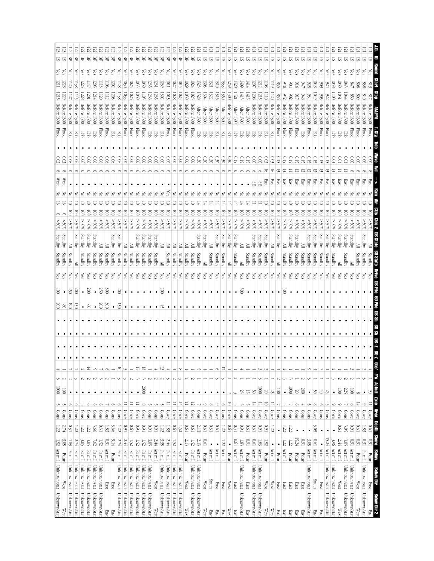|                                    | 묚                                    | 呂            | 岊            | 景             | 景                | 뫂            | 岊                | 몊           | 岊               | 呂             | 呂            | 먺                  | 몊            | 먺                     | 먺                        | 묚            | 먺                | 몊            | 먺                    | 묚                      | 몊                        |              | ヒ            | E                            |              |                        |              | ヒ            | E            |                              |                         |           |                      |           |                |                  |                        |             |                |                  |                  |                 |              |                     |          |              |
|------------------------------------|--------------------------------------|--------------|--------------|---------------|------------------|--------------|------------------|-------------|-----------------|---------------|--------------|--------------------|--------------|-----------------------|--------------------------|--------------|------------------|--------------|----------------------|------------------------|--------------------------|--------------|--------------|------------------------------|--------------|------------------------|--------------|--------------|--------------|------------------------------|-------------------------|-----------|----------------------|-----------|----------------|------------------|------------------------|-------------|----------------|------------------|------------------|-----------------|--------------|---------------------|----------|--------------|
| 5                                  | ᡦ<br>çs                              | çs           | çs           | es,           | es,              | çs           | çs               | çs          | es,             | çs            | çs           | ē                  |              | (es                   | (es                      |              |                  | Ĝ            | GS.                  | çs                     | çs                       | 57<br>(es    | 5<br>çs      | 5<br>5<br>çs<br>Çes          |              | 5<br>ञ<br>(es<br>(es   | 5<br>çs      | 5<br>çs      | S<br>(es     | 51<br>ᡦ<br>Ğ<br>çs           | ▽<br>es,                | 5<br>ζes  | 5<br>ćs              | 5<br>çs   | 运<br>çs        | ᡦ<br>çs          | ᡦ<br>运<br>çs<br>ā      | 5<br>χes    | 5<br>çs        | ନ୍ମି             | ▽<br>(es         | ᡦ<br>(es        | 5            | ವ                   | 5<br>(es |              |
| ίes<br>$\overline{112}$            | 228<br>$\overline{120}$              | 138          | 226          | E             | 1205             | Ξ            | $\overline{50}$  | <b>1202</b> | 128             | 1030          | 1025         | 1033               | GS.<br>1050  |                       | ಜ                        | es.<br>239   | Ξ                | S.           | Ξ                    | 6701                   | S.                       | 1323         | 1303         | 1321                         | 1310         | 559<br>33              | 1420         | 1409         | 1414         | 207                          | 1212<br>$\overline{80}$ | 1119      | 95                   | O#O       | 106            |                  | 947<br>925             | 1048        | 803            |                  | $\overline{8}$   | ŪSO             | (es<br>lO43  | es.                 |          |              |
|                                    |                                      |              | 1228         | S             | - 12             | l 120        | 1112             | 1203        |                 | 1033          | 1026         | 1050               | 1103         | 1236                  |                          |              | 10I              | 1028         | 1023                 | 1030                   | 1025                     | 1328         | 1304         | 1322<br>1316                 |              | 1300<br>1350           | 1421         | 1413         | 1415         | 80Z                          | 1215                    | 120       | 998                  | 242       | 80             |                  | 8#6<br>934             | <b>1049</b> | $\frac{8}{5}$  | $\frac{6}{2}$    | $\overline{5}$   | $\overline{50}$ | 1044         | 0.8                 |          |              |
|                                    | Betore<br>Betore                     | Betore       | Before       | Before        | Before           | Before       | Before           | Before      | <b>Before</b>   | <b>Before</b> | Betore       | <b>Before</b>      | Betore       | Before                | Before                   | Before       | Betore           | Before       | Before               | Before                 | Before                   | <b>After</b> | <b>After</b> | <b>After</b><br><b>Atter</b> | <b>After</b> | Before                 | <b>After</b> |              | <b>After</b> | Before<br><b>Betore</b>      | Before                  | Before    | Before               | Before    | Before         | Before<br>Before | Before                 | Betore      | Before         | Before           | Before           | Before          | Before       | Betore              |          |              |
| 1300                               | 1300<br>1300                         | 1300         | 1300         | 1300          | 1300             | 1300         | 1300             | 1300        | 1300            | 1300          | 1300         | 1300               | 1300         | 1300                  | 1300                     | 1300         | 1300             | 1300         | 1300                 | 1300                   | 1300                     | 1300         | 1300         | 1300                         | <b>1300</b>  | 1300<br><b>1300</b>    | 1300         | After 1300   | 1300         | 1300<br>1300                 | 1300                    | 1300      | 1300                 | 1300      | 1300           | 1300<br>1300     | 1300                   | 1300        | 1300           | 1300             | 1300             | 1300            | 1300         | 1300                |          |              |
| <b>Flood</b>                       | Flood<br>毘                           | 罩            | 문            | 蛋             | 뿡                | <b>Flood</b> | Flood            | Ę           | 쭏               | <b>Flood</b>  | <b>Flood</b> | <b>Flood</b>       | Flood        | 覂                     | 覂                        | 臣            | Flood            | <b>Flood</b> | <b>Flood</b>         | <b>Flood</b>           | <b>Flood</b>             | 쭏            | 뿓            | 품                            | 품            | 품<br>품                 | 품            | 품            | 蛋            | 蛋<br>罗                       | 厚                       | 厚         | <b>Flood</b>         | Flood     | Flood          | <b>Flood</b>     | <b>Flood</b><br>뿓      | 厚           | <b>Flood</b>   | <b>Flood</b>     | 厚                | 毘               | 覂            | <b>Flood</b>        |          | <b>Flood</b> |
|                                    |                                      |              |              |               |                  |              |                  |             |                 |               |              |                    |              |                       |                          |              |                  |              |                      |                        |                          |              |              |                              |              |                        |              |              |              |                              |                         |           |                      |           |                |                  |                        |             |                |                  |                  |                 |              |                     |          |              |
| 0.03                               | 600<br>90.                           | 0.06         | 0.06         | 0.06          | 0.06             | 0.06         | 0.06             | 0.06        | 0.06            | 000           | 000          | $_{\odot}^{\circ}$ | 0.00         | 000                   | 000                      | 000          | $\frac{0.00}{2}$ | 0.00         | 000                  | $\frac{0.0}{\sqrt{2}}$ | $\widetilde{\mathrm{0}}$ | 0.30         | 0.30         | 0.30                         | 0.30         | 0.30<br>030            | O. 15        | 0.15         | G.S          | 0.00<br>000                  | 60.03                   | 80.0      | С 15                 | 0. 15     | C.15           |                  | 0.15                   | o. 15       | GT)            |                  | 0.03             | 0.03            | 6.03         | $\widetilde{\rm g}$ |          |              |
|                                    |                                      |              |              |               |                  |              |                  |             |                 |               |              |                    |              |                       |                          |              |                  |              |                      |                        |                          |              |              |                              |              |                        |              |              |              |                              |                         |           |                      |           |                |                  | ಷ                      |             | 5              |                  | ಷ                |                 |              |                     |          |              |
| West                               | West                                 |              |              |               |                  |              |                  |             |                 |               |              |                    |              |                       |                          |              |                  |              |                      |                        |                          |              |              |                              |              |                        |              |              |              | æ                            | East<br>SŦ              | East      | East                 | East      | East           | East<br>East     | East                   | East        | East           | East             | East             | East            | East         | East                |          | Eas          |
| 종                                  | Z                                    |              |              |               |                  |              |                  |             |                 |               |              |                    |              |                       |                          |              |                  |              |                      |                        |                          |              |              |                              |              |                        |              |              |              |                              |                         |           |                      |           |                |                  |                        |             |                |                  |                  |                 |              |                     |          |              |
|                                    |                                      | ē            | 8            | S             | S                | S            | ē                | g           | 8               | S             | ē            | ē                  | g            | 8                     | 8                        | 8            | 8                | g            | g                    | 8                      | 8                        | S            | ē            | ē                            | ē            | 8<br>$\approx$         | ē            | ē            | g            | g<br>8                       | 8                       | S         | g                    | 8         | 8              |                  | S<br>8                 | g           | g              |                  | 8                | S               | g            | g                   |          |              |
| $\leq$ 0%                          | $20\%$<br>$^{805}$                   | %05 <        | %05 <        | %05<          | $\$0\frac{2}{3}$ | %05 <        | $\$0\frac{2}{3}$ | %05 <       | %05<            | %05<          | %05 <        | %05<               | %05 <        | $\$0\frac{2}{5}$      | $90\%$                   | %05<         | %05 <            | %05<         | $\$0\frac{2}{5}$     | $\$0\frac{2}{5}$       | %05 <                    | %05 <        | %05 <        | %05 <                        | \$05<        | %05 <<br>%05 <         | %05 <        | %05 <        | %05 <        | %05 <<br>%05 <               | %05 <                   | %05 <     | %05 <                | %05 <     | %05 <          | %05              | %05 <<br>%05 <         | %05 <       | \$0%<          | $\$0\frac{2}{5}$ | $\$0\frac{2}{5}$ | %05 <           | %05 <        | %05 <               | ≫0       | %65          |
|                                    |                                      |              |              |               |                  |              |                  |             |                 |               |              |                    |              |                       |                          |              |                  |              |                      |                        |                          |              |              |                              |              |                        |              |              |              |                              |                         |           |                      |           |                |                  |                        |             |                |                  |                  |                 |              |                     |          |              |
| Standby                            | Standby<br>≧                         | Standby      | Standby      | Standby       | Standby          | ≧            | ≧                | Standby     | Standby         | ≧             | ≧            | Standby            | Standby      | <i><b>Standby</b></i> | Standby                  | ≧            | ≧                | ≧            | ≧                    | ≧                      |                          | Standby      | Standby      | Standby<br>≧                 | Standby      | Standby                | Standby      | ≧            | ≧            | Standby<br>Standby           | Standby                 | ≧         | Standby              | ≧         | Standby        | Standby          | Standby<br>≧           | Standby     | Standby        | Standby          | Standby          | Standby         | Standby      | Standby             |          | Standby      |
| Standby                            | Standby<br>Standby                   | ≧            | Standby      | Standby       | Standby          | Standby      | Standby          | Standby     | Standby         | Standby       | Standby      | Standby            | Standby      | Standby               | Standby                  | ≧            | Standby          | Standby      | Standby              | Standby                | Standby                  | Standby      | ≧            | Standby<br>Standby           | Standby      | ≧                      | Standby      | ≧            | Standby      | Standby<br>Standby           | Standby                 | Standby   | ≧                    | Standby   | Standby        | Standby          | Standby<br>Standby     | Standby     | Standby        | Standby          | Standby          | ≧               | Standby      | ≧                   | tandby   | Standby      |
| χes                                | χes<br>çs                            | ζë           | χes          | χes           | çs               | ζes          | Yes              | χes         | χes             | χes           | χes          | χes                | χes          | Yes                   | χes                      | χes          | χes              | Yes          | ζëς                  | χes                    | χes                      | χes          | χes          | Yes<br>Yes                   |              | χes<br>λës             | Yes          | χes          | χes          | Yes<br>χē                    | χes                     | ζëς       | χes                  | ζë        | ζës            | χes<br>ζës       | λës                    | χes         | Yes            | ζës              | ζës              | χes             | χes          | çs                  |          |              |
| $\frac{1}{2}$                      | 250<br>$\bullet$                     | 200          | $\bullet$    | $\infty$      | $\bullet$        | 250          | 300              | $\bullet$   | $\overline{00}$ | $\bullet$     | $\bullet$    | $\bullet$          |              | ٠                     | $\bullet$                | $00\%$       | $\bullet$        | $\bullet$    |                      |                        | ٠                        | $\bullet$    | $\bullet$    | ٠                            | $\bullet$    | $\bullet$<br>$\bullet$ | $\bullet$    | 300          | $\bullet$    | $\bullet$                    | $\bullet$<br>$\bullet$  | $\bullet$ | $\bullet$            | 300       | $\bullet$      | $\bullet$        | $\bullet$<br>$\bullet$ | $\bullet$   | $\bullet$      |                  |                  |                 |              |                     |          |              |
| $\frac{200}{200}$                  | $\overline{\otimes}$<br>$^{\circ}$   | 50           | $\bullet$    | $\otimes$     |                  | 200          | 300 <sup>o</sup> | $\bullet$   | 50              | $\bullet$     |              |                    |              |                       |                          |              |                  |              |                      |                        |                          |              |              |                              |              |                        |              |              |              |                              |                         |           |                      |           |                |                  |                        |             |                |                  |                  |                 |              |                     |          |              |
|                                    |                                      |              |              |               |                  |              |                  |             |                 |               | ٠            |                    |              |                       |                          | ざ            |                  |              |                      |                        |                          |              |              |                              |              |                        |              |              |              |                              |                         |           |                      |           |                |                  |                        |             |                |                  |                  |                 |              |                     |          |              |
|                                    |                                      |              |              |               |                  |              |                  |             |                 |               |              |                    |              |                       |                          |              |                  |              |                      |                        |                          |              |              |                              |              |                        |              |              |              |                              |                         |           |                      |           |                |                  |                        |             |                |                  |                  |                 |              |                     |          |              |
|                                    |                                      |              |              |               |                  |              |                  |             |                 |               |              |                    |              |                       |                          |              |                  |              |                      |                        |                          |              |              |                              |              |                        |              |              |              |                              |                         | ٠         |                      |           |                |                  |                        | $\bullet$   |                |                  |                  |                 |              |                     |          |              |
|                                    |                                      |              |              |               |                  |              |                  |             |                 |               |              |                    |              |                       |                          |              |                  |              |                      |                        |                          |              |              |                              |              |                        |              |              |              |                              |                         |           |                      |           |                |                  |                        |             |                |                  |                  |                 |              |                     |          |              |
|                                    |                                      |              |              | $\frac{1}{4}$ | ╰                |              | σ                |             | 5               |               |              | ₹                  | ದ            |                       |                          | 23           |                  |              | œ                    |                        |                          |              |              | $\circ$                      |              | ╗                      |              |              |              |                              |                         |           |                      |           |                |                  |                        |             |                |                  |                  |                 |              |                     |          |              |
|                                    |                                      |              |              |               |                  |              |                  |             |                 |               |              |                    | ب            |                       |                          |              |                  |              |                      |                        |                          |              |              |                              |              |                        |              |              |              |                              |                         |           |                      |           |                |                  |                        |             |                |                  |                  |                 | N            |                     |          |              |
| 1000                               | $\overline{\mathsf{S}}$<br>$\bullet$ | $\bullet$    | $\bullet$    | $\bullet$     | $\bullet$        | $\bullet$    | $\bullet$        | $\bullet$   | $\bullet$       | $\bullet$     | $\bullet$    | $\bullet$          | 0007         | $\bullet$             | $\bullet$                | $\bullet$    | $\bullet$        | $\bullet$    |                      |                        | ٠                        | $\bullet$    | $\bullet$    | $\bullet$                    | $\bullet$    | $\bullet$              |              | 52           | 5            | 0001<br>50                   | $\approx$               | 25        | $\overline{\otimes}$ | $\bullet$ | $\overline{0}$ | $20\,$           | 200<br>$\bullet$       | Š           | $\hat{\sigma}$ | 52               | $\bullet$        | $\overline{0}$  | 225          | $\overline{\rm s}$  | $\infty$ | $\bullet$    |
|                                    |                                      |              |              |               |                  |              |                  | ⇨           | ⇨               |               | $\equiv$     | $\equiv$           | $\infty$     | J                     |                          |              | $\mathbb{I}$     | $\equiv$     | $\frac{14}{14}$      | Ξ                      | 12                       |              | $\circ$      | $\infty$                     | $\circ$      | 5<br>$\circ$           |              |              |              | 14<br>$\frac{1}{4}$          | 5                       | Ħ         |                      |           |                |                  |                        | $\infty$    | $\circ$        |                  |                  |                 |              | $\infty$            | <u>도</u> | $\circ$      |
| Cons                               | Cons<br>Cons                         | Cons         | Cons         | Cons          | Cons             | Cons         | Cons             | Cons        | Cons            | Cove          | Cove         | Cove               | Cove         | Cons                  | Cons                     | Cons         | Cove             | Cove         | Cove                 | Cove                   | Cove                     | <b>Cons</b>  | Cove         | Cove<br>Cove                 | Cons         | Cove                   | Cons         | Cons         | Cons         | Cove<br>Cove                 | Cove                    | Cove      | Cons                 | Cons      | Cons           | Cons             | Cons<br><b>Cons</b>    | Cove        | Cons           | Cons             | Cove             | Cove            | Cons         | Cove                | Cove     | Cove         |
| $1.22\,$                           | 0.31<br>2.74                         | 1.22         | 1.22         | 1.22          | 3.66             | 0.31         | 1.83             | 3.66        | 1.22            | 160           | <b>D.61</b>  | 160                | 160          | 160                   | 160                      | 1.22         | 1.83             | <b>D.61</b>  | 1.52                 | <b>D.61</b>            | <b>D.61</b>              | 2.13         | <b>D.61</b>  | 0.31<br><b>D.61</b>          |              | <b>D.61</b><br>1.22    | 0.31         | 160          | <b>D.61</b>  | <b>D.61</b><br>160           | 160                     | 1.22      | $\bullet$            | 1.22      | 72             | $\bullet$        | $\bullet$<br>$\bullet$ | بن<br>چ     | $\bullet$      | $\bullet$        | $\bullet$        | <b>D.61</b>     | ά<br>Θ       | 160                 | 1970     | 1.83         |
| 1.52                               | ن<br>چ<br>1.83                       | 2.74         | 3.05         | 3.05          | 7.62             | 1.52         | 160              | 9.14        | 2.74            | 2.44          | 1.52         | 1.52               | 1.52         | 3.OS                  | 2.44                     | 3.35         | 2.44             | 1.52         | $\bullet$            | 2.13                   | 1.52                     | 2.13         | 19.0         | $\bullet$                    | $\bullet$    | is.<br>$\bullet$       | <b>D.61</b>  | 1.83         | 160          | <b>D.61</b><br>1.83          | 1.52                    | $\bullet$ | $\bullet$            | 1.22      | 1.22           | 15.24            | 160<br>3.05            | <b>D.61</b> | $\bullet$      | 15.24            | 3.96             | 2.44            | 3.OS         | 160                 | 160      | 0.31         |
|                                    | Pa mill<br>Polar                     | Pa mill      | Pa mill      | Pa mill       | Pa mill          | Pa mill      | Act mill         | Polar       | Pa mill         | Pa mill       | Pa mill      | Pa mill            | Pa mill      | Pa mill               | Act mill                 | Pa mill      | Pa mill          | Pa mill      |                      | Polar                  | Pa mill                  | Act mill     | Polar        | Act mill<br>Act mill         | Act mill     | Polar                  | Act mill     | Act mill     | Polar        | Act mill<br>Act mill         | Polar                   | Act mill  | Polar                | Act mill  | Polar          | Polar            | Act mill<br>Polar      | Act mill    | Act mill       | Act mill         | Act mill         | Act mill        | Act mill     | Act mill            | Polar    | Pa mill      |
|                                    |                                      |              |              |               |                  |              |                  |             |                 |               |              |                    |              |                       |                          |              |                  |              |                      |                        |                          |              |              |                              |              |                        |              |              |              |                              |                         |           |                      |           |                |                  |                        |             |                |                  |                  |                 |              |                     |          |              |
|                                    | Unknown/stat<br>West                 | Unknown/stat | Unknown/stat | Unknown/stat  | Unknown/stat     | Unknown/stat | East             | East        | Unknown/stat    | Unknown/stat  | Unknown/stat | Unknown/stat       | Unknown/stat | Unknown/stat          | $\mathbb{W}\textup{est}$ | Unknown/stat | Unknown/stat     | Unknown/stat | Pa mill Unknown/stat | West                   | Unknown/stat             | Unknown/stat | West         | South<br>East                | East         | West                   | East         | Unknown/stat | East         | Unknown/stat<br>Unknown/stat | West                    | West      | <b>East</b>          | East      | East           | East<br>East     | Unknown/stat           | South       | East           | Unknown/stat     | Unknown/stat     | West            | Unknown/stat | Unknown/stat        | West     | Unknown/stat |
|                                    |                                      |              |              |               |                  |              |                  |             |                 |               |              |                    |              |                       |                          |              |                  |              |                      |                        |                          |              |              |                              |              |                        |              |              |              |                              |                         |           |                      |           |                |                  |                        |             |                |                  |                  |                 |              |                     |          |              |
| Act mill Unknown/stat Unknown/stat | Unknown/stat<br>West                 | Unknown/stat | Unknown/stat | Unknown/stat  | Unknown/stat     | Unknown/stat | East             | East        | Unknown/stat    | Unknown/stat  | Unknown/stat | Unknown/stat       | Unknown/stat | Unknown/stat          | West                     | Unknown/stat | Unknown/stat     | Unknown/stat | Unknown/stat         | West                   | Unknown/stat             | Unknown/stat | West         | East<br>East                 | East         | West                   | East         | Unknown/stat | East         | Unknown/stat<br>Unknown/stat | West                    | West      | East                 | East      | East           | East             | Unknown/stat<br>East   | East        | East           | Unknown/stat     | Unknown/stat     | West            | Unknown/stat | Unknown/stat        | West     | Unknown/stat |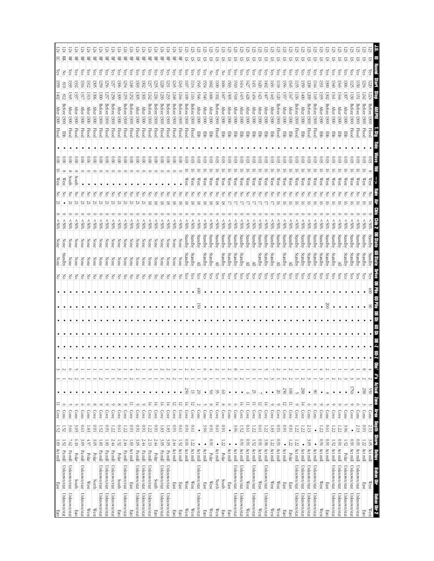| East<br>East                     | 1.83 Act mill |                | $1.52\,$       | Cove                                            | $\bullet$       | ىى         |  |           |           |           | 위의  | None           |         |                |    |   | West                    | $\approx$                  | <b>Flood</b>    | After<br>1300               | 02               | 359             | 티<br><b>es</b> |  |
|----------------------------------|---------------|----------------|----------------|-------------------------------------------------|-----------------|------------|--|-----------|-----------|-----------|-----|----------------|---------|----------------|----|---|-------------------------|----------------------------|-----------------|-----------------------------|------------------|-----------------|----------------|--|
| Unknown/stat<br>Unknown/stat     | Pa mill       | 1.52           | 1.52           | Cons                                            | $\bullet$       | N          |  | $\bullet$ |           |           |     | vabra          | None    | $$80$ \$       |    |   | West                    | $\frac{1}{2}$              | PB <sub>D</sub> | Betore<br>1300              |                  | 018             | 공              |  |
| Unknown/stat<br>Unknown/stat     | Pa mill       | 7.62           | 3.66           | Cons                                            | $\bullet$       | Ō          |  |           |           |           | 공   |                |         | $$80$ \$       |    |   | South                   | $\widetilde{\varepsilon}$  | <b>Flood</b>    | <b>After</b><br>1300        |                  | 339             | 岊<br>çs        |  |
| South<br>East                    | Polar         | 0.10           | 3.OS           | Cons                                            | ٠               |            |  |           |           |           | 공   | None           |         | $^{*06}$       |    |   | South                   | $\widetilde{\rm g}$        | Flood           | After<br>130C               | پي               | 1332            | 岊<br>çs        |  |
| Unknown/stat<br>Unknown/stat     | Pa mill       | 3.05           | 19'0           | Cons                                            | $\bullet$       |            |  | $\bullet$ |           |           | š   | None           |         | $^{806}$       |    |   |                         | 0.06                       | <b>Flood</b>    | <b>After</b><br>1300        | 131.             | 1316            | 岊<br>çs        |  |
| $\mathbb{W}\text{est}$<br>West   | Polar         | $4.57$         | - 33           | Cons                                            | $\bullet$       |            |  |           |           |           | š   | None           |         | $$80$ \$       | Ņ  |   |                         | 0.06                       | <b>Flood</b>    | <b>After</b><br>1300        | 1313             | 1312            | 景<br>cs,       |  |
| North<br>West                    | Polar         | 3.05           | 160            | $\infty$<br>Cove                                | $\bullet$       |            |  |           |           |           | 히   | None           | None    | $^{805}$       | N  | 공 |                         | 000                        | <b>Flood</b>    | <b>After</b><br>1300        | 1306             | 305             | 兽<br>(es       |  |
| Unknown/stat<br>Unknown/stat     | Pa mill       | 1.83           | 1.52           | c<br>Cove                                       | $\bullet$       |            |  | $\bullet$ |           |           | Š   | None           | None    | 805            | N  |   |                         | $\frac{1}{2}$              | <b>Flood</b>    | Betore<br>1300              | 1300             | 259             | 呂<br>ζë        |  |
| Unknown/stat<br>Unknown/stat     | Pa mill       | 1.83           | 160            | ∘<br>Cove                                       | $\bullet$       |            |  |           |           |           | 공   | None           | None    | $^{100}$       | Ņ. | S |                         | 000                        | Flood           | Before<br>1300              | 59               | 250             | 景<br>çs        |  |
| Unknown/stat<br>Unknown/stat     | Pa mill       | 2.44           | $\overline{z}$ | $\circ$<br>Cove                                 | $\bullet$       |            |  |           |           |           | 공   | None           | None    | \$05           |    | Z |                         | $\widetilde{\mathrm{0}}$   | <b>Flood</b>    | Before<br>1300              | 1258             | 52              | 몪<br>çs        |  |
| South<br>East                    | Polar         | 1.52           | <b>D.61</b>    | $^{\circ}$<br>Cove                              | $\bullet$       |            |  | $\bullet$ |           |           | š   | None           | None    | %05            | Ņ  | š |                         | 000                        | <b>Flood</b>    | <b>After</b><br>1300        | 306              | 306             | 景<br>χes       |  |
| Unknown/stat<br>Unknown/stat     | Pa mill       | 2.44           | 122            | ∘<br>Cove                                       | $\bullet$       |            |  |           |           |           | š   | None           | None    | $^{805}$       |    | 중 |                         | 000                        | <b>Flood</b>    | Before<br>1300              | 1255             | 254             | 岊<br>es,       |  |
| East<br>East                     | Act mill      | 1.83           | 160            | $\equiv$<br>Cove                                | $\bullet$       |            |  |           |           |           | š   | None           | None    | $^{805}$       | 21 | Z |                         | $\frac{0.00}{2}$           | Flood           | Betore<br>1300              | 1252             | 248             | 岊<br>çs        |  |
| Unknown/stat<br>Unknown/stat     | Pa mill       | بن<br>50       | 160            | $\circ$<br>Cove                                 | $\bullet$       |            |  | $\bullet$ |           |           | Š   | None           | None    | $^{805}$       | 21 | 3 |                         | 000                        | <b>Flood</b>    | Жer<br>1300                 | 505              | 1303            | 呂<br>λës       |  |
| Unknown/stat<br>Unknown/stat     | Pa mill       | 2.44           | 160            | $\circ$<br>Cove                                 | $\bullet$       |            |  | ٠         |           |           | 공   | None           | None    | $^{805}$       | 21 | š |                         | $\approx 0$                | Flood           | After<br>1300               | 1303             | 1302            | 兕<br>çs        |  |
| Unknown/stat<br>Unknown/stat     | Pa mill       | 2.13           | is.            | 도<br>Cove                                       | ٠               |            |  |           |           |           | š   | None           | None    | \$05           |    |   |                         | $\frac{0.00}{2}$           | <b>Flood</b>    | Betore<br>1300              |                  | 23.7            | 몊<br>(es       |  |
| South<br>East                    | Polar         | 2.44           | 160            | 董<br>Cove                                       | $\bullet$       |            |  |           |           |           | Fo  | None           | None    | \$80%          |    |   |                         | $\frac{0.00}{2}$           | <b>Flood</b>    | Before<br>1300              |                  | 23              | 岊<br>(es       |  |
| Unknown/stat<br>Unknown/stat     | Pa mill       | 3.05           | $1.83\,$       | $\overline{4}$<br>Cove                          |                 |            |  |           |           |           | š   | None           | None    | \$05           |    | Z |                         | $\frac{0.00}{\pi}$         | <b>Flood</b>    | <b>Before</b><br>1300       |                  |                 | 岊<br>çs        |  |
| Unknown/stat<br>Unknown/stat     | Pa mill       | بن<br>چ        | 1.83           | $\frac{1}{4}$<br>Cove                           | $\bullet$       |            |  |           |           |           | 공   | None           | None    | $^{805}$       |    |   |                         | $\widetilde{\mathbb{S}}$   | <b>Flood</b>    | setore<br>1300              |                  | 23.             | 먺<br>ćs        |  |
| East<br>East                     | Act mill      | 2.44           | 160            | $\overline{5}$<br>Cove                          | $\bullet$       |            |  |           |           |           | š   | None           | None    | \$05           |    |   |                         | $\frac{0.00}{2}$           | <b>Flood</b>    | Betore<br>1300              | 1248             | 245             | 兕<br>ίes       |  |
| East<br>East                     | Act mill      | 1.52           | <b>D.61</b>    | ನ<br>Cove                                       | $\bullet$       |            |  |           |           |           | 공   | None           | None    | $^{805}$       |    |   |                         | $\overset{\circ}{\approx}$ | <b>Flood</b>    | 1300                        |                  | 1243            | 兕<br>çs        |  |
| West<br>West                     | Act mill      | 160            | 160            | Ħ<br>Cove                                       | 250             |            |  | $\bullet$ |           |           | χes | Standby        | Standby | $^{80%}$       |    |   | $\mathbb{W}\text{est}$  | 600                        | <b>Flood</b>    | Before<br>1300              | 109              | $\overline{10}$ | 57<br>χes      |  |
| West<br>West                     | Act mill      | $\overline{z}$ | <b>D.61</b>    | ನ<br>Cove                                       | 13              |            |  |           |           | $\bullet$ | Υes | Standby        | Standby | $50\%$         |    |   | West                    | 0.03                       | <b>Flood</b>    | Before<br>1300              |                  | -114            | 5<br>(es       |  |
| Unknown/stat<br>Unknown/stat     | Act mill      | $\bullet$      | $\bullet$      | Cons                                            | $\overline{0}$  |            |  |           | 25        | ë)        | Υes | ≧              | Standby | $^{*06}$       |    |   | West                    | යි                         | 军               | After<br>1300               | 1546             | 545             | ᢑ<br>çs        |  |
| East<br>East                     | Act mill      | $\bullet$      | 3.96           | Cons                                            | $\bullet$       | o          |  |           |           |           | Yes | Standby        | Standby | $^{805}$       |    |   | $\mathbb{W}\text{est}$  | 6.03                       | 쭏               | <b>After</b><br>1300        | I≨€              | 34              | ವ<br>çs        |  |
| West<br>West                     | Polar         | 160            | 160            | $\infty$<br>Cove                                | $\frac{5}{2}$   |            |  |           |           |           | Yes | <i>standby</i> | jandby  | $^{*06}$       |    |   | West                    | 600                        | EDD             | After<br>1300               | $\overline{5}$   | 7091            | 5<br>š         |  |
| North<br>West                    | Act mill      | $\bullet$      | 19'0           | ᆍ<br>Cove                                       | 35              |            |  |           |           |           | χes | ⊵              | Standby | \$05           |    |   | West                    | 600                        | Flood           | <b>Before</b><br>1300       | 102              | $\overline{5}$  | 5<br>çs        |  |
| South<br>East                    | Polar         | 1.22           | $1600$         | $^{\circ}$<br>Cove                              | $\circ$         |            |  | $\bullet$ |           |           | Уes | Standby        | Standby | $^{80\%}$      |    |   | West                    | 0.03                       | 蛋               | <b>After</b><br>1300        | $\overline{8}$   | 909             | 5              |  |
| East<br>East                     | Act mill      | $\bullet$      | $\bullet$      | ⌒<br>Cons                                       | $\bullet$       |            |  |           |           |           | Υes | Standby        | Standby | $^{*06}$       |    |   | West                    | 600                        | 쭏               | <b>After</b><br>1300        | 1505             | 503             | 5<br>(es       |  |
| Unknown/stat<br>Unknown/stat     | Act mill      | $\bullet$      | 3.96           | Ō<br>Cons                                       | $\bullet$       | $^{\circ}$ |  | $\bullet$ |           |           | Yes | Standby        | Standby | \$80%          |    |   | West                    | 8                          | 军               | After<br>1300               | 1518             | <b>SIO</b>      | ᢑ<br>çs        |  |
| Unknown/stat<br>Unknown/stat     | Act mill      | 160            | 1.52           | Ħ<br>Cove                                       | $\bullet$       |            |  | $\bullet$ |           |           | Yes | Standby        | standby | $^{805}$       |    |   | $\mathbb{W}\text{est}$  | 600                        | 罗               | <b>After</b><br>00£I        | 1415             | 1414            | SI.<br>ζë      |  |
| West<br>West                     | Act mill      | 160            | <b>D.61</b>    | $\equiv$<br>Cove                                | $\circ$         |            |  | ٠         |           |           | χes | ≧              | Standby | $^{*06}$       |    |   | West                    | 80.0<br>కా                 | 턯               | <b>After</b><br>0061        | 1428             | 427             | SI.<br>çs      |  |
| Unknown/stat<br>Unknown/stat     | Act mill      | 1.52           | 1.22           | $\equiv$<br>Cove                                | 52              |            |  |           |           |           | χes | ≧              | Standby | $*965$         |    |   | West                    | 803                        | 턯               | <b>After</b><br><b>1300</b> | 1434             | 1431            | 5<br>çs        |  |
| West<br>West                     | Act mill      | 1600           | <b>D.61</b>    | 5<br>Cove                                       |                 |            |  | $\bullet$ |           |           | Yes | Standby        | Standby | $^{80\%}$      |    |   | West                    | 0.03                       | 军               | <b>After</b><br>1300        | 丙                | 420             | 2<br>çs        |  |
| Unknown/stat<br>Unknown/stat     | Act mill      | 3.96           | $\overline{z}$ | 도<br>Cove                                       | ٠               |            |  | $\bullet$ |           |           | χes | Standby        | Standby | $^{*06}$       |    |   | West                    | ය                          | 罗               | After 1300                  | 1407             | 205             | 5<br>çs        |  |
| West<br>West                     | Act mill      | 1.22           | 1.83           | $\circ$<br>Cove                                 | $\bullet$       |            |  | $\bullet$ |           |           | χes | Standby        | Standby | ‰%             |    |   | West                    | $\mathbb{S}^{03}$          | 쭏               | <b>After</b><br>1300        | 1443             | 436             | 2<br>ćs        |  |
| $\mathbb{W}\text{est}$<br>West   | Act mill      | <b>I60</b>     | 160            | $\circ$<br>Cove                                 | $\approx$       |            |  |           |           |           | χes | ≧              | Standby | $^{805}$       |    |   | West                    | 803                        | Flood           | Before<br>1300              | $\overline{120}$ | <b>II8</b>      | 5<br>çs        |  |
| East<br>East                     | Act mill      | $\bullet$      | 160            | ನ<br>Cove                                       | 250             |            |  |           |           |           | Yes | Standby        | Standby | \$80%          |    |   | West                    | 803                        | 罗               | <b>After</b><br>1300        | 1357             | 1350            | 5<br>çs        |  |
| East<br>East                     | Polar         | $1.22\,$       | 160            | $\equiv$<br>Cove                                | $\overline{0}$  |            |  | $\bullet$ |           |           | χes | ≧              | Standby | \$05           |    |   | West                    | 80                         | 뿓               | <b>After</b><br>1300        | 1347             | 1345            | ᡦ<br>çs        |  |
| Unknown/stat<br>Unknown/stat     | Act mill      | 12             | 22             | ∘<br>Cove                                       |                 |            |  |           |           |           | Υes | Standby        | Standby | \$80           |    |   | Wes1                    | 0.03                       | Flood           | Before<br>1300              | ĨŚС              | 52              | ᡖ<br>es.       |  |
| Unknown/stat<br>Unknown/stat     | Act mill      | $\bullet$      | 122            | 董<br>Cove                                       | 500             |            |  |           |           |           | Υes | Standby        | Standby | $^{805}$       |    |   | West                    | 8                          | 물               | After<br>1300               | J⊕               | 1359            | ವ<br>(es       |  |
| Unknown/stat<br>Unknown/stat     | Act mill      | بن<br>ا        | 2.13           | G<br>Cons                                       | $\bullet$       |            |  |           |           |           | ζës | Standby        | Standby | $^{805}$       |    |   | West                    | S                          | <b>Flood</b>    | detore<br>1300              | 607              | 208             | 5<br>çs        |  |
| Unknown/stat<br>Unknown/stat     | Act mill      |                |                | σ<br>Cons                                       | $\frac{8}{2}$   |            |  |           |           |           | çs  | standby        | jandby  | ‰%             |    |   | West                    | 803                        | Flood           | Before<br>1300              | ΗŚ               | 144             | ವ<br>(es       |  |
| West<br>West                     | Act mill      | 160            | $\overline{z}$ | €<br>Cove                                       | $\bullet$       |            |  |           |           |           | çs  | Standby        | Standby | $^{805}$       |    |   | West                    | 803                        | 军               | <b>After</b><br>1300        | 135              | پي<br>          | 运<br>çs        |  |
| East<br>East                     | Act mill      | 160            | <b>D.61</b>    | Cons                                            | $^{\circ}$      |            |  |           | $\approx$ |           | χes | kandby         | Standby | \$80%          |    |   | $\mathbb{W}\textup{es}$ | $^{0.03}$                  | 军               | <b>Before</b><br>1300       | 305              | $\frac{1}{200}$ | 5              |  |
| Unknown/stat<br>Unknown/stat     | Act mill      | 1.52           | 52             | Cove                                            |                 |            |  |           |           |           | Υes | Standby        | Standby | $^{805}$       |    |   | West                    | οc                         | 풍               | <b>After</b><br>1300        | 134.             | ن≯<br>10€       | 运<br>Čes       |  |
| Unknown/stat<br>Unknown/stat     | Act mill      | <b>I60</b>     | 122            | Cove                                            | $\bullet$       |            |  |           |           |           | λës | ≧              | Standby | $^{805}$       |    |   | West                    | 96                         | 뿓               | After<br>1300               | 1344             | 1343            | ವ<br>බූ        |  |
| Unknown/stat<br>Unknown/stat     | Polar         | 1.52           | 3.96           | Cons                                            | $\bullet$       |            |  |           |           |           | Yes | <i>standby</i> | jandby  | $\frac{1}{20}$ |    |   | West                    | Ξ                          | 賈               | After<br>0061               | ë                | 306             | 5<br>GS.       |  |
| Unknown/stat<br>Unknown/stat     | Act mill      | 160            | $\bullet$      | Cove                                            | 1750            |            |  |           |           |           | λës | standby        | Standby | 80≶>           |    |   | West                    | ශ                          | Flood           | Before<br>1300              |                  | 52              | 5<br>çs        |  |
| Unknown/stat<br>Unknown/stat     | Act mill      | 160            | 2.13           | Cons                                            | $\bullet$       |            |  |           |           |           |     |                |         |                |    |   |                         |                            |                 |                             |                  |                 |                |  |
| East<br>East                     | Act mill      | 1.22           | 160            | Cons                                            | 007             |            |  |           |           |           | ଟି  | Standby        | Standby |                |    |   | West                    |                            | Flood           |                             |                  |                 | 5              |  |
| $\mathbb{W}\textup{est}$<br>West | 3.05 Act mil  |                | $2.13\,$       | $\frac{\text{Conl}}{\text{Conl}}$<br><b>REA</b> | $\sim$<br>550   | 4          |  |           | g         | â         | (es |                |         |                |    |   | West                    |                            | Flood           | 1300                        |                  |                 |                |  |
| Behav Dir<br>Behav Dir 2         | 图画            | <b>Sinre</b>   | Depth          | Zone                                            | Ons' #'s Actual |            |  |           |           |           |     |                |         |                |    |   |                         |                            |                 |                             |                  |                 |                |  |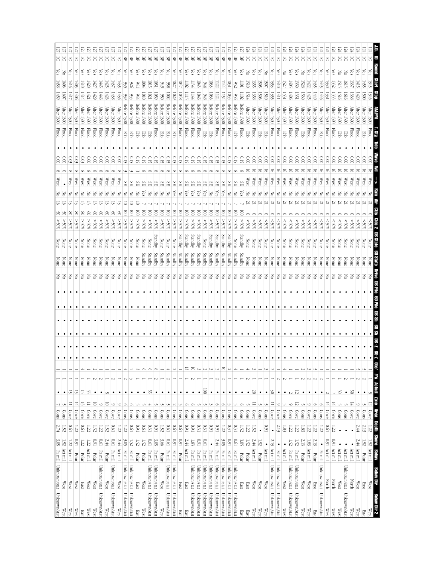| Unknown/stat Unknown/stat                               | 3.05 Pa mill                 | 2.74                           | $\mbox{Cons}$                                  |          | $\bullet$              |                 |            |        |                        |   |  |            | None               |                 |                  |                          |          | West         |                                   |                     |              | <b>Mter</b>                  | (459               | 458                          | <b>Les</b>      | ଧ୍ୱା   |
|---------------------------------------------------------|------------------------------|--------------------------------|------------------------------------------------|----------|------------------------|-----------------|------------|--------|------------------------|---|--|------------|--------------------|-----------------|------------------|--------------------------|----------|--------------|-----------------------------------|---------------------|--------------|------------------------------|--------------------|------------------------------|-----------------|--------|
| West<br>West                                            | Act mill                     | 1.52<br>1.52                   | Cons                                           |          | $\bullet$              |                 |            |        |                        |   |  | 의원         | None               |                 | %65              |                          |          |              | $\approx$                         | Hood                | 1300         | <b>Mter</b>                  | $\overline{60}$    | 000                          | Ιš              | 5      |
| West<br>West                                            | Act mill                     | <b>D.61</b><br>1.22            | Cove                                           | $\equiv$ | 5                      |                 |            |        |                        |   |  | $\epsilon$ | None               |                 | %05<             |                          |          | West         | 8                                 | Flood               |              | <b>After</b>                 | 141.7              | 1416                         | çs              | 5      |
| Polar<br>West<br>West                                   |                              | 1.22<br>$1600$                 | Cove                                           | ᆍ        | 5                      |                 |            |        |                        |   |  | 공          | None               |                 | %05 <            |                          |          | West         |                                   | <b>Flood</b>        |              | <b>After</b>                 | 1406               | $\frac{1}{2}$                | (es             |        |
| Polar<br>East<br>East                                   |                              | <b>D.61</b><br>$1.22\,$        | Cove                                           | 5        | 5                      |                 |            |        |                        |   |  | 중          | None               | None            | %05 <            | ఠ                        |          | West         | 0.03                              | <b>Flood</b>        | 1300         | <b>After</b>                 | 1414               | $\frac{1410}{2}$             | es.             | ਨ      |
| West<br>West                                            | Act mill                     | 1.22<br>1.22                   | Cove                                           | Ξ        | S,                     |                 |            |        |                        |   |  | 증          | None               | None            | %05 <            | S                        |          | West         | $\widetilde{\mathrm{0}}$          | Flood               | 1300         | <b>After</b>                 | 1421               | $\overline{420}$             | çs              | 5      |
| Polar<br>$\mathbb{W}\text{es}$<br>West                  |                              | 1.52<br>160                    | Cove                                           | $\Xi$    | $\bullet$              | N               |            |        | $\bullet$              |   |  | 공          | None               | None            | %05 <            | S                        |          | West         | $\frac{0.00}{\pi}$                | <b>Flood</b>        | 1300         | <b>After</b>                 | 1429               | $\overline{427}$             | çs              | 5      |
| Unknown/stat<br>Unknown/stat                            | $\frac{\text{Pa}}{\text{m}}$ | 1.22<br><b>D.61</b>            | Cove                                           | $\circ$  | $\bullet$              |                 |            |        |                        |   |  | š          | None               | None            | %05 <            | S                        |          | West         | $\tilde{8}$                       | <b>Flood</b>        | 1300         | <b>After</b>                 | 1446               | L#5                          | çs              | 5      |
| Polar<br>West<br>West                                   |                              | 1.52<br>2.44                   | Cove                                           | 5        |                        |                 |            |        |                        |   |  | 공          | None               | None            | %05 <            | S                        |          | West         | $\tilde{8}$                       | Flood               | 1300         | <b>After</b>                 | (426)              | 1425                         | ζes             |        |
| Unknown/stat<br>Unknown/stat                            | $\mathbf{P} \mathbf{a}$ mill | <b>D.61</b><br><b>D.61</b>     | Cove                                           | $\circ$  | $\bullet$              |                 |            |        | $\bullet$              |   |  | 공          | None               | None            | $\$0\frac{2}{3}$ | S                        |          | West         | 000                               | <b>Flood</b>        | 1300         | $\rm{Mter}$                  | 1438               | 1437                         | ζes             |        |
| $\mathbb{W}\text{es}$<br>West                           | Act mill                     | 1.22<br>2.44                   | Cove                                           | ∘        | $\bullet$              |                 |            |        | $\bullet$              |   |  | 공          | None               | None            | %05 <            | 8                        |          | West         | 0.00                              | Flood               | 1300         | <b>After</b>                 | 1436               | 435                          | es,             | 5      |
| Unknown/stat<br>Unknown/stat                            | Pa mill                      | 1.22<br>3.<br>OS               | Cons                                           | $\circ$  | $\bullet$              |                 |            |        | $\bullet$              |   |  | š          | None               | None            | %05 <            | ē                        |          | ЯS           |                                   | Ebb                 | 1300         | <b>Betore</b>                | 939                | 935                          | (es             | 멲      |
| Unknown/stat<br>Unknown/stat                            | $\frac{p_a}{\text{mod}}$     | <b>D.61</b><br>1.52            | $\frac{\text{Cous}}{\text{Cous}}$              | O        | $\bullet$              |                 |            |        | $\bullet$              |   |  | 공          | None               | None            | %05 <            | ē                        |          | ЯS           | O. 15                             | <b>Ebb</b>          | 1300         | Betore                       | 933                | 926                          | Čes             | 景      |
| Polar<br>East<br>East                                   |                              | 160<br>1.52                    | Cons                                           |          | $\bullet$              |                 |            |        |                        |   |  | 공          | None               | None            | %05 <            | ē                        | Z        | ЯS           |                                   | 臣                   | 1300         | <b>Before</b>                |                    | D41                          | es,             | 景      |
| Polar<br>West<br>West                                   |                              | 19'0<br>1.52                   | Cons                                           |          | $\bullet$              |                 |            |        |                        |   |  | F          | Standby            | None            | %05 <            | ē                        |          | æ            | 0.15                              | 军                   | 1300         | Before                       | 5<br>DIO           | 604                          | es,             | 哥      |
| Unknown/stat<br>Unknown/stat                            | $\mathbf{P} \mathbf{a}$ mill | $0.31\,$<br>$10.01\,$          | Cons                                           |          | 55                     |                 | Ó          |        |                        |   |  | 공          | Standby            |                 | %05              | ē                        |          |              |                                   | 뫃                   | 1300         | Before                       | $\mathbb{S}$       | ior                          | ČS              | 묚      |
| Unknown/stat<br>Unknown/stat                            | Pa mill                      | 160<br>3.05                    | Cons                                           |          | $\bullet$              |                 | $^{\circ}$ |        |                        |   |  | 중          | Standby            | Standby         | %05<             | $\bar{\rm s}$            | 중        | ЯS           |                                   | bool                | 1300         | Before                       | 591                | Ğ,                           | (es             | 묚      |
| Polar<br>$\mathbb{W}\text{est}$<br>West                 |                              | 1.52<br>3.66                   | Cons                                           |          | $\bullet$              |                 |            |        |                        |   |  | 중          | Standby            | None            | %05<             | ē                        | 공        |              | 0.15                              | 뿓                   | 1300         | detore                       | $\frac{0.50}{20}$  | 949                          | ίes             | 묚      |
| Unknown/stat<br>Unknown/stat                            | Pa mill                      | [91]<br><b>D.61</b>            | Cons                                           |          | $\bullet$              |                 | 4          |        |                        |   |  | 공          | Standby            | None            | %05 <            | ē                        | š        | SЕ           | 91                                | 뿓                   | 1300         | detore                       | $\overline{5}$     | 856                          | çs              | 멲      |
| Unknown/stat<br>Unknown/stat                            | Pa mill                      | <b>D.61</b><br>160             | Cons                                           | Z        | $\bullet$              |                 |            |        | ٠                      |   |  | 공          | Standby            | None            | %05 <            | $\overline{\varepsilon}$ | ζëς      | ЯS           | GT)                               | 뿓                   | 1300         | Before                       | 1029               | $\overline{27}$              | çs              | 岊      |
| Polar<br>East<br>East                                   |                              | 19'0<br>160                    | Cons                                           | Jì       | $\bullet$              |                 |            |        |                        |   |  | 중          | Standby            |                 | $30\%$           | S                        | Z        |              | 0.15                              | Flood               | 1300         | Before                       |                    | 1047                         | Čes             | 묚      |
| East<br>East                                            | Act mill                     | 160<br>2.44                    | Cons                                           | ◦        | $\bullet$              |                 | 5          |        |                        |   |  | 중          | Standby            | Standby         | %05 <            | ē                        | ćs       |              |                                   | Flood               | 1300         | Before                       |                    | $\overline{102}$             | cs,             | 멲      |
| Unknown/stat<br>Unknown/stat                            | Pa mill                      | 160<br>1.83                    | Cons                                           | ∽        | $\bullet$              |                 | 5          |        |                        |   |  | š          | Standby            | Standby         | %05<             | $\overline{\mathsf{S}}$  | λës      |              |                                   | Flood               | 1300         | Betore                       | L144               | 134                          | es.             | 묚      |
| Unknown/stat<br>Unknown/stat                            | Pa mill                      | 0.31<br>160                    | Cons                                           |          | $\bullet$              |                 |            |        |                        |   |  | 중          | Standby            | Standby         | %05<             | ē                        | Yes      |              | 0.15                              | Flood               | 1300         | Before                       | 1040               | LO43                         | (es             | 몪      |
| Unknown/stat<br>Unknown/stat                            | $\rm Pa$ mill                | 0.31<br><b>D.61</b>            | Cons                                           |          | $\overline{\odot}$     |                 |            |        |                        |   |  | 중          | Standby            | None            | %05 <            | ē                        | λë       |              | 0.15                              | 厚<br>               | 1300         | Betore                       |                    | 0#6                          | es,             | 岊      |
| Unknown/stat<br>Unknown/stat                            | Pa mill                      | 160                            | Cons                                           |          | $\bullet$              |                 |            |        |                        |   |  | š          | Standby            | Standby         | %65              | ē                        | Z        |              | 91                                | EDD                 | 1300         |                              | 1030               | 1033                         | (es             | 뫂      |
| Unknown/stat<br>Unknown/stat                            | $\rm Pa\,m\,ll$              | <b>I60</b><br>2.44             | Cons                                           | $\circ$  | $\bullet$              |                 |            |        | $\bullet$              |   |  | 공          | Standby            | Standby         | %05 <            | ē                        | χēς      |              |                                   | <b>Flood</b>        | 1300         | Before                       | ΙIJ                | $\overline{122}$             | es.             | 묚      |
| Unknown/stat<br>Unknown/stat                            | $\mathbf{Pa}$ mill           | $1.22\,$<br>3.05               | Cons                                           | ⊝        |                        |                 | 5          |        |                        |   |  | š          | Standby            | Standby         | %05 <            | ē                        | λë       |              |                                   | Flood               | 1300         | detore                       | 154                | F#1                          | es.             | 묚      |
| Unknown/stat<br>Unknown/stat                            | Pa mill                      | 0.31<br>160                    | Cons                                           | ىن       | $\bullet$<br>$\bullet$ |                 |            |        | $\bullet$              |   |  | 중          | Standby            | Standby         | %05 <            | $\overline{\odot}$       | F        | æ            |                                   | Flood               | 1300         | Before                       | 1033               | $\overline{1031}$            | es.             | 岊      |
|                                                         |                              |                                | Cons                                           |          |                        |                 |            |        |                        |   |  |            |                    |                 |                  |                          |          |              |                                   |                     |              |                              |                    |                              |                 |        |
| Polar<br>Unknown/stat<br>East<br>Unknown/stat<br>East   | Pa mill                      | 0.31<br>19'0<br>3.05           | $\frac{1}{2}$                                  | O        | $\bullet$              |                 |            |        |                        |   |  | š<br>F     | Standby<br>Standby | Standby<br>None | %05<<br>%65      | $\overline{\Xi}$<br>ē    | ζes<br>š | ЯS           | 0.15                              | Flood<br><b>Ebb</b> | 1300<br>1300 | Before<br>Betore             | <b>LI02</b><br>956 | <b>E</b><br>$\frac{952}{25}$ | Çes<br>(es      | 岊      |
|                                                         |                              | 1.52                           |                                                |          | $\bullet$              |                 |            |        |                        |   |  |            |                    |                 |                  |                          |          | æ            | 0.15                              |                     |              |                              |                    |                              |                 | 岊      |
| Polar<br>$\mathbb{W}\text{est}$<br>East<br>West<br>East | Act mill                     | 1.22<br>1.52<br>1.52<br>$2.44$ | Cons<br>Cove                                   | Ĵ        | $\rm 07$<br>$\bullet$  |                 |            |        | $\bullet$              |   |  | 공<br>F     | None<br>None       | None<br>None    | &805<br>\$80%    |                          |          | West<br>West | $\approx 0$<br>$\frac{0.00}{\pi}$ | Flood<br>罗          | 1300<br>1300 | <b>After</b><br><b>After</b> | 1514<br>1358       | I510<br>1355                 | <b>Čes</b><br>공 | 5<br>5 |
| Polar<br>West                                           |                              |                                | Cons                                           |          |                        |                 |            |        |                        |   |  |            | None               | None            | 805              |                          |          | West         | $\frac{0.00}{2}$                  |                     | 1300         | After                        | 1506               | 50S                          | es,             | 5      |
| West<br>West<br>West                                    | $\bullet$<br>Act mill        | 160<br>$\bullet$<br>1.52       | Cons                                           |          | $\bullet$<br>$\bullet$ |                 |            |        | $\bullet$<br>$\bullet$ |   |  | š<br>중     | None               | None            | &805             |                          |          | West         | $\frac{0.00}{\pi}$                | Ebb<br>물            | 1300         | <b>After</b>                 | 1510               | 507                          | 중               | 5      |
| Unknown/stat<br>Unknown/stat                            | Act mill                     | $\bullet$<br>2.13              | Cove                                           | Ξ        | 30                     |                 |            |        |                        |   |  | 공          | None               | None            | $^{805}$         |                          |          | West         | $\frac{0.00}{\pi}$                | Hood                | 1300         | After                        | 1355               | 1353                         | λës             | 5      |
| Unknown/stat<br>Unknown/stat                            | Pa mill                      | 2.13                           | $\frac{Cove}{C}$                               |          |                        |                 |            |        | $\bullet$              |   |  | 공          | None               | None            | $^{805}$         |                          |          | West         |                                   | Flood               | 1300         | <b>After</b>                 |                    |                              | çs              |        |
|                                                         | ٠                            |                                |                                                | $\circ$  | $\bullet$              |                 |            |        | $\bullet$              |   |  |            |                    |                 |                  |                          |          |              | $\tilde{8}$                       |                     |              |                              | IЩ                 | $\frac{1410}{2}$             |                 | 5      |
| West<br>West                                            | $\bullet$<br>Act mill        | $1.83\,$                       | $\frac{\text{Con}}{\text{Con}}$                | S        | $\bullet$              |                 |            |        | $\bullet$              |   |  | 중          | None               | None            | $\frac{80}{5}$   |                          |          | West         | $\frac{0.00}{2}$                  | 뿓                   | 1300         | <b>After</b>                 | 531                | 1527                         | 공               | 5      |
| Unknown/stat<br>Unknown/stat                            | $\mathbf{P} \mathbf{a}$ mill | $1.22\,$<br>$1.52\,$           | Cove                                           | $\circ$  | $\sim$                 |                 |            |        | $\bullet$              |   |  | 중          | None               | None            | %05              |                          |          | West         | $\frac{0.00}{2}$                  | Flood               | 1300         | <b>After</b>                 | 7600               | $\overline{405}$             | es,             | న్     |
| Unknown/stat<br>Unknown/stat                            | $\rm Pa\,m\rm dl$            | $\overline{z}$<br>$1.52\,$     | Cove                                           | 5        | 12                     |                 |            |        |                        |   |  | 중          | None               | None            | \$80%            |                          |          | West         | $\frac{0.00}{\pi}$                | Flood               | 1300         | <b>After</b>                 | 1351               | $\overline{350}$             | (es             | 5      |
| Polar<br>West<br>West                                   |                              | 1.83<br>2.13                   | Cons                                           | Jì       | $\bullet$              | N               |            |        |                        |   |  | 중          | None               | None            | $^{805}$         |                          |          | West         | $\widetilde{\mathbb{S}}$          | Ę                   | 1300         | After                        | 1530               | 1528                         | 중               | 5      |
| West<br>West                                            | Act mill                     | 1.22<br>1.83                   | Cove                                           | ◡        | $\bullet$              |                 |            |        |                        |   |  | F          | None               | None            | 80%              |                          |          | West         | $\approx 0$                       | Flood               | 1300         | <b>After</b>                 | 1425               | $\frac{422}{2}$              | çs              | న్     |
| Polar<br>East<br>East                                   |                              | 1.22<br>2.13                   | Cons                                           | ా        | ٠                      |                 |            |        |                        |   |  | 중          | None               | None            | $50\%$           |                          |          | West         | $\tilde{\rm s}$                   | Flood               | 1300         | Alter                        | 1400               | $\frac{432}{2}$              | çs              |        |
| Unknown/stat<br>Unknown/stat                            | $\bullet$<br>Pa mill         | 1.22                           | Cons                                           | ⊝        | $\bullet$              |                 |            |        | $\bullet$              |   |  | 공          | None               | None            | %05              |                          |          | West         | $\widetilde{\infty}$              | 뿓                   | 1300         | <b>After</b>                 | 1446               | l#5                          | (es             | ਨ      |
| North<br>West                                           | Act mill                     | 0.61<br>160                    | Cove                                           | ᅐ        |                        |                 |            |        |                        |   |  | 중          | None               | None            | \$06             |                          |          | West         | $\widetilde{\circ}$               | Flood               | 1300         | <b>After</b>                 | છુ                 | 330                          |                 |        |
| North<br><b>West</b>                                    | Act mill                     | 1.22<br>160                    | Cove                                           | ᆍ        |                        |                 |            |        |                        |   |  | ξ          | None               | None            | \$05             |                          |          | West         | $\widetilde{\circ}$               | Flood               | 1300         | <b>After</b>                 | 1333               | 32                           | ĠS,             | న్     |
| $\mathbb{W}\text{est}$<br><b>West</b>                   | $\bullet$<br>Act mill        | $\bullet$                      | Cons                                           |          | S                      |                 |            |        |                        |   |  | F          | None               | None            | $50\%$           |                          |          | West         | öΰ                                | 厚<br>               | 1300         | <b>After</b>                 | 1516               | Εĭ                           | 공               | న్     |
| Unknown/stat<br>Unknown/stat                            | Act mill                     | $\bullet$                      | Cons                                           |          | $\bullet$              |                 |            |        |                        |   |  | б          | None               |                 | $$^{805}$        |                          |          | West         | öΰ                                | 쭏                   | 1300         | lter                         | 1616               | liol5                        | Z               | 5      |
| North<br>West                                           | $\bullet$<br>Act mill        | $\bullet$                      | Cove                                           | 董        | 50                     |                 |            |        |                        |   |  |            | None               |                 | \$80             |                          |          | West         |                                   | <b>bool</b>         |              | After                        | 1338               | 33,7                         | es.             | ਨ      |
| West<br>West                                            | Act mill                     | 2.44<br>2.44                   | Cove                                           | ∘        | $\bullet$              |                 |            |        |                        |   |  |            |                    |                 | \$06             |                          |          | West         |                                   |                     |              |                              | 150                |                              |                 |        |
| Polar<br>East<br>East                                   |                              | 2.13<br>1.52                   | Cons                                           |          | $\bullet$              |                 |            |        |                        |   |  |            | None               |                 | \$80             |                          |          | West         |                                   | 품                   |              | After                        | Š                  |                              |                 | 5      |
| ialan ult<br>Mest<br>West                               | $1.52$ Act mill              |                                | $\frac{1}{\sqrt{1000}}$<br>$\frac{1000}{1122}$ | 5        | J                      |                 |            |        |                        |   |  |            |                    |                 |                  |                          |          | west         |                                   |                     |              |                              |                    |                              |                 | 5      |
| Behav Dir 2                                             | <b>Beliav</b>                | Ě<br>ā                         |                                                | Zone     |                        | Obs' #'s Actual |            | U<br>Ń | Ľ,                     | ¥ |  |            |                    |                 | Ń                |                          |          |              |                                   |                     |              |                              |                    |                              |                 | Ш      |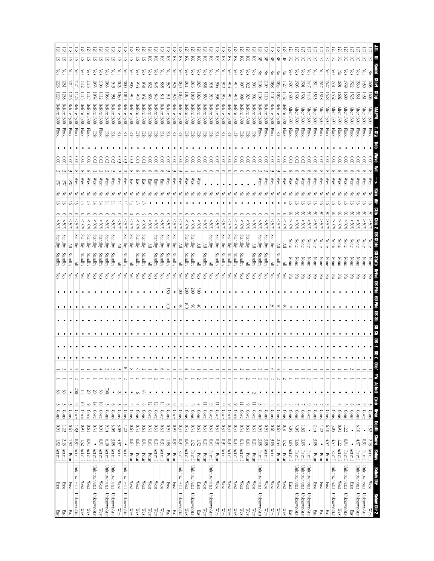| East<br>East                                    | 1.52 Act mill                                 |                  | $0.91\,$                 | <b>Cons</b>                                  | $rac{30}{20}$         |                        |          |      |           |   |           |                 |                                 | Standby | <b>Standby</b> | $-50\%$          |   | SW<br>š   | $\frac{0.00}{2}$           | <b>Flood</b> | 1300                 | 229 <br>Before             | 228               | $\epsilon$ s | 55        |
|-------------------------------------------------|-----------------------------------------------|------------------|--------------------------|----------------------------------------------|-----------------------|------------------------|----------|------|-----------|---|-----------|-----------------|---------------------------------|---------|----------------|------------------|---|-----------|----------------------------|--------------|----------------------|----------------------------|-------------------|--------------|-----------|
| East<br>East                                    | 2.13 Act mill                                 |                  | 1.22                     | Cons                                         | $\circ$               |                        |          |      | $\bullet$ |   |           |                 | $\frac{\text{Yes}}{\text{Yes}}$ | Standby | Standby        | \$05             |   | 8K<br>š   | $\frac{1}{2}$              | <b>Flood</b> | 1300                 | 123<br>Betore              | 231               | és           | 58<br>5   |
| East<br>East                                    | Polar                                         | 1.52             | <b>D.61</b>              | Cons                                         | $\bullet$             |                        |          |      |           |   |           |                 | (es                             | Standby | ≧              | $\$0\$           |   | æ         | $\overset{\circ}{\rm s}$   | <b>Flood</b> | 1300                 | 1216<br>Betore             | -214              | es,          | 28<br>ᡦ   |
| Unknown/stat<br>Unknown/stat                    | Act mill                                      | $\overline{160}$ | 1.83                     | Cove                                         | $\overline{00}$       |                        |          |      |           |   |           |                 | çs                              | ≧       | Standby        | \$05             |   | West      | $\widetilde{\rm g}$        | <b>Flood</b> | 1300                 | l 126<br>Betore            | 124               | es,          | 5         |
| West<br>West                                    | Act mill                                      | 1.52             | 160                      | $\Xi$<br>Cove                                | 15                    |                        |          |      | $\bullet$ |   |           |                 | χes                             | Standby | Standby        | $^{806}$         |   | West      | 000                        | <b>Flood</b> | 1300                 | 1113<br><b>Before</b>      | LI12              | ζes          | 5         |
| West<br>West                                    | Act mill                                      | $1600$           | <b>D.61</b>              | $\circ$<br>Cove                              | $0\%$                 |                        |          |      |           |   |           |                 | çs                              | Standby | Standby        | \$80%            |   | West      | 000                        | <b>Flood</b> | 1300                 | Before                     | - 116             | es,          | 5         |
| Unknown/stat<br>Unknown/stat                    | Act mill                                      | $\bullet$        | 0.31                     | $\frac{1}{4}$<br>Cove                        | $\frac{20}{20}$       |                        |          |      |           |   |           |                 | χes                             | Standby | Standby        | \$80%            |   | West      | 0.03                       | 厚<br>        | 1300                 | 1054<br>Before             | 1053              | (es          | 5         |
| West<br>West                                    | $\frac{1}{\sqrt{2}}$ and $\frac{1}{\sqrt{2}}$ | 0.91             | 160                      | $\Xi$<br>Cove                                | $\frac{30}{2}$        |                        |          |      | $\bullet$ |   |           |                 | ζëς                             | Standby | Standby        | &805             |   | West      | 80.0                       | Flood        | Before 1300          | 1112                       | $\overline{108}$  | Čes          | 5         |
| Unknown/stat<br>Unknown/stat                    | Act mill                                      | 6.10             | 9.14                     | Cons                                         | $\geq$                |                        |          |      |           |   |           |                 | ζë                              | Standby | Standby        | $^{100}$         |   | West      | 0.03                       | 臣            | 1300                 | 1038<br>Before             | <b>1036</b>       | ζes          | 57        |
| Unknown/stat<br>Unknown/stat                    | Act mill                                      | 3.05             | ن<br>چ                   | $\circ$<br>$\frac{\text{Cons}}{\text{cons}}$ | $\bullet$             |                        |          |      | $\bullet$ |   |           |                 | ζë                              | Standby | Standby        | &805             |   | West      | 80.0                       | 军            | 1300                 | Š,<br><b>Before</b>        | 949               | ίes          | 57        |
| West<br>West                                    | Act mill                                      | $4.57\,$         | 3.05                     | Cons                                         | 52                    |                        |          |      | $\bullet$ |   |           |                 | χes                             | ≧       | ≧              | %05              |   | West      | 60.03                      | 军            | 1300                 | $\overline{030}$<br>Before | 1025              | χes          | <u>रु</u> |
| Unknown/stat<br>Unknown/stat                    | Act mill                                      | $\bullet$        | 1.22                     | Cons                                         | $\bullet$             |                        | 5        |      | $\bullet$ |   |           | $\bullet$       | ζë                              | Standby | Standby        | \$80%            |   | West      | 0.03                       | 蛋            | 1300                 | 0101<br><b>Before</b>      | $\overline{5}$    | (es          | 2         |
| $\overline{\mathbb{W}}$ est<br>West             | Polar                                         | 19'0             | 1910                     | Cons                                         | $\bullet$             |                        | $\infty$ |      | ٠         |   |           | $\bullet$       | ζë                              | ≧       | Standby        | 805              | ದ | East      | 0.03                       | 蛋            | 1300                 | Betore                     | S                 | ζes          | 57        |
| $\mathbb{W}\text{est}$<br>West                  | Polar                                         | $10.0\,$         | 0.31                     | Cons                                         | $\circ$               |                        | ¢        |      | $\bullet$ |   |           | $\bullet$       | Yes                             | Standby | Standby        | $^{805}$         | 5 | East      | 80.0                       | 뫃            | 1300                 | 600<br>Before              | 934               | Yes          | <u>रु</u> |
| West<br><b>West</b>                             | Polar                                         | 160              | 1970                     | $\circ$<br>Cons                              | 45                    |                        |          |      | $\bullet$ |   |           | $\bullet$       | Yes                             | Standby | Standby        | $^{9000}$        |   | East      | 600                        | 품            | 1300                 | 223<br>Before              | $0\overline{8}$   | čes          | 28<br>51  |
| West<br>West                                    | Polar                                         | $10.61\,$        | 0.31                     | $\overline{2}$<br>Cove                       | ٠                     |                        |          |      | ٠         |   |           |                 | χes                             | ≧       | ≧              | \$80%            |   | East      | $\frac{0.00}{\pi}$         | 물            | 1300                 | Before                     | 852               | çs           | 젖         |
| $\mathbb{W}\text{est}$<br>West                  | Act mill                                      | $0.31\,$         | 0.31                     | π<br>Cove                                    | $\bullet$             |                        |          |      | $\bullet$ |   |           | $\bullet$       | ζës                             | Standby | Standby        | $$0\%$           |   | East      | $\frac{0}{2}$              |              | 1300                 | 6#8<br>Before              | \$48              | ίes          | 젖         |
| $\mathbb{W}\text{est}$<br>West                  | Act mill                                      | $0.31\,$         | 0.31                     | 董<br>Cove                                    |                       |                        |          |      |           |   |           | $\bullet$       | χë                              | Standby | Standby        | $50\%$           |   | East      | 000                        | 풍            | 1300                 | 118<br>Before              | 635               | ίes          | KK        |
| East<br>East                                    | Polar                                         | 1.83             | 160                      | $\circ$<br>Cons                              | $\bullet$             |                        |          |      | $\bullet$ |   | 8         | 2               | çs                              | Standby | Standby        | $^{805}$         |   | West      | $_{\odot}^{\circ}$         | 풍            | 1300                 | setore                     | 93                | ίes          | Ř         |
| <b>East</b><br>East                             | Polar                                         | $16\,0$          | 160                      | $\circ$<br>Cove                              |                       |                        |          |      |           |   | $\bullet$ | $\bullet$       | çs                              | Standby | Standby        | \$05             |   | West      | $\frac{0}{2}$              | 물            | 1300                 | 926<br>Before              | 55                | čes          | 젖         |
| Unknown/stat<br>Unknown/stat                    | Pa mill                                       | 0.31             | 0.31                     | Cons                                         |                       |                        |          |      |           |   | ₿         | $\frac{300}{2}$ | λes                             | ≧       | ≧              | $^{805}$         |   | West      | $\overset{\circ}{\approx}$ | 풍            | 1300                 | 58<br>Betore               | 630               | es,          | 奀         |
| $\mathbb{W}\text{est}$<br>West                  | Act mill                                      | 160              | 0.31                     | Cons                                         | $\bullet$             |                        |          |      | $\bullet$ |   | ē         | $\overline{00}$ | χes                             | Standby | Standby        | %05              |   | West<br>3 | 0.00                       |              | 1300                 | 1015<br>Before             | Ξ                 | ίes          | 젖         |
| Unknown/stat<br>Unknown/stat                    | Pa mill                                       | $1.52\,$         | 0.31                     | Cons                                         | ٠                     |                        |          |      |           |   | ४         | $200\,$         | çs                              | Standby | Standby        | \$05             |   | West      | 000                        |              | 1300                 | 6101<br>Before             | 9101              | (es          | 頁         |
| East<br>East                                    | Polar                                         | $1.52\,$         | <b>D.61</b>              | Cons                                         | $\bullet$             |                        |          |      |           |   | き         | 300             | λë                              | ≧       | ≧              | 80%              |   | West<br>3 | $\frac{0.00}{\pi}$         | ਞ            | 1300                 | 1024<br>Before             | 1023              | es,          | KK        |
| $\mathbb{W}\text{est}$<br>West                  | Polar                                         | 0.31             | 0.31                     | Cove                                         | $\bullet$<br>$\equiv$ |                        |          |      |           |   |           | $\bullet$       | ζë                              | Standby | ≧              | $^{805}$         |   | δ         | $\overset{\circ}{\rm s}$   | 품            | 1300                 | 859<br>Betore              | 898               | čes          | Ř         |
| Unknown/stat<br>Unknown/stat                    | Pa mill                                       | <b>D.61</b>      | <b>D.61</b>              | $\circ$<br>Cove                              | ٠                     |                        |          |      |           |   |           |                 | çs                              | ≧       | Standby        | \$05             |   | δ         | 600                        | 품            | <b>1300</b>          | 616<br>Betore              | 816               | Čes          | 頁         |
| $\mathbb{W}$ est<br>West                        | Polar                                         | $0.31\,$         | 0.31                     | $\equiv$<br>Cove                             | $\bullet$             |                        |          |      | $\bullet$ |   |           | $\bullet$       | χes                             | Standby | Standby        | \$80%            |   | F         | 000                        |              | 1300                 | S.<br>Before               | 56                | ζes          | 頁         |
| $\mathbb{W}\text{est}$<br>West                  | Act mill                                      | $0.31\,$         | 0.31                     | $\circ$<br>Cove                              | ٠                     |                        |          |      | $\bullet$ |   |           | $\bullet$       | λës                             | Standby | Standby        | \$06             |   | š         | 600                        |              | 1300                 | Betore                     | $\frac{21}{6}$    | ζes          | 頁         |
| West<br>West                                    | Act mill                                      | 0.31             | 0.31                     | ७<br>Cove                                    |                       |                        |          |      | $\bullet$ |   |           | $\bullet$       | çs                              | Standby | Standby        | \$80%            |   |           | 000                        |              | 1300                 | Before                     |                   | es,          | 頁         |
| West<br>West                                    | Act mill                                      | 0.31             | 0.31                     | $\circ$<br>Cove                              | $\bullet$             |                        |          |      |           |   | ٠         | $\bullet$       | χes                             | Standby | Standby        | $^{805}$         |   | š         | 0.00                       | ਞ            | Before 1300          |                            | 917               | ίes          | Ř         |
| $\mathbb{W}\text{est}$<br>West                  | Act mill                                      | $0.31\,$         | 0.31                     | Cove                                         | $\bullet$<br>$\equiv$ |                        |          |      | $\bullet$ |   | $\bullet$ | $\bullet$       | čS                              | Standby | Standby        | &805             |   | 8         | 000                        | 멹            | 1300                 | 606<br><b>Before</b>       | Š,                | kes          | 頁         |
| West<br>West                                    | Polar                                         | <b>D.61</b>      | 19'0                     | $\circ$<br>Cove                              | $\bullet$             |                        |          |      | $\bullet$ |   | ٠         | $\bullet$       | çs                              | ≧       | Standby        | &805             |   | Z         | $\frac{0.00}{2}$           | 蛋            | 1300                 | 923<br>Before              | 822               | ίes          | 28<br>頁   |
| West<br>West                                    | Polar                                         | 0.31             | 0.31                     | Ξ<br>Cove                                    | Μ                     |                        |          |      | $\bullet$ |   | $\bullet$ |                 | χes                             | Standby | ≧              | %05              |   | Z         | 000                        | 蛋            | <b>1300</b>          | Betore                     | š                 | es,          | 頁         |
| Unknown/stat<br>Unknown/stat                    | Pa mill                                       | 3.05             | 160                      | Cons                                         | $\bullet$             |                        |          |      | $\bullet$ |   | ٠         |                 | χë                              | Standby | Standby        | %05              |   | West      | 000                        | Flood        | 1300                 | $\overline{5}$<br>Before   | 500               | š            | 묚         |
| West<br>West                                    | Act mill                                      | 3.05             | 160                      | Cons                                         | $\bullet$             |                        |          |      |           |   | $\bullet$ | $\bullet$       | χes                             | Standby | Standby        | $^{805}$         |   | West      | $\frac{0.00}{2}$           | Flood        | Before 1300          |                            | 60                | š            | 28<br>몊   |
| West<br>West                                    | Act mill                                      | 3.05             | 19'0                     | Cons                                         | $\bullet$             |                        |          |      | $\bullet$ |   | S         | $\bullet$       | ξŝ                              | ≧       | Standby        | 80%              |   | West      | 000                        | Flood        | 1300                 | 1104<br>Before             | $\overline{1058}$ | 중            | 몊         |
| West<br>West                                    | Polar                                         | $2.44$           | <b>D.61</b>              | Cons                                         |                       |                        |          |      |           |   | ₿         |                 | çs                              | Standby | ≧              | &805             |   | West      | $\frac{0.00}{2}$           | <b>EB</b>    | 1300                 | 1057<br>Before             | 53                | S            | 뫂         |
| West<br>West                                    | Polar                                         | 1.52             | 0.31                     | $\frac{\text{Cons}}{\text{S}}$               |                       |                        |          |      |           |   | ₿         |                 | χes                             | ≧       | ≧              | \$80%            |   | West      | $\frac{0.00}{2}$           | Flood        | 1300                 | 1132<br><b>Before</b>      | ΙZΙ               | 공            | 뫂         |
| East<br>East                                    | Act mill                                      | 3.05             | ن<br>چ                   | Cons                                         | $\bullet$             |                        |          |      | $\bullet$ |   | $\bullet$ | $\bullet$       | 공                               | None    | None           | $90\%$           |   | West      | 0.03                       | <b>Flood</b> | After<br>1300        | 1508                       | $\overline{50}$   | (es          | 5         |
| Unknown/stat<br>Unknown/stat                    | $\mathbf{Pa}$ mill                            | 3.66             | 3.05                     | Cons                                         | ٠                     |                        |          |      |           |   |           |                 | 공                               | None    | None           | %05              |   | West      | 0.03                       | <b>Flood</b> | <b>After</b><br>1300 | $-506$                     | SG.               | čs           | 5         |
| Unknown/stat<br>Unknown/stat                    | Pa mill                                       | ن<br>م           | $\overline{3}$           | Cons                                         |                       |                        |          |      | ٠         |   |           |                 | 중                               | None    | None           | %05 <            |   | West      | ΰ.                         | <b>Flood</b> | After<br>1300        | <b>1502</b>                | L0SI              | Čes          | 5         |
| Unknown/stat<br>Unknown/stat                    | Pa mill                                       | $\bullet$        | $\bullet$                | Cove                                         | $\bullet$             |                        |          |      | $\bullet$ |   |           |                 | Z                               | None    | None           | %05 <            |   | West      | $\overset{\circ}{\approx}$ | <b>Flood</b> | Atter<br>1300        | 1448                       | (枡)               | ćs           | ਨ         |
| East<br>East                                    | Polar                                         | 3.OS             | 2.44                     | <b>Cons</b>                                  |                       |                        |          |      |           |   |           |                 | F                               | None    | None           | $\$0\frac{2}{5}$ |   | West      | $\frac{1}{8}$              | Flood        | After<br><b>1300</b> | ĘIS                        | 1514              | (es          | ਨ         |
| East<br>East                                    | Polar                                         | $\bullet$        | 1.22                     | Cons                                         |                       |                        |          |      |           |   |           |                 | F                               | None    | None           | $\$0\frac{2}{5}$ |   | West      | $\overset{\circ}{\approx}$ | <b>Flood</b> | After<br>1300        | 1518                       | Ë                 | çs           | 5         |
| East<br>East                                    | Polar                                         | 4.57             | 6.10                     | Cons                                         | ۰                     |                        |          |      | ٠         |   |           |                 | š                               | None    | None           | %05<             |   | West      | $\frac{0}{8}$              | Flood        | <b>Wer</b><br>1300   | 1528                       | 527               | çs           | ਨ         |
| Unknown/stat<br>Unknown/stat                    | Pa mill                                       | $4.57$           | 3.05                     | Cons                                         |                       |                        |          |      |           |   |           |                 | š                               | None    | None           | %05 <            |   | West      | $\frac{0}{2}$              | <b>Flood</b> | <b>After</b><br>1300 | 1532                       | Š.                | (es          | 5         |
| $\mathbb{W}\text{est}$<br>West                  | Act mill                                      | 1.22             | 160                      | Cons                                         |                       |                        |          |      |           |   |           |                 | ξ                               | None    | None           | %05<             |   | West      | $_{\rm 60}^{\circ}$        | Flood        | After<br>1300        | $\overline{1602}$          | I09               | 중            | 5         |
| Unknown/stat<br>Unknown/stat                    | Pa mill                                       | 160              | 1.22                     | Cons                                         |                       |                        |          |      |           |   |           |                 | ర                               | None    | None           | %05 <            |   | West      | $\tilde{6}$                | Flood        | <b>After</b><br>1300 | $\overline{000}$           | 559               | (es          | ਨ         |
| East<br>East                                    | Act mill                                      |                  |                          | Cons                                         |                       |                        |          |      |           |   |           |                 | ర                               | None    | None           | %05 <            |   | West      |                            | Flood        | <b>After</b><br>1300 | 1525                       | 522               | es,          | 5         |
| Unknown/stat<br>Unknown/stat                    | Pa mill                                       | 4.57             | 6.10                     | Cons                                         |                       |                        |          |      |           |   |           |                 |                                 | Vone    |                | %05 <            |   | West      |                            |              | Ιter                 |                            |                   |              |           |
| Unknown/stat<br>Unknown/stat                    | Pa mill                                       | $0.91\,$         | $\bullet$                | Cove                                         | $\bullet$             |                        |          |      |           |   |           |                 |                                 |         |                | $^{805}$         |   | West      |                            | Flood        | <b>After</b><br>1300 | 无                          | 450               |              | 5         |
| Behav Dir<br>West<br>Behav Dir 2<br><b>West</b> | 2.13 Act mill<br><b>REIRN</b>                 | <b>Shore</b>     | <b>Dapta</b><br>$1.52\,$ | $\frac{1}{\text{Cons}}$<br><b>REA</b>        | $\bullet$<br>Zome     | <b>Obs' #'s Actual</b> |          | 7-80 | 90 Sh     | ¥ |           |                 |                                 |         |                | ⊱>%              |   | West      |                            | Flood        |                      |                            | $50^{\circ}$      | S            | 5<br>Е    |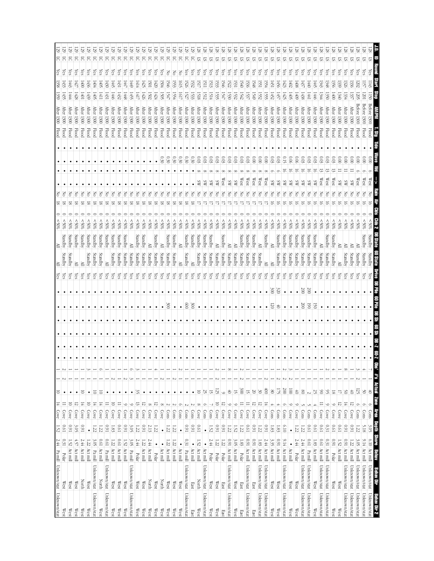|                          | Unknown/stat Unknown/stat  | $2.44$ Pamil                      |                   | $1.52\,$      | Cove                              | $\frac{14}{14}$ | $\overline{\circ}$                                    |          |           |             |                 |           | $\frac{1}{\sqrt{5}}$ |         |   |         | 20%            |                     |   |      |          |                           |              | <b>After</b><br>$\frac{1300}{200}$ | 1359            | 358                  | <b>Les</b> |         |
|--------------------------|----------------------------|-----------------------------------|-------------------|---------------|-----------------------------------|-----------------|-------------------------------------------------------|----------|-----------|-------------|-----------------|-----------|----------------------|---------|---|---------|----------------|---------------------|---|------|----------|---------------------------|--------------|------------------------------------|-----------------|----------------------|------------|---------|
| West                     | West                       | Polar                             | 0.31              | <b>D.61</b>   | Cove                              | $\equiv$        | $\bullet$                                             |          |           |             |                 |           |                      | Standby |   | Standby | \$05           |                     |   |      |          |                           | Flood        | <b>After</b><br><b>1300</b>        | 1435            | (33)                 | és         | 52<br>5 |
| West                     | West                       | Act mill                          | 1.52              | 160           | Cove                              | $\Xi$           |                                                       |          |           |             |                 |           | λës                  | Standby |   | Standby | $\frac{80}{5}$ |                     |   |      |          |                           | Flood        | <b>After</b><br>1300               | 1444            | £                    | ζes        | 5       |
| West                     | West                       | Act mill                          | 4.57              | 3.<br>05      | Cove                              | 12              | $\bullet$                                             |          |           |             |                 |           | Yes                  | ≧       |   | Standby | $^{806}$       |                     |   |      |          |                           | <b>Flood</b> | <b>After</b><br>1300               | 1428            | 427                  | ζes        | 5       |
| West                     | North                      | Act mill                          | $2.44$            | 160           | Cove                              | 耳               | 5                                                     |          |           |             |                 |           | çs                   | ≧       |   | Standby | \$06           |                     |   |      |          |                           | <b>Flood</b> | <b>After</b><br>1300               | 1001            | $600 +$              | ζes        | 5       |
| West                     | West                       | Act mill                          | 1.22              | $\bullet$     | Cove                              | $\Xi$           | $\bullet$                                             |          |           |             |                 |           | χes                  | Standby |   | Standby | \$05           |                     | 3 |      |          |                           | <b>Flood</b> | <b>After</b><br>1300               | 1439            | 1436                 | es,        | 5       |
| Unknown/stat             | Unknown/stat               | Pa mill                           | 3.05              | 1.22          | Cove                              | $\frac{14}{1}$  | $\overline{\circ}$                                    |          | $\bullet$ |             |                 |           | χes                  | Standby |   | Standby | &805           | 58                  | š |      |          |                           | <b>Flood</b> | <b>After</b><br>1300               | 1405            | $+04$                | çs         | 5       |
| West                     | North                      | Act mill                          | <b>D.61</b>       | 1.22          | Cove                              | $\frac{14}{14}$ | 5                                                     | O        |           |             |                 |           | ζë                   | Standby |   | Standby | &805           |                     |   |      |          |                           | Flood        | <b>After</b><br>1300               | IЩ              | ∫∯                   | çs         | 5       |
| Unknown/stat             | Unknown/stat               | Pa mill                           | <b>D.61</b>       | 160           | Cove                              | $\equiv$        | $\bullet$                                             |          |           |             |                 |           | χes                  | ≧       |   | Standby | \$80%          |                     |   |      |          |                           | Flood        | <b>After</b><br>1300               | 1431            | (430)                | ζes        | 5       |
| West                     | $\mathbb{W}\text{est}$     | Act mill                          | 1.22              | 1.83          | Cove                              | 5               | $\bullet$                                             |          | $\bullet$ |             |                 | $\bullet$ | χes                  | Standby |   | Standby | %05            | ವ                   | š |      |          |                           | <b>Flood</b> | <b>After</b><br>1300               | 1446            | (∰                   | çs         | 5       |
| West                     | $\mathbb{W}\text{est}$     | Act mill                          | 0.61              | <b>D.61</b>   | Cove                              | $\equiv$        | $\bullet$                                             |          | ٠         |             |                 |           | χes                  | Standby |   | Standby | \$80%          | $\overline{\alpha}$ | 공 |      |          |                           | <b>Flood</b> | <b>After</b><br>1300               | 1432            | $\left  431 \right $ | es,        | 5       |
| West                     | $\mathbb{W}\text{est}$     | Act mill                          | 1.52              | 160           | Cove                              | $\circ$         | $\bullet$                                             |          | ٠         |             |                 |           | ζë                   | Standby |   | Standby | &80%           | ವ                   | š |      |          |                           | <b>Flood</b> | <b>After</b><br>1300               | 1448            | 利                    | ίes        | 5       |
| Unknown/stat             | Unknown/stat               | $\frac{\text{Pauli}}{\text{Imi}}$ | ن<br>م            | ن<br>چ        | Cove                              | $\circ$         | $\bullet$                                             | $\circ$  | $\bullet$ |             |                 |           | ζes                  | Standby | ≧ |         | &805           | ವ                   | δ |      |          |                           | Flood        | <b>After</b><br>1300               | 1455            | 6#                   | çs         | 5       |
| West                     | West                       | Polar                             | $2.44$            | 1.22          | Cove                              | $\frac{1}{2}$   | 35                                                    |          |           |             |                 |           | çs                   | Standby |   | Standby | \$80%          |                     |   |      |          |                           | Flood        | <b>After</b><br>1300               | 1417            | 1414                 | es,        | 5       |
| <b>West</b>              | <b>West</b>                | Act mill                          | 1.22              | 160           | Cove                              | 12              | $\bullet$                                             |          |           |             |                 |           | çs                   | Standby |   | Standby | 80%            | ∞                   |   |      |          |                           | <b>Flood</b> | <b>After</b><br>1300               | 1426            | 425                  | čes        | 5       |
| West                     | North                      | Act mill                          | 2.44              | 2.13          | Cove                              | $\infty$        | $\bullet$                                             |          |           |             |                 |           | χë                   | Standby | ≧ |         | $$80$ \$       | ವ                   | 공 |      |          |                           | <b>Flood</b> | <b>After</b><br>1300               | [502            | 501                  | çs         | 5       |
| West                     | West                       | Polar                             | $\bullet$         | 122           | Cove                              | $\overline{2}$  | $\bullet$                                             |          | $\bullet$ |             |                 |           | χes                  | Standby |   | Standby | > 80%          |                     | 공 |      |          |                           | <b>Flood</b> | <b>After</b><br>1300               | 1424            | 420                  | (es        | 5       |
| West                     | <b>North</b>               | Act mill                          | $\bullet$         | $\bullet$     | Cove                              | $\infty$        | $\bullet$                                             |          |           |             |                 |           | χes                  | Standby | ≧ |         | \$80           | ಹ                   | T |      |          | 0.30                      | <b>Flood</b> | After<br>1300                      | 1505            | $-904$               | (es        | 5       |
| <b>West</b>              | West                       | Act mill                          | 1.22              | 1.22          | Cons                              | $\overline{c}$  | $\bullet$                                             |          | ٠         |             | SO              |           | ζës                  | Standby |   | Standby | \$05           | ಷ                   | Z |      |          | 0.30                      | Flood        | After<br>1300                      | IZ.             | $-046$               | F          | 5       |
| West                     | West                       | Act mill                          | 1.22              | 1.22          | Cons                              | $\overline{2}$  | $\bullet$                                             |          | ٠         |             |                 |           | Yes                  | Standby |   | Standby | 805            | ಷ                   | Z |      |          | $0\degree$                | Flood        | <b>Atter</b><br>1300               | 1554            | 153                  | 공          | 5       |
| West                     | <b>West</b>                | Act mill                          | $\bullet$         | $\bullet$     | Cons                              | $\circ$         | $\bullet$                                             |          |           |             | $\bullet$       |           | χes                  | ≧       | ≧ |         | $^{805}$       |                     |   |      |          | 0.30                      | <b>Flood</b> | <b>After</b><br>1300               | ΙğΙ             | ló15                 | 중          | ਨ       |
| Unknown/stat             | Unknown/stat               | Pa mill                           | 0.31              | 1600          | Cons                              | $\overline{c}$  | $\bullet$                                             |          |           |             | 800             |           | çs                   | Standby |   | Standby | &805           |                     |   |      |          | 0.30                      | <b>Flood</b> | After<br>0051                      | 1527            | 526                  | (es        | 5       |
| East                     | East                       | Act mill                          | $\bullet$         | 160           | Cons                              | $\overline{c}$  | $\bullet$                                             |          |           |             | $\frac{8}{200}$ |           | λë                   | ≧       |   | Standby | $^{805}$       |                     |   |      |          | 0.30                      | Flood        | After<br>1300                      | 1533            | <b>1532</b>          | (es        | 5       |
| West                     | North                      | Act mill                          | 1.52              | <b>D.61</b>   | Cove                              | $\infty$        | $\overline{a}$                                        |          |           |             | $\bullet$       |           | χes                  | Standby |   | Standby | $^{805}$       |                     | δ | S    | $\infty$ | 80.                       | <b>Flood</b> | Area 1300                          | 1518            | EIJ                  | ίes        | 51      |
| Unknown/stat             | Unknown/stat               | Act mill                          | $\bullet$         | $\bullet$     | Cons                              | $\circ$         | 25                                                    |          |           |             |                 |           | çs                   | Standby |   | Standby | $50\%$         |                     |   | æ    |          | 600                       | Flood        | <b>After</b><br><b>1300</b>        | 1512            | 뎔                    | çs         | 57      |
| West                     | West                       | Polar                             | 2.44              | 1.52          | Cons                              |                 | $\overline{5}$                                        |          |           |             |                 |           | λë                   | Standby |   | Standby | \$05           |                     |   | ¥    |          | 8                         | Flood        | After<br>1300                      | 1514            | 513                  | es,        | 5       |
| West                     | West                       | Polar                             | $1.22\,$          | 160           | Cove                              | 5               | 125                                                   |          | $\bullet$ |             | $\bullet$       |           | χes                  | Standby | ≧ |         | %05            |                     |   | æ    |          | 0.03                      | <b>Flood</b> | <b>After</b><br><b>1300</b>        | 1535            | 1533                 | <i>les</i> | SI.     |
| East                     | East                       | Polar                             | $1.22\,$          | 160           | Cove                              | 5               | $\circ$                                               |          |           |             |                 |           | çs                   | Standby |   | Standby | $^{805}$       |                     |   | West |          | 0.03                      | <b>Flood</b> | <b>After</b><br><b>1300</b>        | IЯ              | 1546                 | es,        | 57      |
| Unknown/stat             | Unknown/stat               | Act mill                          | 0.91              | 1.22          | Cove                              | $\circ$         | $\frac{40}{10}$                                       | $\infty$ |           |             |                 | $\bullet$ | çs                   | Standby | ≧ |         | \$80%          |                     |   | S    |          | 0.03                      | <b>Flood</b> | <b>After</b><br><b>1300</b>        | 1530            | $\overline{22}$      | ζes        | 5       |
| West                     | $\mathbb{W}\text{est}$     |                                   | 3.05              | 1.52          | Cove                              | $\circ$         | $\frac{1}{2}$                                         |          |           |             | ٠               | $\bullet$ | χes                  | Standby | ≧ |         | $^{805}$       |                     |   | SW   |          | 80.                       | Flood        | <b>After</b><br>1300               | 1532            | 531                  | λes        | 57      |
| East                     | East                       | Polar<br>Act mill                 | $\overline{1.83}$ | 1.22          | Cove                              | $\equiv$        | 300                                                   |          |           |             |                 |           | çs                   | Standby |   | Standby | 805            |                     |   | West |          | 600                       | Hood         | <b>After</b><br>0051               | 1542            | $\overline{640}$     | Čes        | SI      |
| Unknown/stat             | Unknown/stat               | Act mill                          | <b>I60</b>        | <b>D.61</b>   | Cove                              | $\equiv$        | 15                                                    |          | $\bullet$ |             |                 | $\bullet$ | ζë                   | Standby |   | Standby | &805           |                     |   | West |          | 60.03                     | <b>Flood</b> | <b>After</b><br>1300               | 1537            | 536                  | ίes        | 57      |
| East                     | East                       | Act mill                          | $16\,0$           | 1600          | Cove                              | ನ               | $\overline{0}$                                        |          | $\bullet$ |             | $\bullet$       | $\bullet$ | χes                  | Standby |   | Standby | %05            |                     |   | West |          | 000                       | Flood        | <b>After</b><br>1300               | 1549            | 1548                 | es,        | 57      |
| Unknown/stat             | Unknown/stat               | Act mill                          | $1.83\,$          | 1.22          | Cove                              | π               | 30                                                    |          | ٠         |             | ٠               | $\bullet$ | ζë                   | Standby | ≧ |         | \$80%          |                     |   | West |          | 000                       | <b>Flood</b> | <b>After</b><br>0061               | 1552            | 551                  | (es        | 2       |
| Unknown/stat             | Unknown/stat               | Act mill                          | 2.44              | 160           | Cove                              | $\frac{14}{14}$ | $\frac{1}{20}$                                        |          |           |             | $\bullet$       | $\bullet$ | ξŝ                   | ≧       |   | Standby | 80%            |                     |   | West |          | 000                       | <b>Flood</b> | Atter 1300                         | 155             | 554                  | ίes        | 57      |
| West                     | $\mathbb{W}\text{est}$     | Act mill                          | 3.35              | 1.83          | Cons                              | 4               | $\infty$                                              |          | $\bullet$ | $\bullet$   | 75              |           | χes<br>300           | È       | ≧ |         | 805            |                     |   | χg   |          | 0.03                      | Flood        | <b>After</b><br>1300               | 1452            | 1451                 | kes        | 57      |
| West                     | $\mathbb{W}\text{est}$     | Act mill                          | 160               | 1.83          | $\frac{\text{Cous}}{\text{Cous}}$ |                 | 17                                                    |          | $\bullet$ |             | 4               |           | ζë<br>320            | Standby |   | Standby | \$05           |                     |   | S    |          | 80.0                      | Flood        | <b>After</b><br>1300               | 1421            | 450                  | Čes        | SI      |
| Unknown/stat             | Unknown/stat               | Act mill                          | 9.14              | 6.10          | Cons                              | $\circ$         | $\frac{200}{200}$                                     |          | $\bullet$ |             | $\bullet$       | $\bullet$ | çs                   | Standby |   | Standby | %05            |                     |   | S    |          | 0.15                      | Flood        | After                              | ΙÉΣ             | 423                  | çs         | SI.     |
| <b>West</b>              | <b>West</b>                | Act mill                          | $\bullet$         | $\bullet$     | Cove                              | $\circ$         | $\overline{\otimes}$                                  |          | $\bullet$ |             |                 | $\bullet$ | çs                   | Standby |   | Standby | $^{806}$       |                     |   | S    |          | 0.06                      | <b>Flood</b> | <b>After</b><br><b>1300</b>        | 1405            | (02)                 | ίes        | 5       |
| West                     | West                       | Polar                             | $2.44$            | 1.22          | Cove                              | ∘               | $\frac{40}{\sqrt{2}}$                                 |          |           |             | $\bullet$       | $\bullet$ | çs                   | Standby |   | Standby | $^{805}$       |                     |   | SW   | ᇹ        | 600                       | Flood        | <b>After</b><br>1300               | 60 <del>)</del> | 1408                 | (es        | ᡦ       |
| Unknown/stat             | Unknown/stat               | Act mill                          | 2.44              | 1.22          | Cons                              |                 | $\frac{8}{20}$                                        |          | $\bullet$ |             | 200             |           | Ğ<br>200             | Standby |   | Standby | $^{805}$       |                     |   | æ    | 5        | 0.03                      | Flood        | After<br>1300                      | 1438            | $\mathbb{E}^7$       | çs         | ᠳ       |
| Unknown/stat             | Unknown/stat               | Pa mill                           | <b>0.61</b>       | 1970          | Cons                              |                 | $\overline{\mathcal{C}}$                              |          |           |             | $\delta$        |           | çs<br>$00\%$         | Standby |   | Standby | $^{805}$       |                     |   | S    | 5        | GO.                       | Flood        | <b>After</b><br>1300               | I∰I             | 6#                   | čs         | 5       |
| West                     | $\mathbb{W}\text{est}$     | Act mill                          | 1.83              | 1910          | Cons                              |                 | $\frac{2}{2}$                                         |          |           |             | 2               | $\bullet$ | λes                  | Standby |   | Standby | \$05           |                     |   | ۵W   | ᇹ        | 8                         | Flood        | After<br>1300                      | 1440            | $\frac{1}{2}$        | çs         | ᠳ       |
| Unknown/stat             | Unknown/stat               | Act mill                          | $10.01\,$         | <b>D.61</b>   | Cove                              | $\equiv$        | $\infty$                                              |          | $\bullet$ |             | $\bullet$       | $\bullet$ | χes                  | Standby | ≧ |         | %05            |                     |   | West |          | 803                       | <b>Flood</b> | <b>After</b><br>1300               | 1344            | 1343                 | ίes        | ᡦ       |
| Unknown/stat             | Unknown/stat               | Act mill                          | $0.31\,$          | $0.31\,$      | Cove                              | $\circ$         | 95                                                    |          |           |             |                 |           | çs                   | Standby |   | Standby | \$06           |                     |   | West |          | 0.03                      | <b>Flood</b> | <b>After</b><br>1300               | 1350            | 348                  | ČS         |         |
| West                     | West                       | Polar                             | 160               | 19'0          | Cove                              | $\circ$         | $\overline{8}$                                        |          |           |             |                 |           | λes                  | Standby |   | Standby | 80%            |                     |   | West |          | 8                         | Flood        | After<br>1300                      | $\frac{1}{2}$   | 350                  | Čes        |         |
| West                     | $\mathbb{W}\text{est}$     | Act mill                          | 1.52              | 19'0          | Cove                              | $\overline{5}$  | ₹                                                     |          |           |             |                 |           | ζëς                  | ≧       | ≧ |         | $50\%$         |                     |   | ¥    |          | $\widetilde{\circ}$       | <b>Flood</b> | <b>After</b><br>1300               | 1340            | $rac{c}{\delta}$     | çs         | 5       |
| Unknown/stat             | Unknown/stat               | Act mill                          | 1600              | 160           | Cove                              | $\frac{14}{14}$ | $\frac{50}{2}$                                        | $\infty$ |           |             |                 |           | çs                   | Standby | ≧ |         | \$80%          |                     |   | ¥    |          | $\frac{1}{2}$             | Flood        | After<br>0051                      | 1334            | 326                  | es,        | 51      |
| Unknown/stat             | Unknown/stat               | Act mill                          | 1.22              | 160           | Cove                              | 12              | $\frac{40}{2}$                                        |          |           |             |                 |           | Ğ                    | Standby |   |         | \$06           |                     |   | S    |          | $\widetilde{\varepsilon}$ | Flood        | <b>After</b>                       | 133.            | 336                  | es,        | 5       |
| Unknown/stat             | Unknown/stat               | Act mill                          | 3.05              | 1.22          | Cons                              | $\circ$         | <u>52</u>                                             |          |           |             |                 |           |                      | endby)  |   |         | \$06           |                     |   | West |          |                           |              |                                    |                 |                      |            |         |
| Unknown/stat             | Unknown/stat               | Act mill                          | 9.14              | 5.18          | Cons                              | $\circ$         | $\frac{50}{20}$                                       |          |           |             |                 |           |                      | Standby |   | Standby | \$80           |                     |   | West |          | öΰ                        | Flood        | 1300                               |                 |                      |            | S.      |
| Unknown/stat<br>av Dir 2 | Unknown/stat<br>wali<br>11 | 6.10 Act mill<br>lar              |                   | Depth<br>3.05 | <b>Cons</b>                       | Zone<br>$\circ$ | <b>Obs<sup>1</sup> #'s Actual</b><br>  1   40<br>  40 |          |           |             |                 |           |                      | Standby |   |         |                |                     |   | West |          |                           |              |                                    |                 |                      |            | Ε<br>S. |
|                          | S.                         |                                   | <b>Shore</b>      |               |                                   |                 |                                                       |          | DB -Z     | Ľ,<br>60 St |                 |           |                      |         |   |         | F<br>7         |                     |   |      |          |                           |              |                                    |                 |                      |            |         |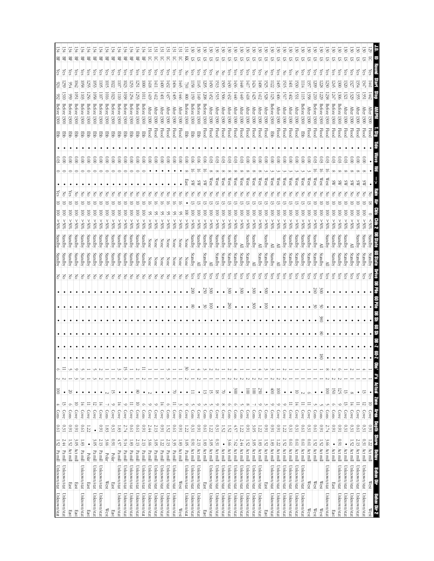|                     | 1.52 Pa mill Unknown/stat Unknown/stat |                              |                | 0.61                  | Cons                              | $\frac{100}{1}$<br>$\triangleq$ | $\overline{c}$         | $\circ$  |   |           |               |               |                 | $\epsilon$ | Standby | Standby | %65              | <u>s</u>                |   |                  |                           | Bab          | 1300                 | Betore        | 932             | 926               | Υes        | $\overline{\text{BF}}$ |  |
|---------------------|----------------------------------------|------------------------------|----------------|-----------------------|-----------------------------------|---------------------------------|------------------------|----------|---|-----------|---------------|---------------|-----------------|------------|---------|---------|------------------|-------------------------|---|------------------|---------------------------|--------------|----------------------|---------------|-----------------|-------------------|------------|------------------------|--|
| Unknown/stat        | Unknown/stat                           | Pa mill                      | 2.44           | 0.31                  | Cove                              | $\bullet$<br>$\frac{1}{2}$      | Z                      | $\equiv$ |   |           |               |               |                 | Ιš         | Standby | Standby | %65              | ē                       | Z |                  | $\frac{1}{2}$             | 쭏            | 1300                 | Before        |                 | 299               | ίes        | 哥                      |  |
| East                | East                                   | Act mill                     | $1.52\,$       | 160                   | Cons                              | 20<br>$\circ$                   |                        |          |   |           |               |               |                 |            | Standby | Standby | %05<             | g                       |   |                  | $_{\rm 8}^{\circ}$        | ਞ            | 1300                 | Betore        |                 | ን∮                | es,        | 몎                      |  |
| East                | East                                   | Act mill                     | 3.05           | 160                   | Cove                              | $\bullet$<br>5                  |                        |          |   |           |               |               |                 | F          | Standby | Standby | 250%             | S                       |   |                  | $\widetilde{\rm g}$       | 罗            | 1300                 | Betore        | š               | <b>D42</b>        | Çes        | 岊                      |  |
| Unknown/stat        | Unknown/stat                           | Pa mill                      | 1.83           | <b>D.61</b>           | Cove                              | $\bullet$<br>토                  |                        |          |   | ٠         |               |               |                 | 공          | Standby | Standby | %05 <            | ē                       |   |                  | $\frac{0.00}{\pi}$        | 쭏            | 1300                 | <b>Before</b> | 1103            | $\overline{1058}$ | (es        | 岊                      |  |
| East                | East                                   | Polar                        | $\bullet$      | 1.22                  | Cove                              | $\bullet$<br>$\equiv$           |                        |          |   |           |               |               |                 | 중          | Standby | Standby | %05 <            | ē                       |   |                  | 0.00                      | 물            | 1300                 | Before        | 256             | 35                | cs,        | 岊                      |  |
| Unknown/stat        | Unknown/stat                           | Pa mill                      | 3.05           | $\bullet$             | Cove                              | $\bullet$<br>5                  |                        |          |   |           |               |               |                 | 공          | Standby | Standby | %05 <            | ē                       |   |                  | 000                       | 蛋            | 1300                 | Before        | 1058            | 1053              | es,        | 몎                      |  |
| Unknown/stat        | Unknown/stat                           | Pamill                       | 2.13           | 160                   | Cove                              | $\bullet$<br>$\frac{1}{4}$      |                        |          |   | $\bullet$ |               |               |                 | 공          | Standby | Standby | %05<             | ē                       |   |                  | $\frac{0}{2}$             | 军            |                      | Before 1300   | 110             | Ξ                 | çs         | 景                      |  |
| West                | West                                   | Polar                        | 3.66           | 1.83                  | Cons                              | $\sim$                          |                        |          |   |           |               |               |                 | š          | Standby | Standby | $*05 <$          | ē                       |   |                  | $\frac{0}{2}$             | 罗            | 1300                 | Before        | 1016            | Ξ                 | es,        | 멆                      |  |
| East                | East                                   | Polar                        | 160            | 0.31                  | Cove                              | 5<br>$\circ$                    |                        |          |   |           |               |               |                 | F          | Standby | Standby | %05<             | ē                       |   |                  | $\tilde{8}$               | 蛋            | 1300                 | Before        | 1023            | 1022              | es,        | 몪                      |  |
| Unknown/stat        | Unknown/stat                           | $\mathbf{P} \mathbf{a}$ mill | $4.57$         | $1.83\,$              | Cove                              | $\bullet$<br>보                  |                        |          |   | $\bullet$ |               |               |                 | 공          | Standby | Standby | %05 <            | ē                       |   |                  | 000                       | 蛋            | 1300                 | <b>Before</b> | ΞI              | $\overline{5}$    | <b>Čes</b> | 景                      |  |
| Unknown/stat        | Unknown/stat                           | Pa mill                      | 9.14           | 2.74                  | Cove                              | $\bullet$<br>6                  |                        | 군        |   | ٠         |               |               |                 | š          | Standby | Standby | %05 <            | ē                       |   |                  | 000                       | 품            | 1300                 | Before        | 1038            | l023              | es.        | 묘                      |  |
| Unknown/stat        | Unknown/stat                           | Pa mill                      | 1.83           | 1910                  | Cove                              | $\bullet$<br>$\equiv$           |                        |          |   | $\bullet$ |               |               |                 | š          | Standby | Standby | %05<             | ē                       |   |                  | $\frac{0.00}{\pi}$        | 军            | 1300                 | Before        | 1254            | 253               | es,        | 岊                      |  |
| Unknown/stat        | Unknown/stat                           | Pa mill                      | 2.13           | <b>D.61</b>           | Cove                              | 80<br>$\Xi$                     |                        | N        |   | $\bullet$ |               |               |                 | 공          | Standby | Standby | %05<             | $\overline{\mathsf{S}}$ |   |                  | $\frac{0.00}{2}$          | 물            | 1300                 | Before        | 123             | 1551              | çs         | 岊                      |  |
| Unknown/stat        | Unknown/stat                           | Pa mill                      | 2.13           | 160                   | $\frac{\text{Cons}}{\text{cons}}$ | $\bullet$<br>$\circ$            |                        | Ξ        |   | ٠         |               |               |                 | Z          | Standby | Standby | \$0%<            | ē                       | Z |                  | $\frac{1}{2}$             | 턯            | 1300                 | Before        | <b>TIOTI</b>    | $\overline{5}$    | çs         | 兕                      |  |
| Unknown/stat        | Unknown/stat                           | Pa mill                      | 3.66           | 2.44                  | Cove                              | $\sim$<br>$\circ$               |                        |          |   |           |               |               |                 | 공          | None    |         | $\$0\frac{2}{5}$ | S,                      |   |                  | $\frac{0.00}{2}$          | pool         | 1300                 | <b>After</b>  | $\frac{141}{9}$ | $\frac{1418}{2}$  | (es        | 5                      |  |
| Unknown/stat        | Unknown/stat                           | Pa mill                      | 3.05           | $2.13\,$              | Cove                              | $\bullet$<br>$\circ$            |                        |          |   |           |               |               |                 | 공          | None    | None    | %05<             | S,                      |   |                  | $\frac{0.00}{2}$          | Flood        | 1300                 | <b>After</b>  | 1412            | Ξ                 | (es        | 5                      |  |
| Unknown/stat        | Unknown/stat                           | Pa mill                      | 1.22           | 160                   | Cove                              | $\bullet$<br>죠                  |                        |          |   |           |               |               |                 | š          | None    | None    | %05 <            | S                       | 중 |                  | $\frac{0.00}{\pi}$        | Flood        | 1300                 | After         | 1001            | $-000$            | ίes        | 5                      |  |
| Unknown/stat        | Unknown/stat                           | Pa mill                      | 2.13           | 1.52                  | Cons                              | $\bullet$<br>Ö                  |                        |          |   |           |               |               |                 | క          | None    | None    | %05 <            |                         |   |                  | $\widetilde{\mathbb{S}}$  |              | 1300<br><b>Flood</b> | <b>After</b>  | 1437            | $\frac{432}{2}$   | ćs         | నె                     |  |
| Unknown/stat        | Unknown/stat                           | Pa mill                      | 335            | <b>D.61</b>           | Cove                              | $\approx$<br>$\equiv$           |                        |          |   |           |               |               |                 | Z          | None    | None    | %05 <            | S                       |   |                  | $\frac{1}{2}$             | <b>Flood</b> | 1300                 | After         | 1405            | $+0+$             | ίes        | 5                      |  |
| West                | West                                   | Act mill                     | 1.83           | 160                   | Cons                              | $\bullet$<br>ىن                 |                        |          |   |           |               |               |                 | 중          | None    | None    | %65              | S                       |   |                  | $\tilde{8}$               | Flood        | 1300                 | After         | 1440            | $\frac{1}{2}$     | çs         | 5                      |  |
| Unknown/stat        | Unknown/stat                           | Pa mill                      | 3.05           | 1.22                  | Cove                              | $\bullet$<br>$\circ$            |                        | SO       |   | $\bullet$ |               | $\bullet$     | $\bullet$       | 공          | None    | None    | %05 <            | ē                       |   | œ<br><b>East</b> | 000                       | BB<br>BB     | 1300                 | Before        | 008             | જ્રં              | 중          | 즛                      |  |
| Unknown/stat        | Unknown/stat                           | Act mill                     | $1600$         | $0.31\,$              | Cons                              | ⋍<br>Jì                         |                        |          |   |           |               | 8             | $\approx$       | (es        | Standby | Standby | %05 <            | ē                       |   |                  | 0.06                      | <b>Ebb</b>   | 1300                 | <b>Before</b> | 159             | 158               | es,        | 5                      |  |
| Unknown/stat        | Unknown/stat                           | Act mill                     | 2.13           | 160                   | Cove                              | $\bullet$<br>$\circ$            |                        | 4        |   |           |               | $\bullet$     | $\bullet$       | ζes        | ≧       | Standby | %05 <            | ē                       |   | SW               | $\frac{0.06}{2}$<br>ਨ     | 뿓            | 1300                 | Betore        | <b>OFII</b>     | Π45               | es.        | ᢑ                      |  |
| East                | East                                   | Act mill                     | 1.83           | <b>D.61</b>           | Cons                              | 13                              |                        |          |   |           |               | w             | 250             | Yes        | Standby | Standby | %65              | ē                       |   | ΧS               | $\widetilde{\varepsilon}$ |              | <b>Flood</b>         | Before 1300   | 1208            | 302               | Çes        | ವ                      |  |
| Unknown/stat        | Unknown/stat                           | Act mill                     | 3.05           | 122                   | Cons                              | 5<br>J                          |                        |          |   |           |               | ē             | $\approx$       | çs         | ≧       | standby | $*065$           | ē                       |   | West             | 600                       | Flood        | <b>1300</b>          | After         | 1452            | $\frac{1}{20}$    | çs         | 5                      |  |
| Unknown/stat        | Unknown/stat                           | Act mill                     | 0.31           | 0.31                  | Cove                              | 81<br>$\circ$                   |                        |          |   | ٠         |               |               |                 | çs         | Standby | Standby | %05 <            | ē                       |   | West             | 80.                       |              | 1300<br><b>Flood</b> | After         | 1515            | 1513              | 공          | 运                      |  |
| Unknown/stat        | Unknown/stat                           | Act mill                     | $\bullet$      | 1.52                  | Cove                              | ¥<br>$^{\circ}$                 |                        |          |   | $\bullet$ |               | $\bullet$     | $\bullet$       | çs         | Standby | Standby | %05 <            | ē                       |   | West             | 0.03                      | <b>Flood</b> | <b>1300</b>          | <b>After</b>  | <b>1506</b>     | 1505              | F          | 5                      |  |
| Unknown/stat        | Unknown/stat                           | Act mill                     | 3.66           | 1.52                  | Cons                              | $\bullet$<br>$\circ$            |                        |          |   | ٠         |               | $\frac{8}{8}$ | $\approx$       | (es        | Standby | Standby | %05 <            | ē                       |   | West             | 0.03                      |              | 1300<br><b>Flood</b> | After         | 1432            | $\frac{1430}{5}$  | (es        |                        |  |
| Unknown/stat        | Unknown/stat                           | Act mill                     | 7.62           | 4.57                  | Cons                              | $\frac{300}{2}$<br>Ó            |                        |          |   | $\bullet$ |               |               | $\bullet$       | (es        | Standby | Standby | %05<             | ē                       |   | West             | 8                         |              | 1300<br><b>Flood</b> | After         | 1440            | $\frac{1430}{2}$  | (es        | 5                      |  |
| Unknown/stat        | Unknown/stat                           | Act mill                     | 2.44           | 1.22                  | Cons                              | $\bullet$                       |                        |          |   | $\bullet$ |               |               | $00\xi$         | çs         | Standby | ≧       | %05<             | $\overline{\odot}$      |   | West             | 0.03                      | Hood         | <b>1300</b>          | <b>After</b>  | 6#1             | 1448              | çs         | SI                     |  |
| Unknown/stat        | Unknown/stat                           | Act mill                     | 1.52           | 160                   | Cove                              | $\overline{5}$<br>$^{\circ}$    |                        |          |   | ٠         |               |               | $\bullet$       | çs         | Standby | Standby | %05 <            | ē                       |   | West             | $\tilde{8}$               |              | 1300<br>Flood        | <b>After</b>  | 1418            | I4I)              | çs         | 5                      |  |
| Unknown/stat        | Unknown/stat                           | Act mill                     | 3.OS           | ن<br>پ                | Cons                              | $\overline{\odot}$              |                        |          |   | $\bullet$ |               | š             | $\frac{1}{200}$ | Čes        | ≧       | Standby | %05 <            | ē                       |   | West             | $\tilde{8}$               |              | 1300<br><b>Flood</b> | Atter         | 1425            | $\frac{1424}{5}$  | es,        | 5                      |  |
| Unknown/stat        | Unknown/stat                           | Act mill                     | 1.83           | 1.22                  | Cove                              | 250<br>$\circ$                  |                        |          |   | $\bullet$ |               | $\bullet$     | $\bullet$       | χes        | Standby | ≧       | %05 <            | ē                       |   | West             | 0.00                      |              | 1300<br>Flood        | <b>After</b>  | 1412            | 1408              | (es        | 5                      |  |
| East                | East                                   | Act mill                     | 1.52           | 160                   | Cons                              | $\bullet$                       |                        |          |   | $\bullet$ |               | ē             | 500             | ζes        | Standby | Standby | %05 <            | ē                       |   | West             | $\frac{0}{2}$             | Flood        |                      | After 1300    | 1528            | 1525              | 공          | 5                      |  |
| Unknown/stat        | Unknown/stat                           | Act mill                     | 1.83           | 160                   | Cove                              | $\frac{1}{100}$<br>$\circ$      | N                      |          |   | $\bullet$ |               |               |                 | çs         | Standby | ≧       | 250%             | $\overline{\mathsf{S}}$ |   | West             | 000                       | ទូ           |                      | Before 1300   | 1125            | $\overline{1122}$ | çs         | 5                      |  |
| Unknown/stat        | Unknown/stat                           | Act mill                     | 1.22           | 160                   | Cove                              | $\overline{\odot}$<br>$\circ$   |                        |          |   |           |               |               |                 | çs         | ≧       | ≧       | %05 <            | ē                       |   | West             | $\frac{0.00}{2}$          |              | 1300<br>Flood        | <b>After</b>  | 1406            | 50F)              | es,        | 运                      |  |
| Unknown/stat        | Unknown/stat                           | Act mill                     | 1.52           | 1.22                  | Cove                              | $\bullet$<br>$\circ$            |                        |          |   |           |               |               |                 | çs         | Standby | Standby | %05 <            | ē                       |   | West             | $\tilde{8}$               | Flood        | 1300                 | <b>After</b>  | ГŚТ             | <u>isis</u>       | S          | ವ                      |  |
| Unknown/stat        | Unknown/stat                           | Act mill                     | 0.61           | 0.31                  | Cove                              | $\bullet$                       |                        |          |   | $\bullet$ |               |               |                 | çs         | Standby | Standby | $\$0\frac{2}{5}$ | ē                       |   | West             | 000                       |              | 1300<br><b>Flood</b> | <b>After</b>  | 1402            | ГФI               | (es        | 5                      |  |
| Unknown/stat        | Unknown/stat                           | Act mill                     | 0.61           | 0.31                  | Cove                              | 5<br>독                          |                        |          |   |           |               |               |                 | ČS         | Standby | Standby | $^{805}$         | S                       |   | West             | 0.00                      | Flood        | 1300                 | <b>After</b>  | S.              | 530               | š          | ᡦ                      |  |
| Unknown/stat        | Unknown/stat                           | Act mill                     | <b>D.61</b>    | <b>D.61</b>           | Cove                              | Ξ                               |                        |          |   |           |               |               |                 | Čes        | Standby | Standby | %05 <            | ē                       |   | West             | $\frac{1}{2}$             | 뚣            | 1300                 | Before        | 1115            | Щ                 | Čes        | ವ                      |  |
| West                | West                                   | Act mill                     | [0.0]          | 0.31                  | Cove                              | O<br>Ξ                          |                        |          |   | $\bullet$ |               |               |                 | ćs         | Standby | Standby | %05 <            | ē                       |   | West             | $\widetilde{\rm g}$       |              | 1300<br><b>Flood</b> | <b>After</b>  | 1358            | 9)                | ćs         | 5                      |  |
| West                | $\mathbb{W}\text{est}$                 | Act mill                     | 1.52           | 1970                  | Cons                              |                                 |                        |          |   | $\bullet$ |               | S             | 260             | (es        | Standby | Standby | %65              | ē                       |   | West             | 803                       | Flood        | 1300                 | detore        | 1210            | 209               | (es        | 5                      |  |
| West                | $\mathbb{W}\text{est}$                 | Act mill                     | 1.52           | 160                   | Cons                              | $\bullet$                       |                        |          |   | $\infty$  | $\frac{8}{5}$ | క             | $\approx$       | (es        | Standby | ≧       | $^{*06}$         | ē                       |   | West             | 8                         |              | 1300<br><b>Flood</b> | Before        | 229             | 228               | (es        | 运                      |  |
| Unknown/stat        | Unknown/stat                           | Act mill                     | 3.66           | 2.74                  | Cons                              | $\overline{5}$<br>J             |                        | ∞        |   | ٠         |               |               |                 | çs         | ≧       | Standby | %05 <            | ē                       |   | West             | 0.03                      | Flood        | 1300                 | Before        | 238             | 230               | ζes        | ವ                      |  |
| East                | East                                   | Act mill                     |                | 160                   | Cons                              | $\overline{150}$<br>$\circ$     |                        |          |   |           |               |               |                 | (es        | Standby | Standby | %05 <            | ē                       |   | æ                | 0.03                      |              | 1300<br><b>Flood</b> | Before        | 1247            | 245               | Čes        | ವ                      |  |
| Unknown/stat        | Unknown/stat                           | Act mill                     | 1600           | 1600                  | Cove                              | <u>52</u><br>$\circ$            |                        |          |   |           |               |               |                 | (es        | Standby | Standby | %05 <            | ē                       |   | ¥                |                           |              | 1300<br><b>Flood</b> | Before        | 1306            | <b>300</b>        | (es        | ವ                      |  |
| Unknown/stat        | Unknown/stat                           | Act mill                     | $\bullet$      | 0.31                  | Cove                              | 13<br>13                        |                        |          |   |           |               |               |                 | çs         | Standby | Standby | %65              | ē                       |   |                  | ස                         | Flood        | 1300                 | <b>After</b>  | 1321            | 320               | çs         | 5                      |  |
| Unknown/stat        | Unknown/stat                           | Act mill                     | 1.52           | 0.31                  | Cove                              | $\infty$<br>$\frac{1}{4}$       |                        |          |   |           |               |               |                 | es,        | Standby | ≧       | $*05 <$          | ē                       |   |                  | öΰ                        | Flood        | <b>1300</b>          | <b>After</b>  | 1329            | 3                 | (es        | 5                      |  |
| Unknown/stat        | Unknown/stat                           | Act mill                     | 2.13           | 19'0                  | Cove                              | $\bullet$<br>$\equiv$           |                        |          |   |           |               |               |                 |            | Standby |         |                  |                         |   |                  |                           |              |                      |               | ېي              |                   |            |                        |  |
| Unknown/stat        | Unknown/stat                           | Act mill                     | 0.31           | $0.31\,$              | Cove                              | 5<br>12                         |                        |          |   |           |               |               |                 |            | Standby | Standby | $*05$            | S                       |   |                  | $\tilde{0}$               |              | 1300<br>Flood        | <b>Wier</b>   | ېن              |                   | es,        | 5                      |  |
| Behav Dir 2<br>West | Behav Dir<br>$\mathbb{W}\text{est}$    | Act mill<br><b>NBIBI</b>     | Strone<br>1.22 | <b>Daption</b><br>160 | $\frac{1}{\sqrt{2}}$<br>ATPS      | $\bullet$<br>Zone<br>$\Xi$      | <b>Obs' #'s Actual</b> |          | 2 | 2         | ¥             |               |                 |            |         |         |                  |                         |   |                  | 5                         |              | Flood                | After         | 1442            | LPP.              | es,        | 5                      |  |
|                     |                                        |                              |                |                       |                                   |                                 |                        |          |   |           |               |               |                 |            |         |         |                  |                         |   |                  |                           |              |                      |               |                 |                   |            |                        |  |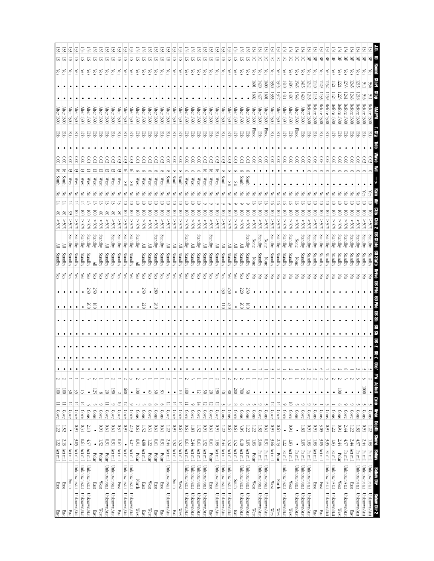| East          | East                   | $1.22\,$ Act mil |                  | $\overline{z}$ | Cove                            | $\equiv$        | $\frac{100}{2}$     | ∾      | $\bullet$ |   |           |    |                         |           | Yes      | Standby        |         |                  |   |    | <u>ㅎ</u>               | $\frac{1}{2}$                            |       | <b>After</b><br>1300                   |      |                  | $\frac{1}{25}$ | 의   |
|---------------|------------------------|------------------|------------------|----------------|---------------------------------|-----------------|---------------------|--------|-----------|---|-----------|----|-------------------------|-----------|----------|----------------|---------|------------------|---|----|------------------------|------------------------------------------|-------|----------------------------------------|------|------------------|----------------|-----|
| $_{\rm East}$ | East                   | 2.13 Act mill    |                  | 1.52           | Cove                            | $\equiv$        | $\overline{\omega}$ | N      | ٠         |   |           |    |                         |           | Yes      | <i>standby</i> |         |                  | క |    | ᇹ<br><b>South</b>      | $\frac{8}{10}$                           | 품     | Atter<br>1300                          |      |                  |                | 5   |
| East          | South                  | Act mill         | $\bullet$        |                | Cove                            | $\frac{14}{14}$ | $\frac{30}{2}$      |        | ٠         |   |           |    |                         |           | χes      | Standby        | Standby | %                |   |    | ದ<br>West              | $\widetilde{\rm g}$                      | 罗     | <b>After</b><br>1300                   |      |                  | $\frac{1}{2}$  | 5   |
| Unknown/stat  | Unknown/stat           | Act mill         | 3.05             | 160            | Cove                            | 보               | 35                  |        | $\bullet$ |   |           |    |                         |           | Yes      | Standby        | Standby | 805<             | S |    | West                   | $\widetilde{\varepsilon}$                | 쭏     | <b>After</b><br>1300                   |      |                  | Yes            | 5   |
| Unknown/stat  | Unknown/stat           | Act mill         | $10.01\,$        | 0.31           | Cove                            | ᆍ               | ᆕ                   |        | $\bullet$ |   |           |    |                         |           | Уes      | Standby        | Standby | %65              | ē |    | West                   | $\frac{0.00}{\pi}$                       | 뫃     | After<br>1300                          |      |                  | <i>les</i>     | 5   |
| Unknown/stat  | Unknown/stat           | Act mill         | 4.57             | 2.13           | Cons                            |                 | $\bullet$           |        | $\bullet$ |   |           |    | $\approx$               | 250       | χes      | Standby        | Standby | %05 <            | ē |    | West                   | 80.0                                     | 罗     | <b>After</b><br><b>1300</b>            |      |                  | χes            | 57  |
| East          | East                   | Polar            | $\bullet$        | $\bullet$      | Cons                            |                 | 125                 |        | $\bullet$ |   | $\bullet$ |    | $\overline{\text{180}}$ | 250       | χes      | ≧              | Standby | 250%             | ē |    | West                   | 0.03                                     | 军     | After 1300                             |      |                  | Уes            | S.  |
| West          | $\mathbb{W}\text{est}$ | Polar            | 1.52             | 160            | Cove                            | ć               | $^{\circ}$          |        | ٠         |   |           |    |                         |           | Yes      | Standby        | Standby | %05 <            | 8 |    | West                   | 80.0                                     | 몋     | <b>After</b><br><b>1300</b>            |      |                  | χes            | SI. |
| Unknown/stat  | Unknown/stat           | Polar            | 160              | <b>D.61</b>    | Covel                           |                 | $\infty$            |        | ٠         |   |           |    |                         |           | Yes      | Standby        | ≧       | $*05 <$          | g |    | West                   | 803                                      | 蛋     | <b>After</b><br>1300                   |      |                  | $\log$         | 5   |
| Unknown/stat  | Unknown/stat           | Act mill         | <b>I60</b>       | 19'0           | Cove                            | $\circ$         | $\overline{50}$     |        | $\bullet$ |   | $\bullet$ |    |                         |           | Yes      | Standby        | Standby | $\$05$ <         | క |    | West                   | 0.03                                     | 军     | $\operatorname{\mathsf{Mter}}$<br>1300 |      |                  | Yes            | S.  |
| East          | East                   | Act mill         | <b>D.61</b>      | 0.31           | Cove                            | 5               | $\sim$              |        | $\bullet$ |   |           |    |                         |           | Yes      | Standby        | Standby | %65              | 8 |    | West                   | 0.03                                     | 罗     | <b>After</b><br><b>1300</b>            |      |                  | Yes            | S.  |
| Unknown/stat  | Unknown/stat           | Act mill         | $\bullet$        | 160            | Cove                            | ನ               | 800                 |        | $\bullet$ |   |           |    |                         |           | χes      | Standby        | Standby | %05 <            | 8 | SŦ | ᇹ                      | 803                                      | 뿡     | fter 1300                              |      |                  | χes            | 2   |
| Unknown/stat  | Unknown/stat           | Act mill         | 4.27             | 2.13           | Cove                            | ć               | $\bullet$           |        | $\bullet$ |   | $\bullet$ |    |                         |           | Yes      | Standby        | Standby | %05<             | 8 | ЯS | 5                      | $\overset{\circ}{\scriptscriptstyle{5}}$ | 蛋     | After 1300                             |      |                  | $\frac{1}{2}$  | 57  |
| West          | North                  | Polar            | 160              | <b>D.61</b>    | Cons                            |                 | $\overline{\odot}$  |        |           |   |           |    |                         |           | Yes      | ≧              | Standby | %05 <            | 8 |    | West                   | 600                                      | 문     | After<br>1300                          |      |                  | Yes            | SI. |
| East          | East                   | Act mill         | 4.88             | 1.52           | Cons                            |                 | $\bullet$           |        | ٠         |   |           |    | 72                      | SS        | χes      | Standby        | ≧       | 250%             | ē |    | West                   | 803                                      | 품     | <b>After</b><br>1300                   |      |                  | Yes            | 5   |
| West          | $\mathbb{W}\text{est}$ | Polar            | $1.22\,$         | 0.31           | Cove                            | $\infty$        | $\uplus$            |        | $\bullet$ |   |           |    | $\bullet$               | $\bullet$ | Yes      | Standby        |         | %65              | ē |    | $\mathbb{W}\text{es}$  | 0.03                                     | 뿡     | <b>After</b><br>1300                   |      |                  | Yes            | 57  |
| East          | East                   | Polar            | <b>D.61</b>      | <b>D.61</b>    | Cons                            | Ò               | $\frac{30}{2}$      |        | $\bullet$ |   |           |    | 380                     | 280       | Yes      | Standby        | Standby | $\$0\frac{2}{5}$ | ē |    | West                   | 60                                       | 풍     | free $1300$                            |      |                  | χes            | ᢑ   |
| East          | East                   | Polar            | 160              | 19'0           | Cons                            | Ó               | $_{\rm 98}$         |        | $\bullet$ |   |           |    |                         |           | χes      | Standby        | Standby | %05 <            | S |    | West                   | $\overset{0}{3}$                         | 턯     | <b>After</b><br>1300                   |      |                  | Yes            | ವ   |
| Unknown/stat  | Unknown/stat           | Act mill         | 2.44             | 1.22           | Cove                            | $\frac{14}{14}$ | $\bullet$           |        | $\bullet$ |   |           |    |                         |           | Yes      | Standby        | ≧       | %05 <            | ē |    | duuth                  | $\approx 0$                              | 품     | After<br><b>1300</b>                   |      |                  | Yes            | 2   |
| East          | South                  | Act mill         | 1.52             | 160            | Cove                            | $\frac{14}{14}$ | $\bullet$           |        | $\bullet$ |   |           |    |                         |           | Yes      | Standby        | ≧       | $\$0\frac{2}{5}$ | ē |    | South                  | 000                                      | 罗     | $\frac{1}{200}$                        |      |                  | Yes            | 57  |
| West          | $\mathbb{W}\text{est}$ | Act mill         | 1.52             | <b>D.61</b>    | Cove                            | 도               | 5                   |        | $\bullet$ |   |           |    |                         |           | χes      | Standby        |         | $30\%$           | g |    | South                  | $\frac{0}{2}$                            |       | <b>After</b><br>1300                   |      |                  | χes            | ᢑ   |
| Unknown/stat  | Unknown/stat           | Act mill         | <b>D.61</b>      | <b>D.61</b>    | Cove                            |                 | $\bar{\mathbb{S}}$  |        | $\bullet$ |   |           |    |                         |           | ίes      | Standby        | Standby | $\$0\$ <         | ē |    | West                   | $\frac{6}{6}$                            | 뿡     | After<br><b>1300</b>                   |      |                  | χes            | 5   |
| Unknown/stat  | Unknown/stat           | Act mill         | 2.44             | 1.83           | Cove                            | $\circ$         | $\bullet$           |        | ٠         |   |           |    |                         |           | Υes      | Standby        | ≧       | %05 <            | ē |    | West                   | $\frac{1}{2}$                            | 军     | After<br>1300                          |      |                  | χes            | 5   |
| Unknown/stat  | Unknown/stat           | Act mill         | 19'0             | 1.52           | Cove                            | $\frac{14}{14}$ | 12                  |        | ٠         |   |           |    |                         |           | χes      | Standby        | Standby | %05<             | ē |    | West                   | $\widetilde{\infty}$                     | 품     | Afer 1300                              |      |                  | Уes            | 51  |
| Unknown/stat  | Unknown/stat           | Act mill         | 1.52             | 160            | Cove                            | 12              | š                   |        | ٠         |   |           |    |                         |           | Yes      | Standby        | ≧       | %05 <            | ē |    | $\mathbb{W}\text{est}$ | 600                                      | 품     | <b>After</b><br>1300                   |      |                  | Yes            | 5   |
| East          | East                   | Polar            | <b>D.61</b>      | [0.0]          | Cove                            | 12              | $\infty$            |        | ٠         |   |           |    |                         |           | Yes      | Standby        | Standby | %05 <            | ē |    | West                   | යි                                       | 품     | <b>After</b><br>1300                   |      |                  | Уes            | 5   |
| Unknown/stat  | Unknown/stat           | Act mill         | $1.83\,$         | 160            | Cove                            | 12              | $\overline{50}$     |        | $\bullet$ |   | $\bullet$ |    | $\bullet$               | $\bullet$ | Yes      | Standby        |         | %05 <            | ē |    | West                   | 0.03                                     | 쭏     | $\frac{1300}{200}$                     |      |                  | Yes            | S.  |
| Unknown/stat  | Unknown/stat           | Act mill         | 2.44             | 1.22           | Cons                            |                 | $\uplus$            |        |           |   |           |    | $\overline{5}$          | 230       | χes      | Standby        |         | %05 <            | ē |    | South                  | 600                                      | 罗     | $\frac{1}{200}$                        |      |                  | Υes            | 5   |
| Unknown/stat  | Unknown/stat           | Act mill         | 1.52             | <b>D.61</b>    | Cons                            |                 | $_{\rm 08}$         |        | $\bullet$ |   |           |    | 20                      | 250       | Υes      | Standby        |         | %05 <            | ē | SЕ |                        | 80.                                      | 품     | $\frac{1300}{1300}$                    |      |                  | Уes            | ᢑ   |
| East          | South                  | Act mill         | 1.52             | <b>D.61</b>    | Cove                            | $\infty$        | $\overline{00}$     |        | ٠         |   | $\bullet$ |    | $\bullet$               | $\bullet$ | Yes      | Standby        |         | %05 <            | ē | ЯS |                        | 80.                                      | 품     | After 1300                             |      |                  | Yes            | 51  |
| Unknown/stat  | Unknown/stat           | Act mill         | 6.10             | 3.05           | Cons                            | O               | $\approx$           |        |           |   |           |    | $\frac{200}{500}$       | $220\,$   | Yes      | Standby        |         | %05<             | ē |    | <b>South</b>           | 600                                      | 몋     | After<br>00£I                          |      |                  | λës            | SI  |
| Unknown/stat  | Unknown/stat           | Act mill         | 3.OS             | 122            | Cons                            |                 | SO                  |        | ٠         |   |           |    | 81                      | 230       | χes      | Standby        | Standby | \$055            | ē |    | South                  | 80.0                                     | 턯     | $\frac{1}{200}$                        |      |                  | χes            | 57  |
| West          | $\mathbb{W}\text{est}$ | Polar            | $1.83\,$         | 1.22           | Cons                            |                 | $\bullet$           |        |           |   | $\bullet$ |    |                         |           | š        | None           | None    | %05 <            | ā |    |                        | 0.06                                     | Flood | After 1300                             | 1602 | 1001             | λës            | 5   |
| Unknown/stat  | Unknown/stat           | Pa mill          | 3.66             | 1.83           | Cove                            |                 | $\bullet$           |        |           |   |           |    |                         |           | ŠΣ       | Standby        | Standby | \$055            | ē |    |                        | 000                                      | 물     | $\frac{1}{200}$                        | 142, | (420)            | çs             | 5   |
| Unknown/stat  | Unknown/stat           | Pa mill          | 160              | <b>D.61</b>    | Cons                            |                 | $\bullet$           |        |           |   | $\bullet$ |    |                         |           | ŠΣ       | None           | None    | %05<             | 3 |    |                        | 000                                      | Flood | After 1300                             | 1601 | $\frac{1}{2}$    | ćs             | 5   |
| West          | West                   | Act mill         | 3.66             | 160            | Cove                            | ನ               | $\bullet$           |        |           |   | ٠         |    |                         |           | $\rm _S$ | Standby        | standby | %05 <            | ឱ |    |                        | 000                                      | 뿓     | $\frac{1}{200}$                        | 135  | 1350             | Yes            | 5   |
| West          | <b>North</b>           | Polar            | 2.13             | 19'0           | Cove                            | $\frac{1}{4}$   | $\bullet$           |        |           |   | $\bullet$ |    |                         |           | F        | Standby        | Standby | %05 <            | ē | Z  |                        | $\frac{0}{2}$                            | 턯     | $\frac{1}{200}$                        | 1347 | 1345             | ζëς            | 5   |
| Unknown/stat  | Unknown/stat           | Pa mill          | 1.22             | $\bullet$      | Cov                             | $\circ$         | $\bullet$           |        |           |   |           |    |                         |           | Š        | Standby        | Standby | $^{100}$         | ē |    |                        | 000                                      | 罗     | <b>After</b><br>1300                   | 141. | $\frac{1410}{2}$ | çs             | 5   |
| West          | West                   | Act mill         | 1.83             | 160            | Cove                            | 5               | $\bullet$           |        |           |   |           |    |                         |           | Fo       | Standby        | Standby | $\$0\frac{2}{5}$ | ē |    |                        | 0.00                                     | 军     | $\frac{1}{200}$                        | 1407 | ₹,               | (es            | 5   |
| Unknown/stat  | Unknown/stat           | Pa mill          | $\bullet$        | $\bullet$      | Cons                            |                 |                     |        |           |   |           |    |                         |           | š        | None           | None    | %05 <            | ē |    |                        | $\frac{0.00}{\pi}$                       | Flood | $\frac{1}{200}$                        | 1546 | 545              | çs             | 5   |
| Unknown/stat  | Unknown/stat           | Pa mill          | ن<br>پ           | 1.83           | Cove                            | ∘               | $\bullet$           | $\sim$ |           |   |           |    |                         |           | 공        | Standby        | Standby | $^{*00}$         | ē |    |                        | $\frac{1}{2}$                            | 쭏     | After 1300                             | 1420 | 1415             | ćs             | 5   |
| Unknown/stat  | Unknown/stat           | Pa mill          | 1.83             | 160            | Cove                            |                 | ٠                   | N      |           |   |           |    |                         |           | 공        | Standby        | Standby | %05<             | ē |    |                        | 0.06                                     | 멸     | Before 1300                            | 1245 | 242              | çs             | 兕   |
| East          | East                   | Act mill         | 1.83             | 160            | Cons                            |                 | ٠                   |        |           |   |           |    |                         |           | 공        | standby        | jandby  | ≫\$0             | ē |    |                        | $\frac{0.00}{2}$                         | 품     | 1300                                   |      | 140              | Ğ              | 몊   |
| East          | East                   | Act mill         | 3.OS             | 3.OS           | $\mbox{Cons}$                   |                 | $\bullet$           |        |           |   |           |    |                         |           | š        | Standby        | Standby | %05 <            | ē |    |                        | 600                                      | 품     | Before<br>1300                         | Ξ    | 129              | çs             | 몊   |
| Unknown/stat  | Unknown/stat           | Pa mill          | 3.35             | 160            | Cons                            |                 | ٠                   |        |           |   |           |    |                         |           | š        | Standby        | Standby | $80\% <$         | S |    |                        | 0.06                                     | 军     | setore<br>1300                         | 159  | 152              |                | 景   |
| Unknown/stat  | Unknown/stat           | Pa mill          | 1.83             | 1.22           | Cons                            |                 | $\bullet$           |        |           |   |           |    |                         |           | 중        | Standby        | Standby | $*05<$           | ē |    |                        | 900                                      | 풍     | setore<br>1300                         | 1124 | Ę                | က္က            | 먺   |
| West          | West                   | Polar            | 2.44             | 160            | Cons                            |                 | $\overline{5}$      |        |           |   |           |    |                         |           | š        | Standby        | standby | %05<             | ē |    |                        | 80                                       | 품     | detore<br>1300                         | 223  | Z                | çs             | 몊   |
| Unknown/stat  | Unknown/stat           | Pa mill          | 4.5 <sub>7</sub> | 2.44           | Cove                            |                 | $\bullet$           |        | ∝         |   |           |    |                         |           | 공        | standby        | jandby  | 250%             | ē |    |                        | 0.06                                     | 품     | Betore<br>1300                         | ĿГ   | 123              | (es            | 岊   |
| East          | East                   | Act mill         | 2.44             | 1.22           | Cove                            |                 | $\bullet$           |        |           |   |           |    |                         |           | 공        | Standby        | Standby | $^{805}$         | 8 |    |                        | 90°C                                     | 罗     | <b>Before</b><br>1300                  |      | 245              | (es            | 몊   |
| Unknown/stat  | Unknown/stat           | Pa mill          | 4.57             | $\Im$          | Cons                            |                 | $\bullet$           |        |           |   |           |    |                         |           |          |                |         |                  |   |    |                        |                                          |       |                                        |      |                  |                | 岊   |
| Unknown/stat  | Unknown/stat           | Pa mill          | 2.44             | 160            | Cons                            |                 | 10001               |        |           |   |           |    |                         |           | 중        | Standby        |         |                  |   |    |                        |                                          |       | Before<br>1300                         |      |                  | ČS             | 멾   |
| Unknown/stat  | Pa mill Unknown/stat   |                  | 1.83             | 1.22           | $\frac{\text{Con}}{\text{Con}}$ |                 | $\bullet$           | Σ      |           |   |           |    |                         |           |          |                |         |                  |   |    |                        |                                          |       | 1300                                   |      |                  | es,            | 뫂   |
| ray Dir 2     | Behav Dir              | <b>Bahav</b>     | <b>Shore</b>     | Deprin         | 园地                              | Zone            | Obs' #'s Actual     |        |           | Ξ | Ľ,<br>E   | Z, |                         |           |          |                |         |                  |   |    |                        |                                          |       |                                        |      |                  |                | Ш   |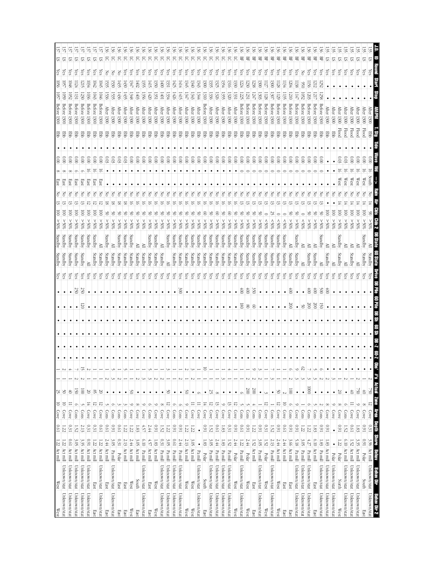|                         | 로                     | 37              |                     |                |                  |           |                  |                  |              |              |             |             |              | ييٰ          |                                   |                        |                |                  |                |                  |                        |              |                    |                |                |              |              |              |                |                 |                        |               |                    |             |              |                        |             |                |                              |                              |                        |                 |                |              |                  |              |               |              |                        |                             |
|-------------------------|-----------------------|-----------------|---------------------|----------------|------------------|-----------|------------------|------------------|--------------|--------------|-------------|-------------|--------------|--------------|-----------------------------------|------------------------|----------------|------------------|----------------|------------------|------------------------|--------------|--------------------|----------------|----------------|--------------|--------------|--------------|----------------|-----------------|------------------------|---------------|--------------------|-------------|--------------|------------------------|-------------|----------------|------------------------------|------------------------------|------------------------|-----------------|----------------|--------------|------------------|--------------|---------------|--------------|------------------------|-----------------------------|
| 5                       | 2                     | 运               | 5                   | 5              | 5                | 5         | S                | 5                |              | 5            | ਨ           | 5           | ਨ            | ਨ            | న్                                | ర్                     | 5              | 5                | 5              | 5                |                        |              | 5                  | 5              |                |              |              |              | 5              | 岊               | 몊                      | 呂             | 景                  | 몊           | 뫂            | 뫂                      | 몊           | 먺              | 哥                            | 몊<br>먺                       | 兕                      | 兕               | 5              | 运            | ವ                | 5            | 5             |              | ವ                      | Ξ<br>2                      |
| <u>čs</u>               | (es                   | C <sub>S</sub>  | (es                 | çs             | es.              | çs        | ćs               | Z                | Z            | š            | (es         | Ğ           | ćs           | (es          | (es                               | (es                    | çs             | (es              | C <sub>S</sub> | බූ               | (es                    |              |                    | çs             | (es            | Ğ.           |              | (es          | (es            | GS.             | çs                     | (es           | (es                | (es         | බූ           | ĠS,                    | (es         | cs,            | es.                          | ćs<br>중                      | çs                     | ίes             | çs             | (es          | çs               | çs           | Čes           | es,          | Ğ,                     | Çes                         |
| 550                     | 50                    | 8#01            | -124                | 1215           | $\overline{634}$ | 1042      | 1045             | 535              | 1530         | 1435         | $\bar{430}$ | 1347        | 1402         | 1355         | 1415                              | 1350                   | $\overline{5}$ | 331              | 425            | $\frac{1414}{4}$ | 1345                   | ن<br>∂#0     | 1343               | 1300           | 135            | 1325         | ېپ           | 1316         | 1330           | -224            | <b>L20</b>             | 388           | $\frac{1}{200}$    | 127         | 1300         | 128                    | -134        | 204            | 138                          | 156<br>950                   | 1212                   | 252             |                |              |                  |              |               |              |                        |                             |
| 1057                    | 1059                  | 1052            | Ξ                   | 1230           | 1030             | 1043      | 1046             | 1536             | 1535         | 1436         | 1435        | 1348        | 1403         | 1356         | (420)                             | 1351                   | 1001           | 1334             | 1426           | 1415             | 1347                   | 1343         | 1344               | 1310           | 1336           | 1326         | 1355         | 1320         | 1331           | 1225            | 1231                   | 147           | 1303               | 128         | 130.)        | 1129                   | 135         | 1210           |                              | 1052<br>1203                 | 1217                   | 1258            |                |              |                  |              |               |              |                        |                             |
| Before                  | Before                | Before          | Betore              | Before         | Before           | Before    |                  | <b>After</b>     | <b>After</b> | <b>After</b> | After       | After       | <b>After</b> |              | <b>After</b>                      | <b>After</b>           | <b>After</b>   | After            | <b>After</b>   | After            | <b>After</b>           | <b>After</b> | After              |                | <b>After</b>   | After        | <b>After</b> | <b>After</b> | After          | Betore          | Before                 | <b>Before</b> | Before             |             | Before       | Betore                 | Before      | Before         | Before                       | Betore<br>Before             | Before                 | Before          | <b>After</b>   | <b>After</b> | After            | <b>Atter</b> | <b>After</b>  | <b>After</b> | <b>After</b>           |                             |
| 1300                    | 1300                  | 1300            | 1300                | 1300           | 1300             | 1300      | Before 1300      | <b>1300</b>      | 1300         | 1300         | 1300        | 1300        | 1300         | After 1300   | 1300                              | 1300                   | 1300           | 1300             | 1300           | 1300             | 1300                   | 1300         | 1300               | Before 1300    | 1300           | 1300         | 1300         | 1300         | 1300           | 1300            | 1300                   | 1300          | 1300               | Before 1300 | 1300         | 1300                   | 1300        | 1300           | 1300                         | 1300<br>1300                 | 1300                   | 1300            | 1300           | 1300         | 1300             | 1300         | 1300          | 1300         | 1300                   |                             |
| <b>Ebb</b>              | 厚                     | 품               | 품                   | 품              | 军                | 품         | 军                | 军                | 罗            | 蛋            | 품           | 품           | 蛋            | 턯            | 품                                 | 품                      | 품              | 품                | 军              | 품                | 覂                      | 품            | 품                  | 쭏              | 멶              | 품            | 품            | 품            | 품              | 蛋               | 턯                      | 军             | 蛋                  | 军           | 품            | 蛋                      | 蛋           | 覂              | 뫃                            | 품<br>품                       | 품                      | 军               | 蛋              | 품            | Flood            | <b>Flood</b> | Flood         | Flood        | <b>Flood</b>           | 更                           |
|                         |                       |                 |                     |                |                  |           |                  |                  |              |              |             |             |              |              |                                   |                        |                |                  |                |                  |                        |              |                    |                |                |              |              |              |                |                 |                        |               |                    |             |              |                        |             |                |                              |                              |                        |                 |                |              |                  |              |               |              |                        |                             |
| $\approx$               | 000                   | $\tilde{\rm s}$ | $\widetilde{\rm g}$ | $\frac{0}{2}$  | 000              | 000       | $\frac{0.00}{2}$ | 0.03             | 0.03         | $60.03$      | 0.03        | 00.00       | 000          | 600          | $\frac{0.00}{\pi}$                | 0.00                   | 00.00          | $\frac{0.00}{2}$ | 0.00           | $\frac{0.00}{2}$ | 0.00                   | 000          | $\frac{0.00}{\pi}$ | $\frac{6}{10}$ | 000            | 000          | 0.00         | 00.00        | 000            | 0.00            | $\frac{0}{2}$          | 000           | 0.00               | 000         | 000          | 000                    | 000         | 000            | 000                          | 000<br>$\frac{0}{2}$         | $\frac{0.0}{\sqrt{2}}$ | <u>ွ</u>        |                |              | 9.03             | ΣG           |               |              |                        |                             |
|                         |                       |                 |                     |                |                  | 5         | 5                |                  |              |              |             |             |              |              |                                   |                        |                |                  |                |                  |                        |              |                    |                |                |              |              |              |                |                 | 0                      |               |                    |             |              |                        |             |                |                              |                              | 0                      |                 |                |              | 5                |              |               |              |                        |                             |
| East                    | <b>East</b>           | 1SBS            | East                | East           | East             | East      | East             |                  |              |              |             |             |              |              |                                   |                        |                |                  |                |                  |                        |              |                    |                |                |              |              |              |                |                 |                        |               |                    |             |              |                        |             |                |                              |                              |                        |                 |                |              | West             | West         | West          | West         | $\mathbb{W}\text{est}$ | South                       |
|                         |                       |                 |                     |                |                  |           |                  |                  |              |              |             |             |              |              |                                   |                        |                |                  |                |                  |                        |              |                    |                |                |              |              |              |                |                 |                        |               |                    |             |              |                        |             |                |                              |                              |                        |                 |                |              |                  |              |               |              |                        |                             |
|                         |                       |                 |                     |                |                  |           |                  |                  |              |              |             |             |              |              |                                   |                        |                |                  |                |                  |                        |              |                    |                |                |              |              |              |                |                 |                        |               |                    |             |              |                        |             |                |                              |                              |                        |                 |                |              |                  |              |               |              |                        |                             |
| $\overline{\mathbf{S}}$ | $\overline{\circ}$    | 8               | 8                   |                | 8                | S         | g                |                  |              |              |             |             |              |              |                                   |                        |                |                  |                |                  |                        |              |                    |                |                |              |              |              |                |                 |                        |               |                    |             |              |                        |             |                |                              |                              |                        |                 |                | 8            | S                | S            | g             |              |                        |                             |
| %05<                    | %05 <                 | $\frac{80}{8}$  | %05 <               | %05 <          | %05 <            | %05 <     | %05 <            | $\$0\frac{2}{3}$ | %05 <        | %05<         | %05 <       | %05 <       | %05 <        | %05 <        | %05 <                             | %05<                   | %05 <          | %05 <            | %05 <          | \$005            | $\$0\frac{2}{5}$       | %05 <        | %05 <              | %05<           | %05 <          | %05 <        | %05 <        | %05 <        | %05 <          | %05<            | %05 <                  | %05 <         | %05 <              | $^{805}$    | &805         | $$80$ \$               | $^{805}$    | %05<           | %05<                         | $\$0\$ <<br>$^{805}$         | $\$0\frac{2}{5}$       | %05 <           | %05<           | %05<         | %05<             | \$05<        | \$05<         | %05<         | %05                    |                             |
| Standby                 | Standby               | Standby         | Standby             | Standby        | Standby          | Standby   |                  | Standby          |              | Standby      | Standby     | Standby     |              |              | Standby                           | Standby                |                | Standby          | Standby        | Standby          | Standby                | Standby      | Standby            | Standby        | Standby        | Standby      | Standby      | Standby      | Standby        | Standby         | Standby                | Standby       | Standby            | Standby     | Standby      | Standby                | Standby     |                | Standby                      |                              |                        | Standby         |                |              | Standby          |              |               |              | Standby                |                             |
|                         |                       |                 |                     |                |                  |           | ≧                |                  | ≧            |              |             |             | ≧            | ≧            |                                   |                        | ≧              |                  |                |                  |                        |              |                    |                |                |              |              |              |                |                 |                        |               |                    |             |              |                        |             | ≧              |                              | ≧<br>≧                       | ≧                      |                 | ≧              | ≧            |                  | ≧            | ≧             |              |                        | ≧                           |
| Standby                 | Standby               | Standby         | Standby             | Standby        | ≧                | Standby   | Standby          | Standby          | Standby      | Standby      | Standby     | Standby     | Standby      | Standby      | Standby                           | Standby                | Standby        | ≧                | Standby        | Standby          | Standby                | Standby      | Standby            | Standby        | Standby        | Standby      | Standby      | Standby      | Standby        | Standby         | Standby                | Standby       | Standby            | Standby     | Standby      | Standby                | Standby     | Standby        | Standby                      | Standby<br>≧                 | Standby                | ≧               | Standby        | ≧            | Standby          | ≧            | Standby       |              | Standby                | en State<br>Standby         |
| Yes                     | čs                    | ζes             | λës                 | χes            | ζes              | χes       | Yes              | ζëς              | χes          | χes          | ζë          | ζes         | уes          | χes          | λës                               | χes                    | χes            | λes              | λës            | λes              | ζëς                    | ζes          | λë                 | χes            | çs             | çs           | λës          | çs           | χes            | ζes             | ζes                    | çs            | ζë                 | çs          | χes          | çs                     | χes         | ζës            | çs                           | Yes<br>χes                   | χes                    | χes             | χes            | ζës          | χes              | χes          | Yes           | (es          | χes                    | χes                         |
|                         |                       |                 |                     |                |                  |           |                  |                  |              |              |             |             |              |              |                                   |                        |                |                  |                |                  |                        |              |                    |                |                |              |              |              |                |                 |                        |               |                    |             |              |                        |             |                |                              |                              |                        |                 |                |              |                  |              |               |              |                        |                             |
|                         | $\bullet$             | $\bullet$       | 250                 | 057            | $\bullet$        | $\bullet$ | $\bullet$        |                  | ٠            | $\bullet$    | $\bullet$   | $\bullet$   | $\bullet$    | $\bullet$    |                                   | $\bullet$              | $\bullet$      |                  | $\bullet$      | $\frac{300}{2}$  | $\bullet$              | $\bullet$    | $\bullet$          | $\bullet$      |                | $\bullet$    | $\bullet$    | $\bullet$    | $\bullet$      | $\circledcirc$  | 600                    | 350           | $\bullet$          | $\bullet$   | $\bullet$    |                        | $\bullet$   | $\circledcirc$ |                              | $\frac{1}{2}$<br>$\bullet$   | $\frac{1}{20}$         | 005             | $\circledcirc$ | $\bullet$    |                  |              |               |              |                        |                             |
|                         |                       |                 |                     | 50             |                  |           |                  |                  |              |              |             |             |              |              |                                   |                        |                |                  |                |                  |                        |              |                    |                |                |              |              |              | ٠              | $\overline{80}$ | $\otimes$              | $^{\circ}$    | ٠                  | ٠           | ٠            |                        |             | 500            | $\bullet$                    | $\frac{200}{200}$<br>ଞ       | 500                    | T               | ٠              |              |                  |              |               |              |                        |                             |
|                         |                       |                 |                     |                |                  |           |                  |                  |              |              |             |             |              |              |                                   |                        |                |                  |                |                  |                        |              |                    |                |                |              |              |              |                |                 |                        |               |                    |             |              |                        |             |                |                              |                              |                        |                 |                |              |                  |              |               |              |                        | ¥                           |
|                         |                       |                 |                     |                |                  |           |                  |                  |              |              |             |             |              |              |                                   |                        |                |                  |                |                  |                        |              |                    |                |                |              |              |              |                | $\bullet$       |                        |               |                    |             |              |                        |             |                |                              |                              |                        |                 |                |              |                  |              |               |              |                        | 90 ST                       |
|                         |                       |                 |                     |                |                  |           |                  |                  |              |              |             |             |              |              |                                   |                        |                |                  |                |                  |                        |              |                    |                |                |              |              |              |                |                 |                        |               |                    |             |              |                        |             |                |                              |                              |                        |                 |                |              |                  |              |               |              |                        | 2- 80                       |
|                         |                       |                 |                     |                |                  |           |                  |                  |              |              |             |             |              |              |                                   |                        |                |                  |                |                  |                        |              |                    |                |                |              |              |              |                |                 |                        |               |                    |             |              |                        |             |                |                              |                              |                        |                 |                |              |                  |              |               |              |                        |                             |
|                         |                       |                 |                     | 5              |                  |           |                  |                  |              |              |             |             |              |              |                                   |                        |                |                  |                |                  |                        |              |                    | $\equiv$       |                |              |              |              |                |                 |                        | Ó             |                    |             |              |                        |             | Ó              | $\circ$                      | ES.                          |                        |                 |                |              |                  |              |               |              | $\bullet$              | ٠                           |
|                         |                       |                 |                     |                |                  |           |                  |                  |              |              |             |             |              |              |                                   |                        |                |                  |                |                  |                        |              |                    |                |                |              |              |              |                |                 |                        |               |                    |             |              |                        |             |                |                              |                              |                        |                 |                |              |                  |              |               |              |                        | Obs' #'s Actual             |
| $\overline{3}$          | Š                     | 4               | <u>হ</u>            | $\overline{5}$ | S0               | 95        | $\approx$        | $\bullet$        | $\bullet$    | $\bullet$    | $\bullet$   | 9           | $\bullet$    | $\bullet$    | $\bullet$                         | $\bullet$              | $\bullet$      | Š                | $\bullet$      | $\bullet$        | క                      | $\bullet$    | $\circ$            | $\bullet$      | 25             | $\infty$     | $\bullet$    | $\bullet$    | $\bullet$      | Ō               | 500                    | 200           | $\bullet$          |             | $\bullet$    | š                      | $\sim$      | $\overline{0}$ | $\bullet$                    | 1000<br>$\bullet$            | $\bullet$              | $\bullet$       | $\bullet$      | $\bullet$    | SΟ               | $\bullet$    | $\Rightarrow$ | $\approx$    | 古<br>                  | $\approx$                   |
| $\frac{10}{2}$          | $\Xi$                 | $\equiv$        |                     |                | 보                | ನ         | 5                |                  | $\circ$      |              |             | $\circ$     | $^{\circ}$   | $\circ$      | $\circ$                           | $\circ$                | $^{\circ}$     | $\overline{5}$   | $\circ$        | $\circ$          | $\circ$                |              | $\equiv$           | $\frac{1}{4}$  | $\overline{5}$ | 13           | ∘            | 5            | $\overline{5}$ |                 |                        |               |                    | ನ           |              | $\overline{5}$         | 5           | $\circ$        |                              |                              |                        |                 | ∞              | ∘            | $^{\circ}$       | $\circ$      | $\equiv$      | $\circ$      | $^{\circ}$             | Zome<br>$\overline{5}$      |
| Cove                    | Cove                  | Cove            | Cons                | Cons           | Cove             | Cove      | Cove             | Cons             | Cons         | Cons         | Cons        | Cove        | Cove         | Cove         | $\frac{\text{Cous}}{\text{Sous}}$ | Cove                   | Cove           | Cove             | Cons           | Cons             | Cove                   | Cove         | Cove               | Cove           | Cove           | Cove         | Cove         | Cove         | Cove           | Cons            | Cons                   | Cons          | Cons               | Cove        | <b>Cons</b>  | Cove                   | Cove        | Cons           | Cove                         | Cons<br>Cons                 | Cons                   | Cons            | Cove           | Cove         | Cove             | Cons         | Cove          | Cove         | Cove                   | <b>Virgin</b><br>Cove       |
| $0.61\,$                | 122                   | 0.31            | 1.52                | 2.13           | 0.31             | 0.31      | <b>D.61</b>      | <b>D.61</b>      | 160          | 1970         | 1.22        | 1.22        | 1.83         | 4.57         | 2.44                              | 160                    | 1.52           | 122              | 160            | 160              | 1.22                   | $1.22\,$     | $\bullet$          | <b>I60</b>     | 1.52           | <b>D.61</b>  | $1.83\,$     | 0.31         | 160            | [0.0]           | 160                    | 1.22          | 160                | 0.31        | 1.52         | 160                    | <b>D.61</b> | 160            | 160                          | 1.22<br>1.22                 | 1.85                   | 160             | 160            | $\bullet$    | 160              | 1.52         | 19'0          | 1.83         | 160                    | <b>Little</b><br>0.31       |
|                         | 122                   | <b>D.61</b>     | ن<br>چ              | 3.35           | 160              | 1.22      | 1.22             | 2.44             | ن<br>چ       | 0.31         | 2.13        | 2.44        | 3.OS         | 6.10         | 4.57                              | 1.83                   | 0.31           | بن<br>چ          | <b>D.61</b>    | 2.44             | 2.13                   | 3.05         | $\bullet$          | 1.83           | 3.05           | 2.44         | $1.83\,$     | 1.52         | 2.44           | 1.22            | 2.44                   | 1.52          | 3.05               | 1.52        | 2.13         | 2.44                   | 2.44        | 3.66           | 5.18                         | ن<br>چ<br>4.27               | 010                    | $\overline{33}$ | 1.83           | $\bullet$    | $\overline{122}$ | 010          | 1.52          | 33<br>S      | 1600                   | <b>Shorre</b><br>3.96       |
| $1.22$ Act mill         |                       | Act mill        | Act mill            | Act mill       | Act mill         | Act mill  | Act mill         | Act mill         | Pa mill      |              | Act mill    | Act mill    | Act mill     | Pa mill      | Act mill                          | Act mill               | Pa mill        | Pa mill          |                | Pa mill          | Act mill               | Act mill     | Pa mill            |                | Pa mill        | Pa mill      | Pa mill      | Pa mill      |                | Pa mill         |                        | Act mill      | $\mathbf{Pa}$ mill |             | Pa mill      | Act mill               | Act mill    | Act mill       | $\mathbf{P} \mathbf{a}$ mill | Pa mill<br>Pa mill           | Act mill               | Pa mill         | Act mill       |              |                  | Act mill     | Act mill      | Act mill     |                        | Act mill<br><b>REAGE</b>    |
|                         |                       |                 |                     |                |                  |           |                  |                  |              | Polar        |             |             |              |              |                                   |                        |                |                  | Pa mill        |                  |                        |              |                    | Polar          |                |              |              |              | Polar          |                 | Polar                  |               |                    | Polar       |              |                        |             |                |                              |                              |                        |                 |                | Polar        | Polar            |              |               |              | Polar                  |                             |
|                         | Act mill Unknown/stat | Unknown/stat    | Unknown/stat        | Unknown/stat   | Unknown/stat     |           | Unknown/stat     |                  | Unknown/stat |              |             |             |              | Unknown/stat |                                   |                        | Unknown/stat   | Unknown/stat     | Unknown/stat   | Unknown/stat     |                        |              | Unknown/stat       |                | Unknown/stat   | Unknown/stat | Unknown/stat | Unknown/stat |                | Unknown/stat    |                        |               | Unknown/stat       |             | Unknown/stat |                        |             |                | Unknown/stat                 | Unknown/stat<br>Unknown/stat |                        | Unknown/stat    | Unknown/stat   | Unknown/stat |                  | Unknown/stat | Unknown/stat  | Unknown/stat |                        | Unknown/stat<br>Behav Dir   |
| West                    |                       |                 |                     |                |                  | East      |                  | East             |              | East         | East        | West        | South        |              | East                              | $\mathbb{W}\text{est}$ |                |                  |                |                  | $\mathbb{W}\text{est}$ | West         |                    | South          |                |              |              |              | West           |                 | $\mathbb{W}\text{est}$ | East          |                    | West        |              | $\mathbb{W}\text{est}$ | East        | East           |                              |                              | East                   |                 |                |              | North            |              |               |              | South                  |                             |
|                         |                       |                 |                     |                |                  |           |                  |                  |              |              |             |             |              |              |                                   |                        |                |                  |                |                  |                        |              |                    |                |                |              |              |              |                |                 |                        |               |                    |             |              |                        |             |                |                              |                              |                        |                 |                |              |                  |              |               |              |                        |                             |
| <b>West</b>             | Unknown/stat          | Unknown/stat    | Unknown/stat        | Unknown/stat   | Unknown/stat     | East      | Unknown/stat     | East             | Unknown/stat | East         | East        | <b>West</b> | East         | Unknown/stat | East                              | West                   | Unknown/stat   | Unknown/stat     | Unknown/stat   | Unknown/stat     | West                   | West         | Unknown/stat       | East           | Unknown/stat   | Unknown/stat | Unknown/stat | Unknown/stat | <b>West</b>    | Unknown/stat    | West                   | East          | Unknown/stat       | West        | Unknown/stat | West                   | East        | East           | Unknown/stat                 | Unknown/stat<br>Unknown/stat | East                   | Unknown/stat    | Unknown/stat   | Unknown/stat | <b>West</b>      | Unknown/stat | Unknown/stat  | Unknown/stat | East                   | Unknown/stat<br>Behav Dir 2 |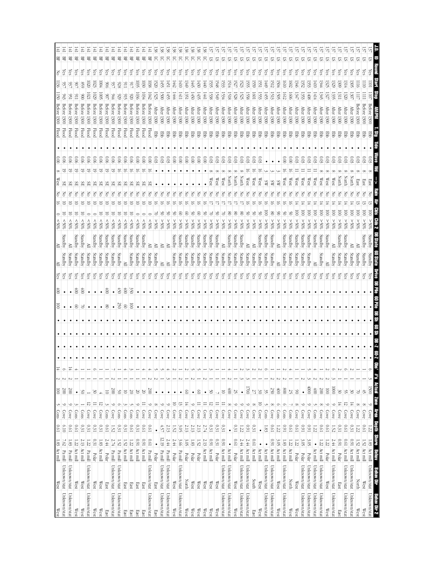|    | SI.       | es,        | <b>TOT</b>               |                   | 1300                                                             |                       |                                        |          |                |   |   | ē                            |                            |                    |                    |               |                            |                | ¥         | 2                      | k | $\circ$ | <b>Chis'</b> #'s Actual<br>$\tilde{\phantom{0}}$ | 1500<br>Similar,                 | $\circ$<br><b>SBAN</b>  | Cove<br><b>Daptai</b>           | $1.22\,$<br><b>Shore</b> | 1.83 Act mil       | 國國                     | Unknown/stat<br><b>Behav Dir</b> | Unknown/stat<br>Behav Dir 2  |
|----|-----------|------------|--------------------------|-------------------|------------------------------------------------------------------|-----------------------|----------------------------------------|----------|----------------|---|---|------------------------------|----------------------------|--------------------|--------------------|---------------|----------------------------|----------------|-----------|------------------------|---|---------|--------------------------------------------------|----------------------------------|-------------------------|---------------------------------|--------------------------|--------------------|------------------------|----------------------------------|------------------------------|
|    | 5         |            |                          |                   | Before<br>1300                                                   |                       |                                        |          |                |   |   | S                            | $*05$                      | Standby            | Standby            |               |                            |                |           |                        |   |         |                                                  | $42\,$                           | $\infty$                | Cove                            | <b>190</b>               | 1.52               | Act mill               | $\mathbb{W}\text{est}$           | West                         |
|    |           |            |                          |                   |                                                                  |                       |                                        |          |                |   |   | 8                            |                            |                    | Standby            |               |                            |                |           |                        |   |         |                                                  | ¥                                | $^{\circ}$              | Cove                            | 1.22                     | 1.52               | Act mill               | North                            | West                         |
|    | ᡦ<br>ವ    | GS.<br>es, | 1314<br><u>ين</u>        | 1307<br>1320      | <b>After</b><br>After<br>1300<br>1300                            | 품<br>품                | ξĭ                                     |          | North<br>North |   |   | $\overline{\mathsf{S}}$<br>ē | %05<<br>%05 <              | Standby            | Standby<br>Standby | çs<br>es,     |                            |                |           |                        |   | O       |                                                  | 55<br>$\frac{30}{2}$             | 12<br>$\frac{1}{4}$     | Cove<br>Cove                    | 19'0<br>0.31             | <b>D.61</b><br>160 | Act mill<br>Act mill   | Unknown/stat<br>Unknown/stat     | Unknown/stat<br>Unknown/stat |
|    | ವ         | බි         | 50S)                     | 1311              | After<br>1300                                                    | 뿡                     | 50                                     |          | North          |   |   | ē                            | %05 <                      | Standby            | Standby            | ζes           |                            |                |           |                        |   |         |                                                  | $\frac{30}{2}$                   | $\frac{1}{4}$           | Cove                            | 0.31                     | $^{160}$           | Polar                  | East                             | East                         |
|    | 运         | (es        | 329                      | 1335              | <b>After</b><br>1300                                             | 문                     | 60                                     |          | West           |   |   | $\overline{\mathsf{S}}$      | $\$0\frac{2}{5}$           | ≧                  | Standby            | (es           |                            |                |           | $\bullet$              |   | Ò       |                                                  | $\overline{000}$                 | $\circ$                 | Cove                            | 1.52                     | 2.44               | Act mill               | Unknown/stat                     | Unknown/stat                 |
|    | ವ         | (es        | 325                      | 1327              | <b>After</b><br>1300                                             | 풍                     | 60                                     |          | West           |   |   | ē                            | %05 <                      | Standby            | ≧                  | çs            |                            |                |           | ٠                      |   |         |                                                  | $\overline{\otimes}$             | $\circ$                 | Cove                            | <b>D.61</b>              | 1.22               | Polar                  | $\mathbb{W}\text{est}$           | West                         |
|    | 运         | ίes        | 1344                     | 1345              | <b>After</b><br>1300                                             | 문                     | 60                                     |          | West           |   |   | S                            | $\$0\frac{2}{5}$           | Standby            | Standby            | çs            |                            |                |           | ٠                      |   |         |                                                  | 200                              | $\infty$                | Cove                            | 19'0                     | 122                | Act mill               | Unknown/stat                     | Unknown/stat                 |
|    | 运         | çs         | $\frac{1410}{2}$         | 1414              | After<br>1300                                                    | 罗                     | 803                                    |          | West           |   |   | ē                            | %05<                       | Standby            | ≧                  | es,           |                            |                |           |                        |   |         |                                                  | $100+$                           | J                       | Cons                            | 1.22                     | $\bullet$          | Act mill               | Unknown/stat                     | Unknown/stat                 |
|    | 5         | çs         | 353                      | 1408              | <b>After</b><br>1300                                             | 풍                     | 60                                     |          | West           |   |   | ē                            | %05 <                      | Standby            | Standby            | čes           |                            |                |           |                        |   |         | ى                                                | $4000$                           | $\circ$                 | Cove                            | 160                      | 3.05               | Polar                  | Unknown/stat                     | Unknown/stat                 |
|    | ᢑ         | Čes        | $\overline{32}$          | 1353              | <b>After</b><br>1300                                             | 품                     | 0.03                                   |          | West           |   |   | ē                            | %05<                       | Standby            | Standby            | çs            |                            |                |           | ٠                      |   |         |                                                  | $\bullet$                        | ७                       | Cove                            | 160                      | 3.05               | Polar                  | Unknown/stat                     | Unknown/stat                 |
|    | 5<br>ᢑ    | (es<br>č3  | $\overline{602}$<br>0746 | 1606<br>1347      | <b>After</b><br><b>After</b><br><b>1300</b><br>1300              | 費<br>몋                | 000<br>60                              |          | West<br>West   |   |   | S<br>క                       | \$05<<br>%05 <             | Standby<br>Standby | Standby<br>Standby | çs<br>(es     |                            |                |           | $\bullet$              |   |         |                                                  | 66<br>52                         | $^\circ$                | Cons<br>Cove                    | <b>D.61</b><br>19.0      | 1.22<br>1.22       | Act mill<br>Polar      | North<br>West                    | West<br>West                 |
|    | 运         | es,        | $\overline{0}10$         | 1612              | After<br>1300                                                    | 물                     | $\tilde{8}$                            |          | West           |   |   | క                            | \$055                      | Standby            | Standby            | es,           |                            |                |           |                        |   |         |                                                  | 800                              | Ó                       | Cons                            | 160                      | 1.83               | Act mill               | Unknown/stat                     | Unknown/stat                 |
|    | ᡦ         | (es        | -94                      | 1505              | <b>After</b><br>1300                                             | 뫃                     |                                        |          | ۵W             |   |   | S                            | %05<                       | ≧                  | ≧                  | es,           |                            |                |           |                        |   |         |                                                  | $\frac{1}{20}$                   | $\circ$                 | $\frac{\text{Con}}{\text{Con}}$ | 1.22                     | $\frac{30}{20}$    | Act mill               | West                             | West                         |
|    | 5         | ίes        | 1512                     | 1513              | <b>After</b><br>0061                                             | 뿡                     |                                        |          | æ              |   |   | ൠ                            | %05<                       | Standby            | Standby            | çs            |                            |                | $\bullet$ | $\bullet$              |   |         | W                                                | 250                              | 8                       | Cove                            | <b>D.61</b>              | <b>E60</b>         | Act mill               | Unknown/stat                     | Unknown/stat                 |
|    | 5         | es,        | $\overline{6}$           | 1455              | After 1300                                                       | 蛋                     |                                        |          | SW             |   |   | ē                            | %05 <                      | Standby            | Standby            | çs            |                            |                |           | $\bullet$              |   |         |                                                  | 35                               |                         | Cons                            | $1.83\,$                 |                    | Act mill               | Unknown/stat                     | Unknown/stat                 |
|    | ञ         | es,        | ÃΙ                       | 1553              | <b>After</b><br>1300                                             | 몋                     | 600                                    |          | West           |   |   |                              | %05 <                      | Standby            | Standby            | ČS            |                            |                |           | $\bullet$              |   |         |                                                  | 30                               | 5                       | Cove                            | $\bullet$                |                    | Act mill               | $\mathbb{W}\text{est}$           | West                         |
|    | 5<br>5    | çs<br>Čes  | 5Š<br>559                | 1558<br>1601      | <b>After</b><br><b>After</b><br><b>1300</b><br>$\overline{1300}$ | 물<br>뫃                | ය<br>0.03                              |          | West<br>West   |   |   |                              | $\$0\frac{2}{5}$<br>%05 <  |                    | Standby<br>Standby | es,<br>Ğ,     |                            |                |           | ٠                      |   |         |                                                  | $\overline{5}$<br>$\overline{z}$ | $\circ$<br>${}^{\circ}$ | Cove<br>Cove                    | 160<br>0.31              | 2.44<br>19'0       | Act mill<br>Act mill   | Unknown/stat<br><b>South</b>     | Unknown/stat<br>East         |
|    | ᡦ         | çs         | 1523                     | 1525              | <b>After</b><br>1300                                             | 罗                     | ය                                      |          | North          |   |   | g                            | %05 <                      | Standby            | Standby            | çs            |                            |                |           |                        |   |         |                                                  | $\bullet$                        | $\circ$                 | Cove                            | 1.22                     | 2.44               | Act mill               | Unknown/stat                     | Unknown/stat                 |
|    | 51        | çs         | 1527                     | 1528              | After 1300                                                       | 军                     | 8                                      |          | North          |   |   | క                            | %05<                       | Standby            | Standby            | çs            |                            |                |           |                        |   |         |                                                  | 25                               | $\circ$                 | Cove                            | 0.31                     | <b>D.61</b>        | Polar                  | $\mathbb{W}\textup{est}$         | West                         |
|    | 5         | ζes        | 1514                     | 1518              | <b>After</b><br>1300                                             | 军                     | 80.                                    |          | North          |   |   | క                            | %05<                       | Standby            | Standby            | (es           |                            |                |           | ٠                      |   |         |                                                  | $\frac{1}{2}$                    | $\infty$                | Cove                            | $\bullet$                | $\bullet$          | Act mill               | Unknown/stat                     | Unknown/stat                 |
|    | 57<br>SI. | ζes<br>es, | <b>1548</b><br>1533      | 1549<br>1534      | <b>After</b><br><b>After</b><br>1300<br>1300                     | 품<br>军                | 0.03<br>0.03                           |          | West<br>West   |   |   | రి                           | %05<<br>%65                | Standby<br>≧       | Standby            | es.<br>es,    |                            |                |           | $\bullet$              |   |         |                                                  | 5                                |                         | Cove                            | 0.31<br>$0.31\,$         | 0.31<br>160        | Act mill               | Unknown/stat<br>West             | Unknown/stat<br>West         |
|    | 57        | Уes        | 1535                     | 1538              | <b>After</b><br>1300                                             | 쭏                     | 600                                    | $\infty$ | West           |   |   | 7                            | \$05<                      | Standby            | Standby<br>Standby | çs            |                            |                |           |                        |   |         |                                                  | SO                               | 12                      | Cove<br>Cove                    | 0.31                     | 160                | Act mill<br>Polar      | West                             | West                         |
| š  | 5         | Yes        | 140                      | 1441              | After<br>1300                                                    | 罗                     | $\frac{8}{10}$                         |          |                |   |   | š                            | \$05<                      | Standby            | Standby            | λë            |                            |                |           |                        |   |         |                                                  | $\bullet$                        | $\equiv$                | Cove                            | 2.74                     | 2.13               | Act mill               | $\mathbb{W}\text{est}$           | West                         |
|    | 5         | ζes        | $\frac{1430}{2}$         | 1435              | After<br>1300                                                    | 뿡                     | $\frac{1}{2}$                          |          |                |   |   | S                            | %05 <                      | Standby            | Standby            | çs            |                            |                |           | ٠                      |   |         |                                                  | $\frac{8}{2}$                    | $\equiv$                | Cove                            | 2.13                     | 1.52               | Polar                  | West                             | West                         |
|    | 5         | es,        | $\frac{1}{2}$            | 1450              | After<br>1300                                                    | 품                     | $\frac{0.00}{\pi}$                     |          |                | F | 5 |                              | %05 <                      | Standby            | Standby            | es,           |                            |                |           | $\bullet$              |   |         |                                                  | $\bullet$                        | $\circ$                 | Cove                            | 2.13                     | $1.83\,$           | Polar                  | West                             | West                         |
| 38 | న్<br>5   | ίes<br>ζes | (410)<br>1349            | E<br>1351         | After<br>After<br>1300<br>1300                                   | 罗<br>풍                | $\frac{0.00}{2}$<br>$\frac{0.00}{\pi}$ |          |                | 중 |   | S                            | $\$0\frac{2}{5}$<br>$30\%$ | Standby<br>Standby | Standby            | ČS<br>(es     |                            |                |           | ٠                      |   |         |                                                  | $\circ$<br>$\bullet$             | 뇌<br>5                  | Cove                            | 3.05<br>2.13             | 3.66<br>3.05       | Polar                  | North                            | Unknown/stat<br>West         |
| 38 | 5         | çs         | $\frac{1}{4}$            | 1444              | After<br>1300                                                    | 军                     | $\frac{1}{2}$                          |          |                | š | 5 | š                            | %65 <                      | Standby            | Standby<br>Standby | çs            |                            |                |           |                        |   |         |                                                  | $\bullet$                        | 흐                       | Cove                            | 1.52                     | 2.44               | $\rm Pa$ mill<br>Polar | Unknown/stat<br>West             | West                         |
|    | ర్        | çs         | 1451                     | 1455              | After<br>1300                                                    | 쭏                     | $\overline{3}$                         |          |                |   |   |                              | %05 <                      | ≧                  | ≧                  | çs            |                            |                |           |                        |   |         |                                                  | $\bullet$                        | $\circ$                 | Cove<br>Cove                    | 2.13                     | 2.44               | Pa mill                | Unknown/stat                     | Unknown/stat                 |
|    | 5         | (es        | 455                      | 1500              | <b>After</b><br>1300                                             | 뿓                     | 60                                     |          |                |   | ਠ |                              | $\$0\frac{2}{5}$           | ≧                  | ≧                  | Υēs           |                            |                |           | $\bullet$              |   |         |                                                  | $\bullet$                        | $\circ$                 | Cove                            | $4.57\,$                 | 12.19              | $\rm Pa\,m\rm{ll}$     | Unknown/stat                     | Unknown/stat                 |
|    | 5         | es.        | 1520                     | 1525              | <b>After</b><br>1300                                             | 품                     | 0.03                                   |          |                |   |   |                              | %05<                       | ≧                  | Standby            | (es           |                            |                |           |                        |   |         |                                                  | $\bullet$                        | $^{\circ}$              | Cove                            | ٠                        |                    | Polar                  | East                             | East                         |
|    | 哥         | ίes        | $\frac{80}{1}$           | 1042              | Before<br>1300                                                   | Flood                 | $\frac{0}{2}$                          | 5        |                |   |   |                              | %05                        | ≧                  | Standby            | Уes           |                            |                |           |                        |   |         |                                                  | 60                               | $\circ$                 | Cove                            | <b>D.61</b>              | 1970               | Pa mill                | Unknown/stat                     | Unknown/stat                 |
|    | 몊         | çs         | $\overline{50}$          | 1034              | Before<br>1300                                                   | <b>Flood</b>          | $\tilde{8}$                            | ᇹ        | SЕ             |   |   |                              | $^{805}$                   | Standby            | Standby            | es,           |                            |                |           |                        |   | 4       |                                                  | $\infty$                         | Ξ                       | Cove                            | 19'0                     | 160                | Act mill               | <b>East</b>                      | East                         |
|    | 兽         | ζes        | 1035                     | 1036              | Betore<br>1300                                                   | <b>Flood</b>          | $\widetilde{\varepsilon}$              | ᇹ        | SЕ             |   |   |                              | $^{805}$                   | Standby            | Standby            | es,           |                            |                |           |                        |   |         |                                                  | $\overline{50}$                  | $\circ$                 | Cove                            | 0.31                     | 160                | Act mill               | East                             | East                         |
|    | 맖         | ζes        |                          | 60 <sup>2</sup>   | Before 1300                                                      | <b>Flood</b>          | $\frac{0.06}{2}$                       | 5        | SЕ             |   | 5 |                              | $^{805}$                   | Standby            | Standby            | çs            | 350                        | 5              | ٠         | $\bullet$              |   |         |                                                  | $\frac{20}{20}$                  | Ĵ                       | Cons                            | 1910                     | 1.22               | Act mill               | East                             | East                         |
|    | 呂         | çs         | Ĕб                       |                   | Before<br>1300                                                   | <b>Flood</b>          | 600                                    | 능        | æ              |   | 5 | 5                            | $^{805}$                   | Standby            | ≧                  | çs            | $\pm 00$                   | $\otimes$      |           | $\bullet$              |   |         |                                                  | $\Xi$                            | ىب                      | Cons                            | 0.31                     | 1.52               | Act mill               | East                             | East                         |
|    | 景         | es,        | 937<br>876               |                   | Before<br>1300                                                   | <b>Flood</b>          | 0.06                                   | 5<br>능   | æ              |   | 5 |                              | $$80$ \$                   | Standby            | Standby            | ζes           | $450\,$<br>$\bullet$       | 50             |           | $\bullet$<br>$\bullet$ |   |         |                                                  | $\frac{200}{200}$<br>$\gtrsim$   | $\circ$<br>Ó            | Cons                            | 0.31<br>1.52             | 2.74<br>1.52       | Pa mill                | Unknown/stat                     | Unknown/stat                 |
|    | 岊         | ĺеs        |                          | 644               | Before<br>1300                                                   | <b>Flood</b>          | 0.06                                   |          | æ              |   |   |                              | %05                        | Standby            | Standby            | çs            |                            |                |           |                        |   |         |                                                  |                                  |                         | Cove                            |                          |                    | Pa mill                | Unknown/stat                     | Unknown/stat                 |
|    | 몊<br>兽    | çs<br>çs   | 1004<br>%                | 500<br>$^{106}$   | Before 1300<br>Betore<br>1300                                    | <b>Flood</b><br>Flood | 600<br>0.06                            | 5<br>5   | ЯS<br>ЯS       |   | 5 | 5                            | $^{805}$<br>$^{805}$       | Standby<br>Standby | Standby<br>Standby | ζëς<br>çs     | $\frac{1}{2}$<br>$\bullet$ | 8              |           |                        |   |         |                                                  | $\overline{a}$<br>4              | ನ<br>ىب                 | Cove<br>Cons                    | 0.31<br>[0.0]            | 2.44<br>1.83       | Act mill<br>Polar      | $\mathbb{W}\text{est}$<br>East   | West<br>East                 |
|    | 岊         | çs         | 1023                     | 1029              | Before 1300                                                      | <b>Flood</b>          | 0.06                                   | 5        | SЕ             | Z | ਰ |                              | &805                       | Standby            | Standby            | çs            |                            |                |           | $\bullet$              |   | O       |                                                  | $\frac{30}{2}$                   | $\equiv$                | Cove                            | 0.31                     | 0.31               | Polar                  | $\mathbb{W}\text{est}$           | West                         |
|    | 呂         | çs         | $\overline{0}20$         | $\overline{1021}$ | Before<br>1300                                                   | Flood                 | 0.06                                   | 5        | æ              |   |   |                              | $^{805}$                   | ≧                  | Standby            | ζes           |                            |                |           |                        |   |         |                                                  |                                  | 12                      | Cove                            | 0.31                     | 1.22               | Pa mill                | Unknown/stat                     | Unknown/stat                 |
|    | 兽         | es,        | 658                      | 80                | Before<br>1300                                                   | <b>Flood</b>          | 0.06                                   | 5        | æ              |   |   |                              | $$0\%$                     | Standby            | Standby            | Čes           | $\hat{\mathbb{S}}$         | 7              |           |                        |   |         |                                                  | š                                |                         | Cons                            | $0.31\,$                 | 2.13               | Act mill               | West                             | West                         |
|    | 岊         | ζes        | දු                       |                   | <b>Before</b><br>1300                                            | <b>Flood</b>          | 0.06                                   | 3        | ЯS             |   |   |                              | $\frac{80}{5}$             | Standby            | Standby            | çs            | $\frac{1}{2}$              | 8              |           |                        |   |         |                                                  | $\bullet$                        | ىن                      | Cons                            | <b>D.61</b>              | 1.22               | Act mill               | West                             | West                         |
|    | BF        | çs         | 95                       |                   | Before<br>1300                                                   | Flood                 | 90.0                                   | 5        | ЯS             |   |   |                              | \$05                       | ≧                  | Standby            | ζes           |                            |                |           |                        |   | 14      |                                                  | 200                              | $\circ$                 | Cove                            | <b>D.61</b>              | 1.83               | Pa mill                | Unknown/stat                     | Unknown/stat                 |
|    | 哥         | és         | 937                      |                   | Betore<br>1300                                                   | Flood                 | 0.06                                   | उ        | SE             |   |   |                              | \$05                       | Standby            | Standby            | $\frac{1}{5}$ |                            |                |           |                        |   | $\circ$ | $\overline{2}$                                   | 100                              | $\check{\circ}$         | Cove                            | 6.10                     | $7.62\,$           | Pa mill                | Unknown/stat                     | Unknown/stat                 |
|    | 뭬         | 죄          | <u> 136</u>              | 150               | Betore<br>1300                                                   |                       |                                        |          | West           |   |   |                              | $50\%$                     |                    |                    |               | $\frac{1}{2}$              | $\overline{5}$ |           |                        |   | 되       | $\overline{2}$                                   | $\overline{001}$                 | n1                      | Cons                            | $10.61\,$                | $1.83$ Act mil     |                        | $\mathbb{W}\text{est}$           | <b>West</b>                  |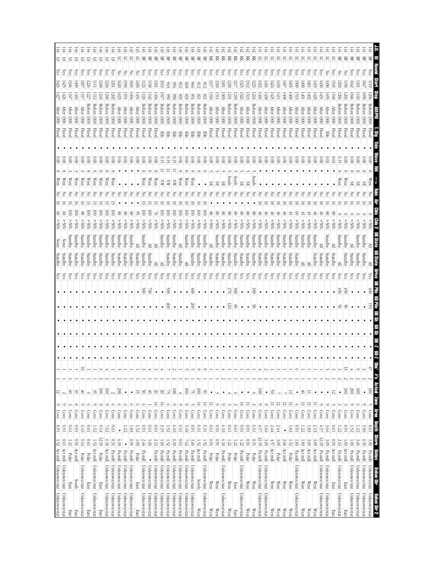|                             | 1.52 Act mill Unknown/stat Unknown/stat |                                 |                      | $0.91\,$      | $\circ$<br>Cove                              | $\frac{12}{2}$                      |        |                                                        |  |           |            |                    | $\frac{\text{Yes}}{\text{Yes}}$ | Standby | <b>None</b> | %65              |                         |   |   | West                   |                          |              | <b>After</b><br>1300                    | 427              | 426              | Yes | 의       |  |
|-----------------------------|-----------------------------------------|---------------------------------|----------------------|---------------|----------------------------------------------|-------------------------------------|--------|--------------------------------------------------------|--|-----------|------------|--------------------|---------------------------------|---------|-------------|------------------|-------------------------|---|---|------------------------|--------------------------|--------------|-----------------------------------------|------------------|------------------|-----|---------|--|
| Unknown/stat                | Unknown/stat                            | Act mill                        | [91]                 | 0.31          | $\circ$<br>Cove                              | $\overline{2}$                      |        |                                                        |  |           |            |                    |                                 | Standby | None        | %65              | ε                       |   |   | West                   | $\frac{1}{2}$            | <b>Flood</b> | <b>After</b><br>1300                    | 1426             | $\overline{42}$  | çs  | F#<br>5 |  |
| East                        | East                                    | Polar                           | 1.22                 | <b>D.61</b>   | ىن<br>Cons                                   | ව                                   |        |                                                        |  |           |            |                    | Çes                             | Standby | Standby     | $20\%$           | 8                       |   |   | West                   | $\widetilde{\rm g}$      | <b>Flood</b> | <b>After</b><br>1300                    | 1347             | 1346             | çs  | 44<br>5 |  |
| East                        | South                                   | Act mill                        | 160                  | 160           | $^{\circ}$<br>Cove                           | 5                                   |        |                                                        |  |           |            |                    | çs                              | Standby | Standby     | %65 <            | S                       |   |   | West                   | $\widetilde{\rm g}$      | Flood        | After<br>1300                           | $\frac{1410}{2}$ | 60 <sup>†</sup>  | Çes | 5       |  |
| Unknown/stat                | Unknown/stat                            | Polar                           | 9.14                 | 6.10          | $\circ$<br>Cove                              | 40                                  |        | $\overline{\circ}$                                     |  |           |            |                    | Υes                             | Standby | Standby     | %05 <            | 8                       |   |   | West                   | $\frac{0.00}{\pi}$       | <b>Flood</b> | After<br><b>1300</b>                    | 131.             | 30.7             | çs  | 5       |  |
| East                        | East                                    | Polar                           | 1900                 | <b>D.61</b>   | $\circ$<br>Cons                              | $\circ$                             |        |                                                        |  |           |            |                    | es,                             | Standby | Standby     | %05 <            | ē                       |   |   | West                   | 0.00                     | <b>Flood</b> | Betore<br>1300                          | 1227             | 226              | es, | 5       |  |
| Unknown/stat                | Unknown/stat                            | Act mill                        | 1.52                 | 1.52          | $\circ$<br>Cove                              | $\frac{35}{2}$                      |        |                                                        |  | ٠         |            |                    | χes                             | Standby | Standby     | 250%             | $\overline{\mathsf{S}}$ |   |   | West                   | $\frac{1}{2}$            | <b>Flood</b> | Betore<br>1300                          | 1112             | Ξ                | çs  | 44<br>2 |  |
| East                        | East                                    | Polar                           | 12.19                | 9.14          | $\circ$<br>Cove                              | $\overline{\otimes}$                |        |                                                        |  |           |            |                    | ζes                             | Standby | Standby     | %05<             | $\overline{\mathsf{S}}$ |   |   | $\mathbb{W}\text{est}$ | $\tilde{8}$              | Flood        | Before 1300                             | 1243             | 0#2              | χes | 57      |  |
| Unknown/stat                | Unknown/stat                            | Act mill                        | 010                  | 7.62          | $\circ$<br>Cove                              | $\overline{5}$                      |        |                                                        |  |           |            |                    | χes                             | Standby | Standby     | %05 <            | $\overline{\mathsf{S}}$ |   |   | West                   | $\tilde{8}$              | Flood        | Before<br>1300                          | 1240             | 1236             | çs  | 57      |  |
| Unknown/stat                | Unknown/stat                            | Pamill                          | 0.31                 | 19'0          | $\circ$<br>$\frac{\text{Cons}}{\text{cons}}$ | $\sim$                              |        |                                                        |  | $\bullet$ |            |                    | χes                             | Standby | Standby     | %05 <            | ē                       |   |   | West                   | $\tilde{8}$              | <b>Flood</b> | <b>Before</b><br>1300                   | 1202             | 501              | (es | 5       |  |
| Unknown/stat                | Unknown/stat                            | Pa mill                         | 6.10                 | $\bullet$     | Ò<br>Cons                                    | $00\%$                              |        |                                                        |  |           |            |                    | Υes                             | Standby | Standby     | %05 <            | 80                      |   |   |                        | 90'0                     | <b>Flood</b> | <b>After</b><br>1300                    | 1625             | (620)            | 공   | 5       |  |
| Unknown/stat                | Unknown/stat                            | $\mathbf{P} \mathbf{a}$ mill    | $\bullet$            | 5Z            | $\circ$<br>Cons                              | $\bullet$                           |        |                                                        |  |           |            |                    | es,                             | Standby | Standby     | %05 <            | 8                       |   |   |                        | $\frac{0.06}{2}$         | Flood        | After<br>1300                           | 15               | 550              | 공   | 5       |  |
| Unknown/stat                | Unknown/stat                            | Pa mill                         | 160                  | 1.83          | Ó<br>Cons                                    | $\bullet$                           |        |                                                        |  |           |            |                    | ζes                             | Standby | Standby     | %05 <            | ൠ                       |   |   |                        | $\frac{0.06}{2}$         | <b>Flood</b> | After 1300                              | 1604             | 503              | 중   | 5       |  |
| East                        | East                                    | Polar                           | 1.83                 | 1.52          | Ó<br>$\frac{\text{Cous}}{\text{Cous}}$       | 5                                   |        |                                                        |  |           |            |                    | çs                              | Standby | ≧           | %05 <            | S                       |   |   |                        | $\approx 0$              | <b>Flood</b> | <b>After</b><br>1300                    | 1431             | $+50$            | F   | 5       |  |
| Unknown/stat                | Unknown/stat                            | Pa mill                         | 2.44                 | 160           | $\circ$<br>Cons                              | Š0                                  |        |                                                        |  |           |            | $\frac{500}{5}$    | čes                             | Standby | Standby     | $\$0\frac{2}{5}$ | ē                       |   |   | West                   | $\approx 0$              | <b>Flood</b> | Before<br>1300                          | 1126             | 123              | ίes | 兕       |  |
| Unknown/stat                | Unknown/stat                            | $\bullet$                       | 1.83                 | <b>D.61</b>   | Cons                                         | $\uplus$                            |        |                                                        |  |           |            | $\approx$          | Υes                             | Standby | ≧           | %05              | ē                       |   |   | West                   | $\approx 0$              | <b>Flood</b> | setore<br>1300                          | 142              | 138              | (es | 몊       |  |
| Unknown/stat                | Unknown/stat                            | $\rm Pa\,mill$                  | $2.13\,$             | 0.61          | 독<br>Cove                                    | S                                   |        |                                                        |  |           |            |                    | Čes                             | ≧       |             | $^{805}$         |                         |   |   | West                   | $\frac{0}{2}$            | Flood        | Before<br>1300                          | P4               | <b>D</b>         | ନ୍ମ | 哥       |  |
| Unknown/stat                | Unknown/stat                            | Pa mill                         | 1.83                 | 3.35          | 도<br>Cove                                    | 50                                  |        |                                                        |  |           |            | $\bullet$          | χes                             | ≧       | Standby     | %05 <            | ē                       | ਠ |   | ⋨                      |                          | <b>Ebb</b>   | Before 1300                             | 드                | Ξ                | es, | 묚       |  |
| Unknown/stat                | Unknown/stat                            | Pa mill                         | 1.52                 | 1.52          | $\circ$<br>Cons                              | 2                                   |        |                                                        |  |           | \$         | 00 <sup>2</sup>    | λes                             | Standby | Standby     | %05 <            | ē                       |   |   | ℥                      | ں<br>بر                  | 罗            | detore<br>1300                          | $\frac{6}{50}$   | GH)              | ζës | 景       |  |
| Unknown/stat                | Unknown/stat                            | Pa mill                         | 01.0                 | 6.10          | $\circ$<br>Cove                              | $\overline{\otimes}$                |        |                                                        |  |           |            | $\bullet$          | Čes                             | Standby | Standby     | \$0%<            | ē                       |   |   | ă                      | GT)                      | 턯            | Before 1300                             | 856              | 950              | çs  | 兕       |  |
| Unknown/stat                | Unknown/stat                            | $\rm Pa$ mill                   | 0.61                 | $0.31\,$      | $\circ$<br>Cove                              | Á.                                  |        |                                                        |  |           |            |                    | (es                             | Standby |             | $30\%$           | S                       |   |   | West                   | 0.06                     | 罗            | Before<br>1300                          |                  | $^{23}$          | çs  | 묚       |  |
| Unknown/stat                | Unknown/stat                            | Pa mill                         | 7.62                 | 5.18          | $\circ$<br>Cove                              | $\overline{\odot}$                  |        |                                                        |  |           |            | $\bullet$          | ίes                             | ≥       | Standby     | $\$0\frac{2}{5}$ | ē                       |   |   | West                   | 600                      | 军            | Before<br>1300                          |                  | 828              | (es | 멲       |  |
| Unknown/stat                | Unknown/stat                            | Pa mill                         | 3.66                 | 160           | Cons                                         | 2                                   |        |                                                        |  |           | S          | $\hat{\mathbb{S}}$ | ίes                             | Standby | Standby     | %05 <            | ē                       |   |   | West                   | 0.06                     | 쭏            | Before<br>1300                          | <u>%</u>         | 9#8              | ζes | 岊       |  |
| West                        | North                                   | Act mill                        | 1.52                 | 0.31          | $\frac{1}{4}$<br>Cove                        | $\overline{\text{100}}$             |        | ∘                                                      |  |           |            |                    | ζes                             | Standby | Standby     | %05<             | ē                       | ਠ |   |                        | $\tilde{\rm s}$          | 罗            | Before 1300                             | 178              | $\frac{8}{218}$  | çs  | 몪       |  |
| Unknown/stat                | Unknown/stat                            | Pa mill                         | 1.52                 | 0.31          | $\frac{14}{14}$<br>Cove                      | 90                                  |        |                                                        |  |           |            |                    | Уes                             | Standby | Standby     | %05 <            | S                       |   |   |                        | $\frac{0.00}{\pi}$       | 쭏            | Before 1300                             | $^{18}$          | 212              | Čes | £,<br>岊 |  |
| West                        | $\mathbb{W}\text{est}$                  | Polar                           | 160                  | <b>D.61</b>   | ನ<br>Cove                                    | $\bullet$                           |        |                                                        |  |           |            |                    | es,                             | Standby |             | 250%             | g                       |   |   | æ                      | $\widetilde{\infty}$     | Flood        | <b>After</b><br>1300                    | 1318             | ЗIJ              | Çes | 頁       |  |
| West                        | $\mathbb{W}\text{est}$                  | Polar                           | 160                  | <b>I60</b>    | $\circ$<br>Cove                              |                                     |        |                                                        |  |           |            |                    | <i>les</i>                      | Standby | Standby     | %05 <            | ఠ                       |   |   | ЯS                     | 0.00                     | <b>Flood</b> | $\operatorname{\mathsf{After}}$<br>1300 | 1311             | 1310             | çs  | 頁       |  |
| Unknown/stat                | Unknown/stat                            | $\mathbf{P} \mathbf{a}$ mill    | 6.10                 | 6.10          | $\circ$<br>Cove                              | $\bullet$                           |        |                                                        |  |           |            | $\bullet$          | es,                             | Standby | Standby     | %05 <            | ട                       |   |   | ЯS                     | 000                      | Flood        | <b>After</b><br>1300                    | 1305             | 301              | (es | 頁       |  |
| West                        | West                                    | Polar                           | 1.22                 | <b>D.61</b>   | U<br>Cons                                    | Á.                                  |        |                                                        |  |           | 50         | $2\,70$            | ζes                             | Standby | Standby     | %05 <            | 8                       |   |   | South                  | 000                      | <b>Flood</b> | Betore<br>1300                          | 123.             | 230              | ζes | 頁       |  |
| $_{\rm East}$               | East                                    | Polar                           | $1.22\,$             | <b>D.61</b>   | $\sim$<br>Cons                               | O                                   |        |                                                        |  |           | $^{\circ}$ | 300                | ίes                             | Standby | Standby     | %05 <            | g                       |   |   | South                  | $\frac{0.00}{\pi}$       | <b>Flood</b> | Before 1300                             | 1218             | 171              | çs  | 頁       |  |
| Unknown/stat                | Unknown/stat                            | Pa mill                         | 1.22                 | 160           | 보<br>Cov                                     | $\bullet$                           |        |                                                        |  |           |            |                    | es,                             | Standby | Standby     | %05 <            | g                       |   |   | SE                     | $\frac{0.00}{\pi}$       | Flood        | <b>After</b><br>0061                    | 1326             | 1325             | çs  | 頁       |  |
| West                        | West                                    | Polar                           | 160                  | 160           | $\equiv$<br>Cove                             | $\bullet$                           |        |                                                        |  | $\bullet$ |            | $\bullet$          | es,                             | Standby | Standby     | %05 <            | g                       |   |   | ЯS                     | $\frac{0.00}{2}$         | <b>Flood</b> | <b>After</b><br>1300                    | 1313             | 1312             | çs  | 젖       |  |
| West                        | West                                    | Polar                           | $0.31\,$             | $0.31\,$      | ىن<br>Cons                                   | $\circ$                             |        |                                                        |  |           | 8          | $00\xi$            | (es                             | Standby | Standby     | %65              | g                       |   |   | South                  | $00.00$                  | <b>Flood</b> | Before<br>1300                          | 1224             | 223              | es, | 頁       |  |
| Unknown/stat                | Unknown/stat                            | Pa mill                         | 12.19                | $4.57$        | ७<br>Cove                                    | $\overline{0}$                      |        |                                                        |  | ٠         |            |                    | (es                             | Standby | Standby     | \$80%            | さ                       |   |   |                        | $\frac{0.00}{\pi}$       | <b>Flood</b> | <b>After</b><br>1300                    | 1436             | $\frac{432}{5}$  | es, | 5       |  |
| Unknown/stat                | Unknown/stat                            | $\frac{p_a}{p_a}$ mill          | 3.05                 | 3.66          | $\circ$<br>Cove                              | $\bullet$                           |        |                                                        |  |           |            |                    | çs                              | Standby | Standby     | 80%              | ŧ                       | ವ |   |                        | $\frac{0.00}{\pi}$       | <b>Flood</b> | After 1300                              | 1438             | $\frac{145}{6}$  | (es | 5       |  |
| West                        | $\mathbb{W}\text{es}$                   | Act mill                        | 4.57                 | 2.44          | $\equiv$<br>Cove                             | ఠ                                   |        |                                                        |  |           |            |                    | çs                              | Standby | Standby     | \$80%            | さ                       | ಷ |   |                        | $\frac{0.00}{\pi}$       | <b>Flood</b> | <b>After</b><br>1300                    | 1425             | #24              | ćs  | 5       |  |
| West                        | West                                    | Polar                           | 3.OS                 | 2.44          | 12<br>Cove                                   |                                     |        |                                                        |  |           |            |                    | ζes                             | Standby | Standby     | $^{805}$         | お                       | ಹ |   |                        | $\tilde{8}$              | <b>Flood</b> | $\frac{1}{200}$                         | IЩ               | $\frac{1410}{2}$ | ζes | 5       |  |
| West                        | $\mathbb{W}\text{est}$                  | Act mill                        | 3.66                 | $\bullet$     | ನ<br>Cove                                    |                                     |        |                                                        |  |           |            |                    | χes                             | Standby | Standby     | %05              |                         | ∞ |   |                        | 0.00                     | <b>Flood</b> | <b>After</b><br>1300                    | 1408             | $\overline{40}$  | es. | 5       |  |
| West                        | $\mathbb{W}\text{est}$                  | Polar                           | 1.52                 | $1.83\,$      | ದ<br>Cove                                    | ದ                                   |        |                                                        |  |           |            |                    | Čes                             | Standby | Standby     | $^{*06}$         |                         | ∞ |   |                        | 0.00                     | <b>Flood</b> | After<br>1300                           | $90+$            | $\frac{40}{5}$   | es. | ਨ       |  |
| Unknown/stat                | Unknown/stat                            | Pa mill                         | 1.83                 | 160           | $\circ$<br>Cons                              | $\bullet$                           |        |                                                        |  |           |            |                    | ίes                             | Standby | Standby     | %05 <            | g                       | ವ |   |                        | $\frac{0.00}{2}$         | <b>Flood</b> | <b>After</b><br>1300                    | 1515             | $60\frac{2}{3}$  | Čes | 5       |  |
| West                        | $\mathbb{W}\text{est}$                  | Act mill                        | 1.83                 | 1.22          | 13<br>Cove                                   | ð,                                  |        |                                                        |  |           |            |                    | čs                              | ≧       | Standby     | \$80%            |                         | ಷ |   |                        | $\frac{1}{2}$            | <b>Flood</b> | <b>After</b><br>1300                    | 1001             | $\frac{1}{2}$    | ćs  | 5       |  |
| West                        | $\mathbb{W}\text{est}$                  | Act mill                        | 3.OS                 | 1.83          | $\frac{1}{2}$<br>Cove                        | $\tilde{5}$                         |        |                                                        |  |           |            |                    | es,                             | ≧       | Standby     | $^{805}$         | 5,                      | ಷ | Z |                        | $\frac{0}{2}$            | Flood        | After<br>1300                           | 1402             | $\overline{100}$ | (es | 5       |  |
| West                        | West                                    | Act mill                        | 3.OS                 | 2.13          | Cove                                         |                                     |        |                                                        |  |           |            |                    | ίes                             | Standby | Standby     | $^{805}$         | ₿                       | ∞ |   |                        | $\approx 0$              | Flood        | ¶ter<br>1300                            | $\frac{1}{420}$  | $\frac{1}{2}$    | (es | ਨ       |  |
| Unknown/stat                | Unknown/stat                            | Pa mill                         | 12.19                | 4.57          | ∘<br>Cove                                    | ٠                                   |        |                                                        |  |           |            |                    | çs                              | Standby |             | $^{*06}$         |                         | ಹ |   |                        | $\frac{0.00}{2}$         | Flood        | After<br>1300                           | $\pm$            | 1430             |     | 5       |  |
| Unknown/stat                | Unknown/stat                            | $\mathbf{P} \mathbf{a}$ mill    | 3.OS                 | 3.66          | ∘<br>Cove                                    | $\bullet$                           |        |                                                        |  |           |            |                    | ίes                             | Standby | Standby     | %05 <            | g                       | 5 | Z |                        | $^{0.03}$                | 뿓            | <b>After</b><br>1300                    | 1655             | (650)            | š   | 5       |  |
| East                        | East                                    | Act mill                        | 0.91                 | 0.61          | Cons                                         | 12                                  |        |                                                        |  |           |            |                    | çs                              | Standby | ≧           | %05 <            |                         |   |   |                        | 5                        | <b>Flood</b> | Atter<br>1300                           | I548             | 545              | Ğ,  | 5       |  |
| Unknown/stat                | Unknown/stat                            | Pa mill                         | 2.13                 | 1.22          | Cons                                         | $\bullet$                           |        |                                                        |  |           | క          | 69                 | çs                              | ≧       | Standby     | $^{805}$         |                         |   |   | West                   | 5<br>C                   | <b>Flood</b> | detore<br>1300                          | 1200             | 203              | Z   | 밁       |  |
| East                        | East                                    | Act mill                        | 1.83                 | 160           | نر<br>Cons                                   | $\overline{0}$                      |        | 5                                                      |  |           | ട്         | iž0                | Çes                             | Standby | Standby     | $^{805}$         |                         |   |   | West                   | Ξ                        | Flood        | 1300                                    | 1203             | $\overline{150}$ | Z   | 岊       |  |
| Unknown/stat                | Unknown/stat                            | Pa mill                         | 1.83                 | 1.52          | $\circ$<br>Cove                              | 007                                 |        |                                                        |  |           |            |                    | (es                             | Standby |             | %05              |                         |   |   | æ                      | $\widetilde{\rm g}$      | <b>Flood</b> | Before<br><b>1300</b>                   | 1046             | <b>D42</b>       | Ğ.  | 岊       |  |
| Unknown/stat                | Unknown/stat                            | $\mathbf{P} \mathbf{a}$ mill    | 3.66                 | $1.22\,$      | ⌒<br>Cons                                    | $\overline{\odot}$                  |        |                                                        |  |           |            |                    | es.                             | Standby | Standby     | \$05             |                         |   |   |                        | $\widetilde{\mathrm{0}}$ | Flood        |                                         |                  | ā                |     | 岊       |  |
| Unknown/stat                | Unknown/stat                            | Pa mill                         | 6.10                 | 3.96          | $\circ$<br>Cove                              | $\bullet$                           | $\sim$ |                                                        |  |           |            |                    | es,                             | Standby | Standby     | \$05             |                         |   |   | ЯS                     | $\widetilde{\mathrm{0}}$ | <b>Flood</b> | detore<br>1300                          | 50               | 1047             | (es | 呂       |  |
| Unknown/stat<br>Behav Dir 2 | Unknown/stat<br>Behav Dir               | Pa <u>mill</u><br><b>Maries</b> | <b>STOTP</b><br>1.83 | Depth<br>19'0 | J<br>$\overline{\text{Cem}}$<br>Bally        | Actual<br>$\frac{100}{100}$<br>Zone | $\sim$ | $\begin{array}{c cc}\n\hline\n\text{1.5}\n\end{array}$ |  |           | 25         | â                  | es,                             | ≧       |             | ‰<br>∦           |                         |   |   | West                   |                          | <b>Flood</b> |                                         |                  | $\overline{110}$ |     | 멾<br>L  |  |
|                             |                                         |                                 |                      |               |                                              |                                     |        |                                                        |  |           |            |                    |                                 |         |             |                  |                         |   |   |                        |                          |              |                                         |                  |                  |     |         |  |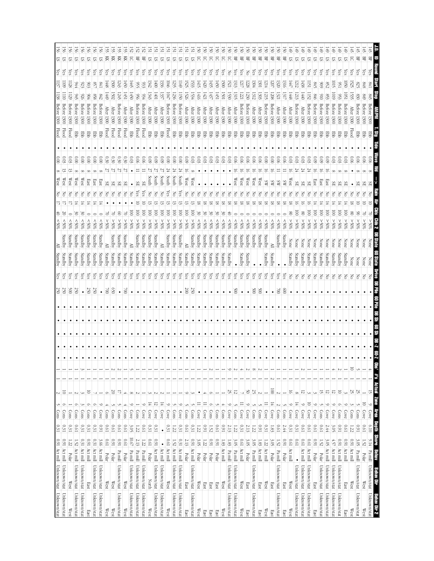| 0.91 Act mill Unknown/stat Unknown/stat |                                  |                              |               | $0.31\,$    | $\overline{ }$<br>Cons                 | $\overline{\mathcal{C}}$ |            |            |   |           |   |                   | $\epsilon$ s | Standby |         | %65 |                  |                          | 공       | West                   |          |                          | <b>Flood</b> | Betore<br>1300              | 138               | $\frac{137}{12}$  | Υes        | 55  |    |
|-----------------------------------------|----------------------------------|------------------------------|---------------|-------------|----------------------------------------|--------------------------|------------|------------|---|-----------|---|-------------------|--------------|---------|---------|-----|------------------|--------------------------|---------|------------------------|----------|--------------------------|--------------|-----------------------------|-------------------|-------------------|------------|-----|----|
| Unknown/stat                            | Unknown/stat                     | Act mill                     | 1600          | 0.31        | O<br>Cons                              | $\overline{\circ}$       |            |            |   |           |   | $\frac{250}{250}$ | čs           | Standby | Standby |     | $^{*05}$         |                          |         | West                   |          | යි                       | <b>Flood</b> | Betore<br>1300              |                   | $\frac{100}{100}$ | ίes        | 5   |    |
| West                                    | West                             | Polar                        | 1.22          | 0.31        | Cons                                   |                          |            |            |   |           |   | $\approx$         | Çes          | Standby | Standby |     | \$80%            |                          |         | West                   |          | 8                        | Flood        | Betore<br>1300              | 59                | 128               | Çes        | ವ   |    |
| Unknown/stat                            | Unknown/stat                     | Act mill                     | 1.52          | 10'0        | Cons                                   |                          |            |            |   |           |   | 29                | çs           | Standby | Standby |     | $^{805}$         | č                        |         | West                   |          | $\widetilde{\rm g}$      | 쭏            | Betore<br>1300              |                   | 44                | Çes        | 运   |    |
| Unknown/stat                            | Unknown/stat                     | Act mill                     | 0.31          | 0.31        | S<br>Cons                              |                          |            |            |   | ٠         |   | $\bullet$         | Čes          | Standby | Standby |     | %05              | š                        |         | West                   |          | $\frac{0.00}{\pi}$       | 臣            | <b>Before</b><br>1300       | 926               | 923               | <i>les</i> | 5   |    |
| East                                    | East                             | Act mill                     | 160           | $0.31\,$    | Ó<br>Cons                              | 5                        |            |            |   |           |   | 250               | (es          | Standby | Standby |     | \$80%            |                          |         | នេះ                    |          | 0.00                     | 쭏            | Betore<br>1300              | 664               | 606               | es,        | 5   |    |
| Unknown/stat                            | Unknown/stat                     | Act mill                     | 0.31          | 0.31        | $\circ$<br>Cons                        |                          |            |            |   | ٠         |   | 250               | çs           | Standby | Standby |     | &805             |                          |         | 1SEE                   |          | 000                      | 军            | Before<br>1300              | 898               | 92                | çs         | S.  |    |
| Unknown/stat                            | Unknown/stat                     | Act mill                     | 3.66          | 160         | $\circ$<br>Cove                        |                          |            |            |   | $\bullet$ |   | $\bullet$         | çs           | Standby | Standby |     | &805             |                          | δ       | <b>East</b>            |          | $\frac{0}{2}$            | 쭏            | Before<br>1300              | 2#2               | L <sub>8</sub>    | çs         | SI. |    |
| West                                    | West                             | Polar                        | <b>D.61</b>   | 1970        | $\frac{\text{Cons}}{\text{cons}}$      | G                        |            |            |   |           |   | $\approx$         | es,          | Standby | ≧       |     | %05 <            |                          | Z       | SЕ                     |          | 030                      | Flood        | <b>After</b><br><b>1300</b> | 5#1               | 8#1               | çs         | 頁   |    |
| West                                    | West                             | Polar                        | 160           | 19'0        | Ĵ<br>$\frac{\text{Cons}}{\text{cons}}$ | $\approx$                |            |            |   |           |   | 0.9               | çs           | Standby | Standby |     | \$0%<            |                          |         | SЕ                     |          | 0.30                     | <b>Flood</b> | <b>After</b><br><b>1300</b> | <b>1502</b>       | 500               | çs         | 頁   |    |
| Unknown/stat                            | Unknown/stat                     | $\mathbf{P} \mathbf{a}$ mill | $1600$        | <b>D.61</b> | Cons                                   | 17                       |            |            |   | $\bullet$ |   | $\bullet$         | <b>Čes</b>   | Standby | Standby |     | %05<             | S                        |         | æ                      |          | 0.30                     | <b>Flood</b> | Before<br>1300              | 1245              | 1243              | <b>Čes</b> | 頁   |    |
| West                                    | West                             | Polar                        | 19.0          | 19'0        | Cons                                   |                          |            |            |   | ٠         |   | š                 | ίes          | Standby | Standby |     | %05 <            |                          | Z       |                        |          | 0.30                     | <b>Flood</b> | <b>After</b><br>1300        | 145)              | (450              | es,        | 頁   |    |
| Unknown/stat                            | Unknown/stat                     | Pa mill                      | $10.67\,$     | 3.05        | ∘<br>Cove                              | $^{\circ}$               |            |            |   | $\bullet$ |   |                   | χes          | Standby | ≧       |     | %05 <            | S                        | Z       |                        |          | 0.03                     | Ę            | <b>After</b><br>1300        | 1450              | #                 | çs         | 5   |    |
| Unknown/stat                            | Unknown/stat                     | Pa mill                      | 2.13          | 1.22        | Cons                                   |                          |            |            |   | $\bullet$ |   |                   | çs           | Standby | Standby |     | %05<             | $\overline{\mathsf{S}}$  | χes     | ЯS                     |          | $\frac{0.06}{2}$         | Flood        | Before<br>1300              | 956               | 95                | уes        | 岊   |    |
| Unknown/stat                            | Unknown/stat                     | Pa mill                      | 1.22          | <b>D.61</b> | $\circ$<br>Cov                         |                          |            |            |   | ٠         |   |                   | ίes          | Standby | Standby |     | %05 <            | ē                        | çs      | æ                      |          | 600                      | Flood        | Before<br>1300              | 934               | 633               | χes        | 몊   |    |
| West                                    | North                            | Polar                        | <b>0.61</b>   | 0.31        | 도<br>Cove                              |                          |            |            |   |           |   |                   | ČS           | Standby | Standby |     | $30\%$           | S                        |         | South                  |          | $\frac{60}{3}$           | 뿓            | <b>After</b><br>1300        | 1343              | 342               | çs         | 57  |    |
| Unknown/stat                            | Unknown/stat                     | Act mill                     | 160           | $0.31\,$    | 12<br>Cove                             |                          |            |            |   |           |   |                   | çs           | Standby | Standby |     | %05 <            | ē                        |         | South                  |          | 60.0                     | <b>Ebb</b>   | After<br>1300               | to                | $600 +$           | çs         | 5   |    |
| Unknown/stat                            | Unknown/stat                     | Act mill                     | $\bullet$     | $\bullet$   | $\frac{1}{4}$<br>Cove                  |                          |            |            |   |           |   |                   | Čes          | Standby | ≧       |     | %05 <            | ē                        |         | South                  |          | $\widetilde{\circ}$      | 뿓            | <b>After</b><br>1300        | 1337              | 336               | ίes        | ᢑ   |    |
| West                                    | West                             | Act mill                     | 190           | 0.31        | $\circ$<br>Cove                        |                          |            |            |   |           |   |                   | (es          | Standby | Standby |     | $^{*00}$         | ē                        |         | South                  |          | $\widetilde{\mathbb{S}}$ | Hood         | Betore<br>1300              | 1047              | 9#0               | çs         | ವ   |    |
| Unknown/stat                            | Unknown/stat                     | Act mill                     | 1.52          | 1.22        | ل<br>Cons                              |                          |            |            |   |           |   |                   | ίes          | Standby | Standby |     | %05 <            | ē                        |         | South                  |          | $\frac{0.00}{2}$         | 罗            | Betore<br>1300              | 1236              | 35                | ίes        | ᡦ   |    |
| Unknown/stat                            | Unknown/stat                     | Act mill                     | 0.31          | 0.31        | $\circ$<br>Cove                        |                          |            |            |   |           |   |                   | (es          | Standby | Standby |     | %65              | ē                        |         | South                  |          | $\tilde{8}$              | 军            | Before<br>1300              | 1150              | 149)              | çs         | 运   |    |
| East                                    | East                             | Polar                        | 2.13          | <b>D.61</b> | J<br>Cons                              |                          |            |            |   | $\bullet$ |   | $00\%$            | çs           | Standby |         |     | \$05<            | ē                        |         | West                   | 5        | $\frac{60}{3}$           | 军            | <b>After</b><br>1300        | 1526              | 525               | (es        | 5   |    |
| Unknown/stat                            | Unknown/stat                     | Act mill                     | $1600$        | $0.31\,$    | Cons                                   |                          |            |            |   |           |   | 250               | (es          | Standby | Standby |     | %05 <            | ē                        |         | West                   |          | 0.03                     | 쭏            | After<br>1300               | 1534              | 1533              | es.        | 5   |    |
| West                                    | West                             | Polar                        | 3.05          | $1.22\,$    | Cove                                   |                          |            |            |   |           |   |                   | (es          | Standby | Standby |     | $^{805}$         | S                        |         |                        |          | 0.03                     | 품            | After<br>1300               | 1416              | 1415              | es.        | 5   |    |
| East                                    | East                             | Polar                        | 1.22          | 160         | $\equiv$<br>Cove                       | 4                        |            |            |   |           |   |                   | çs           | Standby | Standby |     | $\frac{80}{8}$   | ఠ                        | ≅       |                        |          | 0.03                     | 쭏            | <b>After</b><br>1300        | 1421              | $\frac{1}{20}$    | Çes        | 5   |    |
| East                                    | East                             | Polar                        | 160           | 1.52        | Ó<br>Cons                              |                          |            |            |   |           |   |                   | (G2          | Standby | Standby |     | $^{805}$         | č                        | Z<br>≅  |                        |          | 600                      | 문            | <b>After</b><br>1300        | 1437              | 1435              | çs         | ਨ   |    |
| East                                    | East                             | Polar                        | 160           | <b>D.61</b> | س<br>Cons                              |                          |            |            |   | $\bullet$ |   |                   | çs           | Standby | Standby |     | \$05             | š                        | ಹ       |                        |          | 600                      | 품            | <b>After</b><br>1300        | $\tilde{f}$       | $\frac{1}{20}$    | es,        | ਨ   |    |
| West                                    | West                             | Act mill                     | $1.83\,$      | $1600$      | Cons                                   |                          |            |            |   | $\bullet$ |   |                   | çs           | Standby | Standby |     | \$05             | š                        | ವ       |                        |          | 0.03                     | 費            | <b>After</b><br>1300        | <b>Sol</b>        | $\overline{50}$   | (es        | 5   |    |
| Unknown/stat                            | Unknown/stat                     | $\mathbf{P} \mathbf{a}$ mill | 1.83          | 2.13        | $\circ$<br>Cove                        | 52                       |            |            |   | $\bullet$ |   |                   | çs           | Standby | Standby |     | \$05             | ₿                        |         |                        |          | 0.03                     | 뭉            | <b>After</b><br>1300        | 1530              | 1521              | š          | 5   |    |
| Unknown/stat                            | Unknown/stat                     | $\frac{Pa \text{ mill}}{P}$  | ن<br>چ        | 1.22        | Cons                                   | 12                       |            |            |   | $\bullet$ |   | 500               | ζes          |         | Standby |     | $^{805}$         |                          | Z<br>58 | West                   | ਠ        | 0.06                     | 품            | After<br><b>1300</b>        | 1315              | 1313              | es,        | 岊   |    |
| West                                    | West                             | Act mill                     | $10.01\,$     | 0.31        | $\equiv$<br>Cove                       |                          |            | 4          |   | $\bullet$ |   |                   | χes          | Standby | Standby |     | \$80%            |                          | δ<br>ಷ  | $\mathbb{W}\text{est}$ | ਰ        | 0.06                     | 臣            | Betore<br>0061              | 1221              | 1217              | çs         | 岊   |    |
| East                                    | East                             | Polar                        | 3.OS          | 2.13        | $\circ$<br>Cov                         | Š                        |            |            |   | ٠         |   | $\bullet$         | ζëς          | Standby | Standby |     | $^{805}$         |                          | ಷ       | West                   | ಕ        | $\frac{0.06}{2}$         | 턯            | Before 1300                 | 1230              | 1228              | Z          | 呂   |    |
| Unknown/stat                            | Unknown/stat                     | Pamill                       | 3.05          | 1.22        | J<br>Cons                              | 25                       |            | $^{\circ}$ |   | $\bullet$ |   | 80 <sup>5</sup>   | <b>Čes</b>   |         | Standby |     | \$05             |                          |         | West                   |          | $\frac{0.06}{2}$         | 턯            | <b>After</b><br><b>1300</b> | 1312              | 1304              | es,        | 景   |    |
| East                                    | East                             | Act mill                     | $1.83\,$      | 160         | $\frac{\text{Cons}}{\text{cons}}$      |                          |            |            |   |           |   | $\geqslant$       | χes          |         | Standby |     | %05              |                          |         | West                   |          | 90'0                     | 蛋            | <b>After</b><br>1300        | 1303              | $\overline{106}$  | (es        | 景   |    |
| West                                    | West                             | Act mill                     | 1.22          | 0.31        | ᄃ<br>Cove                              |                          |            |            |   | $\bullet$ |   |                   | ζes          | Standby | Standby |     | $^{805}$         |                          |         | S                      | ᇹ        | $\tilde{8}$              | 军            | Before 1300                 | 1215              | 1214              | es,        | 呂   |    |
| East                                    | East                             | Polar                        | 3.05          | 1.83        | $\frac{1}{4}$<br>Cove                  | $\frac{100}{2}$          |            |            |   | $\bullet$ |   | $\bullet$         | χes          | Standby | ≧       |     | 805              |                          |         | SW                     |          | $\frac{0.00}{\pi}$       | 뚣            | Before 1300                 | 1208              | $\overline{207}$  | es,        | 뫂   |    |
| Unknown/stat                            | Unknown/stat                     | $\frac{p_{a}}{m}$            | $1.52\,$      | <b>D.61</b> | $\sim$<br>$\frac{1}{2}$                |                          |            |            |   |           |   | $\geqslant$       | çs           |         | Standby |     | \$05             |                          |         | æ                      |          | $\frac{0.06}{2}$         | 蛋            | <b>After</b><br>1300        | 1321              | 320               | (es        | 呂   |    |
| East                                    | East                             | Polar                        | 160           | 2.44        | Ĵ<br>$\frac{\text{Con}}{\text{Con}}$   |                          |            |            |   |           |   | $\frac{60}{2}$    | <b>Čes</b>   |         | Standby |     | 805              |                          |         | S                      |          | $\frac{0.06}{2}$         | 蛋            | <b>After</b><br>1300        | ЦIJ               | 1316              | ζes        | 呂   |    |
| West                                    | West                             | Act mill                     | <b>D.61</b>   | 0.31        | $\circ$<br>Cove                        | 51                       |            |            |   | $\bullet$ |   |                   | 공            | Standby | None    |     | \$05<            | ൠ                        |         | West                   |          | 0.03                     | 军            | <b>After</b><br>1300        | 1448              | 闭                 | (es        | 57  |    |
| Unknown/stat                            | Unknown/stat                     | $\bullet$                    | 0.61          | $0.31\,$    | 죠<br>Cove                              | $\infty$                 |            |            |   |           |   |                   | 공            | Standby |         |     | %05              | S                        |         | æ                      |          | 0.03                     | 몋            | Before<br>1300              | 1213              | [212              | es,        | 5   |    |
| Unknown/stat                            | Unknown/stat                     | Act mill                     | <b>D.61</b>   | 19'0        | $\circ$<br>Cove                        | 12                       |            |            |   |           |   |                   | 중            | Standby |         |     | %05 <            | g                        |         | ЯS                     |          | 600                      | 뿡            | Atter<br>1300               | 1440              | $\frac{1438}{2}$  | Čes        | ᢑ   | 49 |
| Unknown/stat                            | Unknown/stat                     | Act mill                     | <b>D.61</b>   | <b>D.61</b> | <u>ㅎ</u><br>Cove                       |                          |            |            |   |           |   |                   | 중            | Standby |         |     | %65              | $\rm s$                  |         | ЯS                     |          | සි                       | 罗            | Betore<br>1300              | 1152              | 51                | ćs         | 5   | 49 |
| East                                    | East                             | Polar                        | <b>I60</b>    | <b>D.61</b> | $\circ$<br>Cove                        |                          |            |            |   |           |   |                   | F            | Standby |         |     | %05 <            | $\overline{\mathsf{S}}$  |         | 3SE                    |          | $\frac{60}{3}$           | 军            | Before<br>1300              | 018               | 940               | (es        | 5   |    |
| Unknown/stat                            | Unknown/stat                     | Polar                        | 1.52          | 19'0        | U<br>Cons                              | 5                        |            |            |   |           |   |                   | F            | Standby |         |     | %05 <            | ē                        |         | isr                    |          | 30)                      | 罗            | Before<br>1300              | 016               | 8                 | ίes        | 运   | 49 |
| Unknown/stat                            | Unknown/stat                     | Act mill                     | 3.OS          | $2.44$      | $\circ$<br>Cove                        | 12                       |            |            |   |           |   |                   | 공            | Standby |         |     | %05<             | ē                        |         | នេះ                    |          | $\frac{60}{3}$           | 문            | Before<br>1300              | 833               | 852               | çs         | 5   |    |
| Unknown/stat                            | Unknown/stat                     | Act mill                     | 4.57          | 3.05        | $\circ$<br>Cove                        | 12                       |            |            |   |           |   |                   | š            | Standby |         |     | $\$0\frac{2}{5}$ | $\overline{\varepsilon}$ |         | ЯS                     |          | 0.03                     | 문            | Before<br>1300              | 6101              | CIOI              | (es        | 运   | 49 |
| Unknown/stat                            | Unknown/stat                     | Act mill                     | 160           | 0.91        | Ò<br>Cons                              | $\Xi$                    |            |            |   |           |   |                   | 중            | Standby |         |     | %05 <            | ē                        |         | ЯS                     |          | $\overset{0}{3}$         | 품            | Before<br>1300              | 953               | Š,                | (es        | ವ   |    |
| East                                    | East                             | Act mill                     | 160           | <b>D.61</b> | ७<br>Cove                              | ن                        |            |            |   |           |   |                   | 공            | Standby |         |     | %05 <            | ē                        |         |                        |          | ິຣ                       | 품            | Betore<br>1300              | $\overline{1051}$ | lOSO              | çs         | 5   |    |
| West                                    | West                             | Act mill                     | 160           | 1.22        | ى<br>$\frac{\text{Cons}}{\text{cons}}$ | 52                       |            | 5          |   |           |   |                   | F            | None    |         |     | %05 <            | క                        |         |                        |          | öΰ                       | pool         | <b>After</b><br><b>1300</b> | 1535              | 325               | (es        | 5   |    |
| Unknown/stat                            | Unknown/stat                     | Pa mill                      | ن<br>چ        | 160         | J<br>Cons                              | 25                       |            |            |   |           |   |                   |              | None    |         |     | $*06 <$          |                          |         |                        |          |                          |              |                             |                   |                   |            | 岊   |    |
| West                                    | $\mathbb{W}\textup{est}$         | Polar                        | $1.52\,$      | $10.61\,$   | 5<br>Cove                              |                          |            |            |   |           |   |                   |              | None    |         |     | %0%              |                          |         |                        |          | 600                      |              | <b>Before</b><br>1300       |                   | 848               | es.        | 岊   |    |
| Unknown/stat                            | Unknown/stat<br><b>Behav Dir</b> | Pamil                        | 9.14          | 冒<br>6.10   | $\circ$<br>Cove<br><b>Ball</b>         | $1\overline{2}$          |            | 4          |   |           |   |                   |              |         |         |     | %05<             |                          |         |                        | $\infty$ |                          |              | Betore                      |                   |                   | Çes        | 岊   |    |
| Behav Dir 2                             |                                  | 國國                           | <b>Stinre</b> |             |                                        | Zome                     | #"s Actual | <u>ទី</u>  | 2 | 2         | ¥ |                   |              |         |         |     |                  |                          |         |                        |          |                          |              |                             |                   |                   |            |     |    |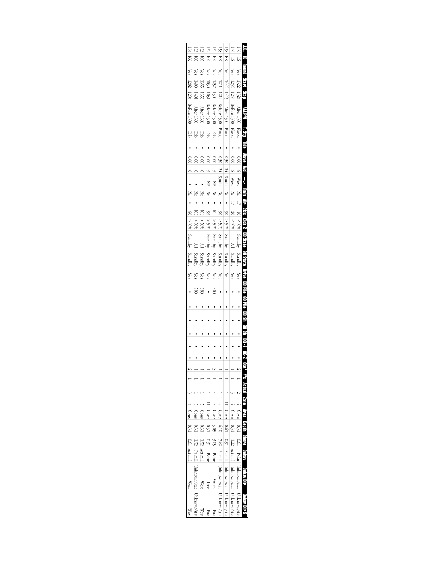| 164            | 163                               | 163                | 162         | 162                      | 158                             | 158                             | 150                                | 156                               | Ë.                                                                                                                          |  |
|----------------|-----------------------------------|--------------------|-------------|--------------------------|---------------------------------|---------------------------------|------------------------------------|-----------------------------------|-----------------------------------------------------------------------------------------------------------------------------|--|
| X              | <b>KK</b>                         | KK                 | <b>KK</b>   | Ř                        | Ř                               | <b>EK</b>                       | 2                                  | $\overline{\mathbb{S}}$           |                                                                                                                             |  |
| $\chi$ es      | Yes                               | Yes                | Yes         | Yes                      | $\chi$ es                       | $\sqrt{es}$                     | Yes                                | $\chi$ es                         |                                                                                                                             |  |
| 1202           |                                   | 13551              | 1030        | 1257                     | 1211                            | 1444                            | 1254                               | 1322                              | <b>CERRIT</b>                                                                                                               |  |
| 1204           | 1401                              | 1356               | 1031        | 1300                     | 1212                            | 145                             | 1255                               | 1324                              | é                                                                                                                           |  |
| Before 1300    | After 1300                        | After '<br>$-1300$ | Before 1300 | Before 1300              | Before 1300                     | After 1300                      | Before 1300                        | After 1300 Flood                  |                                                                                                                             |  |
| <b>gpp</b>     |                                   | <b>Ebb</b>         | <b>Ebb</b>  | g                        | <b>Flood</b>                    | <b>Flood</b>                    | <b>Flood</b>                       |                                   |                                                                                                                             |  |
|                |                                   |                    |             |                          |                                 |                                 |                                    |                                   |                                                                                                                             |  |
| 0.00           |                                   |                    | 0.00        | $\frac{0}{2}$            | 0.30                            | 0.30                            | $\approx 0$                        |                                   |                                                                                                                             |  |
|                |                                   |                    |             |                          | $\frac{24}{4}$                  | 34                              |                                    |                                   |                                                                                                                             |  |
|                |                                   |                    | ¥           |                          | South                           | South                           | <b>West</b>                        | <b>West</b>                       |                                                                                                                             |  |
| $\leq$         | δ                                 | $\leq$             | $\geq$      | $\frac{1}{\sqrt{2}}$     | $\frac{1}{\sqrt{2}}$            | $\frac{1}{\sqrt{2}}$            | $\leq$                             | $\frac{1}{2}$                     |                                                                                                                             |  |
|                |                                   |                    |             |                          | $\frac{1}{106}$                 |                                 |                                    |                                   |                                                                                                                             |  |
| $\frac{8}{2}$  | $\overline{5}$                    | $\overline{a}$     | <u>R</u>    | $\overline{\phantom{0}}$ |                                 | S                               | $\frac{20}{20}$                    | $\frac{10}{10}$                   |                                                                                                                             |  |
| 805 <          | %05                               | 9000               | $-500$      | $80\frac{6}{5}$          | 80%                             | %05<                            | $50\%$                             | $ %05\rangle$                     |                                                                                                                             |  |
| Standby        |                                   |                    | Standby     | Standby                  | Standby                         | Standby                         |                                    | Standby                           | $T$ , Sty Tidle Wave Wd $\implies$ Rain Air Clus Clus 2 DB State 60 State Drive DB Pile 60 Pile DB Sh 60 Sh DB $\it 2$ 60-Z |  |
| Standby        | Standby                           | Standby            | Standby     | Standby                  | Standby                         | Standby                         | Standb                             | Standby                           |                                                                                                                             |  |
| Yes            | Yes                               | Yes                | Yes         | Yes                      | Yes                             | Yes                             | Yes                                | Yes                               |                                                                                                                             |  |
|                | $\geqslant$                       | 080                |             | $\frac{80}{5}$           |                                 |                                 |                                    |                                   |                                                                                                                             |  |
|                |                                   |                    |             |                          |                                 |                                 |                                    |                                   |                                                                                                                             |  |
|                |                                   |                    |             |                          |                                 |                                 |                                    |                                   |                                                                                                                             |  |
|                |                                   |                    |             |                          |                                 |                                 |                                    |                                   |                                                                                                                             |  |
|                |                                   |                    |             |                          |                                 |                                 |                                    |                                   |                                                                                                                             |  |
|                |                                   |                    |             |                          |                                 |                                 |                                    |                                   |                                                                                                                             |  |
|                |                                   |                    |             |                          |                                 |                                 |                                    |                                   |                                                                                                                             |  |
|                |                                   |                    |             |                          |                                 |                                 |                                    |                                   |                                                                                                                             |  |
|                |                                   |                    |             |                          |                                 |                                 |                                    |                                   |                                                                                                                             |  |
|                |                                   |                    |             |                          |                                 |                                 |                                    |                                   |                                                                                                                             |  |
| Cons           | Cons <sup>1</sup>                 | Cons               | Cove        | Cove                     | Cove                            | Cove                            | Cove                               |                                   |                                                                                                                             |  |
| 0.31           |                                   |                    | 131         | 3.05                     | 6.10                            | 10.0                            |                                    | Cove 0.31                         |                                                                                                                             |  |
|                |                                   | 1.52               |             | $\frac{3.05}{2}$         |                                 | 160                             |                                    |                                   |                                                                                                                             |  |
| 0.61 Act mill" |                                   | Act mill           | Polai       | Polar                    |                                 |                                 |                                    |                                   | Actual Zone Area Depth Shore Behav                                                                                          |  |
| West           | Pa mill Unknown/stat Unknown/stat | West               |             | South                    | Pamil Unknown/stat Unknown/stat | Pamil Unknown/stat Unknown/stat | Act mill Unknown/stat Unknown/stat | Polar  Unknown/stat  Unknown/stat | Behav Uir                                                                                                                   |  |
| West           |                                   | West               | <b>Last</b> | East                     |                                 |                                 |                                    |                                   |                                                                                                                             |  |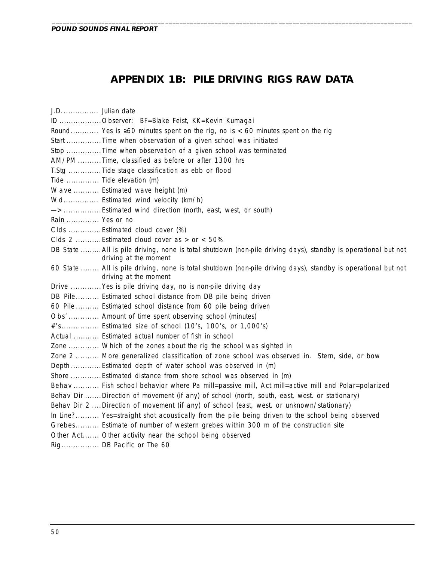# **APPENDIX 1B: PILE DRIVING RIGS RAW DATA**

\_\_\_\_\_\_\_\_\_\_\_\_\_\_\_\_\_\_\_\_\_\_\_\_\_\_\_\_\_\_\_\_\_\_\_\_\_\_\_\_\_\_\_\_\_\_\_\_\_\_\_\_\_\_\_\_\_\_\_\_\_\_\_\_\_\_\_\_\_\_\_\_\_\_\_\_\_\_\_\_\_\_\_\_\_\_\_\_\_\_\_\_\_\_\_\_\_\_\_\_\_\_

| J.D Julian date                                                                                                                        |
|----------------------------------------------------------------------------------------------------------------------------------------|
| ID Observer: BF=Blake Feist, KK=Kevin Kumagai                                                                                          |
| Round Yes is $\geq 60$ minutes spent on the rig, no is < 60 minutes spent on the rig                                                   |
| Start Time when observation of a given school was initiated                                                                            |
| Stop Time when observation of a given school was terminated                                                                            |
| AM/PM Time, classified as before or after 1300 hrs                                                                                     |
| T.Stg Tide stage classification as ebb or flood                                                                                        |
| Tide  Tide elevation (m)                                                                                                               |
| Wave  Estimated wave height (m)                                                                                                        |
| Wd Estimated wind velocity (km/h)                                                                                                      |
| -> Estimated wind direction (north, east, west, or south)                                                                              |
| Rain  Yes or no                                                                                                                        |
| Clds Estimated cloud cover (%)                                                                                                         |
| Clds 2 Estimated cloud cover as > or < 50%                                                                                             |
| DB State  All is pile driving, none is total shutdown (non-pile driving days), standby is operational but not<br>driving at the moment |
| 60 State  All is pile driving, none is total shutdown (non-pile driving days), standby is operational but not<br>driving at the moment |
| Drive  Yes is pile driving day, no is non-pile driving day                                                                             |
| DB Pile Estimated school distance from DB pile being driven                                                                            |
| 60 Pile  Estimated school distance from 60 pile being driven                                                                           |
| Obs' Amount of time spent observing school (minutes)                                                                                   |
| #'s Estimated size of school (10's, 100's, or 1,000's)                                                                                 |
| Actual  Estimated actual number of fish in school                                                                                      |
| Zone  Which of the zones about the rig the school was sighted in                                                                       |
| Zone 2  More generalized classification of zone school was observed in. Stern, side, or bow                                            |
| Depth Estimated depth of water school was observed in (m)                                                                              |
| Shore Estimated distance from shore school was observed in (m)                                                                         |
| Behav  Fish school behavior where Pa mill=passive mill, Act mill=active mill and Polar=polarized                                       |
| Behav Dir Direction of movement (if any) of school (north, south, east, west. or stationary)                                           |
| Behav Dir 2  Direction of movement (if any) of school (east, west. or unknown/stationary)                                              |
| In Line? Yes=straight shot acoustically from the pile being driven to the school being observed                                        |
| Grebes Estimate of number of western grebes within 300 m of the construction site                                                      |
| Other Act Other activity near the school being observed                                                                                |
| Rig DB Pacific or The 60                                                                                                               |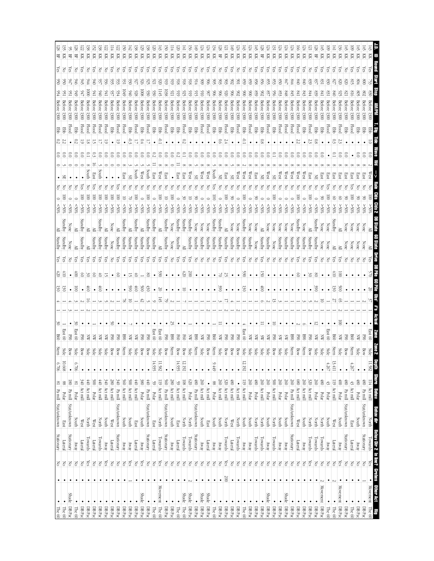| 頁              | χes       |     |                                      | 멽                            | 5             |                           | West         |           |                    | ≧                       |                    | ក្លិ                 |                 |                 |  |    | East 60                |                    | 11.582 |                                      | $\begin{tabular}{ c c c c } \hline \multicolumn{1}{ c }{810} \multicolumn{1}{ c }{81} \multicolumn{1}{ c }{81} \multicolumn{1}{ c }{81} \multicolumn{1}{ c }{81} \multicolumn{1}{ c }{81} \multicolumn{1}{ c }{81} \multicolumn{1}{ c }{81} \multicolumn{1}{ c }{81} \multicolumn{1}{ c }{81} \multicolumn{1}{ c }{81} \multicolumn{1}{ c }{81} \multicolumn{1}{ c }{81} \multicolumn{1}{ c }{81} \multicolumn$<br><b>REIBY</b> | Bahav dir<br>North                       |                          |                                       |     | <b>EV Dir 2</b> In line? Greates Other Act Big Towards $\begin{array}{ l l }\n\hline\n\end{array}$ |                                                                                                                           |
|----------------|-----------|-----|--------------------------------------|------------------------------|---------------|---------------------------|--------------|-----------|--------------------|-------------------------|--------------------|----------------------|-----------------|-----------------|--|----|------------------------|--------------------|--------|--------------------------------------|---------------------------------------------------------------------------------------------------------------------------------------------------------------------------------------------------------------------------------------------------------------------------------------------------------------------------------------------------------------------------------------------------------------------------------|------------------------------------------|--------------------------|---------------------------------------|-----|----------------------------------------------------------------------------------------------------|---------------------------------------------------------------------------------------------------------------------------|
| 页              | ćs        |     | 1300                                 | 뭏                            |               |                           | East         |           | %65                | None                    | None               | 중                    |                 |                 |  |    | Š                      | Bow                |        | $\frac{1}{180}$                      | Pa mill                                                                                                                                                                                                                                                                                                                                                                                                                         | Stat/unknown                             | Stationary               | $\geq$                                |     |                                                                                                    | $\rm DB\, Pac$                                                                                                            |
| 页              |           |     |                                      | 묻                            |               |                           |              |           |                    | None                    | None               |                      |                 |                 |  |    |                        |                    |        | 480                                  | Polar                                                                                                                                                                                                                                                                                                                                                                                                                           | South                                    | Yway                     | $\leq$                                |     | $\bullet$                                                                                          | DB Pac                                                                                                                    |
| 頁<br>頁         | š<br>çs   |     | 1300<br>1300                         | Flood<br>Ę                   |               |                           |              |           | \$055              | None<br>None            | None<br>None       | š                    |                 |                 |  |    | 곃                      | Stern<br>Bow       | 4.267  | 084<br>43                            | Act mill<br>$\ensuremath{\mathop{\rm Pa\,min}}$                                                                                                                                                                                                                                                                                                                                                                                 | Stat/unknown<br>East                     | Stationary<br>Lateral    | $\leq$<br>1g                          |     |                                                                                                    | DB Pac<br>The $60$                                                                                                        |
| Ř              | Ğ         |     | 1300                                 | Flood                        |               |                           |              |           |                    | ≧                       | ≧                  | ନ୍ମ                  | ē               | ğ               |  | S  | ℥                      | Side               |        | $\frac{1}{2}$                        | Polar                                                                                                                                                                                                                                                                                                                                                                                                                           | South                                    | ARMY                     | Yes                                   |     | Movement DBPac                                                                                     |                                                                                                                           |
| 頁              | ζēς       |     | Before 1300                          | <b>Ebb</b>                   |               |                           |              |           | \$05<              | Standby                 | ≧                  | 5                    | $\overline{01}$ | ४               |  |    | 8g                     | Stern              | 13.411 | $\overline{611}$                     | Act mill                                                                                                                                                                                                                                                                                                                                                                                                                        | West                                     | Lateral                  | $\rm \stackrel{>}{\sim}$              |     | $\bullet$                                                                                          | The 60                                                                                                                    |
| 頁              | ζës       |     | 1300                                 | Flood                        |               |                           |              |           |                    | None                    | None               | Z                    |                 |                 |  |    | East 60                | Side               | 4.267  | $\frac{43}{2}$                       | Polar                                                                                                                                                                                                                                                                                                                                                                                                                           | South                                    | YRWA                     | $\frac{1}{\sqrt{2}}$                  |     | ٠                                                                                                  | The $60$                                                                                                                  |
| <b>EK</b><br>묚 | ζes<br>çs | ಜಿ  | Before 1300<br>1300                  | 臣<br>멽                       |               | ິຣ<br>Ξ                   | East         |           | $^{805}$<br>$50\%$ | itan dby<br><b>None</b> | Standby<br>None    | GS.<br>3             | ൠ               | $\frac{3}{2}$   |  | ត  | ℥<br>ä                 | Side<br>Side       |        | 260<br>$\frac{1}{8}$                 | Polar<br>Polar                                                                                                                                                                                                                                                                                                                                                                                                                  | <b>North</b><br><b>North</b>             | Towards<br>Towards       | $\geq$<br>$\approx$                   |     | Movement DB Pac                                                                                    | DB Pac                                                                                                                    |
| 즛              | F         |     | 1300                                 | Flood                        |               | S                         |              |           |                    | È                       | Standby            | Ġ,                   | S               |                 |  |    | 8                      | Bow                |        | 320                                  | Act mill                                                                                                                                                                                                                                                                                                                                                                                                                        | <b>North</b>                             | Towards                  | Yes                                   |     |                                                                                                    | $DB$ Pac                                                                                                                  |
| 妇              | ζëς       |     | Before<br>1300                       | ę                            |               |                           | West         |           | $$^{80}$           | None                    | Standby            | F                    |                 |                 |  |    | S                      | Stern              |        |                                      | 260 Act mill                                                                                                                                                                                                                                                                                                                                                                                                                    | South                                    | YRWAY                    | $\frac{1}{\sqrt{2}}$                  |     |                                                                                                    | DBPac                                                                                                                     |
| 頁              | λë        |     | 1300                                 | Flood                        |               |                           | West         |           | $^{805}$           | yahan                   | Standby            | ā                    | 8               |                 |  |    | 졍                      | Bow                |        | $ 089\rangle$                        | $\kappa$ t mill                                                                                                                                                                                                                                                                                                                                                                                                                 | $\mathbb{W}\text{est}$                   | Lateral                  | $\overline{\phantom{a}}$              |     |                                                                                                    | BBox                                                                                                                      |
| 頁              | χes       |     | Before 1300                          | Flood                        |               |                           | West         |           | $50\%$             | None                    | Standby            | F                    |                 |                 |  |    | ଞ                      | Stern              |        | 260                                  | Pa mill                                                                                                                                                                                                                                                                                                                                                                                                                         | Stat/unknown                             | Stationary               | $\frac{1}{\sqrt{2}}$                  |     |                                                                                                    | BBox                                                                                                                      |
| 즞              | Čes       |     | Before                               | Flood                        |               |                           | West         |           | \$0%               | None                    | Standby            |                      |                 |                 |  |    | 3                      |                    |        | 260                                  | Polar                                                                                                                                                                                                                                                                                                                                                                                                                           | South                                    | Anay                     | $\geq$                                |     | Shade DBPac                                                                                        |                                                                                                                           |
| 즛              | ζéε       |     |                                      | Flood                        |               |                           | West         |           |                    | None                    | Standby            | š                    |                 |                 |  |    |                        | Side               |        | 260                                  | Polar                                                                                                                                                                                                                                                                                                                                                                                                                           | <b>South</b>                             | ARAY                     | $\frac{1}{6}$                         |     | $\cdot$                                                                                            | BBox                                                                                                                      |
| 頁              | ξS        |     | Before 1300                          | <b>EB</b>                    |               |                           | æ            | 8         | \$80%              | None                    | None               | Z                    |                 |                 |  |    | F                      | Bow                |        |                                      | 500 Act mill                                                                                                                                                                                                                                                                                                                                                                                                                    | North<br>South                           | Fowards                  | $\leq$                                |     | $\bullet$ DBPac                                                                                    |                                                                                                                           |
| 页<br>岊         | χes<br>çs |     | Before 1300<br>Before 1300           | Flood<br>臣                   | $\frac{8}{9}$ |                           | West         |           | \$05<br>$50\%$     | None<br>≧               | Standby<br>Standby | ନ୍ତି<br>중            | 5               | ä               |  |    | ₹<br>S                 | Side               |        | 260                                  | 260 Act mill<br>Polar                                                                                                                                                                                                                                                                                                                                                                                                           | North                                    | Towards<br>NEWY          | $\frac{1}{\sqrt{2}}$<br>$\frac{1}{6}$ |     | Shade DBPac                                                                                        | DB Pac                                                                                                                    |
| 젖              | ζéε       |     | Before 1300                          | <b>Ebb</b>                   |               |                           | East         |           | $*065$             | None                    | None               | 공                    | $\bullet$       | $\bullet$       |  |    | ₹                      |                    |        | 08                                   | Polar                                                                                                                                                                                                                                                                                                                                                                                                                           | <b>North</b>                             | Towards                  | $\frac{1}{\sqrt{2}}$                  |     | $\bullet$                                                                                          | $\boxed{\text{DB} \text{Pac}}$                                                                                            |
| 頁              | Z         | 83  | <b>1300</b>                          | Flood                        |               |                           | west         |           |                    | None                    | Standby            | F                    |                 |                 |  |    | ₹                      | Side               |        |                                      |                                                                                                                                                                                                                                                                                                                                                                                                                                 |                                          | ARAY                     | 1g                                    |     |                                                                                                    | $\frac{DB}{ABac}$                                                                                                         |
| 页              | Yes       | SS  | Before 1300                          | Ebb                          | È             |                           | West         | ē         | $^{805}$           | Standby                 | Standby            | ğ                    | 8               | ىخ              |  |    | East 60                | Side               | 12.192 |                                      | 260 Polar                                                                                                                                                                                                                                                                                                                                                                                                                       | South<br>South                           | NEWAN                    | $_{\rm No}$                           |     |                                                                                                    | The 60                                                                                                                    |
| 芟<br>頁         | χē<br>š   |     | Before 1300                          | Flood<br>묺                   |               |                           | west         |           | ⊱30                | None<br>None            | Standby<br>Standby | 공<br>중               |                 |                 |  |    | <b>E</b> 90<br>Š       | Bow<br>Bow         |        | $^{180}$<br>٠                        | Act mill<br>Act mill                                                                                                                                                                                                                                                                                                                                                                                                            | <b>North</b><br>$\mathbb{W}\textup{est}$ | Towards<br>Lateral       | $\leq$<br>$\geq$                      |     |                                                                                                    | $\rm DB\, Pac$<br>$\rm DB\,Par$                                                                                           |
| 젖              | λë        |     | Before 1300                          | Flood                        |               |                           | នេះ          | g         |                    | ≧                       | Standby            | ନ୍ମ                  | 52              |                 |  |    | 뎧                      | Bow                |        | $\frac{320}{2}$                      | Act mill                                                                                                                                                                                                                                                                                                                                                                                                                        | North                                    | Towards                  | $\frac{1}{\sqrt{c}}$                  | 200 |                                                                                                    | DB Pac                                                                                                                    |
| 뫂              | N         |     | 1300                                 | <b>Ebb</b>                   |               |                           |              |           |                    | <i>standby</i>          | Standby            | ā                    | ਤ               | š               |  |    | ⋨                      | Side               |        |                                      | 260 Act mill<br>88 Polar                                                                                                                                                                                                                                                                                                                                                                                                        | South S                                  | ARMY                     | $\geq$                                |     |                                                                                                    | BBox                                                                                                                      |
| 頁              | ξS        | š   | Before 130                           | Ebb                          |               | Ξ                         | South        | ē         | $$80$ S<           | Standby                 | Standby            | 종                    |                 |                 |  |    | g                      | Stern              | 9.449  |                                      |                                                                                                                                                                                                                                                                                                                                                                                                                                 |                                          | NEWA                     | $\rm \stackrel{>}{\sim}$              |     |                                                                                                    | The 60                                                                                                                    |
| 頁<br>즛         | š<br>(es  |     | <b>Before</b><br>1300<br>1300        | Flood                        |               |                           | West         |           |                    | None                    | Standby            | 중                    |                 |                 |  |    | ≨<br>š                 | Bow                |        | 260<br>$\bullet$                     | Act mill                                                                                                                                                                                                                                                                                                                                                                                                                        | East                                     | Lateral                  | $\geq$                                |     | Shade DBPac                                                                                        |                                                                                                                           |
| 頁              | Yes       |     | Before 1300                          | Flood<br><b>Ebb</b>          |               | S                         | west<br>æ    |           | 250%               | None<br>None            | Standby<br>Standby | 공                    |                 |                 |  |    | 88                     | Stern<br>Side      |        | <b>\$</b>                            | Act mill<br>Pa mill                                                                                                                                                                                                                                                                                                                                                                                                             | Stat/unknown<br>South                    | Stationary<br>Away       | $\vert \xi$<br>$\geq$                 |     | Shade DBPac<br>$\bullet$ DBPac                                                                     |                                                                                                                           |
| 頁              | χes       |     | Before 1300                          | Ê                            |               | $\widetilde{\phantom{a}}$ | Xest         |           | ∕\$0%              | Standby                 | Standby            | ξg                   | 200             |                 |  |    | ₹                      | Side               |        | 620                                  | Polar                                                                                                                                                                                                                                                                                                                                                                                                                           | <b>North</b>                             | Towards                  | $\geq$                                |     | Shade DBPac                                                                                        |                                                                                                                           |
| 頁              | çs        |     | Before 1300                          | Flood                        |               |                           | rast         |           |                    | Standby                 | ≧                  | res                  | $420\,$         |                 |  |    | š                      | Bow                | 12.192 | $\frac{108}{1}$                      | $\left  \begin{array}{c} \text{Act} \text{ mill} \end{array} \right $                                                                                                                                                                                                                                                                                                                                                           | North                                    | Towards                  | $\geq$                                |     | <b>Shade</b>                                                                                       | The 60                                                                                                                    |
| 页              | χes       |     | Before 1300                          | g                            |               |                           | East         |           |                    | Standby                 | Standby            | άg                   | $\bullet$       |                 |  |    | Š                      | Bow                | 14.935 | $\frac{59}{2}$                       | Act mill                                                                                                                                                                                                                                                                                                                                                                                                                        | East                                     | Lateral                  | $\frac{1}{8}$                         |     | $\bullet$                                                                                          | The 60                                                                                                                    |
| 页              | Yes       |     | <b>Before</b><br>1300                | <b>EB</b>                    |               | E                         |              |           |                    | None                    | None               | š                    |                 |                 |  | 55 | <b>SSO</b>             | <i>stern</i>       |        | 280                                  | Act mill                                                                                                                                                                                                                                                                                                                                                                                                                        | South                                    | yway                     | $\leq$                                |     | $\bullet$ DBPac                                                                                    |                                                                                                                           |
| 頁<br>Ř         | Yes<br>ξs |     | Before 1300<br>Before 1300           | Flood<br>目                   |               | S<br>8                    | West<br>East | ē         | $50\%$             | Standby<br>≧            | Standby<br>≧       | Υes<br>ğ             | 89              | 20              |  |    | East 60<br><b>E</b> 90 | Bow<br>Side        | 11.582 | $\frac{110}{110}$<br>$\frac{560}{5}$ | Act mill<br>Pa mill                                                                                                                                                                                                                                                                                                                                                                                                             | Stat/unknown<br>North                    | Stationary<br>Towards    | $\frac{\text{N}}{\text{kg}}$          |     | Movement The 60                                                                                    | $D B$ Pac $\,$                                                                                                            |
| 젖              | χē        |     | 1300                                 | 멶                            |               |                           | East         |           |                    | Standby                 | Standby            | χē                   |                 | $\bullet$       |  |    | East 60                |                    | 14.935 | 59                                   | $_{\rm bolar}$                                                                                                                                                                                                                                                                                                                                                                                                                  | East                                     | Lateral                  | $\leq$                                |     | $\bullet$                                                                                          | The $60$                                                                                                                  |
| Ř              | χes       |     | Before 1300                          | Flood                        |               | S                         | South        |           | $\frac{208}{2}$    | Standby                 | Standby            | άg                   | 8               | <b>\$30</b>     |  |    | उँ<br>१                | Bow                |        | (地                                   | Pa mill                                                                                                                                                                                                                                                                                                                                                                                                                         | Stat/unknown                             | Stationary               | $\frac{1}{\sqrt{2}}$                  |     | $\cdot$                                                                                            | DBPac                                                                                                                     |
| 3<br>頁         | Yes       |     | <b>Before</b><br>1300                | 臣                            | $^{+0}$       | ິຣ                        | West         |           | SU%                | ≧                       | Standby            | ă                    |                 | $\frac{500}{5}$ |  |    | SSI<br>OSI             | Bow                |        | 380                                  | Polar                                                                                                                                                                                                                                                                                                                                                                                                                           | South                                    | Anay                     | $\frac{1}{8}$                         |     | Shade DBPac                                                                                        |                                                                                                                           |
| 38<br>頁        | χes       |     | Before 1300                          | <b>Flood</b>                 |               | S                         | South        | ē         | \$0.05             | Standby                 | Standby            | res                  | ざ               | 60 <sup>4</sup> |  |    | ă                      | Side               |        |                                      | $440$ Act mill                                                                                                                                                                                                                                                                                                                                                                                                                  | East                                     | Lateral                  |                                       |     | ٠                                                                                                  | $\rm DB\,Pac$                                                                                                             |
| 즞              | χē        |     | <b>Before</b><br>1300                | 目                            |               |                           |              |           |                    |                         | Standby            | άš                   |                 | Š               |  |    | ₹                      | Side               |        | $\frac{500}{5}$                      | Act mill                                                                                                                                                                                                                                                                                                                                                                                                                        | South                                    | $\lambda$ Kway           | Yes                                   |     |                                                                                                    | $\rm DB\, Pac$                                                                                                            |
| 頁              | ζëς       |     | 1300                                 | Flood                        |               |                           | East         |           | $$^{80}_{\%}$$     | Standby                 | Standby            | Ğ                    |                 |                 |  |    | g                      | Stern              |        | 560                                  | Act mill                                                                                                                                                                                                                                                                                                                                                                                                                        | South                                    | ARWA                     |                                       |     |                                                                                                    | DB Pac                                                                                                                    |
| Ř              | N         | 93. | Before 1300                          | Flood                        | 5             |                           |              | Ξ         | %05<               |                         | Standby            | 5                    | S               |                 |  |    | 3                      | Bow                |        |                                      | $\frac{340}{280} \frac{\text{Pa mill}}{\text{Act mill}}$<br>Pa mil                                                                                                                                                                                                                                                                                                                                                              | Stat/unknown                             | Stationary               | 383                                   |     |                                                                                                    | $\begin{array}{c c c c c} \hline \text{DB Par} & \text{DBrac} \\\hline \text{DB Par} & \text{DBrac} \\\hline \end{array}$ |
| 頁              | ζës       |     | Before 1300                          | Ebb                          |               |                           |              | ē         | $>50\%$            | None                    | None               | š                    |                 |                 |  | ട് | 3                      | Bow                |        |                                      |                                                                                                                                                                                                                                                                                                                                                                                                                                 | <b>West</b>                              | Lateral                  |                                       |     |                                                                                                    |                                                                                                                           |
| 頁<br>頁         | š<br>š    |     | Before 1300<br><b>Betore</b><br>1300 | <b>Flood</b><br><b>Flood</b> |               | g                         | South        | ē<br>ē    | $>$00$ \$<         | Standby                 | Standby<br>Standby | άš<br>5              | ₿               | Ë               |  |    | ä<br>⋹                 | Side<br>Side       |        | $\frac{1}{2}$                        | $340$ Act mill<br>Act mill                                                                                                                                                                                                                                                                                                                                                                                                      | South<br>North                           | Towards<br>$\Lambda$ RMV | Yes<br>$\leq$                         | ٠   |                                                                                                    | $\rm DB\,Par$<br>$\rm DB\, Pac$                                                                                           |
| Ř              | χē        |     | 1300                                 | Flood                        |               | ධ                         | East         | ē         | $^{805}$           | ≧                       | Standby            | ξg                   | 8               |                 |  |    | Ă                      | Side               |        |                                      |                                                                                                                                                                                                                                                                                                                                                                                                                                 | West                                     | Lateral                  | 1g                                    |     |                                                                                                    | DB Pac                                                                                                                    |
| 38<br>Ř        | š         |     | Before 1300                          | Flood                        | ╦             | R                         | South        | ē         | %05<               | ≧                       | ≧                  | χes                  | ട്              | Ğ,              |  |    | ℥                      | Side               |        |                                      | $\frac{500}{440}$ Act mill                                                                                                                                                                                                                                                                                                                                                                                                      | North                                    | Towards                  |                                       |     | $\bullet$ DBPac                                                                                    |                                                                                                                           |
| 頁              | Čes       |     | Before<br>13000                      | Flood                        |               |                           |              | ନ୍ତି<br>ē | \$05               | Standby                 | Standby            | Č3                   | S               |                 |  |    | 3                      | Bow                |        | 340                                  | Act mill                                                                                                                                                                                                                                                                                                                                                                                                                        | $\mathbb{W}\textup{est}$                 | Lateral                  | $\rm \frac{Yes}{No}$                  |     |                                                                                                    | $\rm DB\, Pac$                                                                                                            |
| 景              | š         |     | Before<br>1300                       | <b>gg</b>                    |               |                           |              |           | $$30\%$            | ≧                       | ≧                  | άg                   | \$              | s               |  |    | East 60                | Side               | 6.706  | $^{81}$                              | Polar                                                                                                                                                                                                                                                                                                                                                                                                                           | South                                    | YRRA                     | $\frac{1}{6}$                         |     |                                                                                                    | The 60                                                                                                                    |
| 哥              | ក្ល       |     | 1300                                 | Flood                        |               |                           |              |           | $$^{80}_{\&}$      |                         |                    | 공                    |                 |                 |  |    | 3                      |                    |        | $\overline{\text{8}}$                | Pa mill                                                                                                                                                                                                                                                                                                                                                                                                                         | Stat/unknown                             | Stationary               | $\frac{1}{5}$                         |     | Shade DBPac                                                                                        |                                                                                                                           |
| 開중             | <b>S</b>  |     | $-1300$                              | <b>EB</b>                    |               | S                         |              | ē         | %S <sub>5</sub>    | Standby                 | Standby            | $\frac{\sqrt{6}}{2}$ | <u>히히</u>       | ଞାଞ             |  |    | East 60                | $rac{3ide}{\sinh}$ | 10.668 | 88                                   | Polar                                                                                                                                                                                                                                                                                                                                                                                                                           | East                                     | Lateral                  | $\frac{\text{N}}{\text{N}}$           |     | $\bullet$                                                                                          | The 60                                                                                                                    |
| $\frac{8}{2}$  | Yes       |     | Before<br>1300                       | Ebb                          |               |                           |              |           |                    |                         | Standby            |                      |                 |                 |  |    | 960                    |                    | 6.706  |                                      |                                                                                                                                                                                                                                                                                                                                                                                                                                 | 81 Pa mill Stat/unknown                  | Stationary               |                                       |     | $\bullet$ The 60                                                                                   |                                                                                                                           |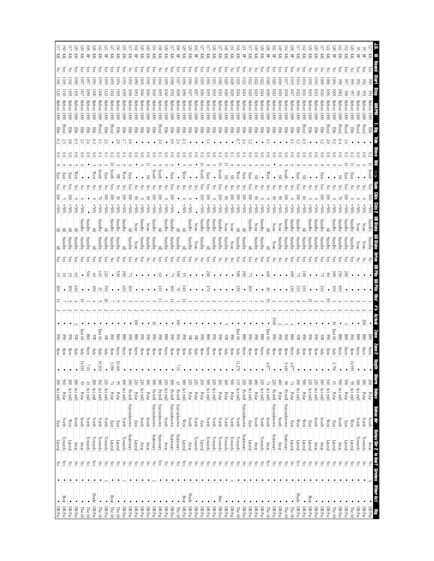| $\bullet$ DBPac                                                                            |              | $rac{\text{Re}}{\text{Ne}}$                                               | <b>Lateral</b>     | $\operatorname{East}$                     | 300 Act mill                                           | $\bullet$                      |       | 회율         |        |     | $\tilde{8}$   | $\frac{3}{2}$   | $\frac{5}{18}$      | ≧               |                        | $\overline{8}$  | <u>les</u> | នេះជ        |   | 물           |                              | $\overline{120}$ |           | K      |  |
|--------------------------------------------------------------------------------------------|--------------|---------------------------------------------------------------------------|--------------------|-------------------------------------------|--------------------------------------------------------|--------------------------------|-------|------------|--------|-----|---------------|-----------------|---------------------|-----------------|------------------------|-----------------|------------|-------------|---|-------------|------------------------------|------------------|-----------|--------|--|
| Boat DBPac                                                                                 |              |                                                                           | Towards            | North                                     | 560<br>Polar                                           |                                |       |            |        |     |               |                 | Standby             |                 |                        |                 |            | East        |   | Flood       | 1300                         |                  |           | S<br>K |  |
| $\rm DB\, Pac$                                                                             |              | S S                                                                       | ateral             | West                                      | $\frac{8}{2}$<br>Act mill                              |                                |       | ₫          |        |     | ğ             |                 | ନ୍ମ                 | Standby         |                        | \$95%           |            | East        |   | 물           | 1300                         |                  |           | 줒      |  |
| DBPac                                                                                      |              |                                                                           | $\lambda$ way      | South                                     | $\frac{8}{2}$<br>Act mill                              |                                | Side  |            |        |     |               | S               | ନ୍ମ                 | Standby         |                        | $50\%$          |            |             |   | 물           | 1300                         |                  |           | 즛      |  |
| The 60                                                                                     |              |                                                                           | ARAY               | North<br>South                            | 59<br>Polar                                            | 14.935                         | Side  | East $60$  |        |     |               |                 | ČS.                 | Standby         | Standb                 | $< 50\%$        |            |             |   | 물           | Before<br>1300               |                  |           | 즛      |  |
| $\boxed{\begin{array}{c} \text{DB Par} \\ \text{The 60} \end{array}}$                      |              | $rac{5}{10}$                                                              | <b>Lowards</b>     |                                           | $43$ Act mill                                          | pΣ                             | Stern | B60        |        |     |               | Š               | Standby<br>ă        |                 | Standby                |                 |            |             |   | 멽           | Before 1300                  |                  | ក្ល       | 岊      |  |
|                                                                                            | <b>Shade</b> |                                                                           | Towards            | North                                     | $\frac{280}{280}$<br>Act mill                          |                                | Side  | ₹          |        |     | Ë             | €               | ≧<br>ČS.            |                 |                        | $50\%$          |            | West        |   | 물           | <b>Before</b><br>1300        |                  | ē         |        |  |
| The 60                                                                                     |              | $\geq$                                                                    | Towards            | North                                     | $\overline{5}$<br>Act mill                             | 10.363                         |       | East 60    |        |     | 52            | 010             | άš                  | Standby         | Standby                | $\frac{1}{200}$ |            | ilu6.       |   | Flood       | <b>Before</b><br>1300        |                  |           |        |  |
| $\rm DB\,Par$                                                                              |              | $\geq$                                                                    | Towards            | <b>North</b>                              | 320 Act mill                                           |                                | Side  | SW         |        |     | Š             | 220             | Standby<br>es<br>S  |                 |                        | Ξ               |            | East        |   | 買           | Betore<br>1300               |                  | ନୁ        | 몎      |  |
| Boat The 60                                                                                |              | $\leq$                                                                    | Lateral            | East                                      | 뇌<br>Polar                                             | 960'9                          | Bow   | E@         |        |     |               |                 | Standby<br>š        |                 | Standby                | Ξ<br>ي<br>©%    |            | unnos       |   | Flood       | Before 1300                  |                  |           | 頁      |  |
| The 60                                                                                     |              | $\approx$                                                                 | Lateral            | East                                      | S,<br>Polar                                            | 10.668                         | Stern | gg         |        |     |               | 930             | Standby<br>5        |                 | Standby                |                 |            | ្ត្         |   | 臣           | Before<br>0051               |                  | సై        | 頁      |  |
| DBPac                                                                                      |              | $\frac{1}{\sqrt{2}}$                                                      | Towards            | <b>North</b>                              | $\frac{1}{2}$<br>Act mill                              |                                | Stern | 8          |        |     | οzς           | $\overline{00}$ | ≧<br>χë             |                 | Standby                |                 |            | West        |   | 멶           | 1300                         |                  | స్ట్      | 즞      |  |
| <b>DBPac</b>                                                                               |              | $\geq$                                                                    | Stationary         | Stat/unknown                              | $\frac{300}{2}$<br>Pa mill                             |                                | Bow   | 3          |        |     | š             |                 | Standby<br>ନ୍ମ      | ≧               |                        |                 |            | isr         |   | 罩           | Before 1300                  |                  |           | 즞      |  |
| $D B$ Pac $\,$                                                                             |              | $\frac{1}{6}$                                                             | Lateral            | $_{\rm East}$                             | 220<br>Polar                                           |                                | Stern | 068        | S      |     |               |                 | None<br>š           | None            |                        | \$05            |            |             |   | 買           | Before 1300                  |                  | χes       | 멾      |  |
| DB Pac                                                                                     |              | $\leq$                                                                    | YRWAY              | South                                     | 220<br>Act mill                                        |                                | Bow   | F          |        |     |               |                 | Standby<br>es<br>S  |                 | Standby                | $20\%$          |            |             |   | 로           | 1300                         |                  | ក្លិ      | 젖      |  |
| DB Pac                                                                                     |              | $\geq$                                                                    | $\lambda$ kwa      | South                                     | $08\frac{1}{2}$<br>Polar                               |                                | Bow   | Š          |        |     |               |                 | F                   | None<br>Standby |                        | $*05<$          |            | æ           |   | 묺           | Before 1300                  |                  | సై        | 즞      |  |
| $\rm DB\, Pac$                                                                             |              | $\geq$                                                                    | Stationary         | Stat/unknown                              | $\approx$<br>Pa mill                                   |                                | Bow   | 3          | క      |     |               |                 | Standby<br>š        |                 | Standby                | $^{805}$        |            | South       |   | 멶           | <b>Before</b><br><b>1300</b> |                  |           | 즞      |  |
| $\begin{array}{c c}\n\text{DB} \text{Pac} \\ \text{DB} \text{Pac}\n\end{array}$            |              | $\frac{N}{\gamma}$ es                                                     | Stationary         | Stat/unknown                              | 380<br>Pa mill                                         |                                | Bow   | 졍          |        |     | Ξ             | 8               | ≧<br>ā              | ≧               |                        | $$80$ S<        |            | unos        |   | Flood       | Before 1300                  |                  |           | 頁      |  |
|                                                                                            |              |                                                                           | ARNA               | South                                     | 220<br>Act mill                                        |                                | Stern | g          |        |     |               |                 | Standby<br>GS.      |                 | Standby                | $50\%$          |            |             |   | 멽           | Before 1300                  |                  |           | 頁      |  |
| DBPac                                                                                      |              | $\geq$                                                                    | Stationary         | Stat/unknown                              | $\frac{300}{5}$<br>Pa mill                             |                                | Bow   | ⊠          |        |     | š             |                 | res                 | Standby         | Standby                | \$055           |            | <b>East</b> |   | 뱙           | Before<br>1300               |                  |           |        |  |
| ٠<br>The 60                                                                                |              | $\geq$                                                                    | Stationary         | Stat/unknown                              | $43\,$<br>Pa mill                                      |                                | Bow   | Š          | g      |     | 2             | 8               | άŠ                  | ≧<br>Standby    |                        |                 |            |             |   |             | <b>Before</b><br>1300        |                  |           |        |  |
| Boat DBPac                                                                                 |              | Yes                                                                       | Lateral            | $\mathbb{W}\text{est}$                    | $380$ Act mill                                         |                                | Bow   | 졍          |        |     | 640           | ೫               | ≧<br>ā              | ≧               |                        | $50\%$          |            | West        |   | ğ           | Before 1300                  |                  |           | 頁      |  |
| Shade DBPac                                                                                |              | $\frac{1}{2}$                                                             | ÁPANY              | South                                     | 220<br>Polar                                           |                                | Side  | S          |        |     |               |                 | Standby<br>δŚ       |                 | Standby                | $50\%$          |            |             |   | g           | 1300                         |                  |           | 亞      |  |
| BBox                                                                                       |              | $\approx$                                                                 | Towards            | North                                     | 220<br>Polar                                           |                                | Side  | ౾          |        |     |               |                 | None<br>중           | None            |                        |                 |            |             |   |             | <b>Before</b><br>1300        |                  |           | 몊      |  |
| $\rm DB\, Pac$                                                                             |              | $\rm{No}$                                                                 | Lateral            | $\operatorname{East}$                     | 097<br>$\operatorname{Polar}$                          |                                | Bow   | 哀          |        |     |               |                 | Standby<br>중        |                 | Standby                |                 |            | South       |   |             |                              |                  |           | 즞      |  |
|                                                                                            |              |                                                                           |                    |                                           | $\frac{300}{5}$<br>Act mill                            |                                | Stern | 8          |        |     | ü             | $\approx$       | es<br>S             |                 | Standby                |                 |            | Last        |   |             | Before 1300                  |                  |           | Ř      |  |
| $\cdot$<br>$\begin{array}{c c}\n\text{DB} \text{Pac} \\ \text{DB} \text{Pac}\n\end{array}$ |              | $\frac{\text{N}}{\text{N}}$                                               | Towards<br>Towards | $\frac{\text{North}}{\text{North}}$       | 220                                                    |                                | Bow   | 迢          |        |     |               |                 | Standby<br>č        |                 | Standby                |                 |            |             |   | ğ           | Before 1300                  |                  |           | 頁      |  |
| Misc DB Pac                                                                                |              | $\leq$                                                                    | Towards            |                                           | 260<br>Polar<br>Act mill                               |                                | Bow   | 경          |        |     |               |                 | <b>Standby</b><br>Z |                 | <i><b>Standby</b></i>  |                 |            |             |   | ğ           | 1300                         |                  |           | 즞      |  |
| $DB$ Pac                                                                                   |              | $\frac{1}{5}$                                                             | Towards            | <b>North</b>                              | 180<br>Polar                                           |                                |       | ⋨          |        |     |               |                 | š                   | None<br>Standby |                        |                 |            |             |   | 물           | Before 1300                  |                  |           |        |  |
| $\rm DB\,Par$                                                                              |              | $\geq$                                                                    | Towards            | North                                     | $\frac{500}{5}$<br>Polar                               |                                | Bow   | 3          |        |     |               |                 | None<br>Z           | None            |                        | %05<            |            |             |   |             | Before 1300                  |                  |           | 芟      |  |
| The 60                                                                                     |              | $\geq$                                                                    | Towards            | North                                     | $\frac{110}{2}$<br>Act mill                            | 11.278                         | Side  | East 60    |        |     | ىخ            | 380             | Standby<br>ā        | ≧               |                        | $^{*005}$       |            | west        |   | ğ           | Before 1300                  |                  | ក្ក       | Ř      |  |
| ${\rm DB}\,{\rm Pac}$                                                                      |              | $\geq$                                                                    | Stationary         | Stat/unknown                              | 320<br>Pa mill                                         |                                | Stern | 68         |        |     |               | $\approx$       | Standby<br>S)       | È               |                        | $*05<$          |            | rast        |   | 뱙           | <b>Before</b><br>1300        |                  | ves       | 묚      |  |
| DBPac                                                                                      |              | $\overline{\epsilon}$                                                     | lateral            | East                                      | 300<br>Act mill                                        |                                | Bow   | 3          |        |     | š             |                 | බ                   |                 | Standby                |                 |            | 33SI        |   | 뱙           | 1300                         |                  |           |        |  |
| DB Pac                                                                                     |              | $\leq$                                                                    | $\lambda$ Kwa      | South                                     | 68 <sup>†</sup><br>Polar                               |                                | Bow   | FSO        |        |     |               |                 | Standby             | None            |                        |                 |            |             |   | ਝੋਂ         | Before<br>1300               |                  |           |        |  |
| $D\mathbf{B}$ Pac                                                                          |              | $rac{\kappa}{\kappa}$                                                     | Away<br>Towards    | South<br>North                            | 220 Act mill                                           |                                | Stern | <b>B90</b> |        |     |               |                 | Standby<br>గ్లె     |                 | Standby                | $50\%$          |            |             |   | 某           | Before 1300                  |                  | ନ୍ମ       | 즞      |  |
| The 60                                                                                     |              |                                                                           |                    |                                           | 뇌<br>Act mill                                          | 4.877                          | Side  | East 60    |        |     | 20            | 69              | ≧<br>res            | È               |                        |                 |            | west        |   |             | 1300                         |                  |           | 몊      |  |
| DB Pac                                                                                     |              | $\geq$                                                                    | Stationary         | Stat/unknown                              | 220<br>Pa mill                                         |                                | Bow   | <b>E90</b> | 1500   |     |               |                 | None<br>중           | None            |                        | ≫50%            |            |             |   |             | Before 1300                  |                  |           | 몊      |  |
| $\rm DB\, Pac$                                                                             |              | $\approx$                                                                 | Aray               | South                                     | 68 <sup>†</sup><br>Polar                               |                                | Bow   | FS         |        |     |               |                 | Standby<br>중        | None            |                        |                 |            |             |   |             |                              |                  |           | 즞      |  |
| The 60                                                                                     |              | $\leq$                                                                    | Stationary         | $\frac{\text{East}}{\text{Stat/unknown}}$ | 88<br>Pa mill                                          | 9.449                          | Bow   | F©         |        |     |               |                 | Standby<br>종        |                 | Standby                | 809             |            | South       |   |             | Before 1300                  |                  |           | 頁      |  |
| The 60                                                                                     |              | $\frac{1}{5}$                                                             | Lateral            |                                           | 뇌<br>Polar                                             | 4.877                          | Stern | 90         |        |     | ىخ            | \$              | Standby<br>ā        |                 | Standby                |                 |            |             |   | 물           | Before 1300                  |                  |           | 岊      |  |
| Shade DBPac                                                                                |              | $\frac{1}{25}$                                                            | Lateral            | West                                      | $rac{8}{200}$<br>Act mill                              |                                | Side  | ₹          |        |     | $\frac{1}{2}$ | ત્ર             | Standby<br>ନ୍ମ      |                 | Standby                |                 |            | 3SE         |   | 물           | 1300                         |                  |           | 頁      |  |
| ٠<br>$\rm DB\, Pac$                                                                        |              | $\leq$                                                                    | Lateral            | West                                      | $\frac{500}{5}$<br>Polar                               |                                | Bow   | 뎧          |        |     | ğ             | S               | ନ୍ତି                | Standby         |                        |                 |            |             |   | 1000        | Before 1300                  |                  |           | 頁      |  |
| Boat DB Pac                                                                                |              | $\geq$                                                                    | Lateral            | $_{\rm East}$                             | 0z<br>Act mill                                         |                                | Bow   | 3          |        |     |               |                 | Standby<br>S)       |                 | Standby                |                 |            |             |   | 물           | Before 1300                  |                  |           | 젖      |  |
| DB Pac                                                                                     |              | šΣ                                                                        | Anay               | South<br>South                            | $\frac{300}{220}$ Act mill                             |                                | Bow   | 3          |        |     |               |                 | Standby<br>ନ୍ତି     |                 | Standby                |                 |            |             |   | 军           | Before 1300                  |                  |           | 頁      |  |
| DBPac                                                                                      |              | $\approx$                                                                 | Anay               |                                           |                                                        |                                | Side  | ä          |        |     | οĭ            |                 | Standby<br>ඹ        |                 | Standby                | %65             |            | äst         |   | Ebb         | Before 1300                  |                  | 3<br>6001 | 頁      |  |
| DB Pac                                                                                     |              | $\leq$                                                                    | lateral            | West                                      | $\frac{340}{5}$<br>Act mill                            |                                | Bow   | 경          |        |     |               | 8               | Standby<br>ନ୍ମ      |                 |                        |                 |            |             |   | Flood       | 1300                         |                  |           |        |  |
| The 60                                                                                     |              | $\leq$                                                                    | Lateral            | East                                      | $^{18}$<br>Polar                                       | 90/29                          | Side  | East 60    |        |     | 8             | 88              | ନ୍ମ                 | Standby         | Standby                |                 |            |             |   | 묺           | Before                       |                  |           | 岊      |  |
| DB Pac<br>DB Pac                                                                           |              | $\rm_{\rm NO}$                                                            | Lateral            | South                                     | $500 \times m$ ill                                     |                                | Stern | 8          |        |     |               | 250             | Standby<br>GS.      |                 | Standby                |                 |            |             |   | Flood       | 1300                         |                  | ଲୁ        | 즞      |  |
|                                                                                            |              | $\geq$                                                                    |                    | East                                      | 60 <sup>2</sup><br>Polar                               |                                | Stern | S          |        |     |               | ĕ               | <b>Standby</b><br>ā |                 | candb <sub>r</sub>     |                 |            | š           |   | Flood       |                              |                  |           | ₿      |  |
| The $60$                                                                                   |              | $\overline{\epsilon}$                                                     | Lateral            | West                                      | $\frac{5}{2}$<br>Act mill                              | 14.935                         | Bow   |            |        |     |               |                 | Standby<br>ନ୍ମ      |                 | Standby                |                 |            |             |   | <b>EB</b>   |                              |                  |           | 즞      |  |
| $\rm DB\,Par$                                                                              |              | $\leq$                                                                    | Towards            | North                                     | $\overline{\text{180}}$<br>Act mill                    |                                | Stern |            |        |     |               |                 |                     |                 |                        |                 |            |             |   | <b>DOOL</b> |                              |                  |           | 旵      |  |
| <b>DBPac</b>                                                                               |              | $\geq$                                                                    | Towards            | <b>North</b>                              | $\frac{180}{ }$<br>$\frac{\text{Polar}}{\text{Polar}}$ |                                | Stern | 890        | ë      |     |               |                 | None<br>F           | None            |                        |                 |            |             |   | Flood       |                              |                  | ζes       | 멻      |  |
| $\frac{1}{10B}$ Pac                                                                        |              | Behav Din 2 In line? Grebbs Other Act $\frac{\text{Avar} }{\text{Avar} }$ | NEW                | lanos<br>albustra                         |                                                        | benth Shore I<br>- 260 - 260 - | Stern |            |        |     |               |                 |                     |                 | Standby                | 3               | Yes        | South       | 5 | 毘           |                              |                  | χes       | Ř      |  |
|                                                                                            |              |                                                                           |                    |                                           | <b>Behav</b>                                           |                                |       |            | Actual | 5.7 | 60 Pile Obs'  | DB P18          |                     |                 | <b>Clus 2 DB State</b> | Citis           | È          |             |   |             |                              |                  |           |        |  |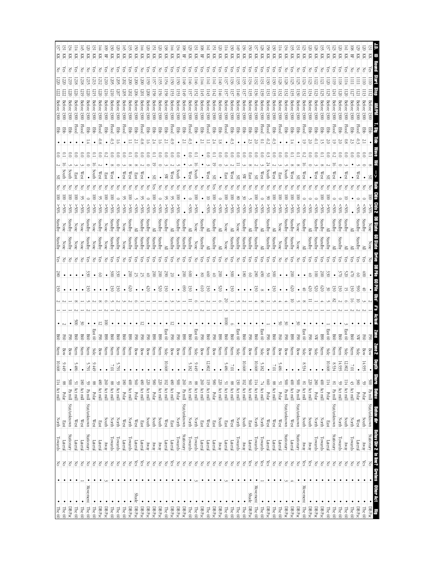| $\rm KK$      | KK                  | I적           | 区                   | 页                         | Ř                                             | 页                 | 頁               | Ř<br>몊                                | 頁                     | 즛                      |                            | 頁                    | 页                 | 頁<br>젖                            | 爻             | 頁                      | 젖              |                         | 몊            | Ř                                               | 頁                                | Ř                      | 頁                          | 頁<br>頁                                       | 頁            | 頁                        | 頁                        |                                     | 頁                     | 頁<br>頁                           | 젖       | 頁<br>Ř                                | 頁                            | 頁                               | 젖                           | Ř<br>頁               | 즛        |                | 頁               |              | 旵                    | <b>XX</b><br>芟             | 页                                                                                                                                 |
|---------------|---------------------|--------------|---------------------|---------------------------|-----------------------------------------------|-------------------|-----------------|---------------------------------------|-----------------------|------------------------|----------------------------|----------------------|-------------------|-----------------------------------|---------------|------------------------|----------------|-------------------------|--------------|-------------------------------------------------|----------------------------------|------------------------|----------------------------|----------------------------------------------|--------------|--------------------------|--------------------------|-------------------------------------|-----------------------|----------------------------------|---------|---------------------------------------|------------------------------|---------------------------------|-----------------------------|----------------------|----------|----------------|-----------------|--------------|----------------------|----------------------------|-----------------------------------------------------------------------------------------------------------------------------------|
|               |                     |              |                     |                           |                                               |                   |                 |                                       | ē                     |                        |                            |                      |                   |                                   |               |                        |                |                         |              |                                                 |                                  |                        |                            |                                              |              |                          |                          |                                     |                       |                                  |         |                                       |                              |                                 |                             | Z                    |          |                |                 |              |                      |                            |                                                                                                                                   |
|               |                     |              |                     |                           |                                               |                   |                 |                                       | 502                   |                        |                            |                      |                   |                                   |               |                        |                |                         |              |                                                 |                                  |                        |                            |                                              |              |                          |                          |                                     |                       |                                  |         |                                       |                              |                                 |                             | Π21                  |          |                |                 |              |                      |                            |                                                                                                                                   |
|               |                     |              |                     |                           |                                               |                   |                 |                                       |                       |                        |                            |                      |                   |                                   |               |                        |                |                         |              |                                                 |                                  |                        |                            |                                              |              |                          | E                        |                                     |                       |                                  |         |                                       |                              |                                 |                             | 52                   |          |                |                 |              |                      |                            |                                                                                                                                   |
|               |                     |              |                     | Betore                    | Betore                                        |                   | Before          |                                       |                       |                        |                            |                      |                   | Before 1300                       |               |                        |                |                         |              |                                                 | Before                           | Before                 | Before 1300                | Before 130                                   |              | Before 130               | Before 130               |                                     |                       | Betore                           |         | Betore                                |                              | Before 1300                     |                             | Before 1300          |          |                |                 |              |                      |                            |                                                                                                                                   |
|               | 1300                |              | 1300                | 1300                      | 1300                                          | 1300              | 1300            | 1300<br>1300                          | 1300                  | 1300                   | 1300                       | 1300                 | 1300              | 1300                              | 1300          | 1300                   |                |                         |              | 130(                                            | 1300                             | 1300                   |                            | 130(                                         |              |                          |                          | 1300                                | 1300                  | 1300                             |         | 1300<br>1300                          | 1300                         |                                 | 1300                        | 1300                 |          | 1300           | 1300            | 1300         |                      |                            |                                                                                                                                   |
| 閉             |                     | 買            | Flood               | Flood                     | 물                                             | 目                 | Flood           | Flood<br>뭏                            | 臣                     | Flood                  | 毘                          | 묺                    | Flood             | 물<br>ë                            | ë             | 毘                      | pool           |                         | 臣            | Flood                                           | 目<br>멽                           | Flood                  | 묻                          | Flood<br>멽                                   | 쁗            | ğ                        | ğ                        | 햝                                   | Flood                 | pool-<br>目                       | Flood   | 罩                                     | ᆴ<br>띦                       | Flood                           | 물                           | 멽<br>물               | 물        | Flood          | 멽               | Flood        | 멽                    | lood<br>ğ                  | 멽                                                                                                                                 |
|               |                     |              |                     |                           |                                               |                   |                 |                                       |                       |                        |                            |                      |                   |                                   |               |                        |                |                         |              |                                                 |                                  |                        |                            |                                              |              |                          |                          |                                     |                       | Ċ<br>V<br>È                      |         |                                       |                              |                                 |                             |                      |          |                |                 |              |                      |                            |                                                                                                                                   |
|               |                     |              |                     |                           |                                               |                   |                 |                                       |                       |                        |                            |                      |                   |                                   |               | S                      | S              |                         |              | ິຣ                                              |                                  |                        |                            |                                              |              |                          |                          |                                     |                       |                                  |         |                                       |                              |                                 |                             |                      |          |                |                 |              |                      |                            |                                                                                                                                   |
|               |                     |              |                     | West                      |                                               | puth              | West            | West<br>East                          |                       | West                   | West                       | East                 | west              |                                   |               | SW                     | West           |                         |              | West                                            | South                            | West                   |                            | East                                         | Xest         |                          |                          |                                     | West                  |                                  |         | outh<br>West                          | æ                            | West                            |                             | West<br>West         |          | West           |                 | West         |                      | Vest                       | ЯS                                                                                                                                |
|               |                     |              |                     |                           |                                               |                   |                 |                                       |                       |                        |                            |                      |                   |                                   |               |                        |                |                         |              |                                                 |                                  |                        |                            |                                              |              |                          |                          |                                     |                       |                                  |         |                                       |                              |                                 |                             |                      |          |                |                 |              |                      |                            |                                                                                                                                   |
|               |                     |              |                     |                           |                                               |                   |                 |                                       |                       |                        |                            |                      |                   |                                   |               |                        |                |                         |              |                                                 |                                  |                        |                            |                                              |              |                          |                          |                                     |                       |                                  |         |                                       |                              |                                 |                             | ē                    |          |                |                 |              |                      |                            |                                                                                                                                   |
|               |                     |              |                     | \$0%                      | $50\%$                                        |                   | $^{805}$        | $\frac{80}{80}$                       | $< 50\%$              |                        | 90%                        |                      | ->0%              | <50%                              | \$05          | $^{805}$               |                | $$^{805}$               |              | $< 50\%$                                        | $^{805}$                         |                        | $\frac{80}{8}$             | $\frac{80}{8}$<br>$50\%$                     |              | %05<                     | $< 50\%$                 | $^{805}$                            | $50\%$                | $^{805}$<br>$\frac{208}{5}$      |         | $\frac{1}{200}$<br>$50\%$             |                              |                                 |                             | \$80%<br>$50\%$      |          |                |                 |              |                      |                            | Clds 2 DB State                                                                                                                   |
| Standby       |                     | Standby      | None                | None                      | Standby                                       | None              | Standby<br>None | Standby                               | Standby               |                        | Standby                    |                      | standby           | Standby                           | Standby       | Standby                |                | Standby                 | Standby      | ≧                                               | Standby<br>None                  |                        | Standby                    | È                                            |              |                          | Standby                  | Standby                             |                       | Standby                          |         | Standby<br>Standby                    |                              | Standby                         |                             | Standby<br>Standby   | ≧        | Standby        | Standby         | Standby      |                      | Standby<br>tandby          |                                                                                                                                   |
| vadby         |                     | Standby      | None                | None                      | Standby                                       | None              | Standby         | Standby<br>None                       | Standby               | None                   | Standby                    | Standby              | Standby           | Standby<br>Standby                | Standby       | ≧                      | Standby        | Standby                 | Standby      | Standby                                         | Standby<br>None                  |                        | Standby                    | None<br>≧                                    | Standby      | Standby                  | Standby                  | Standby<br>Standby                  | ≧                     | Standby<br>Standby               | None    | Standby<br>Standby                    | None                         |                                 | Standby                     | Standby<br>Standby   | Standby  |                | Standby         | ≧            |                      | Standby                    |                                                                                                                                   |
| $\frac{5}{8}$ |                     | 종            | 공                   | 공                         | άš                                            | š                 | res             | άŠ<br>공                               | res                   | 공                      | GS.                        | Ğ                    | ā                 | ξŝ<br>ξg                          | χē            | χes                    | άš             | 공                       | χë           | χes                                             | χē<br>공                          | Ğ                      | άš                         | άg<br>공                                      | res          | ¥                        | es<br>S                  | res<br>ć.                           | Č8                    | χes<br>res                       | 공       | ξg<br>š                               | 공                            | Č8                              | Ğ                           | άŠ<br>res            | Ğ,       | res            | λë              | άŠ           | ନ୍ମି                 | Ğ.                         |                                                                                                                                   |
|               |                     |              |                     |                           | ğ                                             |                   | න               | š                                     | $\tilde{\mathcal{S}}$ |                        | $\approx$                  |                      | 52                | $\infty$<br>き                     | $200\,$       | 66                     | 72             |                         | $\approx$    | 8                                               | 8                                | S                      | ぉ                          | $\approx$                                    | ğ            |                          | $\overline{\mathcal{S}}$ | $\frac{8}{2}$<br>8                  | $\langle 60$          | š<br>ଞ                           |         | 200                                   |                              |                                 |                             | $\approx$<br>ē       | ğ        |                | ă               | Š            |                      | Ē                          | a<br>S                                                                                                                            |
|               |                     |              |                     |                           |                                               |                   |                 |                                       |                       |                        | ĕ                          |                      |                   | 50                                |               |                        |                |                         | 8            |                                                 | $_{019}$                         |                        |                            | 520                                          |              |                          |                          |                                     |                       |                                  |         | 020                                   |                              |                                 |                             | 079<br>ΟZ            |          |                |                 |              |                      |                            |                                                                                                                                   |
|               |                     |              |                     |                           | ൠ                                             |                   |                 | 50                                    | ଞ                     |                        |                            |                      |                   |                                   | $\tilde{z}$   | g                      |                |                         |              | 5                                               |                                  | S                      |                            |                                              | ىغ           |                          |                          |                                     |                       | ىغ                               |         |                                       |                              | €                               | 50                          |                      | ട്       | نج             | S               |              | g                    | ち                          | នី                                                                                                                                |
|               |                     |              |                     |                           |                                               |                   |                 |                                       |                       |                        |                            |                      |                   |                                   |               |                        |                |                         |              |                                                 |                                  |                        |                            |                                              |              |                          |                          |                                     |                       |                                  |         |                                       |                              |                                 |                             |                      |          |                |                 |              |                      |                            | $s_{\mu}$                                                                                                                         |
|               |                     |              | ğ                   | š                         |                                               |                   | 5               | $\approx$                             |                       |                        |                            |                      | 5                 |                                   |               | ٠                      | ನ              |                         |              |                                                 |                                  |                        |                            | $\approx$                                    |              |                          |                          |                                     |                       |                                  | క       | క                                     | š                            |                                 |                             |                      |          |                |                 |              |                      |                            |                                                                                                                                   |
|               |                     |              |                     | 80                        | B60                                           | East 60           | 3               | 890<br>$_{98}$                        | 8g                    | g                      | ⊠                          | 곃                    | Š                 | 図<br>정                            | 068           | East 60                | 3              | 3                       | 8            | B60                                             | East 60                          | B60                    | 3                          | 890<br>B60                                   |              | East 60                  | <b>B60</b>               | B60<br>3                            | East 60               | B60<br>FØ                        | g       | 880<br>정                              | 3                            | East 60                         | 3                           | <b>B90</b><br>X      | East 60  | <b>B60</b>     | <b>B60</b>      | East 60      | B60                  | F®                         |                                                                                                                                   |
|               |                     |              |                     |                           |                                               |                   |                 |                                       |                       |                        |                            |                      |                   |                                   |               |                        |                |                         |              |                                                 |                                  |                        |                            |                                              | Stern        |                          |                          |                                     |                       | Stern<br>Bow                     | Bow     | Stern<br>Bow                          | Bow                          | Side                            | Bow                         | Stern<br>Side        | Side     | Stern          | Stern           | Side         | Stern                | Bow                        |                                                                                                                                   |
| $10.668$      |                     |              | Stern               | Stern                     | Stern                                         | Side              | Bow             | Stern<br>Stern                        | Stern                 | Stern                  | Stern                      | Bow                  | Bow               | Stern<br>Bow                      | Stern         | Side                   | Bow            | Bow                     | Stern        | Stern                                           | Side                             | Stern                  | Bow                        | Stern<br>Stern                               |              | Side                     | Stern                    | Stern<br>Bow                        | Side                  |                                  |         |                                       |                              |                                 |                             |                      |          |                |                 |              |                      |                            |                                                                                                                                   |
|               |                     |              |                     |                           |                                               |                   | $\bullet$       | $\bullet$                             |                       |                        |                            |                      |                   |                                   |               |                        |                |                         |              |                                                 |                                  |                        |                            |                                              | $10^{\circ}$ |                          |                          |                                     |                       | $\bullet$                        |         |                                       |                              | 8.534                           |                             |                      |          |                |                 |              |                      |                            |                                                                                                                                   |
|               | 9.449               |              | 5.486               |                           | 5.791                                         | 9.449             |                 | $100\%$                               | 5.791                 |                        |                            |                      |                   |                                   |               | 10.668                 |                |                         |              | 5.182                                           | 9.449                            | 12.802                 |                            | 5.486                                        |              |                          | 10.668                   | 10.668                              | 5.182                 | $10^{\circ}$                     | 5.486   |                                       |                              |                                 |                             |                      | 10.668   | 8.534          | 14.935          | $12.802\,$   | $10^{\circ}\!/$      | 14.935                     |                                                                                                                                   |
|               | 88                  | $\leq$       |                     | $\frac{180}{ }$           | $\frac{59}{2}$                                | 88                | 08              | 260<br>88                             |                       | $\overline{\text{08}}$ | 00                         | 560                  | 08                | 980                               |               |                        |                | $\frac{500}{5}$         | 260          |                                                 | 260<br>88                        | $\frac{110}{2}$        |                            | $\frac{51}{21}$                              | 88           | $\frac{102}{130}$        |                          | 560<br>$\frac{114}{11}$             |                       | 099<br>88                        | 51      | $\frac{1}{100}$<br>$\frac{500}{5}$    | $\geq 00$                    | $\frac{8}{18}$                  | 220                         | 280<br>$\frac{1}{2}$ | 114      | $\frac{8}{18}$ | $\frac{59}{2}$  |              | $\frac{43}{2}$       | 380<br>99                  |                                                                                                                                   |
| 114 Act mill  | Polar               | Pa mill      | Act mill            | $\left  \right.$ Act mill | $\ensuremath{\mathop{\rm Par}\nolimits}$ nill | Polar             | Act mill        | $\left  \right.$ Act mill<br>Act mill | $59$ Act mill         | Polar                  | Act mill                   | Act mill<br>Polar    |                   | $\frac{220}{2}$ Act mill<br>Polar | 220 Act mill  | 102 Act mill           | $480$ Act mill | Polar                   | Pa mill      | 81 Act mill<br>$\frac{1}{2}$ Act mill           | Act mill                         | Act mill               | $\frac{220}{580}$ Act mill | Act mill                                     | Act mill     | $\frac{1}{1}$ Act mill   |                          | Act mill<br>Act mill                | 74 Act mill           | Act mill<br>Polar                | Polar   | $\Delta$ $\Delta$ $\Delta$<br>Pa mill | Pa mill                      | Act mill                        | Act mill                    | Act mill             | Polar    | Pa mill        | Act mill        | 114 Act mill | Act mill             | Polar<br>Polar             |                                                                                                                                   |
|               |                     |              |                     |                           |                                               |                   |                 |                                       |                       |                        |                            |                      |                   |                                   |               |                        |                |                         |              |                                                 |                                  |                        |                            |                                              |              |                          |                          |                                     |                       |                                  |         |                                       |                              |                                 |                             |                      |          |                |                 |              |                      |                            |                                                                                                                                   |
| <b>North</b>  | rast                | Stat/unknown | West                | West                      | Stat/unknown                                  | West              | East            | South<br>North                        | North                 | West                   | North                      | $\frac{Exact}{West}$ |                   | south<br>South                    | South         | $\mathbb{W}\text{est}$ | East           | <b>North</b>            | Stat/unknown | <b>North</b><br>North                           | $\operatorname{East}$            | $\mathbb{W}\text{est}$ | East                       | south<br>East                                | West         | South North              |                          | North<br>East                       | North                 | $\mathbb{W}\text{est}$<br>West   | West    | Stat/unknown<br>West                  | Stat/unknown                 | <b>South</b>                    | South                       | North<br>North       | East     | Stat/unknown   | North           | South        | <b>North</b>         | South<br><b>West</b>       | <b>enth Shore Behav Behaviline</b><br>• <u>500 Pamill</u> Stat/unknown                                                            |
|               | Lateral             | Stationary   | Lateral             | Lateral                   | Stationary                                    | Lateral           | Lateral         | Towards<br>$\lambda$ Kwa              | Towards               | Lateral                | Towards                    | Lateral<br>Lateral   |                   | YRWA<br>yway                      | $\Lambda$ RMV | Lateral                | Lateral        | Towards                 | Stationary   | Towards<br>Towards                              | Lateral                          | Lateral                | Away<br>Lateral            | Lateral                                      | Lateral      | Away<br>Towards          |                          | Towards<br>Lateral                  | Towards               | Lateral<br>Lateral               | Lateral | Stationary<br>Lateral                 | Stationary                   | yway                            | ARMY                        | Towards<br>Towards   | Lateral  | Stationary     | Away<br>Towards |              | Towards              | Lateral<br>Anay            |                                                                                                                                   |
| $\mathbb{E}$  | $\frac{1}{2}$       | I온           | $\rm _{\odot}$      | $\geq$                    | $\leq$                                        | $\leq$            | $\leq$          | $\leq$<br>$\geq$                      | $\leq$                | $\leq$                 | $\geq$                     | Yes                  | Yes               | $\frac{1}{\sqrt{2}}$<br>$\leq$    | $\geq$        | $\frac{1}{\sqrt{2}}$   | Yes            | $\leq$                  | $\leq$       | $\frac{1}{\sqrt{2}}$<br>$\overline{\mathsf{K}}$ | $\leq$                           | $\geq$                 | $\leq$                     | $\frac{1}{\sqrt{2}}$<br>$\frac{1}{\sqrt{2}}$ | $\geq$       | $\rm \stackrel{>}{\sim}$ | $\leq$                   | Yes<br>$\leq$                       | $\chi$ es             | Yes<br>$\geq$                    | $\leq$  | $\leq$<br>$\geq$                      | Ιδ                           | Yes                             | Yes                         | $\geq$<br>$\approx$  | $\leq$   | $\rm _S$       | $\geq$          | $\leq$       | $\frac{1}{\sqrt{2}}$ | $\chi_{\rm{eS}}$<br>$\leq$ |                                                                                                                                   |
| $\bullet$     | $\bullet$           |              |                     |                           | $\bullet$                                     |                   |                 |                                       |                       |                        |                            | $\bullet$            |                   |                                   |               |                        |                |                         |              | $\bullet$                                       |                                  |                        |                            |                                              |              |                          |                          |                                     |                       |                                  |         |                                       |                              |                                 |                             |                      |          |                |                 |              |                      |                            |                                                                                                                                   |
| Towards       |                     |              |                     |                           |                                               |                   |                 |                                       |                       |                        |                            |                      |                   |                                   |               |                        |                |                         |              |                                                 |                                  |                        |                            |                                              |              |                          |                          |                                     |                       |                                  |         |                                       |                              |                                 |                             |                      |          |                |                 |              |                      |                            |                                                                                                                                   |
| Ŀ<br>The $60$ | $\bullet$<br>The 60 | DB Pac       | $\bullet$<br>The 60 | ٠<br>The $60$             | Movement The 60                               | $\cdot$<br>The 60 | ᠊<br>BBox       | $\bullet$<br>The 60<br>$\rm DB\, Pac$ | The 60                | ٠<br>$m \in \{0\}$     | $\bullet$<br>$\rm DB\,Par$ | Shade DBPac          | $\bullet$<br>BBox | $\bullet$ DBPac<br>$DB$ Pac $\,$  | $\rm DB\,Par$ | $\cdot$<br>The 60      | DBPac          | $\bullet$<br>$\Box$ Bac | DB Pac       | ٠<br>$\blacksquare$ The 60                      | ٠<br>DBP <sub>ac</sub><br>The 60 | The $60$               | $\bullet$<br>DB Pac        | $\bullet$ DBPac<br>$\boxed{\text{The } 60}$  | The $60$     | $\bullet$<br>The 60      | The 60                   | Movement<br>Shade DBPac<br>The $60$ | $\bullet$<br>The $60$ | $\cdot$<br>᠊<br>The 60<br>DB Pac | The 60  | DB Pac<br>$\rm DB\,Par$               | $\cdot$<br>$\cdot$<br>DB Pac | Movement<br>$\vert$ The $\circ$ | $\bullet$<br>$\rm DB\, Pac$ | BBox<br>DB Pac       | The $60$ | The $60$       | The $60$        | The 60       | The $60$             | DB Pac<br>The 60           | Behav Dir 2. In line? Grebes Other Act<br>Stationary No Clement C<br>$\begin{array}{ c } \hline \text{HB} \text{Pac} \end{array}$ |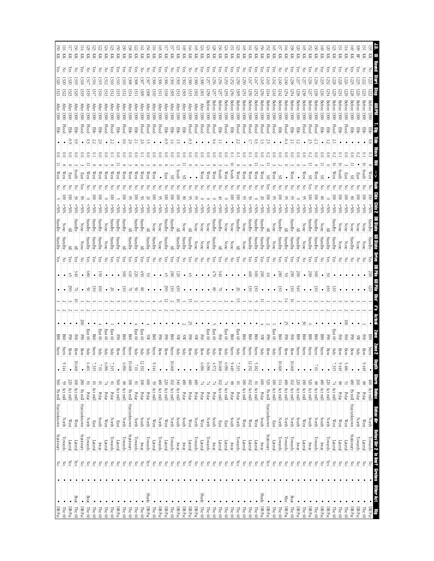| 頁<br>頁<br>頁<br>頁                          |                             |                           |                             |                                  |                      |                        | Ř                        | 頁<br>λes                 | 頁                          | 頁                       | 頁                         | 頁                                 | 页                                    | 妇                             | Ř<br>ଲି                           | 頁<br>බ                     | 頁                    | 页                          |                                                                     | Ř                    | 頁                            | 頁                        | 頁                                   | Ř                   | 頁                             | 芟                          | 頁                          | Ř                      | 頁                | 頁                                 |                                   |                                     | KK                                   | 頁<br>頁                                   | 頁                          | 頁                 | 頁                                    | 頁                            | 妇                  | Ř<br>Ğ               | Ř                              | 頁<br>స్ట్            | 頁<br>సై                 | 頁                      | Ř               | 页                          | 頁                       | $\mathbb R$<br>旵                                      | Ř            | <b>Start</b>                                                 |
|-------------------------------------------|-----------------------------|---------------------------|-----------------------------|----------------------------------|----------------------|------------------------|--------------------------|--------------------------|----------------------------|-------------------------|---------------------------|-----------------------------------|--------------------------------------|-------------------------------|-----------------------------------|----------------------------|----------------------|----------------------------|---------------------------------------------------------------------|----------------------|------------------------------|--------------------------|-------------------------------------|---------------------|-------------------------------|----------------------------|----------------------------|------------------------|------------------|-----------------------------------|-----------------------------------|-------------------------------------|--------------------------------------|------------------------------------------|----------------------------|-------------------|--------------------------------------|------------------------------|--------------------|----------------------|--------------------------------|----------------------|-------------------------|------------------------|-----------------|----------------------------|-------------------------|-------------------------------------------------------|--------------|--------------------------------------------------------------|
| <b>Vier</b>                               |                             |                           |                             | 319                              |                      |                        | 1313                     | 13 IO<br>1312            | 131                        | 1312                    |                           | EП                                | 1309                                 | 1308                          | Ωű                                |                            | 1318                 |                            |                                                                     | 505                  | 300                          |                          |                                     | Before              | Before 1300                   |                            | Before 1300                | <b>Betore</b>          | 3etore 1300      | <b>Before</b>                     |                                   |                                     | Before 1300                          | Before 1300                              |                            | Before 1300       | Before 1300                          |                              | Before 1300        |                      |                                | Before 1300          |                         | <b>Betore</b>          |                 |                            |                         |                                                       |              |                                                              |
| $\frac{1}{200}$<br>1300<br>臣<br><b>EB</b> |                             |                           | frer $1300$<br><b>Flood</b> | $\frac{1}{200}$<br>Flood         | $\frac{1}{200}$<br>目 | $\frac{1}{200}$<br>Ebb | $\frac{1}{200}$<br>Flood | $\frac{1}{200}$<br>Flood | After 1300<br><b>Ebb</b>   | After 1300<br>Flood     | $\frac{1}{200}$<br>買      | $\frac{1}{200}$<br>臣              | $\frac{\text{ifter}}{1300}$<br>Flood | After 1300<br><b>Flood</b>    | $\frac{1}{200}$<br><b>Flood</b>   | $\frac{1}{200}$<br>Flood   | $\frac{1}{200}$<br>罩 | $\frac{1}{200}$<br>罩       | $\frac{1}{200}$<br>毘                                                | $\frac{1}{200}$<br>目 | $\text{Here } 1300$<br>Flood | $\frac{1}{200}$<br>Flood | Flood                               | 1300<br>Flood       | Flood                         | 1300<br>멽                  | Flood                      | 臣                      | <b>Flood</b>     | 1300<br>Flood                     | Flood                             | Flood                               | <b>Flood</b><br>Flood                | 1300<br>Flood                            | <b>1300</b><br>멽           | Flood             | 臣                                    | 目                            | Flood              | Flood                | 1300<br>Flood                  | <b>EB</b>            | 毘                       | 1300<br><b>Flood</b>   | 1300<br>Ebb     | <b>1300</b><br>Flood       | 1300<br>臣               | 1300<br>물                                             | 물            |                                                              |
| خ<br>چ                                    |                             |                           |                             |                                  |                      |                        |                          |                          |                            |                         |                           |                                   |                                      |                               |                                   |                            |                      |                            |                                                                     |                      | É                            |                          |                                     |                     |                               |                            |                            |                        |                  |                                   |                                   |                                     |                                      |                                          |                            |                   |                                      |                              |                    |                      |                                | $\tilde{c}$          |                         |                        |                 |                            |                         |                                                       | $_{\rm 0.8}$ | Пß                                                           |
| East                                      |                             | South                     | East                        | West                             | West                 | West                   | West                     | West                     | West                       | West                    | West                      | West                              | West                                 | West                          | West                              |                            | នេះ                  |                            | South                                                               |                      |                              |                          | West                                | West                | West                          | parth                      | West                       | South                  | West             | West                              | West                              | West                                | West                                 | West<br>æ                                |                            |                   | West                                 |                              | west               |                      | xest                           |                      |                         | West                   |                 |                            |                         |                                                       | West         |                                                              |
|                                           |                             | $50\%$                    |                             | $50\%$                           |                      | $\frac{80}{50}$        |                          | $\frac{80}{80}$          | $50\%$                     |                         |                           | \$80%                             | ∻ٍ0%                                 |                               | $^{805}$                          | $^{*05}$                   | $\frac{80}{8}$       | $*05<$                     | $^{805}$                                                            | g<br>$>50\%$         | $^{805}$                     | $^{805}$                 | $50\%$                              | $50\%$              | ‰<br>%0                       | ⊱\$0%                      |                            |                        |                  |                                   |                                   | Standby                             |                                      | $^{805}$<br>$$^{80}_{\%}$                | $^{805}$                   | $>50\%$           | M <sub>0</sub>                       |                              | %05<               | $^{805}$             |                                | \$055                | $< 50\%$                | \$055                  | \$80%           | $^{*05}$                   |                         |                                                       |              | Cids 2                                                       |
|                                           |                             | Standby<br>≧              | None<br>None                | Standby<br>Standby               | Standby<br>Standby   | Standby<br>Standby     | None<br>None             | Standby<br>Standby       | Standby<br>Standby         | Standby<br>≧            | ≧<br>Standby              | Standby<br>Standby                | Standby                              | ≧<br>Standby                  | None<br>Standby                   | None<br>None               | Standby<br>Standby   | Standby                    | Standby                                                             | None<br>Standby      | ≧<br>Standby                 | None<br>None             | None<br>None                        | None<br>None        | Standby<br>Standby            | candby,<br>≧               | None<br>None               | None<br>None           | Standby<br>≧     | None<br>None                      | Standby<br>Standby                | Standby                             | Standby<br>Standby<br>Standby        | None                                     | Standby<br>Standby         | Standby           | Standby<br>Standby                   | Standby                      | None               | Standby<br>Standby   | <b>Standby</b><br>Standby      | None<br>Standby      | ≧<br>Standby            | Standby<br>Standby     | None<br>None    | None<br>None               | None<br>Standby         | None                                                  | Standby      | DB State 60 State                                            |
| ā                                         | ÷,                          | άg<br>₹                   | ¥.                          | χg<br>8                          | χë                   | χë<br>S                | ¥                        | χë                       | άŠ                         | χes<br>$\approx$        | άš<br>410                 | δŚ<br>220                         | άŠ<br>Ġ)                             | ζë<br>క                       | š                                 | š                          | άg<br>允              | άš<br>$\frac{8}{2}$        | χē<br>ē                                                             | ¥                    | δŚ<br>Ĵ,                     | 중                        | 중                                   | 공                   | ត្ត<br>$\sqrt{2}$             | ξg<br>ЭÆ                   | 공                          | 공                      | es<br>S          | Z                                 | άg<br>ŧ                           | άš<br>$\otimes$                     | స్ట్<br>ă<br>$\approx$               | Z<br>8<br>٠                              | ξg<br>$\frac{8}{2}$        | χë<br>S           | χg<br>290                            | ξg<br>$\approx$              | š                  | Ğ,<br>$\geqslant 00$ | χes<br>š                       | 3                    | χē<br>ൠ                 | res                    | ¥               | F                          |                         | ¥                                                     | 200          | DB Pile 60 Pile Obs'                                         |
|                                           | š                           |                           |                             | క                                | ષ્ઠ                  | ē                      |                          | 30                       |                            | .<br>ی                  |                           | ୪                                 | g                                    |                               |                                   |                            | S                    | ଞ୍ଚ                        | 430                                                                 |                      |                              |                          |                                     |                     | g                             |                            |                            |                        | 8                |                                   | ىخ                                | ്ട                                  |                                      |                                          | نځ                         |                   | ଞ                                    | 9∉0                          |                    |                      | ىخ                             |                      | Ë                       | 50                     |                 |                            |                         |                                                       | 020          |                                                              |
|                                           |                             | Š                         | ë                           | <b>East 60</b>                   | <b>B60</b>           | East 60                | East $60$                | East 60                  | O6H                        | <b>B60</b>              | <b>B60</b>                | East 60                           | East 60                              | ă                             | <b>B60</b>                        |                            | 졓                    | gg                         | ⋨                                                                   | ℥                    | 52                           | ⋦                        |                                     | East 60             | East 60                       | <b>F60</b>                 | East 60                    | <b>B60</b>             | East 60          | 960                               | 800                               | g                                   | ℥                                    | East 60                                  | 008                        | s,                |                                      | ⊠                            | š<br>B60           |                      | $_{\rm BG}$                    | <b>B90</b>           |                         | East 60                |                 | S                          | 졓                       |                                                       |              | $s$ <sub>#</sub><br>Artikal                                  |
|                                           |                             | Bow                       | 3<br>Bow                    | Side                             | Stern                |                        | Side                     | Side                     | Bow                        | Stern                   | Stern                     | Side                              | Side                                 | Side                          | Stern                             | 3<br>Bow                   | Bow                  | Stern                      | Side                                                                | Side                 | 3<br>Bow                     | Side                     |                                     |                     |                               |                            | Side                       | Stern                  | Side             | Stern                             | Stern                             | Stern                               | Side<br>Bow                          | S<br>Side                                | Stern                      | <b>SSO</b><br>Bow | ē<br>Bow                             | Stern                        | Stern              | Stern                | Stern                          | Stern                | Bow                     | Side                   | F©<br>Bow       | Š<br>Bow                   | Bow                     | Š<br>Bow                                              | Stern        |                                                              |
|                                           | $\bullet$<br>$\overline{0}$ | 10.668<br>$\frac{108}{ }$ | $\bullet$<br>280            | 10#9<br>$\frac{8}{18}$           | 7.315<br>$^{18}$     | $10^{\circ}$<br>$^{8}$ | 960'9<br>74              | 7.315<br>$\frac{81}{2}$  | $\bullet$<br>560           | 960'9<br>88             | 10.668<br>$\frac{108}{2}$ | $100\%$<br>$\frac{8}{18}$         | 12.192<br>$\frac{108}{1}$            | $\bullet$<br>600              | 9.144<br>$\frac{59}{2}$           | 084                        | 0z                   | 10.668<br>$\overline{102}$ | 340                                                                 | $\sqrt{80}$          | $08\frac{1}{2}$              | $68+$                    | 960'9<br>耳                          | 960'9               | 4.572<br>74                   | 10.668<br>$\overline{102}$ | 960'9<br>74                | 9.449<br>88            | 7.315<br>$^{8}$  | $\overline{\text{8}}$             | 12.192<br>$\overline{5}$          | 5.182<br>$\frac{81}{2}$             | $\frac{80}{2}$                       | $\frac{520}{5}$<br>180 Act mill          | 10.668<br>$\frac{114}{11}$ | 084               | 10.668<br>$\frac{220}{102}$ Act mill |                              | $\frac{180}{2}$    | 520                  | $10^{\circ}$<br>$\frac{88}{2}$ | $\frac{1}{80}$       | $\bullet$<br>220        | 7.315<br>뇌             | 9.449<br>88     | 5.486<br>2                 | (8)                     | 9.449<br>$\bullet$<br>097<br>88                       |              | epth Shove Beliav<br><b>- Shove Beliav</b>                   |
| 59 Act mill<br>560 Pa mill Stat/unknown   | Act mill                    | Act mill                  | Pa mill<br>Stat/unknown     | Polar                            | Act mill             | $_{\rm Polar}$         | Polar                    | Polar                    | Act mill                   | Act mill                | Pa mill<br>Stat/unknown   | Polar                             | Polar                                | Polar                         | Act mill                          | $\kappa$ t mill            | $\alpha$ mil         | Act mill                   | $\left  \begin{array}{c} \text{Act}\text{mill} \end{array} \right $ | Polar                | Polar                        | Polar                    | Polar                               | Polar               | Polar                         | Act mill                   | Act mill                   | Polar                  | Polar            | Act mill                          | Act mill                          | Act mill                            | Pa mill<br>Polar<br>Stat/unknown     |                                          | Act mill                   | Act mill          |                                      |                              | Act mill           | Act mill             | $\kappa$ and                   | Act mill             | Act mill                | Act mill               | Polar<br>Polar  |                            | Pa mill<br>Stat/unknown | Polar<br>Polar                                        |              | Bahav dir<br>North                                           |
|                                           | West<br>Lateral             | West<br>Lateral           | Stationary                  | North<br>Towards                 | East<br>Lateral      | South<br>Anay          | West<br>Lateral          | North<br>Towards         | East<br>Lateral            | <b>North</b><br>Towards | Stationary                | North<br>Towards                  | <b>South</b><br>Yway                 | <b>North</b><br>Towards       | $\mathbb{W}\text{est}$<br>Lateral | <b>North</b><br>Towards    | West<br>Lateral      | North<br>Towards           | South<br>$\Lambda$ EWY                                              | South<br>YNZY        | West<br><b>Lateral</b>       | <b>North</b><br>Towards  | $\mathbb{W}\textup{est}$<br>Lateral | Away<br>Towards     | South<br>North                | East<br>Lateral            | East<br>Lateral            | South<br>$\lambda$ Kwa | North<br>Towards | $\mathbb{W}\text{est}$<br>Lateral | West<br>Lateral                   | $\mathbb{W}\textup{est}$<br>Lateral | South<br>Stationary<br>$\Lambda$ EWV | East<br>Lateral                          | North<br>Towards           | North<br>Towards  | <b>North</b><br>Towards              | south<br>$\sqrt{\text{kWh}}$ | West<br>Lateral    | South<br>yway        | <b>North</b><br><b>Towards</b> | south<br>ARAY        | <b>North</b><br>Towards | <b>West</b><br>Lateral | West<br>Lateral | West<br>Lateral            | Stationary              | North<br>$\mathbb{W}\text{est}$<br>Towards<br>Lateral |              |                                                              |
| $\frac{8}{10}$<br>$\bullet$               | $\frac{1}{2}$               | Yes                       | $\geq$                      | $\leq$<br>$\bullet$              | 1g                   | $\geq$                 | $\geq$                   | $\leq$<br>$\bullet$      | $\frac{1}{8}$<br>$\bullet$ | $\frac{1}{\sqrt{2}}$    | $\geq$                    | $\frac{1}{\sqrt{2}}$<br>$\bullet$ | $\leq$<br>$\bullet$                  | Yes<br>$\bullet$              | $\leq$<br>٠                       | $\frac{1}{8}$<br>$\bullet$ |                      | $\geq$                     | $\leq$                                                              | $\geq$               | Yes                          | $\approx$<br>$\bullet$   | $\leq$<br>$\bullet$                 | $\geq$              | <b>No</b><br>$\bullet$        | $\leq$                     | $\approx$                  | $\geq$                 | Yes              | $\leq$                            | $\frac{1}{\sqrt{2}}$<br>$\bullet$ | $\rm _S$                            | Yes<br>$\geq$<br>$\bullet$           | $\leq$                                   | $\leq$                     | $\geq$            | $\approx$<br>$\bullet$               | $\leq$                       | š                  | $\geq$               | Νo                             | $\frac{1}{\sqrt{2}}$ | Yes                     | $\leq$                 | $\geq$          | $\geq$                     | g                       | $\geq$<br>$\leq$                                      |              | Behav Dir 2 In line? Grebes Other Act<br>Towards No          |
|                                           | $\bullet$                   | <b>Boat</b>               | $\bullet$                   | Boat<br>The 60<br>$\rm DB\, Pac$ | $\bullet$<br>The 60  | ٠<br>The $60$          | $\bullet$<br>The 60      | $\bullet$<br>The 60      | DBPac                      | The 60                  | The $60$                  | $\bullet$<br>The 60               | $\bullet$<br>The 60                  | <b>Shade</b><br>$\Box$ DB Pac | $\bullet$<br>The 60               | $\bullet$<br>DB Pac        | DB Pac               | The 60                     | $\rm DB\,Par$                                                       | $\rm DB\, Pac$       | ٠<br>DB Pac                  | ٠<br>DB Pac              | <b>Shade</b><br>The 60              | $\bullet$<br>The 60 | $\bullet$<br>The 60<br>The 60 | $\bullet$                  | $\bullet$<br>$m \in \{0\}$ |                        | $\bullet$        | The 60                            | $\bullet$<br>The 60               | $\bullet$                           | Shade DB Pac                         | $\bullet$<br>$\cdot$<br>The 60<br>DB Pac | $\bullet$                  | Misc<br>DBPac     | Boat The 60                          | $\bullet$<br>DB Pac          | $\cdot$<br>$me$ 60 | $\rm DB\, Pac$       | The 60                         | DB Pac               | DB Pac                  | The $60$               | The $60$        | $\sqrt{m \epsilon \omega}$ | DBPac                   | DB Pac<br>The 60                                      |              | $\begin{array}{ c } \hline \text{EB} \text{Pac} \end{array}$ |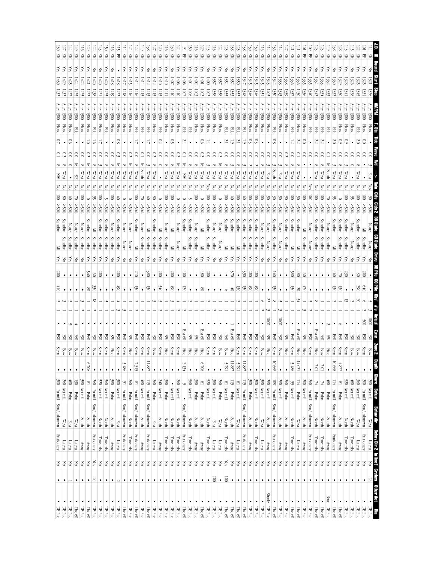| $\bullet$ DBP <sub>ac</sub><br>DB Pac                      |             | $\frac{2}{\sqrt{5}}$       | Stationary<br>Lateral | 300 Pa mill Stat/unknown<br>West | $\frac{260}{260}$ Act mill                           | $\bullet$     | tem<br><b>Bow</b> | ≌                 |                       |     | $\overline{5}$        | $\frac{8}{200}$        | $\frac{5}{2}$ | Standby            | Standby<br>Standby          |                  |   | West         |       |               | Flood<br>Hood             | <b>Mter</b><br>$\frac{\text{fter}}{\text{fter}} 1300$ |                   | ξs<br>ίes<br>$67 +$<br>430 | K<br>K            | <u>ಜ</u><br>27 |
|------------------------------------------------------------|-------------|----------------------------|-----------------------|----------------------------------|------------------------------------------------------|---------------|-------------------|-------------------|-----------------------|-----|-----------------------|------------------------|---------------|--------------------|-----------------------------|------------------|---|--------------|-------|---------------|---------------------------|-------------------------------------------------------|-------------------|----------------------------|-------------------|----------------|
| $\rm DB\,Par$<br>The 60                                    |             | 의의                         | ateral<br>ateral      | West<br>East                     | $\frac{1}{180}$<br>$\overline{30}$<br>Polar<br>Polar |               | Bow               | š<br>Š            |                       |     |                       |                        | ନ୍ମ<br>공      | Standby<br>Standby | None                        |                  |   |              |       |               | <b>Flood</b><br><b>EB</b> | $\frac{1}{200}$<br>$\frac{1}{200}$                    |                   | ē<br>Ē                     | 頁<br>頁            |                |
| $\rm DB~Pac$                                               |             | $ \mathbf{S} $             | $\overline{\text{A}}$ | South                            | 380<br>Act mill                                      |               | Bow               | FSO               |                       |     |                       |                        | 종             | Standby            | None                        | \$60             |   | West         |       |               | <b>Flood</b>              | $\frac{1}{200}$                                       |                   | çs<br>422                  | 頁                 |                |
| The 60                                                     |             | $\leq$                     | Anay                  | qmo <sub>S</sub>                 | $\frac{8}{18}$<br>Polar                              | 6.706         | Stern             | gg                |                       |     | $8^{\circ}$           | 940                    | ă             | Standby            | Standby                     | $< 50\%$         |   | West         |       |               | Flood                     | $\frac{1}{200}$                                       |                   | χes<br>1421                | 頁                 |                |
| DBPac                                                      |             | $\frac{1}{\sqrt{65}}$<br>₿ | Stationary            | Stat/unknown                     | $\frac{260}{200}$<br>Pa mill                         |               | Bow               | 3                 |                       |     | $\tilde{\mathcal{S}}$ | 8                      | χë            | Standby            |                             |                  |   | West         |       |               | 臣                         | $\frac{1}{200}$                                       |                   | 420                        | 즞                 |                |
| DB Pac                                                     |             | $\geq$                     | Towards               | North                            | 520<br>Act mill                                      |               | Stern             | S                 |                       |     |                       | $\approx$              | άš            | Standby            | Standby                     | $\frac{80}{5}$   |   |              |       |               | Flood                     | frer $1300$                                           |                   |                            | 젖                 |                |
| DB Pac                                                     |             | $\geq$                     | Towards               | North                            | $\frac{60}{2}$<br>Act mill                           |               | Stern             | S                 |                       |     |                       |                        | es<br>S       | Standby            | Standby                     | $50\%$           |   | West         |       |               | Ebb                       | $\frac{1}{200}$                                       | 1425              | సై<br>1420                 | 頁                 |                |
| DBPac<br>$\rm DB\, Pac$                                    |             | $\leq$<br>$\frac{1}{6}$    | Lateral<br>APANY      | south<br>East                    | 300<br>380<br>Act mill<br>Polar                      |               | Stern<br>Side     | S                 |                       |     |                       | $\bullet$              | š             | Standby            | Standby<br>None             | -50%             | ē | West         |       |               | Flood                     | $\frac{1}{200}$                                       |                   | 814                        | 頁                 |                |
| The 60                                                     |             | $\frac{1}{\sqrt{2}}$<br>٠  | Stationary            | Stat/unknown                     | $\frac{5}{2}$<br>Pa mill                             | 5.486         | Stern             | S                 |                       |     | Ë                     | 200                    | 5<br>종        | Standby<br>None    | None                        | $\frac{80}{5}$   |   | West<br>West |       | $\frac{8}{2}$ | Flood<br>Flood            | After 1300<br>00                                      | 1422              | λë                         | 뫂<br>頁            |                |
| $\rm DB\, Pac$                                             |             | $\geq$                     | Towards               | North                            | 260<br>Polar                                         |               | Side              | ⋹                 |                       |     |                       |                        | 중             | None               | None                        | $50\%$           |   | West         |       |               | Flood                     | $\frac{1}{200}$                                       | 1410              |                            | 頁                 |                |
| The $60$                                                   |             | $\frac{1}{6}$              | Stationary            | Stat/unknown                     | $\frac{81}{2}$<br>Pa mill                            | 7.315         | Stern             | 98                |                       |     | 50                    | 210                    | š             | ≧                  | Standby                     | \$05<            | ē | West         | 2     |               | <b>Ebb</b>                | After 1300                                            |                   | λë                         | 頁                 |                |
| DB Pac                                                     |             | $\approx$                  | Yway                  | South                            | $\frac{1}{8}$<br>Act mill                            |               | Stern             | g                 |                       |     |                       |                        | F             | Standby            | None                        | 80%              |   | South        |       |               | <b>EB</b>                 | <br>frer $1300$                                       |                   | ក្ដិ                       | 页                 |                |
| The 60                                                     |             | $\geq$                     | Stationary            | Stat/unknown                     | 611<br>Pa mill                                       | 11.887        | Stern             | g                 |                       |     | نغ<br>8               | 88                     | Č8            | Standby            | ≧                           | $\$0$ \$<        |   | West         |       |               | Ebb                       | $\frac{1}{200}$                                       |                   | ¥                          | 頁                 |                |
| $\rm DB\, Pac$                                             |             | $\geq$                     | Lateral               | East                             | 260<br>Polar                                         |               | Bow               | 3                 |                       |     |                       |                        | š             | Standby            | Standby                     | $50\%$           |   | West         |       |               | Flood                     | After $1300$                                          | 415               |                            | 頁                 |                |
| DBPac<br>DBPac                                             |             | $\frac{1}{5}$              | Anay                  | North<br>South                   | 240<br>Act mill                                      |               | Stern             | 8                 |                       |     | š.                    | $\approx$              | ā             | Standby            | ≧                           | $< 50\%$         |   |              |       |               | 目                         | $\frac{1}{200}$                                       | CН                | çs                         | 頁                 |                |
| DB Pac                                                     |             | $\geq$                     | Towards<br>Towards    | North                            | 380<br>$\bullet$<br>Act mill<br>Polar                |               | Stern<br>Side     | ₹<br>88           |                       |     | È                     | $00\%$                 | res<br>공      | Standby<br>È       | <b>None</b><br>≧            | $50\%$<br>$*05<$ |   | West<br>West |       |               | Flood<br>Flood            | $\frac{1}{200}$<br>fter <sub>1300</sub>               | ΠШ                | œ<br>ŧ                     | 頁<br>즞            |                |
| $\rm DB\, Pac$                                             |             | $\geq$                     | Towards               | North                            | 260<br>Act mill                                      |               | Stern             | S                 |                       |     | $\bullet$             | $\bullet$              | 공             | None               | None                        |                  |   |              |       |               | Hood                      | frer $1300$                                           |                   |                            |                   |                |
| The 60                                                     |             | $\geq$                     | Stationary            | Stat/unknown                     | $\bullet$                                            | 2.134         | Side              | East 60           |                       |     | 120                   | ð,                     | άŠ            | ≧                  | Standby                     | $50\%$           |   | ℥            |       |               | 目                         | frer 1300                                             | ΗOΓ               | $+00$                      | 몊                 |                |
| $\rm DB\,Par$                                              |             | $\leq$                     | [owards]              | North                            | 160<br>Act mill                                      |               | Side              | X                 |                       |     |                       |                        | δŚ            | Standby            | itandby                     | :50%             |   | West         | $\Xi$ |               | 目                         | fter 1300                                             | 1400              | $+0+$                      | Ř                 |                |
| DB Pac                                                     |             | $\frac{1}{6}$              | YNZY                  | <b>South</b>                     | 380<br>Polar                                         |               | Side              | S                 |                       |     |                       | $\bullet$              | 중             | Standby            | None                        |                  |   | west         |       |               | Flood                     | $\text{ifter} 1300$                                   | 1403              | సై<br>70#                  | Ř                 |                |
| The 60                                                     |             | $\geq$                     | Yway                  | South                            | $_{18}$<br>$\operatorname{Polar}$                    | 6.706         | Side              | East<br>$\otimes$ |                       |     | $8^{\circ}$           | $68$                   | χē            | ≧                  | ≧                           |                  |   | West         |       |               | Flood                     |                                                       | $\frac{1405}{20}$ | tō                         | 頁                 |                |
| DB Pac                                                     |             | $\geq$<br>$\bullet$        | Towards               | North                            | 520<br>Act mill                                      |               | Stern             | 800               |                       |     |                       | 200                    | άš            | Standby            | Standby                     | $-50\%$          |   | west         |       |               | Flood                     | $\frac{1}{200}$                                       | 70H               | $00+$                      | Ř                 |                |
| ∙<br>$\Box$ B Pac                                          |             | $\geq$<br>200              | <b>Latera</b>         | East                             | 080 <br>$\frac{1}{\sqrt{2}}$                         |               | Stern             | ଞ                 |                       |     |                       |                        | š             | Standby            | None                        | %0<              |   | west         |       |               | Flood                     | $\frac{1}{200}$                                       |                   |                            | 頁                 |                |
| DB Pac                                                     |             | $\leq$<br>٠                | Lateral               | West                             | 260<br>Polar                                         |               | Bow               | 정                 |                       |     |                       |                        | Z             | None               | None                        |                  |   | west         |       |               | Flood                     | frer $1300$                                           |                   |                            | 頁                 |                |
| $m \in \{0\}$                                              |             | Yes<br>$\overline{8}$      | Towards               | <b>North</b>                     | $\frac{8}{18}$<br>Act mill                           | 5.791         | Bow               | g                 |                       |     |                       |                        | res           | ≧                  | Standby                     |                  |   | West         |       |               | <b>Edd</b>                | Yfter <sub>1300</sub>                                 |                   |                            | 젖                 |                |
| The 60                                                     |             | $\geq$                     | $\lambda$ Kwa         | South                            | 119 <sub>1</sub><br>Polar                            | $11.887$      | Side              | East 60           |                       |     |                       | $\frac{5}{2}$          | es<br>S       | ≧                  | Standby                     |                  |   | West         |       |               | Ebb                       | $\frac{1}{200}$                                       |                   |                            | 頁                 |                |
| $\bullet$<br>The 60                                        |             | $\leq$<br>$\bullet$        | Lateral               | Stat/unknown<br>West             | 81 Act mill                                          | 5.791         | Stern             | <b>B60</b>        |                       |     | ىخ                    |                        | ā             | ≧                  | Standby                     |                  |   | West         |       |               | 臣                         | $\text{ifter} 1300$                                   |                   | ក្លិ                       | 頁                 |                |
| The 60                                                     |             | $\geq$                     | Stationary            |                                  | $\overline{51}$<br>Pa mill                           | $11.887\,$    | Stern             | gg                |                       |     | ىخ                    | %                      | ā             | Standby            | Standby                     |                  |   | West         |       |               | 目                         | frer $1300$                                           |                   |                            | 젖                 |                |
| $\frac{DB}{ABac}$<br>DB Pac                                |             | <b>S</b><br>$\leq$         | Towards<br>YRRM       | <b>South</b><br>North            | 300<br>$\frac{8}{200}$<br>Act mill<br>Polar          |               | Stern<br>Stern    | S<br>8            |                       |     | Ë<br>Ë                | $\approx$<br>$\approx$ | res<br>res    | Standby<br>Standby | Standby<br>Standby          |                  |   | West<br>West |       |               | Flood<br>Flood            | After 1300<br>$\frac{1}{200}$                         |                   | సై                         | 즞<br>즞            |                |
| BBox                                                       |             | $\geq$                     |                       | West                             | $380$ Act mill                                       |               | Bow               | 3                 |                       |     |                       |                        | 중             | Standby            | None                        |                  |   | West         |       |               | Flood                     | $\frac{1}{200}$                                       |                   | గ్లే                       | KK                |                |
| Shade DB Pac                                               |             | $\leq$                     | Away<br>Lateral       | South                            | 280<br>Act mill                                      |               | Side              | ⋦                 | $\overline{\text{2}}$ |     |                       |                        | F             | None               | None                        |                  |   | East         |       |               | Flood                     | $\frac{1}{200}$                                       | 507               |                            | 页                 |                |
| The 60                                                     |             | $\leq$                     | Stationary            | Stat/unknown                     | $\frac{108}{2}$<br>Pa mill                           | 10.668        | Stern             | B60               |                       |     | ىخ                    | ā                      | res           | Standby            | Standby                     | $< 50\%$         |   | South        |       |               | 멽                         | $\frac{1}{200}$                                       |                   |                            | 頁                 |                |
| $\rm DB\, Pac$                                             |             | $\approx$                  | yway                  | South                            | 280<br>Act mill                                      |               | Bow               | FS                | $\overline{0}$        |     |                       |                        | 공             | None               | None                        |                  |   | East         |       |               | Flood                     | frer $1300$                                           |                   |                            | 頁                 |                |
| $\rm DB\, Pac$                                             |             | $\leq$                     | Anay                  | North<br>South                   | 260<br>Polar                                         |               | Side              | ā                 |                       |     |                       |                        | š             | Standby            | Standby                     | $-50\%$          |   | West         |       |               | Flood                     | $\frac{1}{200}$                                       |                   | ក្លិ                       | 頁                 |                |
| The 60                                                     |             | $\frac{1}{6}$              | Towards               |                                  | $\frac{59}{2}$<br>Polar<br>Act mill                  | 5.486         | Stern             | 800               |                       |     | ىخ                    | 8 <sup>5</sup>         | δĶ            | ≧                  | Standby                     |                  |   | West         | Ξ     |               | Ę                         | $\text{Here } 1300$                                   |                   | çs                         | 頁                 |                |
| The $60$                                                   |             | $\frac{1}{5}$              | Lateral               | West                             | 114                                                  | 14.021        | Side              | East 60           |                       |     | 70                    | $\circledast$          | ξg            | ≧                  | Standby                     |                  |   | West         |       |               | Flood                     | $\frac{1300}{2}$                                      |                   | ζëς                        | 頁                 |                |
| $\rm DB\,Par$                                              |             | $\leq$                     | $\Lambda$ EANY        | South                            | 500<br>Act mill                                      |               | Side              | ă                 |                       |     | ā                     | 8                      | άg            | Standby            | ≧                           |                  |   |              |       |               | Flood                     | $\text{Ker} 1300$                                     |                   | స్ట్                       | 몊                 |                |
| $\rm DB\, Pac$                                             |             | $\geq$                     | Stationary            | Stat/unknown                     | 260<br>Pa mill                                       |               | Stern             | <b>B90</b>        |                       |     |                       |                        | š             | None               | None                        |                  |   |              |       |               | 퓕                         | $\frac{1}{200}$                                       |                   | (es                        | 岊                 |                |
| The 60                                                     |             | $\leq$                     | Towards               | North                            | 뇌<br>Polar                                           | 107           | Side              | East 60           |                       |     |                       |                        | es<br>S       | Standby            | Standby                     | $^{10\%}$        | ē | West         |       |               | 臣                         | frer $1300$                                           |                   | š                          | 歹                 |                |
| The $60$                                                   |             | $\approx$                  | Towards               | North                            | 뇌<br>Polar                                           | $10^{\prime}$ | Bow               | 69 <sub>H</sub>   |                       |     |                       |                        | es<br>S       | Standby            | Standby                     | M <sub>0</sub>   | ē | West         | Ξ     |               | <b>Eib</b>                | $\frac{1}{200}$                                       |                   | ζes                        | 頁                 |                |
| DB Pac                                                     | <b>Boat</b> | $\leq$                     | Aray                  | South                            | 180<br>Polar                                         |               | Side              | S                 |                       |     |                       |                        | 중             | Standby            | None                        |                  |   |              |       |               | 军                         | $\frac{1300}{200}$                                    |                   | ក្លិ                       | 즞                 |                |
| The 60                                                     |             | $\leq$                     | Stationary            | Stat/unknown                     | 114<br>Pa mill                                       | 10.668        | Stern             | 8g                |                       |     | S                     | \$                     | ନ୍ମ           |                    | Standby                     | \$055            |   | West         |       |               | 묺                         | fter <sub>130</sub>                                   |                   |                            | 즞                 |                |
| The $60$                                                   |             | $\geq$                     | Vway                  | North<br>South                   | $^{8}$<br>${\rm Polar}$                              | 4.877         | Stern             | g                 |                       |     | S                     | Ű,                     | ā             | Standby            | Standby                     | $50\%$           |   | West         |       | 8             | Flood                     | $\frac{1}{200}$                                       |                   | ଲୁ                         | 頁                 |                |
| DB Pac                                                     |             | $\leq$                     | <b>Lowards</b>        |                                  | $\frac{520}{5}$<br>Act mill                          |               | Stern             | 88                |                       |     |                       | Ë                      | ā             | Standby            | Standby                     |                  |   | West         |       |               | Flood                     | 1300                                                  |                   |                            | Ř                 |                |
| $D B$ Pac $\,$                                             |             | Ιš                         | Towards               | <b>North</b>                     | 081<br>Act mill                                      |               | Bow               |                   |                       |     |                       |                        |               | None               | None                        |                  |   |              |       |               | Flood                     | fter $1300$                                           |                   |                            | 芟                 |                |
| $\rm DB~Pac$<br>DB Pac                                     |             | $\geq$<br>$\leq$           | Stationary<br>ateral  | Stat/unknown<br>West             | 200<br>$\frac{1}{260}$<br>Act mill<br>Pa mill        |               | Stern<br>Bow      |                   | ğ                     |     | $_{640}$<br>Š         | š<br>g                 | බ             | Standby<br>epur    | Standby<br>≧                | \$055            | ē |              |       |               | Flood<br>멽                | fter 1300                                             |                   | çs                         | 젖                 |                |
|                                                            |             |                            |                       | $\overline{\mathbb{W}}$ est      |                                                      |               |                   | 8%<br><b>GSH</b>  | $\overline{5}$        |     |                       |                        |               |                    | <b>None</b>                 |                  |   | East<br>Yes  | ៜ     |               | <b>Flood</b>              |                                                       |                   | š<br>1321                  | 풰<br>Ř            |                |
| $\begin{array}{c c} \textbf{H} & \textbf{H} \end{array}$ . |             |                            |                       | Behav dir                        | epth Shore Beliav<br>•   280 Act mill                |               |                   |                   | Actual                | 5.7 |                       | DB Pile 60 Pile Obs'   |               |                    | <b>Clus Clus 2 DB State</b> |                  |   | <u>ist</u>   |       | EB.           | r<br>Si                   |                                                       |                   | <b>Start</b>               | E<br><b>Sound</b> |                |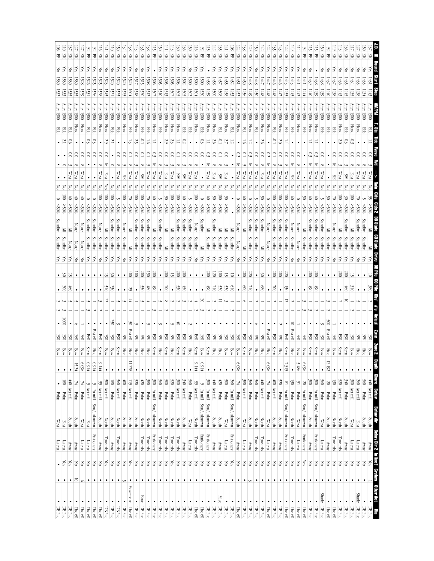| 页                                                    |                                          | Flood                    |                           |              |                             |                          |                         | standbr                                         | ¥          |                              |                                  |  |               |                            |               |                | 260                          | Act mill<br>Polar                                      |              | East                                   | Lateral               | 1g<br>$\leq$               |
|------------------------------------------------------|------------------------------------------|--------------------------|---------------------------|--------------|-----------------------------|--------------------------|-------------------------|-------------------------------------------------|------------|------------------------------|----------------------------------|--|---------------|----------------------------|---------------|----------------|------------------------------|--------------------------------------------------------|--------------|----------------------------------------|-----------------------|----------------------------|
| 頁<br>Ř<br>1432<br>1434<br>1445<br>1435               | $\frac{1}{200}$<br>$\frac{1}{200}$       | Flood<br>Ę               |                           |              |                             |                          | $50\%$                  | Standby<br>Standby<br>Standby                   | Yes<br>res | $\approx$                    | $\frac{4}{3}$<br>$\frac{310}{2}$ |  |               | <b>B</b> <sub>9</sub><br>졓 | Stern<br>Bow  |                | 340<br>$\frac{300}{2}$       | Act mill<br>Polar                                      |              | South<br>West                          |                       | Away<br>Towards<br>Lateral |
| Ř<br>1430<br>1443                                    | $\frac{1}{200}$                          | <b>Flood</b>             |                           |              | West                        |                          | $^{805}$                | Standby                                         | άg         | 500                          |                                  |  |               | <b>B90</b>                 | Stern         |                | 520                          | Act mill                                               |              | North                                  |                       |                            |
| Ř<br>몊<br>1440<br>1438                               | After 1300<br>Viter $1300$               | 買<br>Ebb                 |                           |              | æ                           |                          | $^{805}$<br>\$05        | Standby<br>Standby                              | ξŝ<br>W    |                              |                                  |  | ğ             | East 60<br>F60             | Bow<br>Side   | 12.192         | $\overline{30}$<br>$\approx$ | Polar                                                  |              | North                                  |                       | Towards<br>YRW             |
| S<br>K<br>š<br>1438<br>1439                          | $\frac{1}{200}$                          | Ebb                      |                           |              | West                        |                          | $50\%$                  | Standby<br>Standby                              | δŚ         |                              |                                  |  |               | <b>SSO</b>                 | Bow           |                | 695                          | Polar<br>Polar                                         |              | <b>South</b><br>$\mathbb{W}\text{est}$ |                       | Lateral                    |
| 묘<br>1438<br>1439                                    | $\frac{1}{200}$                          | <b>Flood</b>             | ි                         |              | West                        | ĕ                        | \$055                   | Standb<br>Standby                               | άš         | 200                          | 66 <sup>†</sup>                  |  |               | 800                        | Stern         |                | $\frac{300}{2}$              | Pa mill                                                | Stat/unknown |                                        | Stationary            |                            |
| 岊<br>1439<br>0##J                                    | $\frac{1}{200}$                          | <b>Flood</b>             | C)                        | West         |                             |                          | $^{*05}$                | Standby<br>Standby                              | ξg         | $500\,$                      | 66                               |  |               | 80                         | Stern         |                | $\approx$                    | Polar                                                  |              | <b>South</b>                           | Anay                  |                            |
| 뫂<br>时<br>1444                                       | $A$ fter $1300$                          | <b>Ebb</b>               |                           |              |                             |                          | 50%                     | Standby                                         | άg         | $\bullet$                    |                                  |  |               | F60                        | Bow           | 960'9          | S                            | Pa mill                                                | Stat/unknown |                                        | Stationary            |                            |
| Ř<br>λë<br>L441                                      | $\frac{1}{200}$                          | Flood                    | ິ                         |              | West                        |                          | $< 50\%$                | None<br>None                                    | š          |                              |                                  |  |               | $_{50}$                    | Bow           | 5.486          | 51                           | Polar                                                  |              | West                                   | Lateral               |                            |
| \$<br>$\overline{M}$<br>Ř<br>χes<br>1442<br>1445     | $\frac{1}{200}$<br>$\frac{1}{200}$       | Ebb<br>買                 | $_{\rm 0}^{\circ}$        |              | ЯS                          | g                        | \$60%                   | None<br>Standby                                 | š          | $\bullet$                    |                                  |  | 5             | East 60<br>960             | Side          |                | 130<br>$^{8}$                | Polar                                                  |              | <b>North</b>                           | Towards               |                            |
|                                                      |                                          |                          | S                         |              |                             |                          | $$0$ \$<                | Standby<br>Standby                              | χes        | 220                          | ଞ                                |  |               |                            | Stern         | 7.315          |                              | Pa mill                                                | Stat/unknown |                                        | Stationary            |                            |
| E                                                    | fre $r1300$                              | <b>Flood</b>             |                           | West         |                             |                          |                         | Standby<br>Standby                              | χē         | $\overline{00}$              |                                  |  |               | SW                         |               |                | 520                          | Polar                                                  |              | <b>South</b>                           | ARAY                  |                            |
| Ř<br>Ř<br>χes<br>ក្ដិ<br>0440<br>1448<br>34 H        | $\frac{1}{200}$<br>fter $1300$           | Flood<br><b>EB</b><br>÷. | n                         |              | West<br>west                | g                        | \$80%<br>$< 0\%$        | Standby<br>None<br>Standby<br>None              | χes<br>š   | 200                          | ğ<br>$\bullet$                   |  |               | East 60<br>880             | Stern<br>Side | 960'9          | $\frac{1}{2}$<br>74          | Act mill<br>Polar                                      |              | <b>South</b><br>$\mathbb{W}\text{est}$ | Lateral<br>yway       |                            |
| Ř<br>ğ<br>447<br>1448                                | $\frac{1}{200}$                          | Flood                    | £                         |              | East                        |                          | \$0.88                  | Standby<br>≧                                    | ξŝ         | $\otimes$                    | 89                               |  |               | X                          | Side          |                | $60 +$                       | Act mill                                               |              | <b>North</b>                           | Towards               |                            |
| 頁<br>1450                                            | $\frac{1}{200}$                          | 昆                        | $\widetilde{\phantom{a}}$ |              | West                        |                          | $50\%$                  | Standby<br>Standby                              | χë         |                              | ٠                                |  |               | ¥                          |               |                | 60 <sup>2</sup>              | Polar                                                  |              | North                                  | Towards               |                            |
| Ř<br>స్ట్<br>8##1<br>6##J                            | $\frac{1}{200}$                          | Flood                    |                           |              | west                        |                          | $< 50\%$                | Standby<br>Standby                              | δÑ         | 52                           | οĽ                               |  |               | 3                          | Bow           |                |                              | $\frac{360}{380} \frac{\text{polar}}{\text{Act mill}}$ |              | ltuo <sup>2</sup>                      | YRAY                  |                            |
| Ř<br>頁<br>χes<br>çs<br>ΗŽΙ<br>1450<br>1452<br>1420   | $\frac{1}{200}$<br>$\frac{1}{200}$       | <b>Flood</b><br>臣        | Ξ                         |              | West<br>West<br>중           |                          | $$^{80}_{50}$<br>\$80   | None<br>None<br>≧                               | χes<br>F   | $\infty$                     | $\frac{60}{2}$                   |  |               | 068<br>Š                   | Stern<br>Bow  | 960'9          | 74                           | Polar                                                  |              | South<br>$\mathbb{W}\text{est}$        | Lateral<br>Away       |                            |
| 岊<br>Ğ<br>1452<br>1453                               | $\frac{1}{200}$                          | <b>EB</b>                |                           |              |                             |                          |                         | Standby                                         | χē         | 5                            | 019                              |  |               | 곃                          | Bow           |                | 260                          | Pa mill                                                | Stat/unknown |                                        | Stationary            |                            |
| Ř<br>χē<br>1455<br>1458                              | $A$ fter $1300$                          | <b>Flood</b>             | $\widetilde{\phantom{a}}$ |              | East                        |                          | \$055                   | Standby                                         | χë         | 5                            | $\widetilde{\alpha}$             |  |               | 졓                          | Bow           |                | $\approx$                    | Polar                                                  |              | West                                   | Lateral               |                            |
| Ř<br>Ř<br>χes<br>χes<br>1458<br>1457<br>I500<br>1508 | $\frac{1}{200}$<br>$\frac{1}{200}$       | Flood<br><b>Ebb</b>      | ខ<br>S                    |              | <b>Last</b><br>8W<br>Z<br>š | $\overline{\circ}$       | $50\%$<br>\$005         | Standby<br>È<br>Standby<br>Standby              | χes<br>δŚ  | 120<br>ē                     | 520<br>ਛ                         |  |               | ă<br>ä                     | Side<br>Side  |                | 440<br>420                   | Act mill<br>Polar                                      |              | South<br>south                         | Aray<br>Away          |                            |
| 岊<br>1458<br>1459                                    | $\frac{1}{200}$                          | Flood                    |                           |              | West                        |                          | %05                     | ≧<br>Standby                                    | ΥéS        | $\approx$                    | \$                               |  |               | <b>B</b>                   | Stern         |                | $\frac{300}{2}$              | Pa mill                                                | Stat/unknown |                                        | Stationary            |                            |
| 몊                                                    | After 1300                               | 目                        |                           |              |                             |                          | $50\%$                  | Standby<br>≧                                    | χg         |                              | $\bullet$                        |  |               | Š                          | Bow           | 16'0           | $\circ$                      | $\rm Pa$ mill                                          | Stat/unknown |                                        | Stationary            |                            |
| 頁<br>χes<br>I500<br>1504                             | $\frac{1}{200}$                          | <b>Flood</b>             | $\rm{C}$                  |              | West                        | ē                        | $^{805}$                | None<br>Standby                                 | š          |                              |                                  |  |               | B60                        | Stern         | 9.144          | $\frac{59}{5}$               | Act mill                                               |              | <b>North</b>                           | Towards               |                            |
| 頁<br>頁<br>χes<br>S<br>1502<br>50<br>505<br>1502      | $\frac{1}{200}$<br>$\frac{1}{200}$       | 目<br>Ebb                 | $_{\rm 0}^{\circ}$<br>E   |              | West<br>S                   | g                        | \$80%<br>$50\%$         | Standby<br><b>Standby</b><br>Standby<br>Standby | χë<br>χes  | 200                          | 450<br>$\bullet$                 |  |               | <b>B</b> §0<br>X           | Stern<br>Side | $\bullet$      |                              | $\frac{560}{340}$ Act mill                             |              | South<br>West                          | Lateral<br>Yway       |                            |
| Ř<br>ζëς                                             | $\frac{1}{200}$                          | Flood                    | P.                        |              | ä                           | ē                        | \$055                   | Standby<br>Standby                              | χē         | $\infty$                     | 0.50                             |  | ぉ             | 89                         | Stern         |                | 300                          | Act mill                                               |              | <b>North</b>                           | Towards               |                            |
| 頁<br>χes<br>505<br>50                                | $\frac{1}{200}$                          | Flood                    | ខ                         |              | West                        | 8                        | \$055                   | Standby                                         | χg         | 5                            | $\bullet$                        |  |               | ℥                          | Side          |                | $0z\zeta$                    | Polar                                                  |              | <b>North</b>                           | Towards               |                            |
| $\rm \overline{M}$<br>χes<br>505<br>1513             | After 1300                               | Hood                     | $\approx 0$               |              | East                        |                          | \$055                   | ≧                                               | Υes        | $\infty$                     | ≷                                |  |               | 068                        | Stern         |                | $\approx$                    | Polar                                                  |              | North<br>North                         | Towards               |                            |
| <b>EK</b><br>岊<br>χes<br>505<br>Ŀю<br>ISO7           | $\frac{1}{200}$<br>$\frac{1}{200}$       | <b>Flood</b><br>目        | S<br>$_{\rm 0}^{\circ}$   | West         | West                        |                          | \$055<br>$< 50\%$       | Standby<br>Standby<br>Standby                   | χē<br>χē   | $\overline{00}$<br>$\bullet$ | 6ħ<br>$\bullet$                  |  |               | 80<br>℥                    | Stern<br>Side |                | $\frac{300}{3}$<br>560       | Pa mill<br>Polar                                       | Stat/unknown |                                        | Stationary<br>Towards |                            |
| Ř<br>ē<br>508<br>IŠ12                                | $A$ fter $1300$                          | 臣                        | 0.                        | West         |                             |                          | \$055                   | Standby<br>Standby                              | ζë         | 150                          | $\frac{1}{8}$                    |  |               | Ä                          | Side          |                | 380                          | Polar                                                  |              | North                                  | Towards               |                            |
| Ř<br>Z<br>1520                                       | Viter $1300$                             | Ę                        |                           |              | S                           | ē                        | 6⊗                      | Standbr<br>Standby                              | χg         | $00\%$                       | 55                               |  |               | SW                         | Side          |                | 420                          |                                                        |              | North                                  | Towards               |                            |
| $\overline{M}$<br>Z<br>덤<br>1518                     | $\frac{1}{200}$                          | Flood                    | S                         | West         |                             | ē                        | \$055                   | Standby<br>Standby                              | ΩŠ         | $\overline{\rm s}$           |                                  |  |               | X                          | Side          |                | 520                          | Polar <sup></sup><br>Polar                             |              | <b>South</b>                           | Anay                  |                            |
| Ř<br>1604                                            | $\frac{1}{200}$                          | Ebb                      |                           |              | West                        |                          | $^{805}$                | ≧                                               | res        | Ë                            |                                  |  | S             | East 60                    |               | 11.278         | $\frac{110}{2}$              | Act mill                                               |              | South                                  | Anay                  |                            |
| K                                                    | $\frac{\text{ifter}}{\text{ifter}} 1300$ | <b>Flood</b>             |                           |              |                             |                          |                         | None<br>Standby                                 | š          |                              |                                  |  |               | ℥                          | Side          |                | $\frac{1}{2}$                | Polar                                                  |              | <b>South</b>                           | YRWAY                 |                            |
| క<br>頁<br>Yes<br>1520<br>1525                        | $\frac{1}{200}$                          | <b>EB</b>                |                           |              | West                        |                          | $< 50\%$                | Standby<br>Standby                              | ξg         |                              |                                  |  |               | <b>B</b> <sub>9</sub>      | Stern         |                | $\frac{560}{5}$              | Act mill<br>Polar                                      |              | North                                  | Towards               |                            |
| Ř<br>š<br>1520<br>1521                               | $\frac{1}{200}$                          | 臣                        |                           |              |                             |                          | %05<                    | Standby<br>Standby                              | χg         | 8                            | 230                              |  | S             | 3                          | Bow           |                | 180                          |                                                        |              | <b>South</b>                           | Yway                  |                            |
| K<br>1523<br>545                                     | $\frac{1}{200}$                          | Flood                    | ε                         |              | East<br>ā                   | ē                        | \$0                     | Standby                                         | χë         | 52                           | òΙò                              |  |               | 3                          | Bow           |                | $\frac{500}{500}$            | Act mill                                               |              | North                                  | Towards               |                            |
| 頁                                                    | $\frac{1}{200}$                          | <b>Flood</b>             | g                         | West         |                             |                          | %05<                    | Standby                                         | ¥          |                              |                                  |  |               | B60                        | Stern         | 9.144          | SS                           | Act mill                                               |              | South                                  | ARMY                  |                            |
| 몊<br>ζëς<br>1525                                     | $\frac{1}{200}$                          | 目                        | 8                         |              |                             |                          | $< 50\%$                | Standby<br>Standby                              | άš         |                              |                                  |  |               | East 60                    | Side          | 6.914          |                              | Pa mill                                                | Stat/unknown |                                        | Stationary            |                            |
| 묚<br>ξS<br>1520<br>53                                | $\frac{1}{200}$                          | 買<br>Z                   | ິຣ                        |              |                             |                          | $< 50\%$                | Standby<br>Standby                              | χg         |                              |                                  |  |               | <b>B60</b>                 | Stern         | $0.914$        |                              | Act mill                                               |              | East                                   | Lateral               |                            |
| KK<br>页<br>1530                                      | $\frac{1}{200}$<br>$\frac{1}{200}$       | <b>Flood</b><br>Flood    |                           | West<br>West | 중                           |                          | $$^{80}_{\&}$<br>$50\%$ | None<br>None<br>None<br>None                    | 공<br>¥.    |                              |                                  |  |               | Š<br>Š                     | Bow<br>Bow    | 960'9<br>15.24 |                              | Polar<br>Polar                                         |              | South<br>West                          | ateral.<br>Anay       |                            |
| 頁                                                    | Here 1300                                | 멽                        | 8                         | West         |                             |                          | \$055                   | ≥                                               | χë         | 52                           | ë                                |  |               | 3                          | Bow           | $\bullet$      | $\frac{1}{2}$                | Act mill                                               |              | South                                  | YNZAY                 |                            |
| U30                                                  | $\frac{1}{200}$                          |                          |                           |              | Z                           | $\overline{\mathrm{SO}}$ | $950\%$                 | Standby                                         | Yes        |                              | $\frac{20}{10}$                  |  |               |                            | <b>Bow</b>    |                |                              | Polar                                                  |              | East                                   | Lateral               |                            |
| $\infty$<br>뙤<br>530                                 | <b>After</b>                             | 띩물                       |                           |              |                             |                          | <b>180%</b>             | $\frac{1}{2}$<br>Standby                        | $\chi$ es  | •∣ঙ                          |                                  |  | $\frac{1}{8}$ | <u> ଞ ଞ</u>                |               | $\bullet$      | <u>. 18</u>                  | Polar                                                  |              | <b>West</b>                            | Lateral               |                            |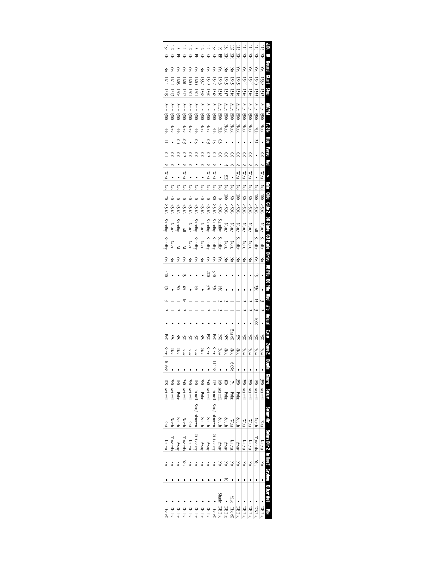| $\frac{1}{38}$ | 5            | $\frac{8}{16}$ | $\overline{120}$ | $\overline{121}$ | $\frac{92}{2}$  | $\overline{121}$ | $\overline{120}$ | 38              | $\frac{92}{3}$  | <b>BA</b>                | I27            | <b>DI</b>                | $\overline{14}$ | $\frac{14}{14}$ |                   | $\frac{116}{116}$        | Ē                                     |  |
|----------------|--------------|----------------|------------------|------------------|-----------------|------------------|------------------|-----------------|-----------------|--------------------------|----------------|--------------------------|-----------------|-----------------|-------------------|--------------------------|---------------------------------------|--|
| Ř              | Ř            | 旵              | Ř                | 頁                | 몊               | Ř                | 頁                | 頁               | 먺               | 頁                        | 頁              | Ř                        | Ř               | KK              | 頁                 | Ř                        | Ξ                                     |  |
| δŃ             | Yes          | Yes            | Yes              | Yes              | Yes             | ŠΣ               | $\chi$ es        | Yes             | Yes             | <b>No</b>                | δÑ             | Yes                      | Yes             | Yes             | Yes               | $\chi$ es                | pund).                                |  |
| 1614           | 1612         | 1605           | 1001             | 0091             | 1600            | 1557             | 1549             | 1547            | 1546            | 1545                     | 1545           | 1545                     | 1544            | 1544            | 1540              | 1539                     | <b>Start</b>                          |  |
| <b>1619</b>    | 1613         | <b>1606</b>    | 1017             | 1001             | 1001            | 1558             | 1550             | 1548            | 1548            | 1547                     | 1546           | 1546                     | 1546            | 1546            | 1555              | 1542                     | å                                     |  |
| After 1300     | Arter $1300$ | After 1300     | After $1300$     | Arter $1300$     | After 1300      | After 1300       | After $1300$     | After 1300      | After 1300      | $Area$ 1300              | After 1300     | $Area$ 1300              | $Area$ 1300     | Arer $1300$     | After 1300        | $Area$ 1300              | Md/M                                  |  |
| <b>Ebb</b>     | <b>Flood</b> | <b>GB</b>      | Flood            | <b>Flood</b>     | gg              | <b>Flood</b>     | <b>Flood</b>     | <b>Ebb</b>      | <b>Ebb</b>      | <b>Flood</b>             | <b>Flood</b>   | <b>Flood</b>             | <b>Flood</b>    | <b>Flood</b>    | <b>Ebb</b>        | <b>Flood</b>             | r su                                  |  |
| Ξ              |              | $\overline{0}$ | ςò               |                  | $\frac{3}{2}$   | $\bullet$        | ς,               | 1.3             | $\frac{0.3}{2}$ |                          |                |                          |                 |                 | 2.1               |                          | E                                     |  |
| S              | ິ            | $\overline{0}$ | $\overline{c}$   | 0.0              | $_{0.0}$        | $\overline{0}$   | $\overline{c}$   | S               | 0.0             | C.O                      | $\overline{0}$ | $\overline{0}$           | $\overline{0}$  | $\approx$       |                   | $\approx 0$              | <b>Mave</b>                           |  |
| $\infty$       |              |                |                  |                  |                 |                  |                  | $\infty$        |                 |                          |                |                          | $\infty$        |                 |                   |                          | š                                     |  |
| West           |              |                | West             |                  |                 |                  | West             | West            |                 | SE.                      |                | West                     | West            | West            |                   | West                     | ļ                                     |  |
| <b>No</b>      | š            | š              | Š                | Š                | š               | š                | ŠΔ               | š               | Š               | ŠΣ                       | ŠΣ             | š                        | š               | š               | š                 | ŠΟ                       | Ë                                     |  |
| $\geq$         | 4            |                |                  | 4                |                 | 40               |                  | 8               |                 | $\overline{\phantom{a}}$ | $\frac{50}{2}$ | $\overline{\phantom{a}}$ | $_{08}$         | $\infty$        | $\overline{0}0$   | $\overline{\phantom{0}}$ | e<br>Suls                             |  |
| $^{*05}$       | < 50%        | $^{80.05}$     | &80%             | $50\%$           | $^{805}$        | &805             | $50\%$           | $^{805}$        | $50\%$          | %05<                     | \$80%          | $^{805}$                 | $^{805}$        | \$80%           | $^{805}$          | $^{805}$                 | <b>Citis 2</b>                        |  |
| Standby        | None         | Standby        | ≧                | None             | Standby         | None             | Standby          | Standby         | Standby         | None                     | None           | None                     | None            | None            |                   | <b>None</b>              | <b>DB State</b>                       |  |
| Standby        | None         | ≧              | ≧                | None             | Standby         | None             | Standby          | Standby         | Standby         | <b>None</b>              | None           | Standby                  | <b>None</b>     | None            | Standby           | Standby                  | eners 09                              |  |
| Yes            | ξ            | Yes            | Yes              | Νo               | Yes             | Νo               | Yes              | Yes             | Yes             | Νo                       | $\geq$         | Νo                       | $\geq$          | $\geq$          | Yes               | Νo                       |                                       |  |
| 410            |              |                | 52               |                  |                 |                  | 200              | 370             |                 |                          |                |                          |                 |                 | $\ddot{\tau}$     |                          | Drive DB Pile 60 Pile                 |  |
| 130            |              | 300            | i8               |                  | 2               |                  | 520              | 230             | g               |                          |                |                          |                 |                 | 230               |                          |                                       |  |
|                |              |                | $\Xi$            |                  |                 |                  |                  |                 |                 |                          |                |                          |                 |                 | <u> 고</u>         |                          | នី                                    |  |
|                |              |                |                  |                  |                 |                  |                  |                 |                 |                          |                |                          |                 |                 |                   |                          | <b>S.#</b>                            |  |
|                |              | ٠              |                  | ٠                |                 |                  | ٠                |                 | ٠               | ¢                        |                | ٠                        |                 |                 | $\overline{000}$  |                          | len a y                               |  |
| <b>B60</b>     | SW           | ä              | <b>GSH</b>       | <b>SSO</b>       | <b>DOG</b>      | ă                | <b>B90</b>       | <b>B60</b>      | <b>GSH</b>      | X                        | East 60        | SW                       | <b>GSI</b>      | <b>SSO</b>      | <b>SPO</b>        | <b>S</b>                 | Zone                                  |  |
| Stern          | <b>Side</b>  | Side           | Bow              | Bow              | Bow             | <b>Side</b>      | Stern            | Stern           | Bow             | <b>Side</b>              | Side           | <b>Side</b>              | Bow             | Bow             | Bow               | Bow                      | Zame 2                                |  |
| 10.668         |              |                |                  |                  |                 |                  |                  | 11.278          |                 |                          | 960'9          |                          |                 |                 |                   |                          | Deprin                                |  |
|                | 260          | $\frac{1}{2}$  | 240              | 560              | $\frac{1}{2}$   | 260              | $\frac{24}{3}$   | 51              | ē               | 60 <sup>†</sup>          | 74i            | $\frac{380}{2}$          | <b>180</b>      | 180             | $\frac{180}{2}$   |                          |                                       |  |
| 108 Act mill   | Act mill     | Polar          | Act mill         | Act mill         | Pa mill         | Polar            | Act mill         | Pa mill         | Act mill        | Polar                    | Polar          | Polar                    | Act mill        | Act mill        | Act mill          | 380 Act mill             | Shore Behav                           |  |
|                |              |                |                  |                  | l Stat/un/anown |                  |                  | Stat/unknown    |                 |                          |                |                          |                 |                 |                   |                          | allo Mares                            |  |
| East           | North        | couth          | North            | East             |                 | South            | <b>throce</b>    |                 | couth           | South                    | West           | South                    | West            | West            | North             | East                     |                                       |  |
| Lateral        | Ovards       | APANY          | <b>OWArdS</b>    | Latera           | Stationary      | APANY            | Aray             | <b>Cationar</b> | Anay            | Anay                     | Lateral        | Anay                     | atera           | Lateral         | <b>Lowards</b>    | Lateral                  | Behav Dir 2 In line? Grebes Other Act |  |
| δŃ             | ŠΣ           | ŠΣ             | Yes              | ŠΣ               | δŃ              | ŠΣ               | δÑ               | š               | δŃ              | δŃ                       | š              | δŃ                       | ŠΣ              | š               | Yes               | šδ                       |                                       |  |
|                |              |                |                  |                  |                 |                  |                  |                 |                 | 5                        |                |                          |                 |                 |                   |                          |                                       |  |
|                |              |                |                  |                  |                 |                  |                  |                 | Shade           |                          | <b>Misc</b>    |                          |                 |                 |                   |                          |                                       |  |
| The 60         | DB Pac       | DB Pac         | DB Pac           | DB Pac           | DB Pac          | DB Pac           | DB Pac           | The 60          | DB Pac          | DB Pac                   | The 60         | DB Pac                   | ) B Pac         | DB Pac          | DB <sub>Pac</sub> | DB Pac                   | B                                     |  |
|                |              |                |                  |                  |                 |                  |                  |                 |                 |                          |                |                          |                 |                 |                   |                          |                                       |  |